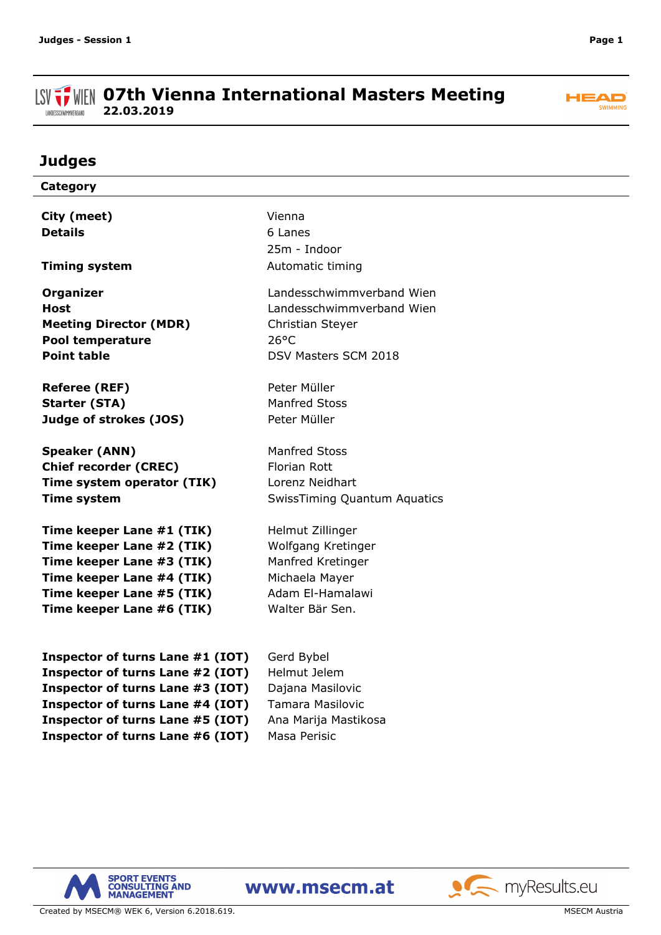#### **ISV THE OFTH Vienna International Masters Meeting 22.03.2019** LANDESSCHWIMMVERBAND



# **Judges**

| Category                         |                                     |
|----------------------------------|-------------------------------------|
| City (meet)                      | Vienna                              |
| <b>Details</b>                   | 6 Lanes                             |
|                                  | 25m - Indoor                        |
|                                  |                                     |
| <b>Timing system</b>             | Automatic timing                    |
| <b>Organizer</b>                 | Landesschwimmverband Wien           |
| <b>Host</b>                      | Landesschwimmverband Wien           |
| <b>Meeting Director (MDR)</b>    | Christian Steyer                    |
| <b>Pool temperature</b>          | $26^{\circ}$ C                      |
| <b>Point table</b>               | DSV Masters SCM 2018                |
|                                  |                                     |
| <b>Referee (REF)</b>             | Peter Müller                        |
| <b>Starter (STA)</b>             | <b>Manfred Stoss</b>                |
| Judge of strokes (JOS)           | Peter Müller                        |
| <b>Speaker (ANN)</b>             | <b>Manfred Stoss</b>                |
| <b>Chief recorder (CREC)</b>     | <b>Florian Rott</b>                 |
| Time system operator (TIK)       | Lorenz Neidhart                     |
| <b>Time system</b>               | <b>SwissTiming Quantum Aquatics</b> |
|                                  |                                     |
| Time keeper Lane #1 (TIK)        | Helmut Zillinger                    |
| Time keeper Lane #2 (TIK)        | Wolfgang Kretinger                  |
| Time keeper Lane #3 (TIK)        | Manfred Kretinger                   |
| Time keeper Lane #4 (TIK)        | Michaela Mayer                      |
| Time keeper Lane #5 (TIK)        | Adam El-Hamalawi                    |
| Time keeper Lane #6 (TIK)        | Walter Bär Sen.                     |
|                                  |                                     |
| Inspector of turns Lane #1 (IOT) | Gerd Bybel                          |
| Inspector of turns Lane #2 (IOT) | Helmut Jelem                        |
| Inspector of turns Lane #3 (IOT) | Dajana Masilovic                    |
| Inspector of turns Lane #4 (IOT) | <b>Tamara Masilovic</b>             |
| Inspector of turns Lane #5 (IOT) | Ana Marija Mastikosa                |





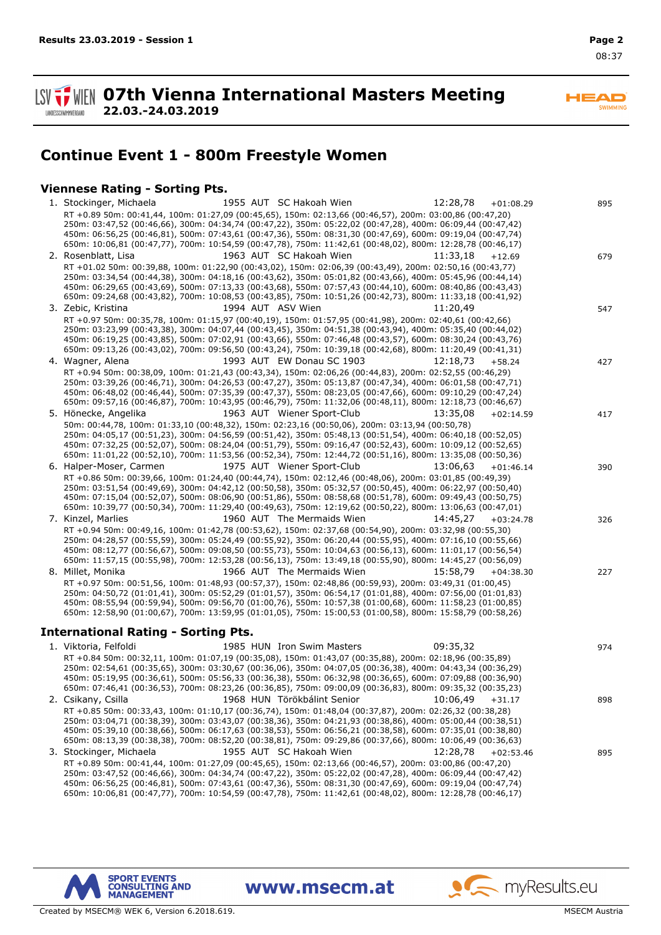**07th Vienna International Masters Meeting 22.03.-24.03.2019**

**HEAD** SWIMMING

# **Continue Event 1 - 800m Freestyle Women**

### **Viennese Rating - Sorting Pts.**

| 1955 AUT SC Hakoah Wien<br>12:28,78<br>1. Stockinger, Michaela<br>$+01:08.29$                              | 895 |
|------------------------------------------------------------------------------------------------------------|-----|
| RT +0.89 50m: 00:41,44, 100m: 01:27,09 (00:45,65), 150m: 02:13,66 (00:46,57), 200m: 03:00,86 (00:47,20)    |     |
| 250m: 03:47,52 (00:46,66), 300m: 04:34,74 (00:47,22), 350m: 05:22,02 (00:47,28), 400m: 06:09,44 (00:47,42) |     |
| 450m: 06:56,25 (00:46,81), 500m: 07:43,61 (00:47,36), 550m: 08:31,30 (00:47,69), 600m: 09:19,04 (00:47,74) |     |
| 650m: 10:06,81 (00:47,77), 700m: 10:54,59 (00:47,78), 750m: 11:42,61 (00:48,02), 800m: 12:28,78 (00:46,17) |     |
| 1963 AUT SC Hakoah Wien<br>2. Rosenblatt, Lisa<br>11:33,18<br>$+12.69$                                     | 679 |
| RT +01.02 50m: 00:39,88, 100m: 01:22,90 (00:43,02), 150m: 02:06,39 (00:43,49), 200m: 02:50,16 (00:43,77)   |     |
| 250m: 03:34,54 (00:44,38), 300m: 04:18,16 (00:43,62), 350m: 05:01,82 (00:43,66), 400m: 05:45,96 (00:44,14) |     |
| 450m: 06:29,65 (00:43,69), 500m: 07:13,33 (00:43,68), 550m: 07:57,43 (00:44,10), 600m: 08:40,86 (00:43,43) |     |
| 650m: 09:24,68 (00:43,82), 700m: 10:08,53 (00:43,85), 750m: 10:51,26 (00:42,73), 800m: 11:33,18 (00:41,92) |     |
| 1994 AUT ASV Wien<br>3. Zebic, Kristina<br>11:20,49                                                        | 547 |
| RT +0.97 50m: 00:35,78, 100m: 01:15,97 (00:40,19), 150m: 01:57,95 (00:41,98), 200m: 02:40,61 (00:42,66)    |     |
| 250m: 03:23,99 (00:43,38), 300m: 04:07,44 (00:43,45), 350m: 04:51,38 (00:43,94), 400m: 05:35,40 (00:44,02) |     |
| 450m: 06:19,25 (00:43,85), 500m: 07:02,91 (00:43,66), 550m: 07:46,48 (00:43,57), 600m: 08:30,24 (00:43,76) |     |
| 650m: 09:13,26 (00:43,02), 700m: 09:56,50 (00:43,24), 750m: 10:39,18 (00:42,68), 800m: 11:20,49 (00:41,31) |     |
| 1993 AUT EW Donau SC 1903                                                                                  |     |
| 4. Wagner, Alena<br>12:18,73<br>$+58.24$                                                                   | 427 |
| RT +0.94 50m: 00:38,09, 100m: 01:21,43 (00:43,34), 150m: 02:06,26 (00:44,83), 200m: 02:52,55 (00:46,29)    |     |
| 250m: 03:39,26 (00:46,71), 300m: 04:26,53 (00:47,27), 350m: 05:13,87 (00:47,34), 400m: 06:01,58 (00:47,71) |     |
| 450m: 06:48,02 (00:46,44), 500m: 07:35,39 (00:47,37), 550m: 08:23,05 (00:47,66), 600m: 09:10,29 (00:47,24) |     |
| 650m: 09:57,16 (00:46,87), 700m: 10:43,95 (00:46,79), 750m: 11:32,06 (00:48,11), 800m: 12:18,73 (00:46,67) |     |
| 1963 AUT Wiener Sport-Club<br>5. Hönecke, Angelika<br>13:35,08<br>$+02:14.59$                              | 417 |
| 50m: 00:44,78, 100m: 01:33,10 (00:48,32), 150m: 02:23,16 (00:50,06), 200m: 03:13,94 (00:50,78)             |     |
| 250m: 04:05,17 (00:51,23), 300m: 04:56,59 (00:51,42), 350m: 05:48,13 (00:51,54), 400m: 06:40,18 (00:52,05) |     |
| 450m: 07:32,25 (00:52,07), 500m: 08:24,04 (00:51,79), 550m: 09:16,47 (00:52,43), 600m: 10:09,12 (00:52,65) |     |
| 650m: 11:01,22 (00:52,10), 700m: 11:53,56 (00:52,34), 750m: 12:44,72 (00:51,16), 800m: 13:35,08 (00:50,36) |     |
| 1975 AUT Wiener Sport-Club<br>6. Halper-Moser, Carmen<br>13:06,63<br>$+01:46.14$                           | 390 |
| RT +0.86 50m: 00:39,66, 100m: 01:24,40 (00:44,74), 150m: 02:12,46 (00:48,06), 200m: 03:01,85 (00:49,39)    |     |
| 250m: 03:51,54 (00:49,69), 300m: 04:42,12 (00:50,58), 350m: 05:32,57 (00:50,45), 400m: 06:22,97 (00:50,40) |     |
| 450m: 07:15,04 (00:52,07), 500m: 08:06,90 (00:51,86), 550m: 08:58,68 (00:51,78), 600m: 09:49,43 (00:50,75) |     |
| 650m: 10:39,77 (00:50,34), 700m: 11:29,40 (00:49,63), 750m: 12:19,62 (00:50,22), 800m: 13:06,63 (00:47,01) |     |
| 7. Kinzel, Marlies<br>1960 AUT The Mermaids Wien<br>14:45,27<br>$+03:24.78$                                | 326 |
| RT +0.94 50m: 00:49,16, 100m: 01:42,78 (00:53,62), 150m: 02:37,68 (00:54,90), 200m: 03:32,98 (00:55,30)    |     |
| 250m: 04:28,57 (00:55,59), 300m: 05:24,49 (00:55,92), 350m: 06:20,44 (00:55,95), 400m: 07:16,10 (00:55,66) |     |
| 450m: 08:12,77 (00:56,67), 500m: 09:08,50 (00:55,73), 550m: 10:04,63 (00:56,13), 600m: 11:01,17 (00:56,54) |     |
| 650m: 11:57,15 (00:55,98), 700m: 12:53,28 (00:56,13), 750m: 13:49,18 (00:55,90), 800m: 14:45,27 (00:56,09) |     |
| 1966 AUT The Mermaids Wien<br>8. Millet, Monika<br>15:58,79<br>$+04:38.30$                                 | 227 |
| RT +0.97 50m: 00:51,56, 100m: 01:48,93 (00:57,37), 150m: 02:48,86 (00:59,93), 200m: 03:49,31 (01:00,45)    |     |
| 250m: 04:50,72 (01:01,41), 300m: 05:52,29 (01:01,57), 350m: 06:54,17 (01:01,88), 400m: 07:56,00 (01:01,83) |     |
| 450m: 08:55,94 (00:59,94), 500m: 09:56,70 (01:00,76), 550m: 10:57,38 (01:00,68), 600m: 11:58,23 (01:00,85) |     |
| 650m: 12:58,90 (01:00,67), 700m: 13:59,95 (01:01,05), 750m: 15:00,53 (01:00,58), 800m: 15:58,79 (00:58,26) |     |
|                                                                                                            |     |
| <b>International Rating - Sorting Pts.</b>                                                                 |     |
| 09:35,32<br>1. Viktoria, Felfoldi<br>1985 HUN Iron Swim Masters                                            | 974 |
| RT +0.84 50m: 00:32,11, 100m: 01:07,19 (00:35,08), 150m: 01:43,07 (00:35,88), 200m: 02:18,96 (00:35,89)    |     |
| 250m: 02:54,61 (00:35,65), 300m: 03:30,67 (00:36,06), 350m: 04:07,05 (00:36,38), 400m: 04:43,34 (00:36,29) |     |
| 450m: 05:19,95 (00:36,61), 500m: 05:56,33 (00:36,38), 550m: 06:32,98 (00:36,65), 600m: 07:09,88 (00:36,90) |     |
| 650m: 07:46,41 (00:36,53), 700m: 08:23,26 (00:36,85), 750m: 09:00,09 (00:36,83), 800m: 09:35,32 (00:35,23) |     |
| 1968 HUN Törökbálint Senior<br>10:06,49<br>2. Csikany, Csilla<br>$+31.17$                                  | 898 |
| RT +0.85 50m: 00:33,43, 100m: 01:10,17 (00:36,74), 150m: 01:48,04 (00:37,87), 200m: 02:26,32 (00:38,28)    |     |
| 250m: 03:04,71 (00:38,39), 300m: 03:43,07 (00:38,36), 350m: 04:21,93 (00:38,86), 400m: 05:00,44 (00:38,51) |     |
| 450m: 05:39,10 (00:38,66), 500m: 06:17,63 (00:38,53), 550m: 06:56,21 (00:38,58), 600m: 07:35,01 (00:38,80) |     |
| 650m: 08:13,39 (00:38,38), 700m: 08:52,20 (00:38,81), 750m: 09:29,86 (00:37,66), 800m: 10:06,49 (00:36,63) |     |
| 1955 AUT SC Hakoah Wien<br>3. Stockinger, Michaela<br>12:28,78<br>$+02:53.46$                              |     |
|                                                                                                            | 895 |
| RT +0.89 50m: 00:41,44, 100m: 01:27,09 (00:45,65), 150m: 02:13,66 (00:46,57), 200m: 03:00,86 (00:47,20)    |     |
| 250m: 03:47,52 (00:46,66), 300m: 04:34,74 (00:47,22), 350m: 05:22,02 (00:47,28), 400m: 06:09,44 (00:47,42) |     |
| 450m: 06:56,25 (00:46,81), 500m: 07:43,61 (00:47,36), 550m: 08:31,30 (00:47,69), 600m: 09:19,04 (00:47,74) |     |
| 650m: 10:06,81 (00:47,77), 700m: 10:54,59 (00:47,78), 750m: 11:42,61 (00:48,02), 800m: 12:28,78 (00:46,17) |     |

www.msecm.at



Created by MSECM® WEK 6, Version 6.2018.619. MSECM Austria and Structure of the MSECM Austria and MSECM Austria

**A** myResults.eu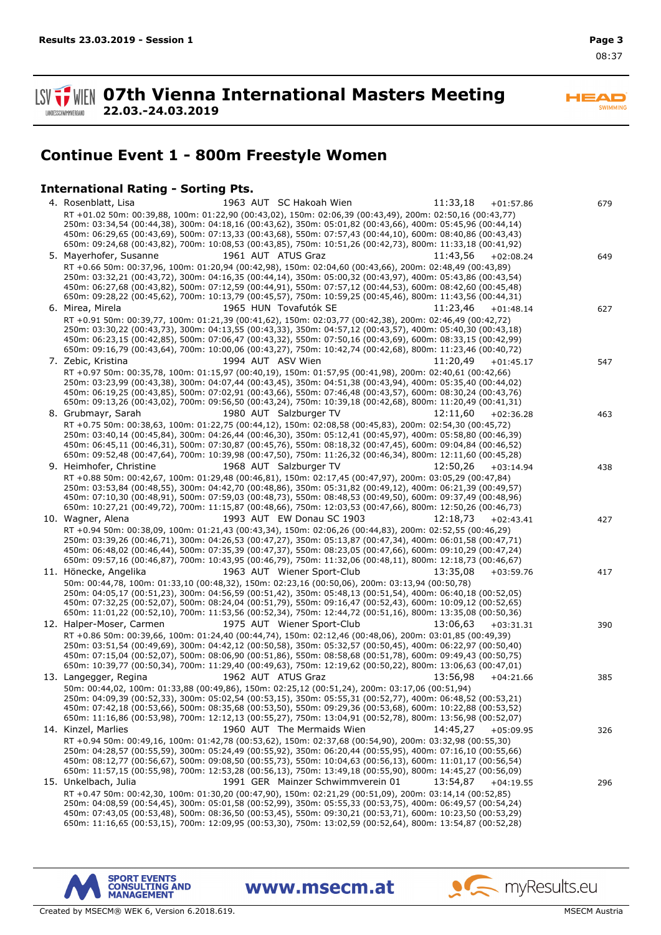**ISV**  $\frac{1}{2}$  WIEN 07th Vienna International Masters Meeting **22.03.-24.03.2019** LANDESSCHWIMMVERBAND

**HEAD** SWIMMING

# **Continue Event 1 - 800m Freestyle Women**

### **International Rating - Sorting Pts.**

| 1963 AUT SC Hakoah Wien<br>11:33,18<br>4. Rosenblatt, Lisa<br>$+01:57.86$                                                                                                                                                | 679 |
|--------------------------------------------------------------------------------------------------------------------------------------------------------------------------------------------------------------------------|-----|
| RT +01.02 50m: 00:39,88, 100m: 01:22,90 (00:43,02), 150m: 02:06,39 (00:43,49), 200m: 02:50,16 (00:43,77)<br>250m: 03:34,54 (00:44,38), 300m: 04:18,16 (00:43,62), 350m: 05:01,82 (00:43,66), 400m: 05:45,96 (00:44,14)   |     |
| 450m: 06:29,65 (00:43,69), 500m: 07:13,33 (00:43,68), 550m: 07:57,43 (00:44,10), 600m: 08:40,86 (00:43,43)<br>650m: 09:24,68 (00:43,82), 700m: 10:08,53 (00:43,85), 750m: 10:51,26 (00:42,73), 800m: 11:33,18 (00:41,92) |     |
| 1961 AUT ATUS Graz<br>5. Mayerhofer, Susanne<br>11:43,56<br>$+02:08.24$                                                                                                                                                  | 649 |
| RT +0.66 50m: 00:37,96, 100m: 01:20,94 (00:42,98), 150m: 02:04,60 (00:43,66), 200m: 02:48,49 (00:43,89)                                                                                                                  |     |
| 250m: 03:32,21 (00:43,72), 300m: 04:16,35 (00:44,14), 350m: 05:00,32 (00:43,97), 400m: 05:43,86 (00:43,54)<br>450m: 06:27,68 (00:43,82), 500m: 07:12,59 (00:44,91), 550m: 07:57,12 (00:44,53), 600m: 08:42,60 (00:45,48) |     |
| 650m: 09:28,22 (00:45,62), 700m: 10:13,79 (00:45,57), 750m: 10:59,25 (00:45,46), 800m: 11:43,56 (00:44,31)                                                                                                               |     |
| 1965 HUN Tovafutók SE<br>6. Mirea, Mirela<br>11:23,46<br>$+01:48.14$                                                                                                                                                     | 627 |
| RT +0.91 50m: 00:39,77, 100m: 01:21,39 (00:41,62), 150m: 02:03,77 (00:42,38), 200m: 02:46,49 (00:42,72)<br>250m: 03:30,22 (00:43,73), 300m: 04:13,55 (00:43,33), 350m: 04:57,12 (00:43,57), 400m: 05:40,30 (00:43,18)    |     |
| 450m: 06:23,15 (00:42,85), 500m: 07:06,47 (00:43,32), 550m: 07:50,16 (00:43,69), 600m: 08:33,15 (00:42,99)                                                                                                               |     |
| 650m: 09:16,79 (00:43,64), 700m: 10:00,06 (00:43,27), 750m: 10:42,74 (00:42,68), 800m: 11:23,46 (00:40,72)                                                                                                               |     |
| 7. Zebic, Kristina<br>1994 AUT ASV Wien<br>11:20,49<br>$+01:45.17$                                                                                                                                                       | 547 |
| RT +0.97 50m: 00:35,78, 100m: 01:15,97 (00:40,19), 150m: 01:57,95 (00:41,98), 200m: 02:40,61 (00:42,66)<br>250m: 03:23,99 (00:43,38), 300m: 04:07,44 (00:43,45), 350m: 04:51,38 (00:43,94), 400m: 05:35,40 (00:44,02)    |     |
| 450m: 06:19,25 (00:43,85), 500m: 07:02,91 (00:43,66), 550m: 07:46,48 (00:43,57), 600m: 08:30,24 (00:43,76)                                                                                                               |     |
| 650m: 09:13,26 (00:43,02), 700m: 09:56,50 (00:43,24), 750m: 10:39,18 (00:42,68), 800m: 11:20,49 (00:41,31)<br>1980 AUT Salzburger TV<br>8. Grubmayr, Sarah<br>12:11,60                                                   |     |
| $+02:36.28$<br>RT +0.75 50m: 00:38,63, 100m: 01:22,75 (00:44,12), 150m: 02:08,58 (00:45,83), 200m: 02:54,30 (00:45,72)                                                                                                   | 463 |
| 250m: 03:40,14 (00:45,84), 300m: 04:26,44 (00:46,30), 350m: 05:12,41 (00:45,97), 400m: 05:58,80 (00:46,39)                                                                                                               |     |
| 450m: 06:45,11 (00:46,31), 500m: 07:30,87 (00:45,76), 550m: 08:18,32 (00:47,45), 600m: 09:04,84 (00:46,52)<br>650m: 09:52,48 (00:47,64), 700m: 10:39,98 (00:47,50), 750m: 11:26,32 (00:46,34), 800m: 12:11,60 (00:45,28) |     |
| 1968 AUT Salzburger TV<br>9. Heimhofer, Christine<br>12:50,26<br>$+03:14.94$                                                                                                                                             | 438 |
| RT +0.88 50m: 00:42,67, 100m: 01:29,48 (00:46,81), 150m: 02:17,45 (00:47,97), 200m: 03:05,29 (00:47,84)                                                                                                                  |     |
| 250m: 03:53,84 (00:48,55), 300m: 04:42,70 (00:48,86), 350m: 05:31,82 (00:49,12), 400m: 06:21,39 (00:49,57)<br>450m: 07:10,30 (00:48,91), 500m: 07:59,03 (00:48,73), 550m: 08:48,53 (00:49,50), 600m: 09:37,49 (00:48,96) |     |
| 650m: 10:27,21 (00:49,72), 700m: 11:15,87 (00:48,66), 750m: 12:03,53 (00:47,66), 800m: 12:50,26 (00:46,73)                                                                                                               |     |
| 1993 AUT EW Donau SC 1903<br>10. Wagner, Alena<br>12:18,73<br>$+02:43.41$                                                                                                                                                | 427 |
| RT +0.94 50m: 00:38,09, 100m: 01:21,43 (00:43,34), 150m: 02:06,26 (00:44,83), 200m: 02:52,55 (00:46,29)<br>250m: 03:39,26 (00:46,71), 300m: 04:26,53 (00:47,27), 350m: 05:13,87 (00:47,34), 400m: 06:01,58 (00:47,71)    |     |
| 450m: 06:48,02 (00:46,44), 500m: 07:35,39 (00:47,37), 550m: 08:23,05 (00:47,66), 600m: 09:10,29 (00:47,24)                                                                                                               |     |
| 650m: 09:57,16 (00:46,87), 700m: 10:43,95 (00:46,79), 750m: 11:32,06 (00:48,11), 800m: 12:18,73 (00:46,67)                                                                                                               |     |
| 1963 AUT Wiener Sport-Club<br>11. Hönecke, Angelika<br>13:35,08<br>$+03:59.76$                                                                                                                                           | 417 |
| 50m: 00:44,78, 100m: 01:33,10 (00:48,32), 150m: 02:23,16 (00:50,06), 200m: 03:13,94 (00:50,78)<br>250m: 04:05,17 (00:51,23), 300m: 04:56,59 (00:51,42), 350m: 05:48,13 (00:51,54), 400m: 06:40,18 (00:52,05)             |     |
| 450m: 07:32,25 (00:52,07), 500m: 08:24,04 (00:51,79), 550m: 09:16,47 (00:52,43), 600m: 10:09,12 (00:52,65)                                                                                                               |     |
| 650m: 11:01,22 (00:52,10), 700m: 11:53,56 (00:52,34), 750m: 12:44,72 (00:51,16), 800m: 13:35,08 (00:50,36)<br>12. Halper-Moser, Carmen<br>1975 AUT Wiener Sport-Club<br>13:06,63                                         |     |
| $+03:31.31$<br>RT +0.86 50m: 00:39,66, 100m: 01:24,40 (00:44,74), 150m: 02:12,46 (00:48,06), 200m: 03:01,85 (00:49,39)                                                                                                   | 390 |
| 250m: 03:51,54 (00:49,69), 300m: 04:42,12 (00:50,58), 350m: 05:32,57 (00:50,45), 400m: 06:22,97 (00:50,40)                                                                                                               |     |
| 450m: 07:15,04 (00:52,07), 500m: 08:06,90 (00:51,86), 550m: 08:58,68 (00:51,78), 600m: 09:49,43 (00:50,75)<br>650m: 10:39,77 (00:50,34), 700m: 11:29,40 (00:49,63), 750m: 12:19,62 (00:50,22), 800m: 13:06,63 (00:47,01) |     |
| 1962 AUT ATUS Graz<br>13. Langegger, Regina<br>13:56,98<br>$+04:21.66$                                                                                                                                                   | 385 |
| 50m: 00:44,02, 100m: 01:33,88 (00:49,86), 150m: 02:25,12 (00:51,24), 200m: 03:17,06 (00:51,94)                                                                                                                           |     |
| 250m: 04:09,39 (00:52,33), 300m: 05:02,54 (00:53,15), 350m: 05:55,31 (00:52,77), 400m: 06:48,52 (00:53,21)<br>450m: 07:42,18 (00:53,66), 500m: 08:35,68 (00:53,50), 550m: 09:29,36 (00:53,68), 600m: 10:22,88 (00:53,52) |     |
| 650m: 11:16,86 (00:53,98), 700m: 12:12,13 (00:55,27), 750m: 13:04,91 (00:52,78), 800m: 13:56,98 (00:52,07)                                                                                                               |     |
| 1960 AUT The Mermaids Wien<br>14. Kinzel, Marlies<br>14:45,27<br>$+05:09.95$                                                                                                                                             | 326 |
| RT +0.94 50m: 00:49,16, 100m: 01:42,78 (00:53,62), 150m: 02:37,68 (00:54,90), 200m: 03:32,98 (00:55,30)<br>250m: 04:28,57 (00:55,59), 300m: 05:24,49 (00:55,92), 350m: 06:20,44 (00:55,95), 400m: 07:16,10 (00:55,66)    |     |
| 450m: 08:12,77 (00:56,67), 500m: 09:08,50 (00:55,73), 550m: 10:04,63 (00:56,13), 600m: 11:01,17 (00:56,54)                                                                                                               |     |
| 650m: 11:57,15 (00:55,98), 700m: 12:53,28 (00:56,13), 750m: 13:49,18 (00:55,90), 800m: 14:45,27 (00:56,09)                                                                                                               |     |
| 15. Unkelbach, Julia<br>1991 GER Mainzer Schwimmverein 01<br>13:54,87<br>$+04:19.55$                                                                                                                                     | 296 |
| RT +0.47 50m: 00:42,30, 100m: 01:30,20 (00:47,90), 150m: 02:21,29 (00:51,09), 200m: 03:14,14 (00:52,85)<br>250m: 04:08,59 (00:54,45), 300m: 05:01,58 (00:52,99), 350m: 05:55,33 (00:53,75), 400m: 06:49,57 (00:54,24)    |     |
| 450m: 07:43,05 (00:53,48), 500m: 08:36,50 (00:53,45), 550m: 09:30,21 (00:53,71), 600m: 10:23,50 (00:53,29)                                                                                                               |     |
| 650m: 11:16,65 (00:53,15), 700m: 12:09,95 (00:53,30), 750m: 13:02,59 (00:52,64), 800m: 13:54,87 (00:52,28)                                                                                                               |     |

www.msecm.at





myResults.eu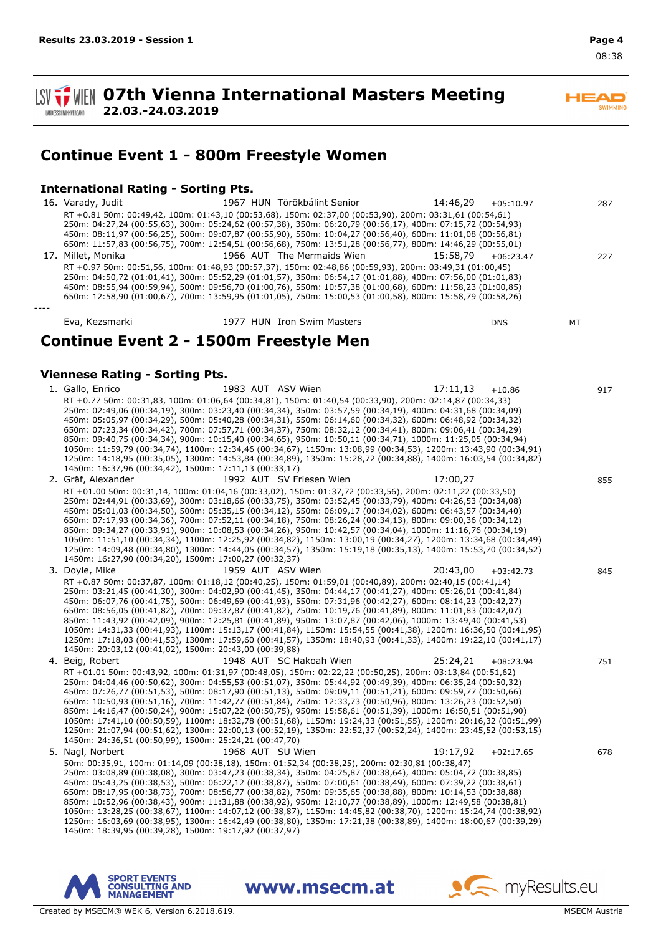**SV TWEIN 07th Vienna International Masters Meeting 22.03.-24.03.2019 LANDESSCHWIMMVERBAND** 

 $\overline{\phantom{a}}$ SWIMMING

# **Continue Event 1 - 800m Freestyle Women**

## **International Rating - Sorting Pts.**

16. Varady, Judit 1967 HUN Törökbálint Senior 14:46,29 +05:10.97 287 RT +0.81 50m: 00:49,42, 100m: 01:43,10 (00:53,68), 150m: 02:37,00 (00:53,90), 200m: 03:31,61 (00:54,61) 250m: 04:27,24 (00:55,63), 300m: 05:24,62 (00:57,38), 350m: 06:20,79 (00:56,17), 400m: 07:15,72 (00:54,93) 450m: 08:11,97 (00:56,25), 500m: 09:07,87 (00:55,90), 550m: 10:04,27 (00:56,40), 600m: 11:01,08 (00:56,81) 650m: 11:57,83 (00:56,75), 700m: 12:54,51 (00:56,68), 750m: 13:51,28 (00:56,77), 800m: 14:46,29 (00:55,01) 17. Millet, Monika 1966 AUT The Mermaids Wien 15:58,79 +06:23.47 227 RT +0.97 50m: 00:51,56, 100m: 01:48,93 (00:57,37), 150m: 02:48,86 (00:59,93), 200m: 03:49,31 (01:00,45) 250m: 04:50,72 (01:01,41), 300m: 05:52,29 (01:01,57), 350m: 06:54,17 (01:01,88), 400m: 07:56,00 (01:01,83) 450m: 08:55,94 (00:59,94), 500m: 09:56,70 (01:00,76), 550m: 10:57,38 (01:00,68), 600m: 11:58,23 (01:00,85) 650m: 12:58,90 (01:00,67), 700m: 13:59,95 (01:01,05), 750m: 15:00,53 (01:00,58), 800m: 15:58,79 (00:58,26) *----* Eva, Kezsmarki 1977 HUN Iron Swim Masters DNS MT **Continue Event 2 - 1500m Freestyle Men Viennese Rating - Sorting Pts.** 1. Gallo, Enrico 1983 AUT ASV Wien 17:11,13 +10.86 917 RT +0.77 50m: 00:31,83, 100m: 01:06,64 (00:34,81), 150m: 01:40,54 (00:33,90), 200m: 02:14,87 (00:34,33) 250m: 02:49,06 (00:34,19), 300m: 03:23,40 (00:34,34), 350m: 03:57,59 (00:34,19), 400m: 04:31,68 (00:34,09) 450m: 05:05,97 (00:34,29), 500m: 05:40,28 (00:34,31), 550m: 06:14,60 (00:34,32), 600m: 06:48,92 (00:34,32) 650m: 07:23,34 (00:34,42), 700m: 07:57,71 (00:34,37), 750m: 08:32,12 (00:34,41), 800m: 09:06,41 (00:34,29) 850m: 09:40,75 (00:34,34), 900m: 10:15,40 (00:34,65), 950m: 10:50,11 (00:34,71), 1000m: 11:25,05 (00:34,94) 1050m: 11:59,79 (00:34,74), 1100m: 12:34,46 (00:34,67), 1150m: 13:08,99 (00:34,53), 1200m: 13:43,90 (00:34,91) 1250m: 14:18,95 (00:35,05), 1300m: 14:53,84 (00:34,89), 1350m: 15:28,72 (00:34,88), 1400m: 16:03,54 (00:34,82) 1450m: 16:37,96 (00:34,42), 1500m: 17:11,13 (00:33,17) 2. Gräf, Alexander 1992 AUT SV Friesen Wien 17:00,27 855 RT +01.00 50m: 00:31,14, 100m: 01:04,16 (00:33,02), 150m: 01:37,72 (00:33,56), 200m: 02:11,22 (00:33,50) 250m: 02:44,91 (00:33,69), 300m: 03:18,66 (00:33,75), 350m: 03:52,45 (00:33,79), 400m: 04:26,53 (00:34,08) 450m: 05:01,03 (00:34,50), 500m: 05:35,15 (00:34,12), 550m: 06:09,17 (00:34,02), 600m: 06:43,57 (00:34,40) 650m: 07:17,93 (00:34,36), 700m: 07:52,11 (00:34,18), 750m: 08:26,24 (00:34,13), 800m: 09:00,36 (00:34,12) 850m: 09:34,27 (00:33,91), 900m: 10:08,53 (00:34,26), 950m: 10:42,57 (00:34,04), 1000m: 11:16,76 (00:34,19) 1050m: 11:51,10 (00:34,34), 1100m: 12:25,92 (00:34,82), 1150m: 13:00,19 (00:34,27), 1200m: 13:34,68 (00:34,49) 1250m: 14:09,48 (00:34,80), 1300m: 14:44,05 (00:34,57), 1350m: 15:19,18 (00:35,13), 1400m: 15:53,70 (00:34,52) 1450m: 16:27,90 (00:34,20), 1500m: 17:00,27 (00:32,37) 3. Doyle, Mike 1959 AUT ASV Wien 1959 AUT ASV Wien 20:43,00 +03:42.73 845 RT +0.87 50m: 00:37,87, 100m: 01:18,12 (00:40,25), 150m: 01:59,01 (00:40,89), 200m: 02:40,15 (00:41,14) 250m: 03:21,45 (00:41,30), 300m: 04:02,90 (00:41,45), 350m: 04:44,17 (00:41,27), 400m: 05:26,01 (00:41,84) 450m: 06:07,76 (00:41,75), 500m: 06:49,69 (00:41,93), 550m: 07:31,96 (00:42,27), 600m: 08:14,23 (00:42,27) 650m: 08:56,05 (00:41,82), 700m: 09:37,87 (00:41,82), 750m: 10:19,76 (00:41,89), 800m: 11:01,83 (00:42,07) 850m: 11:43,92 (00:42,09), 900m: 12:25,81 (00:41,89), 950m: 13:07,87 (00:42,06), 1000m: 13:49,40 (00:41,53) 1050m: 14:31,33 (00:41,93), 1100m: 15:13,17 (00:41,84), 1150m: 15:54,55 (00:41,38), 1200m: 16:36,50 (00:41,95) 1250m: 17:18,03 (00:41,53), 1300m: 17:59,60 (00:41,57), 1350m: 18:40,93 (00:41,33), 1400m: 19:22,10 (00:41,17) 1450m: 20:03,12 (00:41,02), 1500m: 20:43,00 (00:39,88) 4. Beig, Robert 1948 AUT SC Hakoah Wien 25:24,21 +08:23.94 751 RT +01.01 50m: 00:43,92, 100m: 01:31,97 (00:48,05), 150m: 02:22,22 (00:50,25), 200m: 03:13,84 (00:51,62) 250m: 04:04,46 (00:50,62), 300m: 04:55,53 (00:51,07), 350m: 05:44,92 (00:49,39), 400m: 06:35,24 (00:50,32) 450m: 07:26,77 (00:51,53), 500m: 08:17,90 (00:51,13), 550m: 09:09,11 (00:51,21), 600m: 09:59,77 (00:50,66) 650m: 10:50,93 (00:51,16), 700m: 11:42,77 (00:51,84), 750m: 12:33,73 (00:50,96), 800m: 13:26,23 (00:52,50) 850m: 14:16,47 (00:50,24), 900m: 15:07,22 (00:50,75), 950m: 15:58,61 (00:51,39), 1000m: 16:50,51 (00:51,90) 1050m: 17:41,10 (00:50,59), 1100m: 18:32,78 (00:51,68), 1150m: 19:24,33 (00:51,55), 1200m: 20:16,32 (00:51,99) 1250m: 21:07,94 (00:51,62), 1300m: 22:00,13 (00:52,19), 1350m: 22:52,37 (00:52,24), 1400m: 23:45,52 (00:53,15) 1450m: 24:36,51 (00:50,99), 1500m: 25:24,21 (00:47,70) 5. Nagl, Norbert 1968 AUT SU Wien 19:17,92 +02:17.65 678 50m: 00:35,91, 100m: 01:14,09 (00:38,18), 150m: 01:52,34 (00:38,25), 200m: 02:30,81 (00:38,47) 250m: 03:08,89 (00:38,08), 300m: 03:47,23 (00:38,34), 350m: 04:25,87 (00:38,64), 400m: 05:04,72 (00:38,85) 450m: 05:43,25 (00:38,53), 500m: 06:22,12 (00:38,87), 550m: 07:00,61 (00:38,49), 600m: 07:39,22 (00:38,61) 650m: 08:17,95 (00:38,73), 700m: 08:56,77 (00:38,82), 750m: 09:35,65 (00:38,88), 800m: 10:14,53 (00:38,88) 850m: 10:52,96 (00:38,43), 900m: 11:31,88 (00:38,92), 950m: 12:10,77 (00:38,89), 1000m: 12:49,58 (00:38,81) 1050m: 13:28,25 (00:38,67), 1100m: 14:07,12 (00:38,87), 1150m: 14:45,82 (00:38,70), 1200m: 15:24,74 (00:38,92) 1250m: 16:03,69 (00:38,95), 1300m: 16:42,49 (00:38,80), 1350m: 17:21,38 (00:38,89), 1400m: 18:00,67 (00:39,29) 1450m: 18:39,95 (00:39,28), 1500m: 19:17,92 (00:37,97)

www.msecm.at





s myResults.eu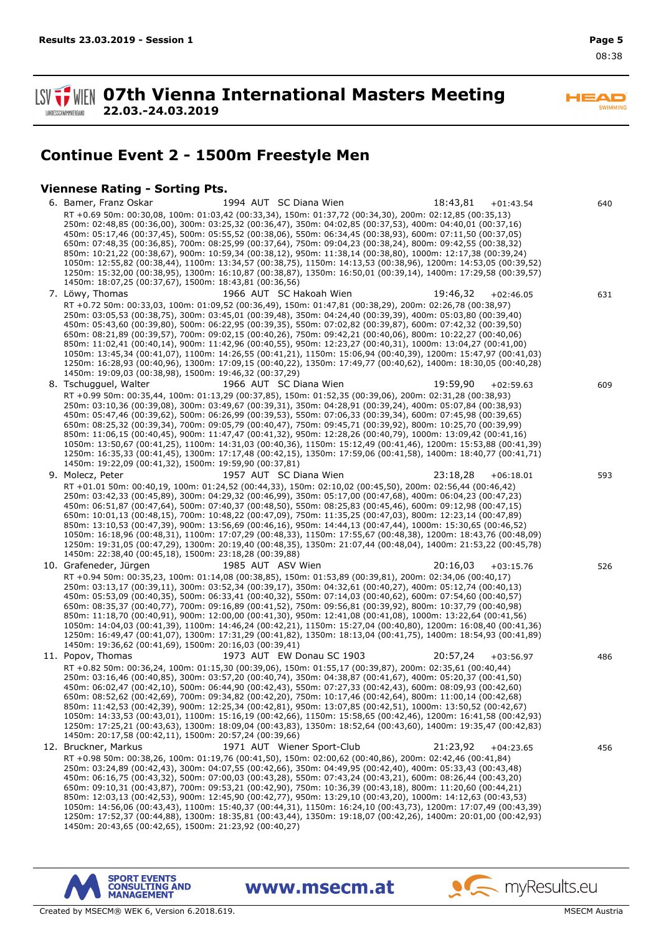$\overline{\phantom{a}}$ SWIMMING

**1. WEN 07th Vienna International Masters Meeting 22.03.-24.03.2019 LANDESSCHWIMMVERBAND** 

# **Continue Event 2 - 1500m Freestyle Men**

## **Viennese Rating - Sorting Pts.**

6. Bamer, Franz Oskar 1994 AUT SC Diana Wien 18:43,81 +01:43.54 640 RT +0.69 50m: 00:30,08, 100m: 01:03,42 (00:33,34), 150m: 01:37,72 (00:34,30), 200m: 02:12,85 (00:35,13) 250m: 02:48,85 (00:36,00), 300m: 03:25,32 (00:36,47), 350m: 04:02,85 (00:37,53), 400m: 04:40,01 (00:37,16) 450m: 05:17,46 (00:37,45), 500m: 05:55,52 (00:38,06), 550m: 06:34,45 (00:38,93), 600m: 07:11,50 (00:37,05) 650m: 07:48,35 (00:36,85), 700m: 08:25,99 (00:37,64), 750m: 09:04,23 (00:38,24), 800m: 09:42,55 (00:38,32) 850m: 10:21,22 (00:38,67), 900m: 10:59,34 (00:38,12), 950m: 11:38,14 (00:38,80), 1000m: 12:17,38 (00:39,24) 1050m: 12:55,82 (00:38,44), 1100m: 13:34,57 (00:38,75), 1150m: 14:13,53 (00:38,96), 1200m: 14:53,05 (00:39,52) 1250m: 15:32,00 (00:38,95), 1300m: 16:10,87 (00:38,87), 1350m: 16:50,01 (00:39,14), 1400m: 17:29,58 (00:39,57) 1450m: 18:07,25 (00:37,67), 1500m: 18:43,81 (00:36,56) 7. Löwy, Thomas 1966 AUT SC Hakoah Wien 19:46,32 +02:46.05 631 RT +0.72 50m: 00:33,03, 100m: 01:09,52 (00:36,49), 150m: 01:47,81 (00:38,29), 200m: 02:26,78 (00:38,97) 250m: 03:05,53 (00:38,75), 300m: 03:45,01 (00:39,48), 350m: 04:24,40 (00:39,39), 400m: 05:03,80 (00:39,40) 450m: 05:43,60 (00:39,80), 500m: 06:22,95 (00:39,35), 550m: 07:02,82 (00:39,87), 600m: 07:42,32 (00:39,50) 650m: 08:21,89 (00:39,57), 700m: 09:02,15 (00:40,26), 750m: 09:42,21 (00:40,06), 800m: 10:22,27 (00:40,06) 850m: 11:02,41 (00:40,14), 900m: 11:42,96 (00:40,55), 950m: 12:23,27 (00:40,31), 1000m: 13:04,27 (00:41,00) 1050m: 13:45,34 (00:41,07), 1100m: 14:26,55 (00:41,21), 1150m: 15:06,94 (00:40,39), 1200m: 15:47,97 (00:41,03) 1250m: 16:28,93 (00:40,96), 1300m: 17:09,15 (00:40,22), 1350m: 17:49,77 (00:40,62), 1400m: 18:30,05 (00:40,28) 1450m: 19:09,03 (00:38,98), 1500m: 19:46,32 (00:37,29) 8. Tschugguel, Walter 1966 AUT SC Diana Wien 19:59,90 +02:59.63 609 RT +0.99 50m: 00:35,44, 100m: 01:13,29 (00:37,85), 150m: 01:52,35 (00:39,06), 200m: 02:31,28 (00:38,93) 250m: 03:10,36 (00:39,08), 300m: 03:49,67 (00:39,31), 350m: 04:28,91 (00:39,24), 400m: 05:07,84 (00:38,93) 450m: 05:47,46 (00:39,62), 500m: 06:26,99 (00:39,53), 550m: 07:06,33 (00:39,34), 600m: 07:45,98 (00:39,65) 650m: 08:25,32 (00:39,34), 700m: 09:05,79 (00:40,47), 750m: 09:45,71 (00:39,92), 800m: 10:25,70 (00:39,99) 850m: 11:06,15 (00:40,45), 900m: 11:47,47 (00:41,32), 950m: 12:28,26 (00:40,79), 1000m: 13:09,42 (00:41,16) 1050m: 13:50,67 (00:41,25), 1100m: 14:31,03 (00:40,36), 1150m: 15:12,49 (00:41,46), 1200m: 15:53,88 (00:41,39) 1250m: 16:35,33 (00:41,45), 1300m: 17:17,48 (00:42,15), 1350m: 17:59,06 (00:41,58), 1400m: 18:40,77 (00:41,71) 1450m: 19:22,09 (00:41,32), 1500m: 19:59,90 (00:37,81) 9. Molecz, Peter **1957 AUT SC Diana Wien** 23:18,28 +06:18.01 593 RT +01.01 50m: 00:40,19, 100m: 01:24,52 (00:44,33), 150m: 02:10,02 (00:45,50), 200m: 02:56,44 (00:46,42) 250m: 03:42,33 (00:45,89), 300m: 04:29,32 (00:46,99), 350m: 05:17,00 (00:47,68), 400m: 06:04,23 (00:47,23) 450m: 06:51,87 (00:47,64), 500m: 07:40,37 (00:48,50), 550m: 08:25,83 (00:45,46), 600m: 09:12,98 (00:47,15) 650m: 10:01,13 (00:48,15), 700m: 10:48,22 (00:47,09), 750m: 11:35,25 (00:47,03), 800m: 12:23,14 (00:47,89) 850m: 13:10,53 (00:47,39), 900m: 13:56,69 (00:46,16), 950m: 14:44,13 (00:47,44), 1000m: 15:30,65 (00:46,52) 1050m: 16:18,96 (00:48,31), 1100m: 17:07,29 (00:48,33), 1150m: 17:55,67 (00:48,38), 1200m: 18:43,76 (00:48,09) 1250m: 19:31,05 (00:47,29), 1300m: 20:19,40 (00:48,35), 1350m: 21:07,44 (00:48,04), 1400m: 21:53,22 (00:45,78) 1450m: 22:38,40 (00:45,18), 1500m: 23:18,28 (00:39,88) 10. Grafeneder, Jürgen 1985 AUT ASV Wien 20:16,03 +03:15.76 526 RT +0.94 50m: 00:35,23, 100m: 01:14,08 (00:38,85), 150m: 01:53,89 (00:39,81), 200m: 02:34,06 (00:40,17) 250m: 03:13,17 (00:39,11), 300m: 03:52,34 (00:39,17), 350m: 04:32,61 (00:40,27), 400m: 05:12,74 (00:40,13) 450m: 05:53,09 (00:40,35), 500m: 06:33,41 (00:40,32), 550m: 07:14,03 (00:40,62), 600m: 07:54,60 (00:40,57) 650m: 08:35,37 (00:40,77), 700m: 09:16,89 (00:41,52), 750m: 09:56,81 (00:39,92), 800m: 10:37,79 (00:40,98) 850m: 11:18,70 (00:40,91), 900m: 12:00,00 (00:41,30), 950m: 12:41,08 (00:41,08), 1000m: 13:22,64 (00:41,56) 1050m: 14:04,03 (00:41,39), 1100m: 14:46,24 (00:42,21), 1150m: 15:27,04 (00:40,80), 1200m: 16:08,40 (00:41,36) 1250m: 16:49,47 (00:41,07), 1300m: 17:31,29 (00:41,82), 1350m: 18:13,04 (00:41,75), 1400m: 18:54,93 (00:41,89) 1450m: 19:36,62 (00:41,69), 1500m: 20:16,03 (00:39,41) 11. Popov, Thomas 1973 AUT EW Donau SC 1903 20:57,24 +03:56.97 486 RT +0.82 50m: 00:36,24, 100m: 01:15,30 (00:39,06), 150m: 01:55,17 (00:39,87), 200m: 02:35,61 (00:40,44) 250m: 03:16,46 (00:40,85), 300m: 03:57,20 (00:40,74), 350m: 04:38,87 (00:41,67), 400m: 05:20,37 (00:41,50) 450m: 06:02,47 (00:42,10), 500m: 06:44,90 (00:42,43), 550m: 07:27,33 (00:42,43), 600m: 08:09,93 (00:42,60) 650m: 08:52,62 (00:42,69), 700m: 09:34,82 (00:42,20), 750m: 10:17,46 (00:42,64), 800m: 11:00,14 (00:42,68) 850m: 11:42,53 (00:42,39), 900m: 12:25,34 (00:42,81), 950m: 13:07,85 (00:42,51), 1000m: 13:50,52 (00:42,67) 1050m: 14:33,53 (00:43,01), 1100m: 15:16,19 (00:42,66), 1150m: 15:58,65 (00:42,46), 1200m: 16:41,58 (00:42,93) 1250m: 17:25,21 (00:43,63), 1300m: 18:09,04 (00:43,83), 1350m: 18:52,64 (00:43,60), 1400m: 19:35,47 (00:42,83) 1450m: 20:17,58 (00:42,11), 1500m: 20:57,24 (00:39,66) 12. Bruckner, Markus 1971 AUT Wiener Sport-Club 21:23,92 +04:23.65 456 RT +0.98 50m: 00:38,26, 100m: 01:19,76 (00:41,50), 150m: 02:00,62 (00:40,86), 200m: 02:42,46 (00:41,84) 250m: 03:24,89 (00:42,43), 300m: 04:07,55 (00:42,66), 350m: 04:49,95 (00:42,40), 400m: 05:33,43 (00:43,48) 450m: 06:16,75 (00:43,32), 500m: 07:00,03 (00:43,28), 550m: 07:43,24 (00:43,21), 600m: 08:26,44 (00:43,20) 650m: 09:10,31 (00:43,87), 700m: 09:53,21 (00:42,90), 750m: 10:36,39 (00:43,18), 800m: 11:20,60 (00:44,21) 850m: 12:03,13 (00:42,53), 900m: 12:45,90 (00:42,77), 950m: 13:29,10 (00:43,20), 1000m: 14:12,63 (00:43,53) 1050m: 14:56,06 (00:43,43), 1100m: 15:40,37 (00:44,31), 1150m: 16:24,10 (00:43,73), 1200m: 17:07,49 (00:43,39) 1250m: 17:52,37 (00:44,88), 1300m: 18:35,81 (00:43,44), 1350m: 19:18,07 (00:42,26), 1400m: 20:01,00 (00:42,93) 1450m: 20:43,65 (00:42,65), 1500m: 21:23,92 (00:40,27)

www.msecm.at



s myResults.eu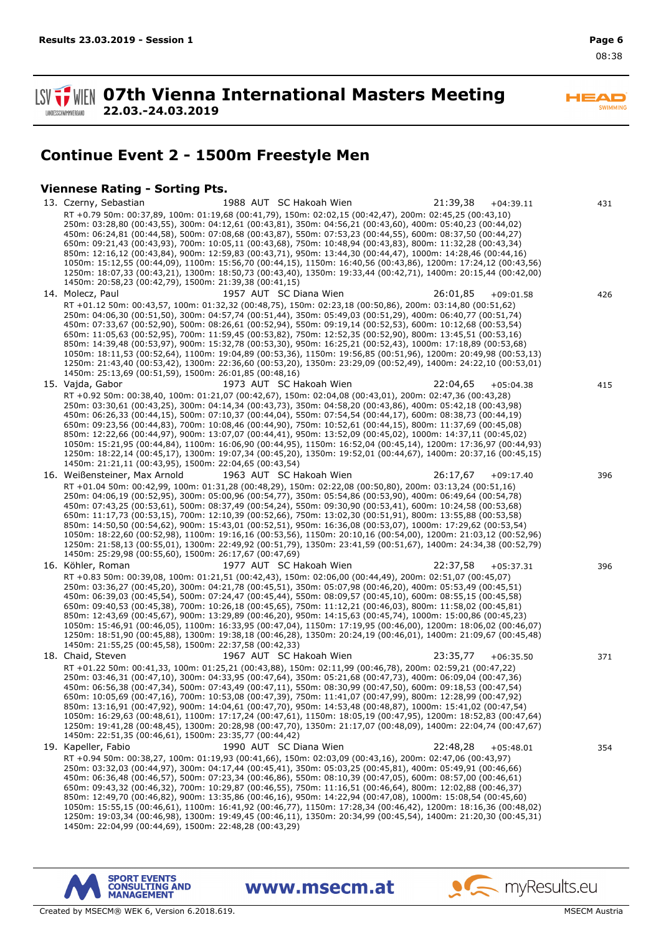$\overline{\phantom{a}}$ **SWIMMING** 

**SV TWEN 07th Vienna International Masters Meeting 22.03.-24.03.2019 LANDESSCHWIMMVERBAND** 

# **Continue Event 2 - 1500m Freestyle Men**

## **Viennese Rating - Sorting Pts.**

13. Czerny, Sebastian 1988 AUT SC Hakoah Wien 21:39,38 +04:39.11 431 RT +0.79 50m: 00:37,89, 100m: 01:19,68 (00:41,79), 150m: 02:02,15 (00:42,47), 200m: 02:45,25 (00:43,10) 250m: 03:28,80 (00:43,55), 300m: 04:12,61 (00:43,81), 350m: 04:56,21 (00:43,60), 400m: 05:40,23 (00:44,02) 450m: 06:24,81 (00:44,58), 500m: 07:08,68 (00:43,87), 550m: 07:53,23 (00:44,55), 600m: 08:37,50 (00:44,27) 650m: 09:21,43 (00:43,93), 700m: 10:05,11 (00:43,68), 750m: 10:48,94 (00:43,83), 800m: 11:32,28 (00:43,34) 850m: 12:16,12 (00:43,84), 900m: 12:59,83 (00:43,71), 950m: 13:44,30 (00:44,47), 1000m: 14:28,46 (00:44,16) 1050m: 15:12,55 (00:44,09), 1100m: 15:56,70 (00:44,15), 1150m: 16:40,56 (00:43,86), 1200m: 17:24,12 (00:43,56) 1250m: 18:07,33 (00:43,21), 1300m: 18:50,73 (00:43,40), 1350m: 19:33,44 (00:42,71), 1400m: 20:15,44 (00:42,00) 1450m: 20:58,23 (00:42,79), 1500m: 21:39,38 (00:41,15) 14. Molecz, Paul 1957 AUT SC Diana Wien 26:01,85 +09:01.58 426 RT +01.12 50m: 00:43,57, 100m: 01:32,32 (00:48,75), 150m: 02:23,18 (00:50,86), 200m: 03:14,80 (00:51,62) 250m: 04:06,30 (00:51,50), 300m: 04:57,74 (00:51,44), 350m: 05:49,03 (00:51,29), 400m: 06:40,77 (00:51,74) 450m: 07:33,67 (00:52,90), 500m: 08:26,61 (00:52,94), 550m: 09:19,14 (00:52,53), 600m: 10:12,68 (00:53,54) 650m: 11:05,63 (00:52,95), 700m: 11:59,45 (00:53,82), 750m: 12:52,35 (00:52,90), 800m: 13:45,51 (00:53,16) 850m: 14:39,48 (00:53,97), 900m: 15:32,78 (00:53,30), 950m: 16:25,21 (00:52,43), 1000m: 17:18,89 (00:53,68) 1050m: 18:11,53 (00:52,64), 1100m: 19:04,89 (00:53,36), 1150m: 19:56,85 (00:51,96), 1200m: 20:49,98 (00:53,13) 1250m: 21:43,40 (00:53,42), 1300m: 22:36,60 (00:53,20), 1350m: 23:29,09 (00:52,49), 1400m: 24:22,10 (00:53,01) 1450m: 25:13,69 (00:51,59), 1500m: 26:01,85 (00:48,16) 15. Vajda, Gabor 1973 AUT SC Hakoah Wien 22:04,65 +05:04.38 415 RT +0.92 50m: 00:38,40, 100m: 01:21,07 (00:42,67), 150m: 02:04,08 (00:43,01), 200m: 02:47,36 (00:43,28) 250m: 03:30,61 (00:43,25), 300m: 04:14,34 (00:43,73), 350m: 04:58,20 (00:43,86), 400m: 05:42,18 (00:43,98) 450m: 06:26,33 (00:44,15), 500m: 07:10,37 (00:44,04), 550m: 07:54,54 (00:44,17), 600m: 08:38,73 (00:44,19) 650m: 09:23,56 (00:44,83), 700m: 10:08,46 (00:44,90), 750m: 10:52,61 (00:44,15), 800m: 11:37,69 (00:45,08) 850m: 12:22,66 (00:44,97), 900m: 13:07,07 (00:44,41), 950m: 13:52,09 (00:45,02), 1000m: 14:37,11 (00:45,02) 1050m: 15:21,95 (00:44,84), 1100m: 16:06,90 (00:44,95), 1150m: 16:52,04 (00:45,14), 1200m: 17:36,97 (00:44,93) 1250m: 18:22,14 (00:45,17), 1300m: 19:07,34 (00:45,20), 1350m: 19:52,01 (00:44,67), 1400m: 20:37,16 (00:45,15) 1450m: 21:21,11 (00:43,95), 1500m: 22:04,65 (00:43,54) 16. Weißensteiner, Max Arnold 1963 AUT SC Hakoah Wien 26:17,67 +09:17.40 396 RT +01.04 50m: 00:42,99, 100m: 01:31,28 (00:48,29), 150m: 02:22,08 (00:50,80), 200m: 03:13,24 (00:51,16) 250m: 04:06,19 (00:52,95), 300m: 05:00,96 (00:54,77), 350m: 05:54,86 (00:53,90), 400m: 06:49,64 (00:54,78) 450m: 07:43,25 (00:53,61), 500m: 08:37,49 (00:54,24), 550m: 09:30,90 (00:53,41), 600m: 10:24,58 (00:53,68) 650m: 11:17,73 (00:53,15), 700m: 12:10,39 (00:52,66), 750m: 13:02,30 (00:51,91), 800m: 13:55,88 (00:53,58) 850m: 14:50,50 (00:54,62), 900m: 15:43,01 (00:52,51), 950m: 16:36,08 (00:53,07), 1000m: 17:29,62 (00:53,54) 1050m: 18:22,60 (00:52,98), 1100m: 19:16,16 (00:53,56), 1150m: 20:10,16 (00:54,00), 1200m: 21:03,12 (00:52,96) 1250m: 21:58,13 (00:55,01), 1300m: 22:49,92 (00:51,79), 1350m: 23:41,59 (00:51,67), 1400m: 24:34,38 (00:52,79) 1450m: 25:29,98 (00:55,60), 1500m: 26:17,67 (00:47,69) 16. Köhler, Roman 1977 AUT SC Hakoah Wien 22:37,58 +05:37.31 396 RT +0.83 50m: 00:39,08, 100m: 01:21,51 (00:42,43), 150m: 02:06,00 (00:44,49), 200m: 02:51,07 (00:45,07) 250m: 03:36,27 (00:45,20), 300m: 04:21,78 (00:45,51), 350m: 05:07,98 (00:46,20), 400m: 05:53,49 (00:45,51) 450m: 06:39,03 (00:45,54), 500m: 07:24,47 (00:45,44), 550m: 08:09,57 (00:45,10), 600m: 08:55,15 (00:45,58) 650m: 09:40,53 (00:45,38), 700m: 10:26,18 (00:45,65), 750m: 11:12,21 (00:46,03), 800m: 11:58,02 (00:45,81) 850m: 12:43,69 (00:45,67), 900m: 13:29,89 (00:46,20), 950m: 14:15,63 (00:45,74), 1000m: 15:00,86 (00:45,23) 1050m: 15:46,91 (00:46,05), 1100m: 16:33,95 (00:47,04), 1150m: 17:19,95 (00:46,00), 1200m: 18:06,02 (00:46,07) 1250m: 18:51,90 (00:45,88), 1300m: 19:38,18 (00:46,28), 1350m: 20:24,19 (00:46,01), 1400m: 21:09,67 (00:45,48) 1450m: 21:55,25 (00:45,58), 1500m: 22:37,58 (00:42,33) 18. Chaid, Steven 1967 AUT SC Hakoah Wien 23:35,77 +06:35.50 371 RT +01.22 50m: 00:41,33, 100m: 01:25,21 (00:43,88), 150m: 02:11,99 (00:46,78), 200m: 02:59,21 (00:47,22) 250m: 03:46,31 (00:47,10), 300m: 04:33,95 (00:47,64), 350m: 05:21,68 (00:47,73), 400m: 06:09,04 (00:47,36) 450m: 06:56,38 (00:47,34), 500m: 07:43,49 (00:47,11), 550m: 08:30,99 (00:47,50), 600m: 09:18,53 (00:47,54) 650m: 10:05,69 (00:47,16), 700m: 10:53,08 (00:47,39), 750m: 11:41,07 (00:47,99), 800m: 12:28,99 (00:47,92) 850m: 13:16,91 (00:47,92), 900m: 14:04,61 (00:47,70), 950m: 14:53,48 (00:48,87), 1000m: 15:41,02 (00:47,54) 1050m: 16:29,63 (00:48,61), 1100m: 17:17,24 (00:47,61), 1150m: 18:05,19 (00:47,95), 1200m: 18:52,83 (00:47,64) 1250m: 19:41,28 (00:48,45), 1300m: 20:28,98 (00:47,70), 1350m: 21:17,07 (00:48,09), 1400m: 22:04,74 (00:47,67) 1450m: 22:51,35 (00:46,61), 1500m: 23:35,77 (00:44,42) 19. Kapeller, Fabio 1990 AUT SC Diana Wien 22:48,28 +05:48.01 354 RT +0.94 50m: 00:38,27, 100m: 01:19,93 (00:41,66), 150m: 02:03,09 (00:43,16), 200m: 02:47,06 (00:43,97) 250m: 03:32,03 (00:44,97), 300m: 04:17,44 (00:45,41), 350m: 05:03,25 (00:45,81), 400m: 05:49,91 (00:46,66) 450m: 06:36,48 (00:46,57), 500m: 07:23,34 (00:46,86), 550m: 08:10,39 (00:47,05), 600m: 08:57,00 (00:46,61) 650m: 09:43,32 (00:46,32), 700m: 10:29,87 (00:46,55), 750m: 11:16,51 (00:46,64), 800m: 12:02,88 (00:46,37) 850m: 12:49,70 (00:46,82), 900m: 13:35,86 (00:46,16), 950m: 14:22,94 (00:47,08), 1000m: 15:08,54 (00:45,60) 1050m: 15:55,15 (00:46,61), 1100m: 16:41,92 (00:46,77), 1150m: 17:28,34 (00:46,42), 1200m: 18:16,36 (00:48,02) 1250m: 19:03,34 (00:46,98), 1300m: 19:49,45 (00:46,11), 1350m: 20:34,99 (00:45,54), 1400m: 21:20,30 (00:45,31) 1450m: 22:04,99 (00:44,69), 1500m: 22:48,28 (00:43,29)

www.msecm.at





 $\bullet$  my Results.eu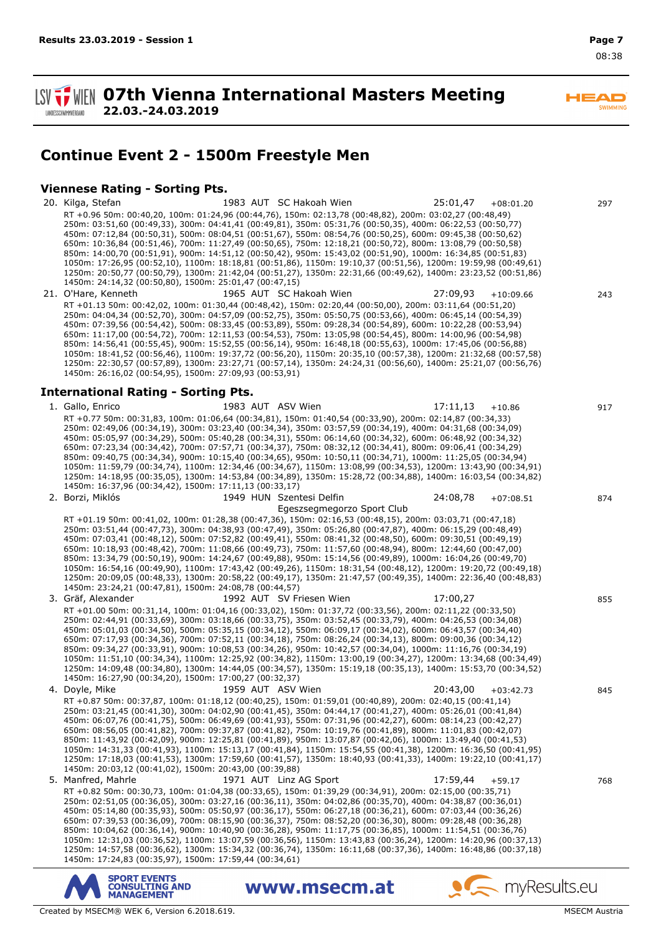$\overline{\phantom{a}}$ SWIMMING

**SV TWEN 07th Vienna International Masters Meeting 22.03.-24.03.2019 I ANDESSCHWIMMVERBAND** 

## **Continue Event 2 - 1500m Freestyle Men**

#### **Viennese Rating - Sorting Pts.**

20. Kilga, Stefan 1983 AUT SC Hakoah Wien 25:01,47 +08:01.20 297 RT +0.96 50m: 00:40,20, 100m: 01:24,96 (00:44,76), 150m: 02:13,78 (00:48,82), 200m: 03:02,27 (00:48,49) 250m: 03:51,60 (00:49,33), 300m: 04:41,41 (00:49,81), 350m: 05:31,76 (00:50,35), 400m: 06:22,53 (00:50,77) 450m: 07:12,84 (00:50,31), 500m: 08:04,51 (00:51,67), 550m: 08:54,76 (00:50,25), 600m: 09:45,38 (00:50,62) 650m: 10:36,84 (00:51,46), 700m: 11:27,49 (00:50,65), 750m: 12:18,21 (00:50,72), 800m: 13:08,79 (00:50,58) 850m: 14:00,70 (00:51,91), 900m: 14:51,12 (00:50,42), 950m: 15:43,02 (00:51,90), 1000m: 16:34,85 (00:51,83) 1050m: 17:26,95 (00:52,10), 1100m: 18:18,81 (00:51,86), 1150m: 19:10,37 (00:51,56), 1200m: 19:59,98 (00:49,61) 1250m: 20:50,77 (00:50,79), 1300m: 21:42,04 (00:51,27), 1350m: 22:31,66 (00:49,62), 1400m: 23:23,52 (00:51,86) 1450m: 24:14,32 (00:50,80), 1500m: 25:01,47 (00:47,15) 21. O'Hare, Kenneth 1965 AUT SC Hakoah Wien 27:09,93 +10:09.66 243 RT +01.13 50m: 00:42,02, 100m: 01:30,44 (00:48,42), 150m: 02:20,44 (00:50,00), 200m: 03:11,64 (00:51,20) 250m: 04:04,34 (00:52,70), 300m: 04:57,09 (00:52,75), 350m: 05:50,75 (00:53,66), 400m: 06:45,14 (00:54,39) 450m: 07:39,56 (00:54,42), 500m: 08:33,45 (00:53,89), 550m: 09:28,34 (00:54,89), 600m: 10:22,28 (00:53,94) 650m: 11:17,00 (00:54,72), 700m: 12:11,53 (00:54,53), 750m: 13:05,98 (00:54,45), 800m: 14:00,96 (00:54,98) 850m: 14:56,41 (00:55,45), 900m: 15:52,55 (00:56,14), 950m: 16:48,18 (00:55,63), 1000m: 17:45,06 (00:56,88) 1050m: 18:41,52 (00:56,46), 1100m: 19:37,72 (00:56,20), 1150m: 20:35,10 (00:57,38), 1200m: 21:32,68 (00:57,58) 1250m: 22:30,57 (00:57,89), 1300m: 23:27,71 (00:57,14), 1350m: 24:24,31 (00:56,60), 1400m: 25:21,07 (00:56,76) 1450m: 26:16,02 (00:54,95), 1500m: 27:09,93 (00:53,91) **International Rating - Sorting Pts.** 1. Gallo, Enrico 1983 AUT ASV Wien 17:11,13 +10.86 917 RT +0.77 50m: 00:31,83, 100m: 01:06,64 (00:34,81), 150m: 01:40,54 (00:33,90), 200m: 02:14,87 (00:34,33) 250m: 02:49,06 (00:34,19), 300m: 03:23,40 (00:34,34), 350m: 03:57,59 (00:34,19), 400m: 04:31,68 (00:34,09) 450m: 05:05,97 (00:34,29), 500m: 05:40,28 (00:34,31), 550m: 06:14,60 (00:34,32), 600m: 06:48,92 (00:34,32) 650m: 07:23,34 (00:34,42), 700m: 07:57,71 (00:34,37), 750m: 08:32,12 (00:34,41), 800m: 09:06,41 (00:34,29) 850m: 09:40,75 (00:34,34), 900m: 10:15,40 (00:34,65), 950m: 10:50,11 (00:34,71), 1000m: 11:25,05 (00:34,94) 1050m: 11:59,79 (00:34,74), 1100m: 12:34,46 (00:34,67), 1150m: 13:08,99 (00:34,53), 1200m: 13:43,90 (00:34,91) 1250m: 14:18,95 (00:35,05), 1300m: 14:53,84 (00:34,89), 1350m: 15:28,72 (00:34,88), 1400m: 16:03,54 (00:34,82) 1450m: 16:37,96 (00:34,42), 1500m: 17:11,13 (00:33,17) Szentesi Delfin 2. Borzi, Miklós 1949 HUN 24:08,78 +07:08.51 874 Egeszsegmegorzo Sport Club RT +01.19 50m: 00:41,02, 100m: 01:28,38 (00:47,36), 150m: 02:16,53 (00:48,15), 200m: 03:03,71 (00:47,18) 250m: 03:51,44 (00:47,73), 300m: 04:38,93 (00:47,49), 350m: 05:26,80 (00:47,87), 400m: 06:15,29 (00:48,49) 450m: 07:03,41 (00:48,12), 500m: 07:52,82 (00:49,41), 550m: 08:41,32 (00:48,50), 600m: 09:30,51 (00:49,19) 650m: 10:18,93 (00:48,42), 700m: 11:08,66 (00:49,73), 750m: 11:57,60 (00:48,94), 800m: 12:44,60 (00:47,00) 850m: 13:34,79 (00:50,19), 900m: 14:24,67 (00:49,88), 950m: 15:14,56 (00:49,89), 1000m: 16:04,26 (00:49,70) 1050m: 16:54,16 (00:49,90), 1100m: 17:43,42 (00:49,26), 1150m: 18:31,54 (00:48,12), 1200m: 19:20,72 (00:49,18) 1250m: 20:09,05 (00:48,33), 1300m: 20:58,22 (00:49,17), 1350m: 21:47,57 (00:49,35), 1400m: 22:36,40 (00:48,83) 1450m: 23:24,21 (00:47,81), 1500m: 24:08,78 (00:44,57) 3. Gräf, Alexander 1992 AUT SV Friesen Wien 17:00,27 855 RT +01.00 50m: 00:31,14, 100m: 01:04,16 (00:33,02), 150m: 01:37,72 (00:33,56), 200m: 02:11,22 (00:33,50) 250m: 02:44,91 (00:33,69), 300m: 03:18,66 (00:33,75), 350m: 03:52,45 (00:33,79), 400m: 04:26,53 (00:34,08) 450m: 05:01,03 (00:34,50), 500m: 05:35,15 (00:34,12), 550m: 06:09,17 (00:34,02), 600m: 06:43,57 (00:34,40) 650m: 07:17,93 (00:34,36), 700m: 07:52,11 (00:34,18), 750m: 08:26,24 (00:34,13), 800m: 09:00,36 (00:34,12) 850m: 09:34,27 (00:33,91), 900m: 10:08,53 (00:34,26), 950m: 10:42,57 (00:34,04), 1000m: 11:16,76 (00:34,19) 1050m: 11:51,10 (00:34,34), 1100m: 12:25,92 (00:34,82), 1150m: 13:00,19 (00:34,27), 1200m: 13:34,68 (00:34,49) 1250m: 14:09,48 (00:34,80), 1300m: 14:44,05 (00:34,57), 1350m: 15:19,18 (00:35,13), 1400m: 15:53,70 (00:34,52) 1450m: 16:27,90 (00:34,20), 1500m: 17:00,27 (00:32,37) 4. Doyle, Mike 1959 AUT ASV Wien 20:43,00 +03:42.73 845 RT +0.87 50m: 00:37,87, 100m: 01:18,12 (00:40,25), 150m: 01:59,01 (00:40,89), 200m: 02:40,15 (00:41,14) 250m: 03:21,45 (00:41,30), 300m: 04:02,90 (00:41,45), 350m: 04:44,17 (00:41,27), 400m: 05:26,01 (00:41,84) 450m: 06:07,76 (00:41,75), 500m: 06:49,69 (00:41,93), 550m: 07:31,96 (00:42,27), 600m: 08:14,23 (00:42,27) 650m: 08:56,05 (00:41,82), 700m: 09:37,87 (00:41,82), 750m: 10:19,76 (00:41,89), 800m: 11:01,83 (00:42,07) 850m: 11:43,92 (00:42,09), 900m: 12:25,81 (00:41,89), 950m: 13:07,87 (00:42,06), 1000m: 13:49,40 (00:41,53) 1050m: 14:31,33 (00:41,93), 1100m: 15:13,17 (00:41,84), 1150m: 15:54,55 (00:41,38), 1200m: 16:36,50 (00:41,95) 1250m: 17:18,03 (00:41,53), 1300m: 17:59,60 (00:41,57), 1350m: 18:40,93 (00:41,33), 1400m: 19:22,10 (00:41,17) 1450m: 20:03,12 (00:41,02), 1500m: 20:43,00 (00:39,88) 5. Manfred, Mahrle 1971 AUT Linz AG Sport 17:59,44 +59.17 768 RT +0.82 50m: 00:30,73, 100m: 01:04,38 (00:33,65), 150m: 01:39,29 (00:34,91), 200m: 02:15,00 (00:35,71) 250m: 02:51,05 (00:36,05), 300m: 03:27,16 (00:36,11), 350m: 04:02,86 (00:35,70), 400m: 04:38,87 (00:36,01) 450m: 05:14,80 (00:35,93), 500m: 05:50,97 (00:36,17), 550m: 06:27,18 (00:36,21), 600m: 07:03,44 (00:36,26) 650m: 07:39,53 (00:36,09), 700m: 08:15,90 (00:36,37), 750m: 08:52,20 (00:36,30), 800m: 09:28,48 (00:36,28) 850m: 10:04,62 (00:36,14), 900m: 10:40,90 (00:36,28), 950m: 11:17,75 (00:36,85), 1000m: 11:54,51 (00:36,76) 1050m: 12:31,03 (00:36,52), 1100m: 13:07,59 (00:36,56), 1150m: 13:43,83 (00:36,24), 1200m: 14:20,96 (00:37,13) 1250m: 14:57,58 (00:36,62), 1300m: 15:34,32 (00:36,74), 1350m: 16:11,68 (00:37,36), 1400m: 16:48,86 (00:37,18) 1450m: 17:24,83 (00:35,97), 1500m: 17:59,44 (00:34,61)

www.msecm.at



myResults.eu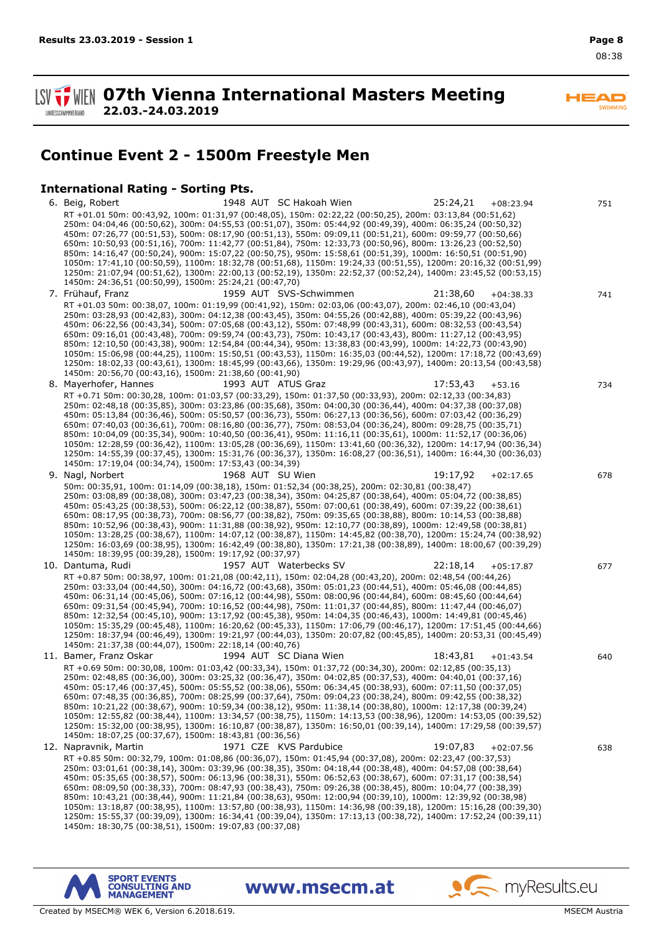$\overline{\phantom{a}}$ SWIMMING

**1. WEN 07th Vienna International Masters Meeting 22.03.-24.03.2019 LANDESSCHWIMMVERBAND** 

**Continue Event 2 - 1500m Freestyle Men**

#### **International Rating - Sorting Pts.**

6. Beig, Robert 1948 AUT SC Hakoah Wien 25:24,21 +08:23.94 751 RT +01.01 50m: 00:43,92, 100m: 01:31,97 (00:48,05), 150m: 02:22,22 (00:50,25), 200m: 03:13,84 (00:51,62) 250m: 04:04,46 (00:50,62), 300m: 04:55,53 (00:51,07), 350m: 05:44,92 (00:49,39), 400m: 06:35,24 (00:50,32) 450m: 07:26,77 (00:51,53), 500m: 08:17,90 (00:51,13), 550m: 09:09,11 (00:51,21), 600m: 09:59,77 (00:50,66) 650m: 10:50,93 (00:51,16), 700m: 11:42,77 (00:51,84), 750m: 12:33,73 (00:50,96), 800m: 13:26,23 (00:52,50) 850m: 14:16,47 (00:50,24), 900m: 15:07,22 (00:50,75), 950m: 15:58,61 (00:51,39), 1000m: 16:50,51 (00:51,90) 1050m: 17:41,10 (00:50,59), 1100m: 18:32,78 (00:51,68), 1150m: 19:24,33 (00:51,55), 1200m: 20:16,32 (00:51,99) 1250m: 21:07,94 (00:51,62), 1300m: 22:00,13 (00:52,19), 1350m: 22:52,37 (00:52,24), 1400m: 23:45,52 (00:53,15) 1450m: 24:36,51 (00:50,99), 1500m: 25:24,21 (00:47,70) 7. Frühauf, Franz 1959 AUT SVS-Schwimmen 21:38,60 +04:38.33 741 RT +01.03 50m: 00:38,07, 100m: 01:19,99 (00:41,92), 150m: 02:03,06 (00:43,07), 200m: 02:46,10 (00:43,04) 250m: 03:28,93 (00:42,83), 300m: 04:12,38 (00:43,45), 350m: 04:55,26 (00:42,88), 400m: 05:39,22 (00:43,96) 450m: 06:22,56 (00:43,34), 500m: 07:05,68 (00:43,12), 550m: 07:48,99 (00:43,31), 600m: 08:32,53 (00:43,54) 650m: 09:16,01 (00:43,48), 700m: 09:59,74 (00:43,73), 750m: 10:43,17 (00:43,43), 800m: 11:27,12 (00:43,95) 850m: 12:10,50 (00:43,38), 900m: 12:54,84 (00:44,34), 950m: 13:38,83 (00:43,99), 1000m: 14:22,73 (00:43,90) 1050m: 15:06,98 (00:44,25), 1100m: 15:50,51 (00:43,53), 1150m: 16:35,03 (00:44,52), 1200m: 17:18,72 (00:43,69) 1250m: 18:02,33 (00:43,61), 1300m: 18:45,99 (00:43,66), 1350m: 19:29,96 (00:43,97), 1400m: 20:13,54 (00:43,58) 1450m: 20:56,70 (00:43,16), 1500m: 21:38,60 (00:41,90) 8. Mayerhofer, Hannes 1993 AUT ATUS Graz 17:53,43 +53.16 734 RT +0.71 50m: 00:30,28, 100m: 01:03,57 (00:33,29), 150m: 01:37,50 (00:33,93), 200m: 02:12,33 (00:34,83) 250m: 02:48,18 (00:35,85), 300m: 03:23,86 (00:35,68), 350m: 04:00,30 (00:36,44), 400m: 04:37,38 (00:37,08) 450m: 05:13,84 (00:36,46), 500m: 05:50,57 (00:36,73), 550m: 06:27,13 (00:36,56), 600m: 07:03,42 (00:36,29) 650m: 07:40,03 (00:36,61), 700m: 08:16,80 (00:36,77), 750m: 08:53,04 (00:36,24), 800m: 09:28,75 (00:35,71) 850m: 10:04,09 (00:35,34), 900m: 10:40,50 (00:36,41), 950m: 11:16,11 (00:35,61), 1000m: 11:52,17 (00:36,06) 1050m: 12:28,59 (00:36,42), 1100m: 13:05,28 (00:36,69), 1150m: 13:41,60 (00:36,32), 1200m: 14:17,94 (00:36,34) 1250m: 14:55,39 (00:37,45), 1300m: 15:31,76 (00:36,37), 1350m: 16:08,27 (00:36,51), 1400m: 16:44,30 (00:36,03) 1450m: 17:19,04 (00:34,74), 1500m: 17:53,43 (00:34,39) 9. Nagl, Norbert 1968 AUT SU Wien 19:17,92 +02:17.65 678 50m: 00:35,91, 100m: 01:14,09 (00:38,18), 150m: 01:52,34 (00:38,25), 200m: 02:30,81 (00:38,47) 250m: 03:08,89 (00:38,08), 300m: 03:47,23 (00:38,34), 350m: 04:25,87 (00:38,64), 400m: 05:04,72 (00:38,85) 450m: 05:43,25 (00:38,53), 500m: 06:22,12 (00:38,87), 550m: 07:00,61 (00:38,49), 600m: 07:39,22 (00:38,61) 650m: 08:17,95 (00:38,73), 700m: 08:56,77 (00:38,82), 750m: 09:35,65 (00:38,88), 800m: 10:14,53 (00:38,88) 850m: 10:52,96 (00:38,43), 900m: 11:31,88 (00:38,92), 950m: 12:10,77 (00:38,89), 1000m: 12:49,58 (00:38,81) 1050m: 13:28,25 (00:38,67), 1100m: 14:07,12 (00:38,87), 1150m: 14:45,82 (00:38,70), 1200m: 15:24,74 (00:38,92) 1250m: 16:03,69 (00:38,95), 1300m: 16:42,49 (00:38,80), 1350m: 17:21,38 (00:38,89), 1400m: 18:00,67 (00:39,29) 1450m: 18:39,95 (00:39,28), 1500m: 19:17,92 (00:37,97) 10. Dantuma, Rudi 1957 AUT Waterbecks SV 22:18,14 +05:17.87 677 RT +0.87 50m: 00:38,97, 100m: 01:21,08 (00:42,11), 150m: 02:04,28 (00:43,20), 200m: 02:48,54 (00:44,26) 250m: 03:33,04 (00:44,50), 300m: 04:16,72 (00:43,68), 350m: 05:01,23 (00:44,51), 400m: 05:46,08 (00:44,85) 450m: 06:31,14 (00:45,06), 500m: 07:16,12 (00:44,98), 550m: 08:00,96 (00:44,84), 600m: 08:45,60 (00:44,64) 650m: 09:31,54 (00:45,94), 700m: 10:16,52 (00:44,98), 750m: 11:01,37 (00:44,85), 800m: 11:47,44 (00:46,07) 850m: 12:32,54 (00:45,10), 900m: 13:17,92 (00:45,38), 950m: 14:04,35 (00:46,43), 1000m: 14:49,81 (00:45,46) 1050m: 15:35,29 (00:45,48), 1100m: 16:20,62 (00:45,33), 1150m: 17:06,79 (00:46,17), 1200m: 17:51,45 (00:44,66) 1250m: 18:37,94 (00:46,49), 1300m: 19:21,97 (00:44,03), 1350m: 20:07,82 (00:45,85), 1400m: 20:53,31 (00:45,49) 1450m: 21:37,38 (00:44,07), 1500m: 22:18,14 (00:40,76) 11. Bamer, Franz Oskar 1994 AUT SC Diana Wien 18:43,81 +01:43.54 640 RT +0.69 50m: 00:30,08, 100m: 01:03,42 (00:33,34), 150m: 01:37,72 (00:34,30), 200m: 02:12,85 (00:35,13) 250m: 02:48,85 (00:36,00), 300m: 03:25,32 (00:36,47), 350m: 04:02,85 (00:37,53), 400m: 04:40,01 (00:37,16) 450m: 05:17,46 (00:37,45), 500m: 05:55,52 (00:38,06), 550m: 06:34,45 (00:38,93), 600m: 07:11,50 (00:37,05) 650m: 07:48,35 (00:36,85), 700m: 08:25,99 (00:37,64), 750m: 09:04,23 (00:38,24), 800m: 09:42,55 (00:38,32) 850m: 10:21,22 (00:38,67), 900m: 10:59,34 (00:38,12), 950m: 11:38,14 (00:38,80), 1000m: 12:17,38 (00:39,24) 1050m: 12:55,82 (00:38,44), 1100m: 13:34,57 (00:38,75), 1150m: 14:13,53 (00:38,96), 1200m: 14:53,05 (00:39,52) 1250m: 15:32,00 (00:38,95), 1300m: 16:10,87 (00:38,87), 1350m: 16:50,01 (00:39,14), 1400m: 17:29,58 (00:39,57) 1450m: 18:07,25 (00:37,67), 1500m: 18:43,81 (00:36,56) 12. Napravnik, Martin 1971 CZE KVS Pardubice 19:07,83 +02:07.56 638 RT +0.85 50m: 00:32,79, 100m: 01:08,86 (00:36,07), 150m: 01:45,94 (00:37,08), 200m: 02:23,47 (00:37,53) 250m: 03:01,61 (00:38,14), 300m: 03:39,96 (00:38,35), 350m: 04:18,44 (00:38,48), 400m: 04:57,08 (00:38,64) 450m: 05:35,65 (00:38,57), 500m: 06:13,96 (00:38,31), 550m: 06:52,63 (00:38,67), 600m: 07:31,17 (00:38,54) 650m: 08:09,50 (00:38,33), 700m: 08:47,93 (00:38,43), 750m: 09:26,38 (00:38,45), 800m: 10:04,77 (00:38,39) 850m: 10:43,21 (00:38,44), 900m: 11:21,84 (00:38,63), 950m: 12:00,94 (00:39,10), 1000m: 12:39,92 (00:38,98) 1050m: 13:18,87 (00:38,95), 1100m: 13:57,80 (00:38,93), 1150m: 14:36,98 (00:39,18), 1200m: 15:16,28 (00:39,30) 1250m: 15:55,37 (00:39,09), 1300m: 16:34,41 (00:39,04), 1350m: 17:13,13 (00:38,72), 1400m: 17:52,24 (00:39,11) 1450m: 18:30,75 (00:38,51), 1500m: 19:07,83 (00:37,08)

www.msecm.at



Created by MSECM® WEK 6, Version 6.2018.619. MSECM Austria and Security MSECM Austria and MSECM Austria

 $\bullet$  my Results.eu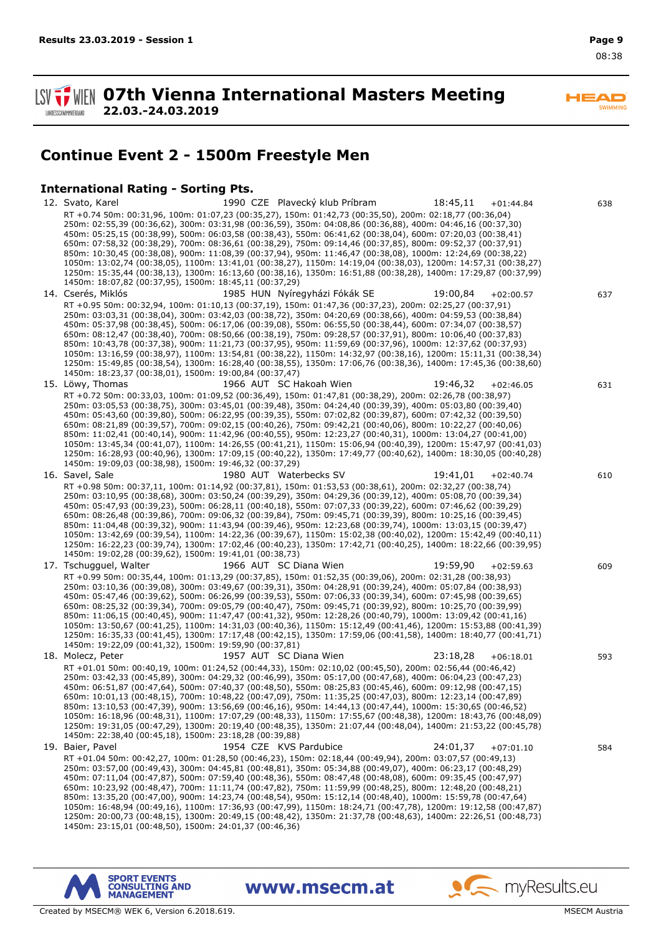$\overline{\phantom{a}}$ SWIMMING

**SV TWEN 07th Vienna International Masters Meeting 22.03.-24.03.2019 LANDESSCHWIMMVERBAND** 

# **Continue Event 2 - 1500m Freestyle Men**

#### **International Rating - Sorting Pts.**

12. Svato, Karel 1990 CZE Plavecký klub Príbram 18:45,11 +01:44.84 638 RT +0.74 50m: 00:31,96, 100m: 01:07,23 (00:35,27), 150m: 01:42,73 (00:35,50), 200m: 02:18,77 (00:36,04) 250m: 02:55,39 (00:36,62), 300m: 03:31,98 (00:36,59), 350m: 04:08,86 (00:36,88), 400m: 04:46,16 (00:37,30) 450m: 05:25,15 (00:38,99), 500m: 06:03,58 (00:38,43), 550m: 06:41,62 (00:38,04), 600m: 07:20,03 (00:38,41) 650m: 07:58,32 (00:38,29), 700m: 08:36,61 (00:38,29), 750m: 09:14,46 (00:37,85), 800m: 09:52,37 (00:37,91) 850m: 10:30,45 (00:38,08), 900m: 11:08,39 (00:37,94), 950m: 11:46,47 (00:38,08), 1000m: 12:24,69 (00:38,22) 1050m: 13:02,74 (00:38,05), 1100m: 13:41,01 (00:38,27), 1150m: 14:19,04 (00:38,03), 1200m: 14:57,31 (00:38,27) 1250m: 15:35,44 (00:38,13), 1300m: 16:13,60 (00:38,16), 1350m: 16:51,88 (00:38,28), 1400m: 17:29,87 (00:37,99) 1450m: 18:07,82 (00:37,95), 1500m: 18:45,11 (00:37,29) 14. Cserés, Miklós 1985 HUN Nyíregyházi Fókák SE 19:00,84 +02:00.57 637 RT +0.95 50m: 00:32,94, 100m: 01:10,13 (00:37,19), 150m: 01:47,36 (00:37,23), 200m: 02:25,27 (00:37,91) 250m: 03:03,31 (00:38,04), 300m: 03:42,03 (00:38,72), 350m: 04:20,69 (00:38,66), 400m: 04:59,53 (00:38,84) 450m: 05:37,98 (00:38,45), 500m: 06:17,06 (00:39,08), 550m: 06:55,50 (00:38,44), 600m: 07:34,07 (00:38,57) 650m: 08:12,47 (00:38,40), 700m: 08:50,66 (00:38,19), 750m: 09:28,57 (00:37,91), 800m: 10:06,40 (00:37,83) 850m: 10:43,78 (00:37,38), 900m: 11:21,73 (00:37,95), 950m: 11:59,69 (00:37,96), 1000m: 12:37,62 (00:37,93) 1050m: 13:16,59 (00:38,97), 1100m: 13:54,81 (00:38,22), 1150m: 14:32,97 (00:38,16), 1200m: 15:11,31 (00:38,34) 1250m: 15:49,85 (00:38,54), 1300m: 16:28,40 (00:38,55), 1350m: 17:06,76 (00:38,36), 1400m: 17:45,36 (00:38,60) 1450m: 18:23,37 (00:38,01), 1500m: 19:00,84 (00:37,47) 15. Löwy, Thomas 1966 AUT SC Hakoah Wien 19:46,32 +02:46.05 631 RT +0.72 50m: 00:33,03, 100m: 01:09,52 (00:36,49), 150m: 01:47,81 (00:38,29), 200m: 02:26,78 (00:38,97) 250m: 03:05,53 (00:38,75), 300m: 03:45,01 (00:39,48), 350m: 04:24,40 (00:39,39), 400m: 05:03,80 (00:39,40) 450m: 05:43,60 (00:39,80), 500m: 06:22,95 (00:39,35), 550m: 07:02,82 (00:39,87), 600m: 07:42,32 (00:39,50) 650m: 08:21,89 (00:39,57), 700m: 09:02,15 (00:40,26), 750m: 09:42,21 (00:40,06), 800m: 10:22,27 (00:40,06) 850m: 11:02,41 (00:40,14), 900m: 11:42,96 (00:40,55), 950m: 12:23,27 (00:40,31), 1000m: 13:04,27 (00:41,00) 1050m: 13:45,34 (00:41,07), 1100m: 14:26,55 (00:41,21), 1150m: 15:06,94 (00:40,39), 1200m: 15:47,97 (00:41,03) 1250m: 16:28,93 (00:40,96), 1300m: 17:09,15 (00:40,22), 1350m: 17:49,77 (00:40,62), 1400m: 18:30,05 (00:40,28) 1450m: 19:09,03 (00:38,98), 1500m: 19:46,32 (00:37,29) 16. Savel, Sale 1980 AUT Waterbecks SV 19:41,01 +02:40.74 610 RT +0.98 50m: 00:37,11, 100m: 01:14,92 (00:37,81), 150m: 01:53,53 (00:38,61), 200m: 02:32,27 (00:38,74) 250m: 03:10,95 (00:38,68), 300m: 03:50,24 (00:39,29), 350m: 04:29,36 (00:39,12), 400m: 05:08,70 (00:39,34) 450m: 05:47,93 (00:39,23), 500m: 06:28,11 (00:40,18), 550m: 07:07,33 (00:39,22), 600m: 07:46,62 (00:39,29) 650m: 08:26,48 (00:39,86), 700m: 09:06,32 (00:39,84), 750m: 09:45,71 (00:39,39), 800m: 10:25,16 (00:39,45) 850m: 11:04,48 (00:39,32), 900m: 11:43,94 (00:39,46), 950m: 12:23,68 (00:39,74), 1000m: 13:03,15 (00:39,47) 1050m: 13:42,69 (00:39,54), 1100m: 14:22,36 (00:39,67), 1150m: 15:02,38 (00:40,02), 1200m: 15:42,49 (00:40,11) 1250m: 16:22,23 (00:39,74), 1300m: 17:02,46 (00:40,23), 1350m: 17:42,71 (00:40,25), 1400m: 18:22,66 (00:39,95) 1450m: 19:02,28 (00:39,62), 1500m: 19:41,01 (00:38,73) 17. Tschugguel, Walter 1966 AUT SC Diana Wien 19:59,90 +02:59.63 609 RT +0.99 50m: 00:35,44, 100m: 01:13,29 (00:37,85), 150m: 01:52,35 (00:39,06), 200m: 02:31,28 (00:38,93) 250m: 03:10,36 (00:39,08), 300m: 03:49,67 (00:39,31), 350m: 04:28,91 (00:39,24), 400m: 05:07,84 (00:38,93) 450m: 05:47,46 (00:39,62), 500m: 06:26,99 (00:39,53), 550m: 07:06,33 (00:39,34), 600m: 07:45,98 (00:39,65) 650m: 08:25,32 (00:39,34), 700m: 09:05,79 (00:40,47), 750m: 09:45,71 (00:39,92), 800m: 10:25,70 (00:39,99) 850m: 11:06,15 (00:40,45), 900m: 11:47,47 (00:41,32), 950m: 12:28,26 (00:40,79), 1000m: 13:09,42 (00:41,16) 1050m: 13:50,67 (00:41,25), 1100m: 14:31,03 (00:40,36), 1150m: 15:12,49 (00:41,46), 1200m: 15:53,88 (00:41,39) 1250m: 16:35,33 (00:41,45), 1300m: 17:17,48 (00:42,15), 1350m: 17:59,06 (00:41,58), 1400m: 18:40,77 (00:41,71) 1450m: 19:22,09 (00:41,32), 1500m: 19:59,90 (00:37,81) 18. Molecz, Peter 1957 AUT SC Diana Wien 23:18,28 +06:18.01 593 RT +01.01 50m: 00:40,19, 100m: 01:24,52 (00:44,33), 150m: 02:10,02 (00:45,50), 200m: 02:56,44 (00:46,42) 250m: 03:42,33 (00:45,89), 300m: 04:29,32 (00:46,99), 350m: 05:17,00 (00:47,68), 400m: 06:04,23 (00:47,23) 450m: 06:51,87 (00:47,64), 500m: 07:40,37 (00:48,50), 550m: 08:25,83 (00:45,46), 600m: 09:12,98 (00:47,15) 650m: 10:01,13 (00:48,15), 700m: 10:48,22 (00:47,09), 750m: 11:35,25 (00:47,03), 800m: 12:23,14 (00:47,89) 850m: 13:10,53 (00:47,39), 900m: 13:56,69 (00:46,16), 950m: 14:44,13 (00:47,44), 1000m: 15:30,65 (00:46,52) 1050m: 16:18,96 (00:48,31), 1100m: 17:07,29 (00:48,33), 1150m: 17:55,67 (00:48,38), 1200m: 18:43,76 (00:48,09) 1250m: 19:31,05 (00:47,29), 1300m: 20:19,40 (00:48,35), 1350m: 21:07,44 (00:48,04), 1400m: 21:53,22 (00:45,78) 1450m: 22:38,40 (00:45,18), 1500m: 23:18,28 (00:39,88) 19. Baier, Pavel 1954 CZE KVS Pardubice 24:01,37 +07:01.10 584 RT +01.04 50m: 00:42,27, 100m: 01:28,50 (00:46,23), 150m: 02:18,44 (00:49,94), 200m: 03:07,57 (00:49,13) 250m: 03:57,00 (00:49,43), 300m: 04:45,81 (00:48,81), 350m: 05:34,88 (00:49,07), 400m: 06:23,17 (00:48,29) 450m: 07:11,04 (00:47,87), 500m: 07:59,40 (00:48,36), 550m: 08:47,48 (00:48,08), 600m: 09:35,45 (00:47,97) 650m: 10:23,92 (00:48,47), 700m: 11:11,74 (00:47,82), 750m: 11:59,99 (00:48,25), 800m: 12:48,20 (00:48,21) 850m: 13:35,20 (00:47,00), 900m: 14:23,74 (00:48,54), 950m: 15:12,14 (00:48,40), 1000m: 15:59,78 (00:47,64) 1050m: 16:48,94 (00:49,16), 1100m: 17:36,93 (00:47,99), 1150m: 18:24,71 (00:47,78), 1200m: 19:12,58 (00:47,87) 1250m: 20:00,73 (00:48,15), 1300m: 20:49,15 (00:48,42), 1350m: 21:37,78 (00:48,63), 1400m: 22:26,51 (00:48,73) 1450m: 23:15,01 (00:48,50), 1500m: 24:01,37 (00:46,36)



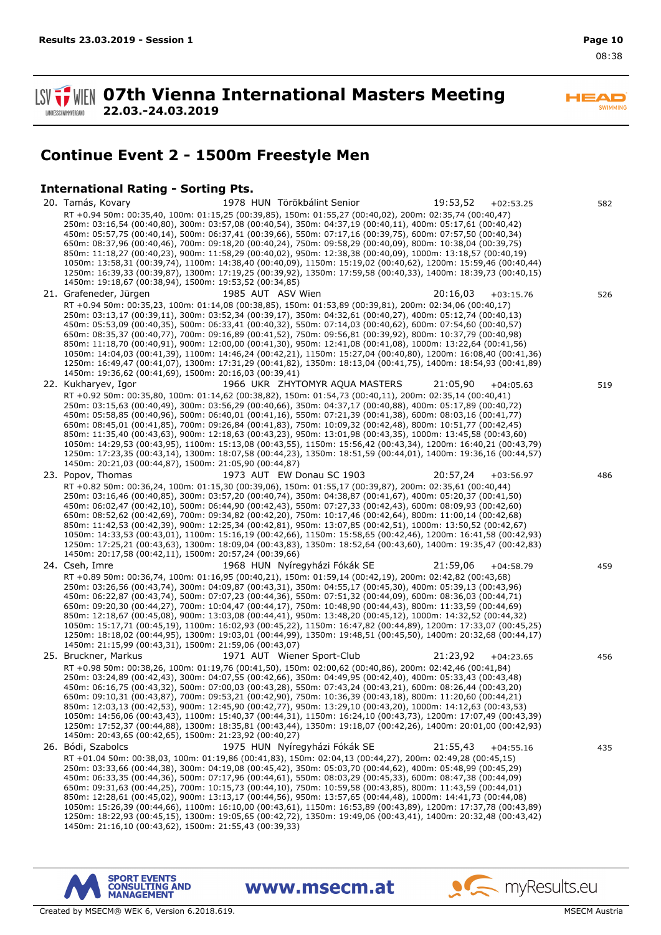EAF **SWIMMING** 

**SV TWEN 07th Vienna International Masters Meeting 22.03.-24.03.2019 LANDESSCHWIMMVERBAND** 

# **Continue Event 2 - 1500m Freestyle Men**

## **International Rating - Sorting Pts.**

20. Tamás, Kovary 1978 HUN Törökbálint Senior 19:53,52 +02:53.25 582 RT +0.94 50m: 00:35,40, 100m: 01:15,25 (00:39,85), 150m: 01:55,27 (00:40,02), 200m: 02:35,74 (00:40,47) 250m: 03:16,54 (00:40,80), 300m: 03:57,08 (00:40,54), 350m: 04:37,19 (00:40,11), 400m: 05:17,61 (00:40,42) 450m: 05:57,75 (00:40,14), 500m: 06:37,41 (00:39,66), 550m: 07:17,16 (00:39,75), 600m: 07:57,50 (00:40,34) 650m: 08:37,96 (00:40,46), 700m: 09:18,20 (00:40,24), 750m: 09:58,29 (00:40,09), 800m: 10:38,04 (00:39,75) 850m: 11:18,27 (00:40,23), 900m: 11:58,29 (00:40,02), 950m: 12:38,38 (00:40,09), 1000m: 13:18,57 (00:40,19) 1050m: 13:58,31 (00:39,74), 1100m: 14:38,40 (00:40,09), 1150m: 15:19,02 (00:40,62), 1200m: 15:59,46 (00:40,44) 1250m: 16:39,33 (00:39,87), 1300m: 17:19,25 (00:39,92), 1350m: 17:59,58 (00:40,33), 1400m: 18:39,73 (00:40,15) 1450m: 19:18,67 (00:38,94), 1500m: 19:53,52 (00:34,85) 21. Grafeneder, Jürgen 1985 AUT ASV Wien 20:16,03 +03:15.76 526 RT +0.94 50m: 00:35,23, 100m: 01:14,08 (00:38,85), 150m: 01:53,89 (00:39,81), 200m: 02:34,06 (00:40,17) 250m: 03:13,17 (00:39,11), 300m: 03:52,34 (00:39,17), 350m: 04:32,61 (00:40,27), 400m: 05:12,74 (00:40,13) 450m: 05:53,09 (00:40,35), 500m: 06:33,41 (00:40,32), 550m: 07:14,03 (00:40,62), 600m: 07:54,60 (00:40,57) 650m: 08:35,37 (00:40,77), 700m: 09:16,89 (00:41,52), 750m: 09:56,81 (00:39,92), 800m: 10:37,79 (00:40,98) 850m: 11:18,70 (00:40,91), 900m: 12:00,00 (00:41,30), 950m: 12:41,08 (00:41,08), 1000m: 13:22,64 (00:41,56) 1050m: 14:04,03 (00:41,39), 1100m: 14:46,24 (00:42,21), 1150m: 15:27,04 (00:40,80), 1200m: 16:08,40 (00:41,36) 1250m: 16:49,47 (00:41,07), 1300m: 17:31,29 (00:41,82), 1350m: 18:13,04 (00:41,75), 1400m: 18:54,93 (00:41,89) 1450m: 19:36,62 (00:41,69), 1500m: 20:16,03 (00:39,41) 22. Kukharyev, Igor 1966 UKR ZHYTOMYR AQUA MASTERS 21:05,90 +04:05.63 519 RT +0.92 50m: 00:35,80, 100m: 01:14,62 (00:38,82), 150m: 01:54,73 (00:40,11), 200m: 02:35,14 (00:40,41) 250m: 03:15,63 (00:40,49), 300m: 03:56,29 (00:40,66), 350m: 04:37,17 (00:40,88), 400m: 05:17,89 (00:40,72) 450m: 05:58,85 (00:40,96), 500m: 06:40,01 (00:41,16), 550m: 07:21,39 (00:41,38), 600m: 08:03,16 (00:41,77) 650m: 08:45,01 (00:41,85), 700m: 09:26,84 (00:41,83), 750m: 10:09,32 (00:42,48), 800m: 10:51,77 (00:42,45) 850m: 11:35,40 (00:43,63), 900m: 12:18,63 (00:43,23), 950m: 13:01,98 (00:43,35), 1000m: 13:45,58 (00:43,60) 1050m: 14:29,53 (00:43,95), 1100m: 15:13,08 (00:43,55), 1150m: 15:56,42 (00:43,34), 1200m: 16:40,21 (00:43,79) 1250m: 17:23,35 (00:43,14), 1300m: 18:07,58 (00:44,23), 1350m: 18:51,59 (00:44,01), 1400m: 19:36,16 (00:44,57) 1450m: 20:21,03 (00:44,87), 1500m: 21:05,90 (00:44,87) 23. Popov, Thomas 1973 AUT EW Donau SC 1903 20:57,24 +03:56.97 486 RT +0.82 50m: 00:36,24, 100m: 01:15,30 (00:39,06), 150m: 01:55,17 (00:39,87), 200m: 02:35,61 (00:40,44) 250m: 03:16,46 (00:40,85), 300m: 03:57,20 (00:40,74), 350m: 04:38,87 (00:41,67), 400m: 05:20,37 (00:41,50) 450m: 06:02,47 (00:42,10), 500m: 06:44,90 (00:42,43), 550m: 07:27,33 (00:42,43), 600m: 08:09,93 (00:42,60) 650m: 08:52,62 (00:42,69), 700m: 09:34,82 (00:42,20), 750m: 10:17,46 (00:42,64), 800m: 11:00,14 (00:42,68) 850m: 11:42,53 (00:42,39), 900m: 12:25,34 (00:42,81), 950m: 13:07,85 (00:42,51), 1000m: 13:50,52 (00:42,67) 1050m: 14:33,53 (00:43,01), 1100m: 15:16,19 (00:42,66), 1150m: 15:58,65 (00:42,46), 1200m: 16:41,58 (00:42,93) 1250m: 17:25,21 (00:43,63), 1300m: 18:09,04 (00:43,83), 1350m: 18:52,64 (00:43,60), 1400m: 19:35,47 (00:42,83) 1450m: 20:17,58 (00:42,11), 1500m: 20:57,24 (00:39,66) 24. Cseh, Imre 1968 HUN Nyíregyházi Fókák SE 21:59,06 +04:58.79 459 RT +0.89 50m: 00:36,74, 100m: 01:16,95 (00:40,21), 150m: 01:59,14 (00:42,19), 200m: 02:42,82 (00:43,68) 250m: 03:26,56 (00:43,74), 300m: 04:09,87 (00:43,31), 350m: 04:55,17 (00:45,30), 400m: 05:39,13 (00:43,96) 450m: 06:22,87 (00:43,74), 500m: 07:07,23 (00:44,36), 550m: 07:51,32 (00:44,09), 600m: 08:36,03 (00:44,71) 650m: 09:20,30 (00:44,27), 700m: 10:04,47 (00:44,17), 750m: 10:48,90 (00:44,43), 800m: 11:33,59 (00:44,69) 850m: 12:18,67 (00:45,08), 900m: 13:03,08 (00:44,41), 950m: 13:48,20 (00:45,12), 1000m: 14:32,52 (00:44,32) 1050m: 15:17,71 (00:45,19), 1100m: 16:02,93 (00:45,22), 1150m: 16:47,82 (00:44,89), 1200m: 17:33,07 (00:45,25) 1250m: 18:18,02 (00:44,95), 1300m: 19:03,01 (00:44,99), 1350m: 19:48,51 (00:45,50), 1400m: 20:32,68 (00:44,17) 1450m: 21:15,99 (00:43,31), 1500m: 21:59,06 (00:43,07) 25. Bruckner, Markus 1971 AUT Wiener Sport-Club 21:23,92 +04:23.65 456 RT +0.98 50m: 00:38,26, 100m: 01:19,76 (00:41,50), 150m: 02:00,62 (00:40,86), 200m: 02:42,46 (00:41,84) 250m: 03:24,89 (00:42,43), 300m: 04:07,55 (00:42,66), 350m: 04:49,95 (00:42,40), 400m: 05:33,43 (00:43,48) 450m: 06:16,75 (00:43,32), 500m: 07:00,03 (00:43,28), 550m: 07:43,24 (00:43,21), 600m: 08:26,44 (00:43,20) 650m: 09:10,31 (00:43,87), 700m: 09:53,21 (00:42,90), 750m: 10:36,39 (00:43,18), 800m: 11:20,60 (00:44,21) 850m: 12:03,13 (00:42,53), 900m: 12:45,90 (00:42,77), 950m: 13:29,10 (00:43,20), 1000m: 14:12,63 (00:43,53) 1050m: 14:56,06 (00:43,43), 1100m: 15:40,37 (00:44,31), 1150m: 16:24,10 (00:43,73), 1200m: 17:07,49 (00:43,39) 1250m: 17:52,37 (00:44,88), 1300m: 18:35,81 (00:43,44), 1350m: 19:18,07 (00:42,26), 1400m: 20:01,00 (00:42,93) 1450m: 20:43,65 (00:42,65), 1500m: 21:23,92 (00:40,27) 26. Bódi, Szabolcs 1975 HUN Nyíregyházi Fókák SE 21:55,43 +04:55.16 435 RT +01.04 50m: 00:38,03, 100m: 01:19,86 (00:41,83), 150m: 02:04,13 (00:44,27), 200m: 02:49,28 (00:45,15) 250m: 03:33,66 (00:44,38), 300m: 04:19,08 (00:45,42), 350m: 05:03,70 (00:44,62), 400m: 05:48,99 (00:45,29) 450m: 06:33,35 (00:44,36), 500m: 07:17,96 (00:44,61), 550m: 08:03,29 (00:45,33), 600m: 08:47,38 (00:44,09) 650m: 09:31,63 (00:44,25), 700m: 10:15,73 (00:44,10), 750m: 10:59,58 (00:43,85), 800m: 11:43,59 (00:44,01) 850m: 12:28,61 (00:45,02), 900m: 13:13,17 (00:44,56), 950m: 13:57,65 (00:44,48), 1000m: 14:41,73 (00:44,08) 1050m: 15:26,39 (00:44,66), 1100m: 16:10,00 (00:43,61), 1150m: 16:53,89 (00:43,89), 1200m: 17:37,78 (00:43,89) 1250m: 18:22,93 (00:45,15), 1300m: 19:05,65 (00:42,72), 1350m: 19:49,06 (00:43,41), 1400m: 20:32,48 (00:43,42) 1450m: 21:16,10 (00:43,62), 1500m: 21:55,43 (00:39,33)

www.msecm.at





 $\bullet$  my Results.eu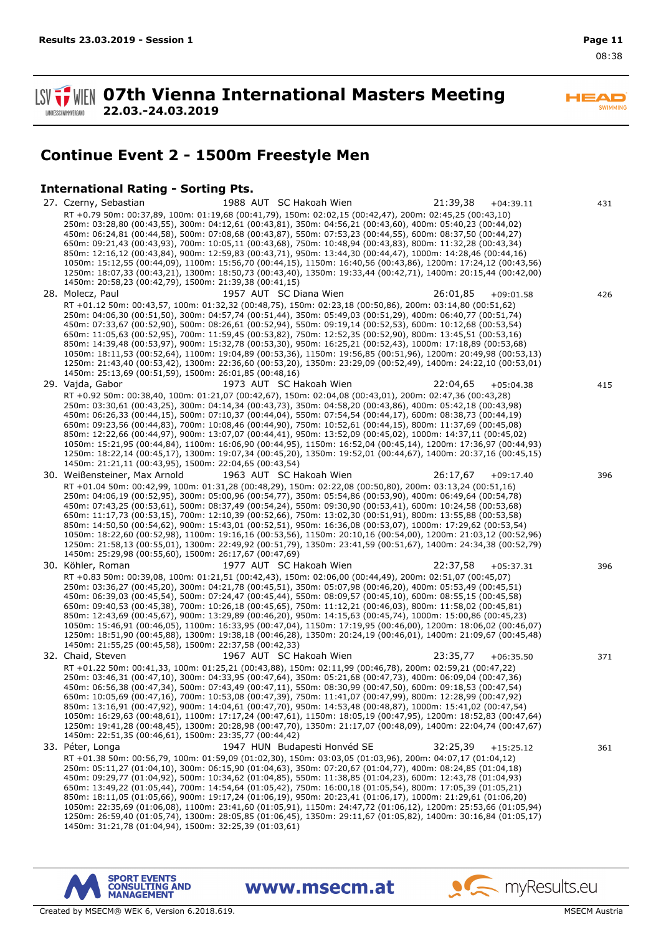EAF **SWIMMING** 

**SV TWEIN 07th Vienna International Masters Meeting 22.03.-24.03.2019 LANDESSCHWIMMVERBAND** 

# **Continue Event 2 - 1500m Freestyle Men**

## **International Rating - Sorting Pts.**

27. Czerny, Sebastian 1988 AUT SC Hakoah Wien 21:39,38 +04:39.11 431 RT +0.79 50m: 00:37,89, 100m: 01:19,68 (00:41,79), 150m: 02:02,15 (00:42,47), 200m: 02:45,25 (00:43,10) 250m: 03:28,80 (00:43,55), 300m: 04:12,61 (00:43,81), 350m: 04:56,21 (00:43,60), 400m: 05:40,23 (00:44,02) 450m: 06:24,81 (00:44,58), 500m: 07:08,68 (00:43,87), 550m: 07:53,23 (00:44,55), 600m: 08:37,50 (00:44,27) 650m: 09:21,43 (00:43,93), 700m: 10:05,11 (00:43,68), 750m: 10:48,94 (00:43,83), 800m: 11:32,28 (00:43,34) 850m: 12:16,12 (00:43,84), 900m: 12:59,83 (00:43,71), 950m: 13:44,30 (00:44,47), 1000m: 14:28,46 (00:44,16) 1050m: 15:12,55 (00:44,09), 1100m: 15:56,70 (00:44,15), 1150m: 16:40,56 (00:43,86), 1200m: 17:24,12 (00:43,56) 1250m: 18:07,33 (00:43,21), 1300m: 18:50,73 (00:43,40), 1350m: 19:33,44 (00:42,71), 1400m: 20:15,44 (00:42,00) 1450m: 20:58,23 (00:42,79), 1500m: 21:39,38 (00:41,15) 28. Molecz, Paul 1957 AUT SC Diana Wien 26:01,85 +09:01.58 426 RT +01.12 50m: 00:43,57, 100m: 01:32,32 (00:48,75), 150m: 02:23,18 (00:50,86), 200m: 03:14,80 (00:51,62) 250m: 04:06,30 (00:51,50), 300m: 04:57,74 (00:51,44), 350m: 05:49,03 (00:51,29), 400m: 06:40,77 (00:51,74) 450m: 07:33,67 (00:52,90), 500m: 08:26,61 (00:52,94), 550m: 09:19,14 (00:52,53), 600m: 10:12,68 (00:53,54) 650m: 11:05,63 (00:52,95), 700m: 11:59,45 (00:53,82), 750m: 12:52,35 (00:52,90), 800m: 13:45,51 (00:53,16) 850m: 14:39,48 (00:53,97), 900m: 15:32,78 (00:53,30), 950m: 16:25,21 (00:52,43), 1000m: 17:18,89 (00:53,68) 1050m: 18:11,53 (00:52,64), 1100m: 19:04,89 (00:53,36), 1150m: 19:56,85 (00:51,96), 1200m: 20:49,98 (00:53,13) 1250m: 21:43,40 (00:53,42), 1300m: 22:36,60 (00:53,20), 1350m: 23:29,09 (00:52,49), 1400m: 24:22,10 (00:53,01) 1450m: 25:13,69 (00:51,59), 1500m: 26:01,85 (00:48,16) 29. Vajda, Gabor 1973 AUT SC Hakoah Wien 22:04,65 +05:04.38 415 RT +0.92 50m: 00:38,40, 100m: 01:21,07 (00:42,67), 150m: 02:04,08 (00:43,01), 200m: 02:47,36 (00:43,28) 250m: 03:30,61 (00:43,25), 300m: 04:14,34 (00:43,73), 350m: 04:58,20 (00:43,86), 400m: 05:42,18 (00:43,98) 450m: 06:26,33 (00:44,15), 500m: 07:10,37 (00:44,04), 550m: 07:54,54 (00:44,17), 600m: 08:38,73 (00:44,19) 650m: 09:23,56 (00:44,83), 700m: 10:08,46 (00:44,90), 750m: 10:52,61 (00:44,15), 800m: 11:37,69 (00:45,08) 850m: 12:22,66 (00:44,97), 900m: 13:07,07 (00:44,41), 950m: 13:52,09 (00:45,02), 1000m: 14:37,11 (00:45,02) 1050m: 15:21,95 (00:44,84), 1100m: 16:06,90 (00:44,95), 1150m: 16:52,04 (00:45,14), 1200m: 17:36,97 (00:44,93) 1250m: 18:22,14 (00:45,17), 1300m: 19:07,34 (00:45,20), 1350m: 19:52,01 (00:44,67), 1400m: 20:37,16 (00:45,15) 1450m: 21:21,11 (00:43,95), 1500m: 22:04,65 (00:43,54) 30. Weißensteiner, Max Arnold 1963 AUT SC Hakoah Wien 26:17,67 +09:17.40 396 RT +01.04 50m: 00:42,99, 100m: 01:31,28 (00:48,29), 150m: 02:22,08 (00:50,80), 200m: 03:13,24 (00:51,16) 250m: 04:06,19 (00:52,95), 300m: 05:00,96 (00:54,77), 350m: 05:54,86 (00:53,90), 400m: 06:49,64 (00:54,78) 450m: 07:43,25 (00:53,61), 500m: 08:37,49 (00:54,24), 550m: 09:30,90 (00:53,41), 600m: 10:24,58 (00:53,68) 650m: 11:17,73 (00:53,15), 700m: 12:10,39 (00:52,66), 750m: 13:02,30 (00:51,91), 800m: 13:55,88 (00:53,58) 850m: 14:50,50 (00:54,62), 900m: 15:43,01 (00:52,51), 950m: 16:36,08 (00:53,07), 1000m: 17:29,62 (00:53,54) 1050m: 18:22,60 (00:52,98), 1100m: 19:16,16 (00:53,56), 1150m: 20:10,16 (00:54,00), 1200m: 21:03,12 (00:52,96) 1250m: 21:58,13 (00:55,01), 1300m: 22:49,92 (00:51,79), 1350m: 23:41,59 (00:51,67), 1400m: 24:34,38 (00:52,79) 1450m: 25:29,98 (00:55,60), 1500m: 26:17,67 (00:47,69) 30. Köhler, Roman 1977 AUT SC Hakoah Wien 22:37,58 +05:37.31 396 RT +0.83 50m: 00:39,08, 100m: 01:21,51 (00:42,43), 150m: 02:06,00 (00:44,49), 200m: 02:51,07 (00:45,07) 250m: 03:36,27 (00:45,20), 300m: 04:21,78 (00:45,51), 350m: 05:07,98 (00:46,20), 400m: 05:53,49 (00:45,51) 450m: 06:39,03 (00:45,54), 500m: 07:24,47 (00:45,44), 550m: 08:09,57 (00:45,10), 600m: 08:55,15 (00:45,58) 650m: 09:40,53 (00:45,38), 700m: 10:26,18 (00:45,65), 750m: 11:12,21 (00:46,03), 800m: 11:58,02 (00:45,81) 850m: 12:43,69 (00:45,67), 900m: 13:29,89 (00:46,20), 950m: 14:15,63 (00:45,74), 1000m: 15:00,86 (00:45,23) 1050m: 15:46,91 (00:46,05), 1100m: 16:33,95 (00:47,04), 1150m: 17:19,95 (00:46,00), 1200m: 18:06,02 (00:46,07) 1250m: 18:51,90 (00:45,88), 1300m: 19:38,18 (00:46,28), 1350m: 20:24,19 (00:46,01), 1400m: 21:09,67 (00:45,48) 1450m: 21:55,25 (00:45,58), 1500m: 22:37,58 (00:42,33) 32. Chaid, Steven 1967 AUT SC Hakoah Wien 23:35,77 +06:35.50 371 RT +01.22 50m: 00:41,33, 100m: 01:25,21 (00:43,88), 150m: 02:11,99 (00:46,78), 200m: 02:59,21 (00:47,22) 250m: 03:46,31 (00:47,10), 300m: 04:33,95 (00:47,64), 350m: 05:21,68 (00:47,73), 400m: 06:09,04 (00:47,36) 450m: 06:56,38 (00:47,34), 500m: 07:43,49 (00:47,11), 550m: 08:30,99 (00:47,50), 600m: 09:18,53 (00:47,54) 650m: 10:05,69 (00:47,16), 700m: 10:53,08 (00:47,39), 750m: 11:41,07 (00:47,99), 800m: 12:28,99 (00:47,92) 850m: 13:16,91 (00:47,92), 900m: 14:04,61 (00:47,70), 950m: 14:53,48 (00:48,87), 1000m: 15:41,02 (00:47,54) 1050m: 16:29,63 (00:48,61), 1100m: 17:17,24 (00:47,61), 1150m: 18:05,19 (00:47,95), 1200m: 18:52,83 (00:47,64) 1250m: 19:41,28 (00:48,45), 1300m: 20:28,98 (00:47,70), 1350m: 21:17,07 (00:48,09), 1400m: 22:04,74 (00:47,67) 1450m: 22:51,35 (00:46,61), 1500m: 23:35,77 (00:44,42) 33. Péter, Longa 1947 HUN Budapesti Honvéd SE 32:25,39 +15:25.12 361 RT +01.38 50m: 00:56,79, 100m: 01:59,09 (01:02,30), 150m: 03:03,05 (01:03,96), 200m: 04:07,17 (01:04,12) 250m: 05:11,27 (01:04,10), 300m: 06:15,90 (01:04,63), 350m: 07:20,67 (01:04,77), 400m: 08:24,85 (01:04,18) 450m: 09:29,77 (01:04,92), 500m: 10:34,62 (01:04,85), 550m: 11:38,85 (01:04,23), 600m: 12:43,78 (01:04,93) 650m: 13:49,22 (01:05,44), 700m: 14:54,64 (01:05,42), 750m: 16:00,18 (01:05,54), 800m: 17:05,39 (01:05,21) 850m: 18:11,05 (01:05,66), 900m: 19:17,24 (01:06,19), 950m: 20:23,41 (01:06,17), 1000m: 21:29,61 (01:06,20) 1050m: 22:35,69 (01:06,08), 1100m: 23:41,60 (01:05,91), 1150m: 24:47,72 (01:06,12), 1200m: 25:53,66 (01:05,94) 1250m: 26:59,40 (01:05,74), 1300m: 28:05,85 (01:06,45), 1350m: 29:11,67 (01:05,82), 1400m: 30:16,84 (01:05,17) 1450m: 31:21,78 (01:04,94), 1500m: 32:25,39 (01:03,61)

www.msecm.at



o myResults.eu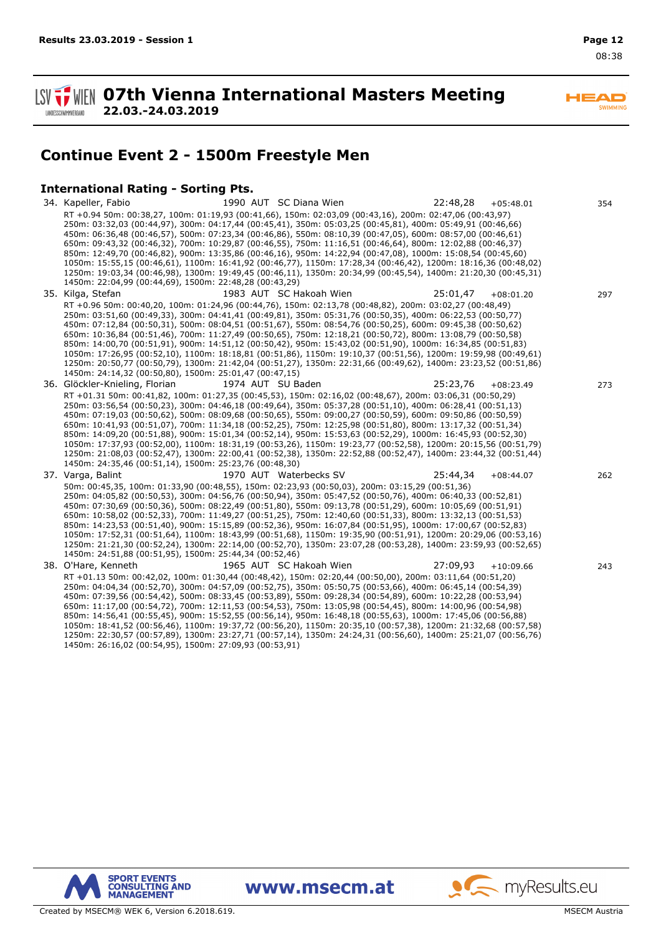$\blacktriangle \blacksquare$ 

**WIEN 07th Vienna International Masters Meeting 22.03.-24.03.2019 LANDESSCHWIMMVERBAND** 

# **Continue Event 2 - 1500m Freestyle Men**

## **International Rating - Sorting Pts.**

34. Kapeller, Fabio 1990 AUT SC Diana Wien 22:48,28 +05:48.01 354 RT +0.94 50m: 00:38,27, 100m: 01:19,93 (00:41,66), 150m: 02:03,09 (00:43,16), 200m: 02:47,06 (00:43,97) 250m: 03:32,03 (00:44,97), 300m: 04:17,44 (00:45,41), 350m: 05:03,25 (00:45,81), 400m: 05:49,91 (00:46,66) 450m: 06:36,48 (00:46,57), 500m: 07:23,34 (00:46,86), 550m: 08:10,39 (00:47,05), 600m: 08:57,00 (00:46,61) 650m: 09:43,32 (00:46,32), 700m: 10:29,87 (00:46,55), 750m: 11:16,51 (00:46,64), 800m: 12:02,88 (00:46,37) 850m: 12:49,70 (00:46,82), 900m: 13:35,86 (00:46,16), 950m: 14:22,94 (00:47,08), 1000m: 15:08,54 (00:45,60) 1050m: 15:55,15 (00:46,61), 1100m: 16:41,92 (00:46,77), 1150m: 17:28,34 (00:46,42), 1200m: 18:16,36 (00:48,02) 1250m: 19:03,34 (00:46,98), 1300m: 19:49,45 (00:46,11), 1350m: 20:34,99 (00:45,54), 1400m: 21:20,30 (00:45,31) 1450m: 22:04,99 (00:44,69), 1500m: 22:48,28 (00:43,29) 35. Kilga, Stefan 1983 AUT SC Hakoah Wien 25:01,47 +08:01.20 297 RT +0.96 50m: 00:40,20, 100m: 01:24,96 (00:44,76), 150m: 02:13,78 (00:48,82), 200m: 03:02,27 (00:48,49) 250m: 03:51,60 (00:49,33), 300m: 04:41,41 (00:49,81), 350m: 05:31,76 (00:50,35), 400m: 06:22,53 (00:50,77) 450m: 07:12,84 (00:50,31), 500m: 08:04,51 (00:51,67), 550m: 08:54,76 (00:50,25), 600m: 09:45,38 (00:50,62) 650m: 10:36,84 (00:51,46), 700m: 11:27,49 (00:50,65), 750m: 12:18,21 (00:50,72), 800m: 13:08,79 (00:50,58) 850m: 14:00,70 (00:51,91), 900m: 14:51,12 (00:50,42), 950m: 15:43,02 (00:51,90), 1000m: 16:34,85 (00:51,83) 1050m: 17:26,95 (00:52,10), 1100m: 18:18,81 (00:51,86), 1150m: 19:10,37 (00:51,56), 1200m: 19:59,98 (00:49,61) 1250m: 20:50,77 (00:50,79), 1300m: 21:42,04 (00:51,27), 1350m: 22:31,66 (00:49,62), 1400m: 23:23,52 (00:51,86) 1450m: 24:14,32 (00:50,80), 1500m: 25:01,47 (00:47,15) 36. Glöckler-Knieling, Florian 1974 AUT SU Baden 25:23,76 +08:23.49 273 RT +01.31 50m: 00:41,82, 100m: 01:27,35 (00:45,53), 150m: 02:16,02 (00:48,67), 200m: 03:06,31 (00:50,29) 250m: 03:56,54 (00:50,23), 300m: 04:46,18 (00:49,64), 350m: 05:37,28 (00:51,10), 400m: 06:28,41 (00:51,13) 450m: 07:19,03 (00:50,62), 500m: 08:09,68 (00:50,65), 550m: 09:00,27 (00:50,59), 600m: 09:50,86 (00:50,59) 650m: 10:41,93 (00:51,07), 700m: 11:34,18 (00:52,25), 750m: 12:25,98 (00:51,80), 800m: 13:17,32 (00:51,34) 850m: 14:09,20 (00:51,88), 900m: 15:01,34 (00:52,14), 950m: 15:53,63 (00:52,29), 1000m: 16:45,93 (00:52,30) 1050m: 17:37,93 (00:52,00), 1100m: 18:31,19 (00:53,26), 1150m: 19:23,77 (00:52,58), 1200m: 20:15,56 (00:51,79) 1250m: 21:08,03 (00:52,47), 1300m: 22:00,41 (00:52,38), 1350m: 22:52,88 (00:52,47), 1400m: 23:44,32 (00:51,44) 1450m: 24:35,46 (00:51,14), 1500m: 25:23,76 (00:48,30) 37. Varga, Balint 1970 AUT Waterbecks SV 25:44,34 +08:44.07 262 50m: 00:45,35, 100m: 01:33,90 (00:48,55), 150m: 02:23,93 (00:50,03), 200m: 03:15,29 (00:51,36) 250m: 04:05,82 (00:50,53), 300m: 04:56,76 (00:50,94), 350m: 05:47,52 (00:50,76), 400m: 06:40,33 (00:52,81) 450m: 07:30,69 (00:50,36), 500m: 08:22,49 (00:51,80), 550m: 09:13,78 (00:51,29), 600m: 10:05,69 (00:51,91) 650m: 10:58,02 (00:52,33), 700m: 11:49,27 (00:51,25), 750m: 12:40,60 (00:51,33), 800m: 13:32,13 (00:51,53) 850m: 14:23,53 (00:51,40), 900m: 15:15,89 (00:52,36), 950m: 16:07,84 (00:51,95), 1000m: 17:00,67 (00:52,83) 1050m: 17:52,31 (00:51,64), 1100m: 18:43,99 (00:51,68), 1150m: 19:35,90 (00:51,91), 1200m: 20:29,06 (00:53,16) 1250m: 21:21,30 (00:52,24), 1300m: 22:14,00 (00:52,70), 1350m: 23:07,28 (00:53,28), 1400m: 23:59,93 (00:52,65) 1450m: 24:51,88 (00:51,95), 1500m: 25:44,34 (00:52,46) 38. O'Hare, Kenneth 1965 AUT SC Hakoah Wien 27:09,93 +10:09.66 243 RT +01.13 50m: 00:42,02, 100m: 01:30,44 (00:48,42), 150m: 02:20,44 (00:50,00), 200m: 03:11,64 (00:51,20) 250m: 04:04,34 (00:52,70), 300m: 04:57,09 (00:52,75), 350m: 05:50,75 (00:53,66), 400m: 06:45,14 (00:54,39) 450m: 07:39,56 (00:54,42), 500m: 08:33,45 (00:53,89), 550m: 09:28,34 (00:54,89), 600m: 10:22,28 (00:53,94) 650m: 11:17,00 (00:54,72), 700m: 12:11,53 (00:54,53), 750m: 13:05,98 (00:54,45), 800m: 14:00,96 (00:54,98) 850m: 14:56,41 (00:55,45), 900m: 15:52,55 (00:56,14), 950m: 16:48,18 (00:55,63), 1000m: 17:45,06 (00:56,88) 1050m: 18:41,52 (00:56,46), 1100m: 19:37,72 (00:56,20), 1150m: 20:35,10 (00:57,38), 1200m: 21:32,68 (00:57,58) 1250m: 22:30,57 (00:57,89), 1300m: 23:27,71 (00:57,14), 1350m: 24:24,31 (00:56,60), 1400m: 25:21,07 (00:56,76) 1450m: 26:16,02 (00:54,95), 1500m: 27:09,93 (00:53,91)



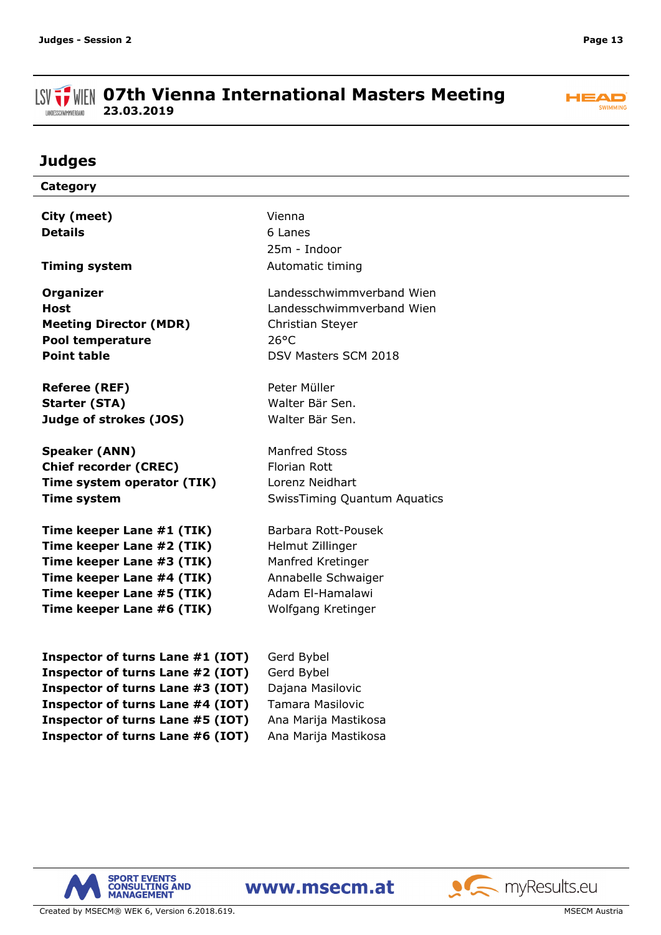#### **ISV THE OFTH Vienna International Masters Meeting 23.03.2019** LANDESSCHWIMMVERBAND



# **Judges**

| Category                         |                                     |
|----------------------------------|-------------------------------------|
|                                  | Vienna                              |
| City (meet)                      |                                     |
| <b>Details</b>                   | 6 Lanes                             |
|                                  | 25m - Indoor                        |
| <b>Timing system</b>             | Automatic timing                    |
| <b>Organizer</b>                 | Landesschwimmverband Wien           |
| <b>Host</b>                      | Landesschwimmverband Wien           |
| <b>Meeting Director (MDR)</b>    | Christian Steyer                    |
| Pool temperature                 | $26^{\circ}$ C                      |
| <b>Point table</b>               | DSV Masters SCM 2018                |
| <b>Referee (REF)</b>             | Peter Müller                        |
| <b>Starter (STA)</b>             | Walter Bär Sen.                     |
| Judge of strokes (JOS)           | Walter Bär Sen.                     |
|                                  |                                     |
| <b>Speaker (ANN)</b>             | <b>Manfred Stoss</b>                |
| <b>Chief recorder (CREC)</b>     | <b>Florian Rott</b>                 |
| Time system operator (TIK)       | Lorenz Neidhart                     |
| <b>Time system</b>               | <b>SwissTiming Quantum Aquatics</b> |
| Time keeper Lane #1 (TIK)        | Barbara Rott-Pousek                 |
| Time keeper Lane #2 (TIK)        | Helmut Zillinger                    |
| Time keeper Lane #3 (TIK)        | Manfred Kretinger                   |
| Time keeper Lane #4 (TIK)        | Annabelle Schwaiger                 |
| Time keeper Lane #5 (TIK)        | Adam El-Hamalawi                    |
| Time keeper Lane #6 (TIK)        | Wolfgang Kretinger                  |
|                                  |                                     |
| Inspector of turns Lane #1 (IOT) | Gerd Bybel                          |
| Inspector of turns Lane #2 (IOT) | Gerd Bybel                          |
| Inspector of turns Lane #3 (IOT) | Dajana Masilovic                    |
| Inspector of turns Lane #4 (IOT) | <b>Tamara Masilovic</b>             |
| Inspector of turns Lane #5 (IOT) | Ana Marija Mastikosa                |

**Inspector of turns Lane #6 (IOT)** Ana Marija Mastikosa



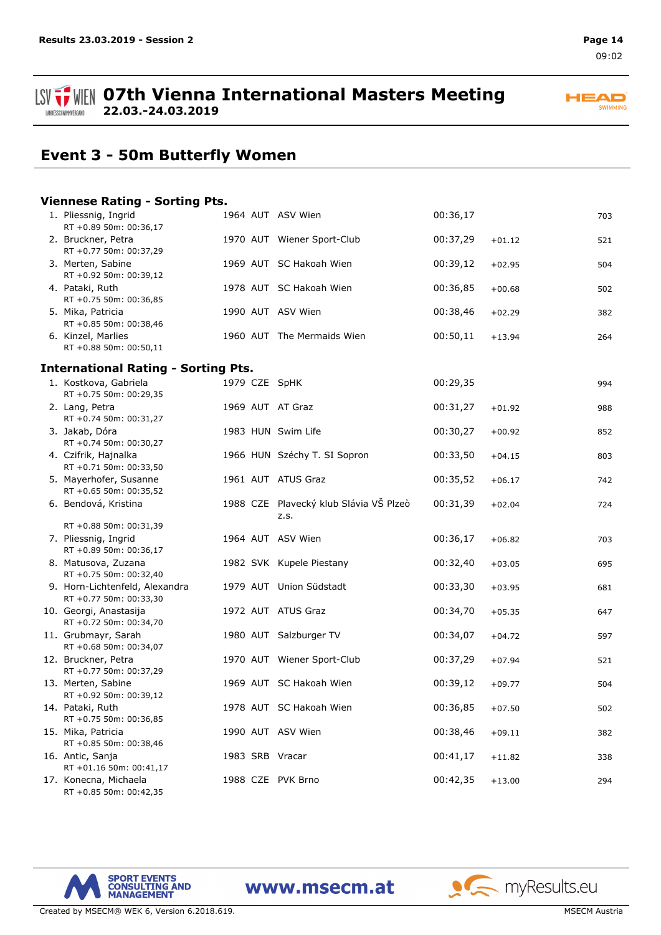#### **ISV THE OFTH Vienna International Masters Meeting 22.03.-24.03.2019** LANDESSCHWIMMVERBAND



# **Event 3 - 50m Butterfly Women**

#### **Viennese Rating - Sorting Pts.**

| 1. Pliessnig, Ingrid<br>RT +0.89 50m: 00:36,17           |  | 1964 AUT ASV Wien                              | 00:36,17 |          | 703 |
|----------------------------------------------------------|--|------------------------------------------------|----------|----------|-----|
| 2. Bruckner, Petra<br>RT +0.77 50m: 00:37,29             |  | 1970 AUT Wiener Sport-Club                     | 00:37,29 | $+01.12$ | 521 |
| 3. Merten, Sabine<br>RT +0.92 50m: 00:39,12              |  | 1969 AUT SC Hakoah Wien                        | 00:39,12 | $+02.95$ | 504 |
| 4. Pataki, Ruth<br>RT +0.75 50m: 00:36,85                |  | 1978 AUT SC Hakoah Wien                        | 00:36,85 | $+00.68$ | 502 |
| 5. Mika, Patricia<br>RT +0.85 50m: 00:38,46              |  | 1990 AUT ASV Wien                              | 00:38,46 | $+02.29$ | 382 |
| 6. Kinzel, Marlies<br>RT +0.88 50m: 00:50,11             |  | 1960 AUT The Mermaids Wien                     | 00:50,11 | $+13.94$ | 264 |
| <b>International Rating - Sorting Pts.</b>               |  |                                                |          |          |     |
| 1. Kostkova, Gabriela<br>RT +0.75 50m: 00:29,35          |  | 1979 CZE SpHK                                  | 00:29,35 |          | 994 |
| 2. Lang, Petra<br>RT +0.74 50m: 00:31,27                 |  | 1969 AUT AT Graz                               | 00:31,27 | $+01.92$ | 988 |
| 3. Jakab, Dóra<br>RT +0.74 50m: 00:30,27                 |  | 1983 HUN Swim Life                             | 00:30,27 | $+00.92$ | 852 |
| 4. Czifrik, Hajnalka<br>RT +0.71 50m: 00:33,50           |  | 1966 HUN Széchy T. SI Sopron                   | 00:33,50 | $+04.15$ | 803 |
| 5. Mayerhofer, Susanne<br>RT +0.65 50m: 00:35,52         |  | 1961 AUT ATUS Graz                             | 00:35,52 | $+06.17$ | 742 |
| 6. Bendová, Kristina                                     |  | 1988 CZE Plavecký klub Slávia VŠ Plzeò<br>Z.S. | 00:31,39 | $+02.04$ | 724 |
| RT +0.88 50m: 00:31,39<br>7. Pliessnig, Ingrid           |  | 1964 AUT ASV Wien                              | 00:36,17 | $+06.82$ | 703 |
| RT +0.89 50m: 00:36,17                                   |  |                                                |          |          |     |
| 8. Matusova, Zuzana<br>RT +0.75 50m: 00:32,40            |  | 1982 SVK Kupele Piestany                       | 00:32,40 | $+03.05$ | 695 |
| 9. Horn-Lichtenfeld, Alexandra<br>RT +0.77 50m: 00:33,30 |  | 1979 AUT Union Südstadt                        | 00:33,30 | $+03.95$ | 681 |
| 10. Georgi, Anastasija<br>RT +0.72 50m: 00:34,70         |  | 1972 AUT ATUS Graz                             | 00:34,70 | $+05.35$ | 647 |
| 11. Grubmayr, Sarah<br>RT +0.68 50m: 00:34,07            |  | 1980 AUT Salzburger TV                         | 00:34,07 | $+04.72$ | 597 |
| 12. Bruckner, Petra<br>RT +0.77 50m: 00:37,29            |  | 1970 AUT Wiener Sport-Club                     | 00:37,29 | $+07.94$ | 521 |
| 13. Merten, Sabine<br>RT +0.92 50m: 00:39,12             |  | 1969 AUT SC Hakoah Wien                        | 00:39,12 | $+09.77$ | 504 |
| 14. Pataki, Ruth<br>RT +0.75 50m: 00:36,85               |  | 1978 AUT SC Hakoah Wien                        | 00:36,85 | $+07.50$ | 502 |
| 15. Mika, Patricia<br>RT +0.85 50m: 00:38,46             |  | 1990 AUT ASV Wien                              | 00:38,46 | $+09.11$ | 382 |
| 16. Antic, Sanja<br>RT +01.16 50m: 00:41,17              |  | 1983 SRB Vracar                                | 00:41,17 | $+11.82$ | 338 |
| 17. Konecna, Michaela<br>RT +0.85 50m: 00:42,35          |  | 1988 CZE PVK Brno                              | 00:42,35 | $+13.00$ | 294 |



www.msecm.at

Created by MSECM® WEK 6, Version 6.2018.619. MSECM Austria and Structure and Structure and Structure and Structure and Structure and Structure and Structure and Structure and Structure and Structure and Structure and Struc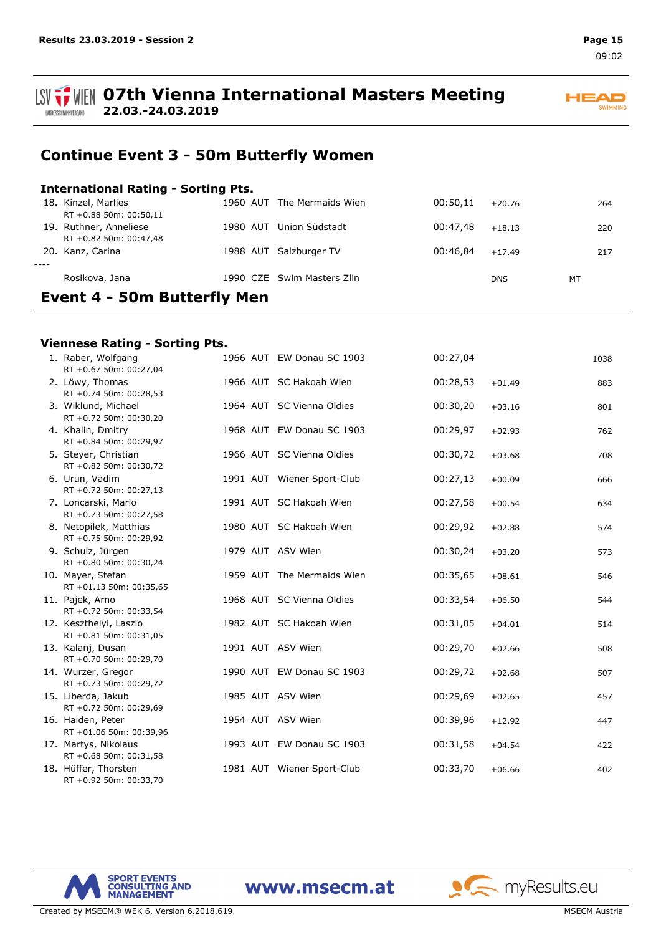

**HEAD** SWIMMING

# **Continue Event 3 - 50m Butterfly Women**

### **International Rating - Sorting Pts.**

| <b>Event 4 - 50m Butterfly Men</b> |                        |          |                            |          |            |    |     |
|------------------------------------|------------------------|----------|----------------------------|----------|------------|----|-----|
|                                    | Rosikova, Jana         |          | 1990 CZE Swim Masters Zlin |          | <b>DNS</b> | MT |     |
| $- - - -$                          |                        |          |                            |          |            |    |     |
|                                    | 20. Kanz, Carina       |          | 1988 AUT Salzburger TV     | 00:46.84 | $+17.49$   |    | 217 |
|                                    | RT +0.82 50m: 00:47,48 |          |                            |          |            |    |     |
|                                    | 19. Ruthner, Anneliese | 1980 AUT | Union Südstadt             | 00:47.48 | $+18.13$   |    | 220 |
|                                    | RT +0.88 50m: 00:50,11 |          |                            |          |            |    |     |
|                                    | 18. Kinzel, Marlies    |          | 1960 AUT The Mermaids Wien | 00:50.11 | $+20.76$   |    | 264 |

#### **Viennese Rating - Sorting Pts.**

| 1. Raber, Wolfgang<br>RT +0.67 50m: 00:27,04     |  | 1966 AUT EW Donau SC 1903  | 00:27,04 |          | 1038 |
|--------------------------------------------------|--|----------------------------|----------|----------|------|
| 2. Löwy, Thomas<br>RT +0.74 50m: 00:28,53        |  | 1966 AUT SC Hakoah Wien    | 00:28,53 | $+01.49$ | 883  |
| 3. Wiklund, Michael<br>RT +0.72 50m: 00:30,20    |  | 1964 AUT SC Vienna Oldies  | 00:30,20 | $+03.16$ | 801  |
| 4. Khalin, Dmitry<br>RT +0.84 50m: 00:29,97      |  | 1968 AUT EW Donau SC 1903  | 00:29,97 | $+02.93$ | 762  |
| 5. Steyer, Christian<br>RT +0.82 50m: 00:30,72   |  | 1966 AUT SC Vienna Oldies  | 00:30,72 | $+03.68$ | 708  |
| 6. Urun, Vadim<br>RT +0.72 50m: 00:27,13         |  | 1991 AUT Wiener Sport-Club | 00:27,13 | $+00.09$ | 666  |
| 7. Loncarski, Mario<br>RT +0.73 50m: 00:27,58    |  | 1991 AUT SC Hakoah Wien    | 00:27,58 | $+00.54$ | 634  |
| 8. Netopilek, Matthias<br>RT +0.75 50m: 00:29,92 |  | 1980 AUT SC Hakoah Wien    | 00:29,92 | $+02.88$ | 574  |
| 9. Schulz, Jürgen<br>RT +0.80 50m: 00:30,24      |  | 1979 AUT ASV Wien          | 00:30,24 | $+03.20$ | 573  |
| 10. Mayer, Stefan<br>RT +01.13 50m: 00:35,65     |  | 1959 AUT The Mermaids Wien | 00:35,65 | $+08.61$ | 546  |
| 11. Pajek, Arno<br>RT +0.72 50m: 00:33,54        |  | 1968 AUT SC Vienna Oldies  | 00:33,54 | $+06.50$ | 544  |
| 12. Keszthelyi, Laszlo<br>RT +0.81 50m: 00:31,05 |  | 1982 AUT SC Hakoah Wien    | 00:31,05 | $+04.01$ | 514  |
| 13. Kalanj, Dusan<br>RT +0.70 50m: 00:29,70      |  | 1991 AUT ASV Wien          | 00:29,70 | $+02.66$ | 508  |
| 14. Wurzer, Gregor<br>RT +0.73 50m: 00:29,72     |  | 1990 AUT EW Donau SC 1903  | 00:29,72 | $+02.68$ | 507  |
| 15. Liberda, Jakub<br>RT +0.72 50m: 00:29,69     |  | 1985 AUT ASV Wien          | 00:29,69 | $+02.65$ | 457  |
| 16. Haiden, Peter<br>RT +01.06 50m: 00:39,96     |  | 1954 AUT ASV Wien          | 00:39,96 | $+12.92$ | 447  |
| 17. Martys, Nikolaus<br>RT +0.68 50m: 00:31,58   |  | 1993 AUT EW Donau SC 1903  | 00:31,58 | $+04.54$ | 422  |
| 18. Hüffer, Thorsten<br>RT +0.92 50m: 00:33,70   |  | 1981 AUT Wiener Sport-Club | 00:33,70 | $+06.66$ | 402  |

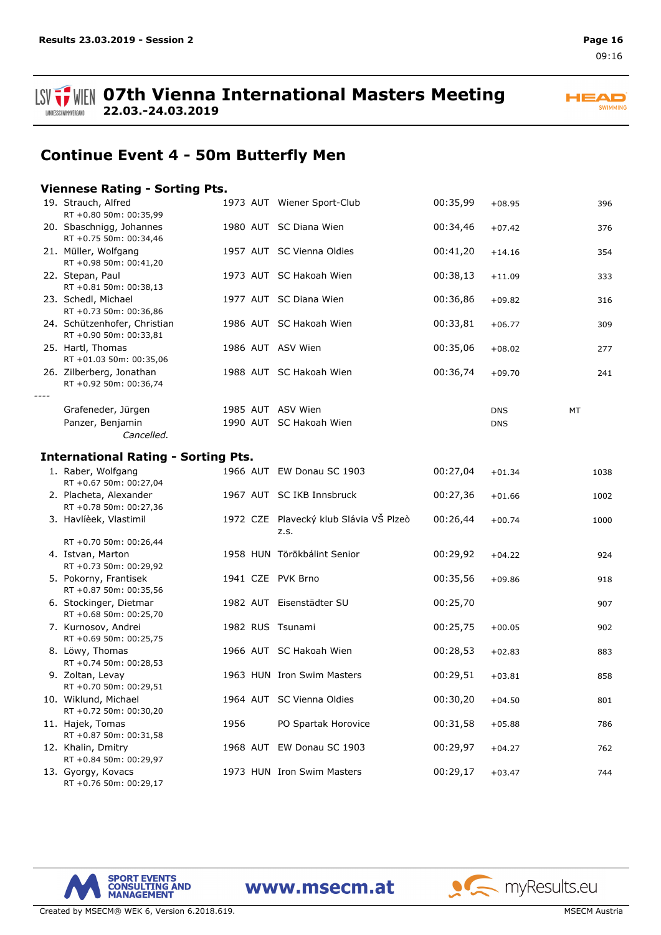**ISV**  $\frac{1}{2}$  WIEN 07th Vienna International Masters Meeting **22.03.-24.03.2019** LANDESSCHWIMMVERBAND

**HEAD** SWIMMING

# **Continue Event 4 - 50m Butterfly Men**

### **Viennese Rating - Sorting Pts.**

| 19. Strauch, Alfred<br>RT +0.80 50m: 00:35,99          |      | 1973 AUT Wiener Sport-Club                     | 00:35,99 | $+08.95$   | 396  |
|--------------------------------------------------------|------|------------------------------------------------|----------|------------|------|
| 20. Sbaschnigg, Johannes<br>RT +0.75 50m: 00:34,46     |      | 1980 AUT SC Diana Wien                         | 00:34,46 | $+07.42$   | 376  |
| 21. Müller, Wolfgang<br>RT +0.98 50m: 00:41,20         |      | 1957 AUT SC Vienna Oldies                      | 00:41,20 | $+14.16$   | 354  |
| 22. Stepan, Paul<br>RT +0.81 50m: 00:38,13             |      | 1973 AUT SC Hakoah Wien                        | 00:38,13 | $+11.09$   | 333  |
| 23. Schedl, Michael<br>RT +0.73 50m: 00:36,86          |      | 1977 AUT SC Diana Wien                         | 00:36,86 | $+09.82$   | 316  |
| 24. Schützenhofer, Christian<br>RT +0.90 50m: 00:33,81 |      | 1986 AUT SC Hakoah Wien                        | 00:33,81 | $+06.77$   | 309  |
| 25. Hartl, Thomas<br>RT +01.03 50m: 00:35,06           |      | 1986 AUT ASV Wien                              | 00:35,06 | $+08.02$   | 277  |
| 26. Zilberberg, Jonathan<br>RT +0.92 50m: 00:36,74     |      | 1988 AUT SC Hakoah Wien                        | 00:36,74 | $+09.70$   | 241  |
| Grafeneder, Jürgen                                     |      | 1985 AUT ASV Wien                              |          | <b>DNS</b> | MT   |
| Panzer, Benjamin<br>Cancelled.                         |      | 1990 AUT SC Hakoah Wien                        |          | <b>DNS</b> |      |
| <b>International Rating - Sorting Pts.</b>             |      |                                                |          |            |      |
| 1. Raber, Wolfgang<br>RT +0.67 50m: 00:27,04           |      | 1966 AUT EW Donau SC 1903                      | 00:27,04 | $+01.34$   | 1038 |
| 2. Placheta, Alexander<br>RT +0.78 50m: 00:27,36       |      | 1967 AUT SC IKB Innsbruck                      | 00:27,36 | $+01.66$   | 1002 |
| 3. Havlíèek, Vlastimil                                 |      | 1972 CZE Plavecký klub Slávia VŠ Plzeò<br>z.s. | 00:26,44 | $+00.74$   | 1000 |
| RT +0.70 50m: 00:26,44<br>4. Istvan, Marton            |      | 1958 HUN Törökbálint Senior                    | 00:29,92 | $+04.22$   | 924  |
| RT +0.73 50m: 00:29,92                                 |      |                                                |          |            |      |
| 5. Pokorny, Frantisek<br>RT +0.87 50m: 00:35,56        |      | 1941 CZE PVK Brno                              | 00:35,56 | $+09.86$   | 918  |
| 6. Stockinger, Dietmar<br>RT +0.68 50m: 00:25,70       |      | 1982 AUT Eisenstädter SU                       | 00:25,70 |            | 907  |
| 7. Kurnosov, Andrei<br>RT +0.69 50m: 00:25,75          |      | 1982 RUS Tsunami                               | 00:25,75 | $+00.05$   | 902  |
| 8. Löwy, Thomas<br>RT +0.74 50m: 00:28,53              |      | 1966 AUT SC Hakoah Wien                        | 00:28,53 | $+02.83$   | 883  |
| 9. Zoltan, Levay<br>RT +0.70 50m: 00:29,51             |      | 1963 HUN Iron Swim Masters                     | 00:29,51 | $+03.81$   | 858  |
| 10. Wiklund, Michael<br>RT +0.72 50m: 00:30,20         |      | 1964 AUT SC Vienna Oldies                      | 00:30,20 | $+04.50$   | 801  |
| 11. Hajek, Tomas<br>RT +0.87 50m: 00:31,58             | 1956 | PO Spartak Horovice                            | 00:31,58 | $+05.88$   | 786  |
| 12. Khalin, Dmitry<br>RT +0.84 50m: 00:29,97           |      | 1968 AUT EW Donau SC 1903                      | 00:29,97 | $+04.27$   | 762  |
| 13. Gyorgy, Kovacs<br>RT +0.76 50m: 00:29,17           |      | 1973 HUN Iron Swim Masters                     | 00:29,17 | $+03.47$   | 744  |

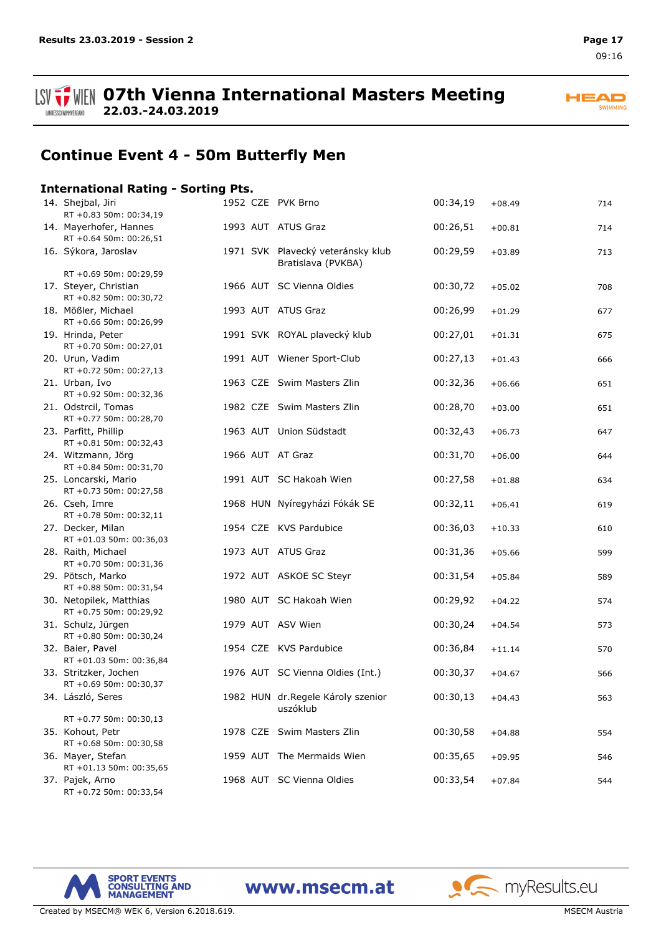LANDESSCHWIMMVERBAND

**ISV THE OFTH Vienna International Masters Meeting 22.03.-24.03.2019**



# **Continue Event 4 - 50m Butterfly Men**

#### **International Rating - Sorting Pts.**

| 14. Shejbal, Jiri<br>RT +0.83 50m: 00:34,19       |  | 1952 CZE PVK Brno                                       | 00:34,19 | $+08.49$ | 714 |
|---------------------------------------------------|--|---------------------------------------------------------|----------|----------|-----|
| 14. Mayerhofer, Hannes<br>RT +0.64 50m: 00:26,51  |  | 1993 AUT ATUS Graz                                      | 00:26,51 | $+00.81$ | 714 |
| 16. Sýkora, Jaroslav                              |  | 1971 SVK Plavecký veteránsky klub<br>Bratislava (PVKBA) | 00:29,59 | $+03.89$ | 713 |
| RT +0.69 50m: 00:29,59<br>17. Steyer, Christian   |  | 1966 AUT SC Vienna Oldies                               | 00:30,72 | $+05.02$ | 708 |
| RT +0.82 50m: 00:30,72                            |  |                                                         |          |          |     |
| 18. Mößler, Michael<br>RT +0.66 50m: 00:26,99     |  | 1993 AUT ATUS Graz                                      | 00:26,99 | $+01.29$ | 677 |
| 19. Hrinda, Peter                                 |  | 1991 SVK ROYAL plavecký klub                            | 00:27,01 | $+01.31$ | 675 |
| RT +0.70 50m: 00:27,01                            |  |                                                         |          |          |     |
| 20. Urun, Vadim<br>RT +0.72 50m: 00:27,13         |  | 1991 AUT Wiener Sport-Club                              | 00:27,13 | $+01.43$ | 666 |
| 21. Urban, Ivo<br>RT +0.92 50m: 00:32,36          |  | 1963 CZE Swim Masters Zlin                              | 00:32,36 | $+06.66$ | 651 |
| 21. Odstrcil, Tomas                               |  | 1982 CZE Swim Masters Zlin                              | 00:28,70 | $+03.00$ | 651 |
| RT +0.77 50m: 00:28,70                            |  |                                                         |          |          |     |
| 23. Parfitt, Phillip<br>RT +0.81 50m: 00:32,43    |  | 1963 AUT Union Südstadt                                 | 00:32,43 | $+06.73$ | 647 |
| 24. Witzmann, Jörg<br>RT +0.84 50m: 00:31,70      |  | 1966 AUT AT Graz                                        | 00:31,70 | $+06.00$ | 644 |
| 25. Loncarski, Mario                              |  | 1991 AUT SC Hakoah Wien                                 | 00:27,58 | $+01.88$ | 634 |
| RT +0.73 50m: 00:27,58                            |  |                                                         |          |          |     |
| 26. Cseh, Imre<br>RT +0.78 50m: 00:32,11          |  | 1968 HUN Nyíregyházi Fókák SE                           | 00:32,11 | $+06.41$ | 619 |
| 27. Decker, Milan<br>RT +01.03 50m: 00:36,03      |  | 1954 CZE KVS Pardubice                                  | 00:36,03 | $+10.33$ | 610 |
| 28. Raith, Michael<br>RT +0.70 50m: 00:31,36      |  | 1973 AUT ATUS Graz                                      | 00:31,36 | $+05.66$ | 599 |
| 29. Pötsch, Marko                                 |  | 1972 AUT ASKOE SC Steyr                                 | 00:31,54 | $+05.84$ | 589 |
| RT +0.88 50m: 00:31,54                            |  |                                                         |          |          |     |
| 30. Netopilek, Matthias<br>RT +0.75 50m: 00:29,92 |  | 1980 AUT SC Hakoah Wien                                 | 00:29,92 | $+04.22$ | 574 |
| 31. Schulz, Jürgen<br>RT +0.80 50m: 00:30,24      |  | 1979 AUT ASV Wien                                       | 00:30,24 | $+04.54$ | 573 |
| 32. Baier, Pavel                                  |  | 1954 CZE KVS Pardubice                                  | 00:36,84 | $+11.14$ | 570 |
| RT +01.03 50m: 00:36,84                           |  |                                                         |          |          |     |
| 33. Stritzker, Jochen<br>RT +0.69 50m: 00:30,37   |  | 1976 AUT SC Vienna Oldies (Int.)                        | 00:30,37 | $+04.67$ | 566 |
| 34. László, Seres                                 |  | 1982 HUN dr. Regele Károly szenior<br>uszóklub          | 00:30,13 | $+04.43$ | 563 |
| RT +0.77 50m: 00:30,13                            |  |                                                         |          |          |     |
| 35. Kohout, Petr<br>RT +0.68 50m: 00:30,58        |  | 1978 CZE Swim Masters Zlin                              | 00:30,58 | $+04.88$ | 554 |
| 36. Mayer, Stefan<br>RT +01.13 50m: 00:35,65      |  | 1959 AUT The Mermaids Wien                              | 00:35,65 | $+09.95$ | 546 |
| 37. Pajek, Arno                                   |  | 1968 AUT SC Vienna Oldies                               | 00:33,54 | $+07.84$ | 544 |
| RT +0.72 50m: 00:33,54                            |  |                                                         |          |          |     |

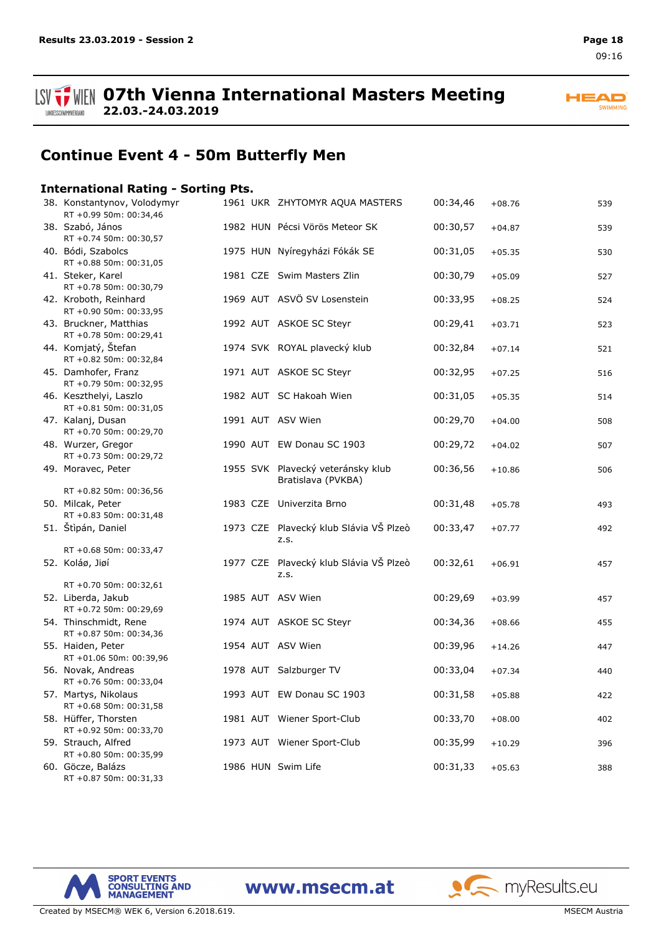**ISV THE OFTH Vienna International Masters Meeting 22.03.-24.03.2019** LANDESSCHWIMMVERBAND

**HEAD** SWIMMING

# **Continue Event 4 - 50m Butterfly Men**

#### **International Rating - Sorting Pts.**

| 38. Konstantynov, Volodymyr<br>RT +0.99 50m: 00:34,46 |  | 1961 UKR ZHYTOMYR AQUA MASTERS                          | 00:34,46 | $+08.76$ | 539 |
|-------------------------------------------------------|--|---------------------------------------------------------|----------|----------|-----|
| 38. Szabó, János<br>RT +0.74 50m: 00:30,57            |  | 1982 HUN Pécsi Vörös Meteor SK                          | 00:30,57 | $+04.87$ | 539 |
| 40. Bódi, Szabolcs<br>RT +0.88 50m: 00:31,05          |  | 1975 HUN Nyíregyházi Fókák SE                           | 00:31,05 | $+05.35$ | 530 |
| 41. Steker, Karel<br>RT +0.78 50m: 00:30,79           |  | 1981 CZE Swim Masters Zlin                              | 00:30,79 | $+05.09$ | 527 |
| 42. Kroboth, Reinhard<br>RT +0.90 50m: 00:33,95       |  | 1969 AUT ASVÖ SV Losenstein                             | 00:33,95 | $+08.25$ | 524 |
| 43. Bruckner, Matthias<br>RT +0.78 50m: 00:29,41      |  | 1992 AUT ASKOE SC Steyr                                 | 00:29,41 | $+03.71$ | 523 |
| 44. Komjatý, Štefan<br>RT +0.82 50m: 00:32,84         |  | 1974 SVK ROYAL plavecký klub                            | 00:32,84 | $+07.14$ | 521 |
| 45. Damhofer, Franz<br>RT +0.79 50m: 00:32,95         |  | 1971 AUT ASKOE SC Steyr                                 | 00:32,95 | $+07.25$ | 516 |
| 46. Keszthelyi, Laszlo<br>RT +0.81 50m: 00:31,05      |  | 1982 AUT SC Hakoah Wien                                 | 00:31,05 | $+05.35$ | 514 |
| 47. Kalanj, Dusan<br>RT +0.70 50m: 00:29,70           |  | 1991 AUT ASV Wien                                       | 00:29,70 | $+04.00$ | 508 |
| 48. Wurzer, Gregor<br>RT +0.73 50m: 00:29,72          |  | 1990 AUT EW Donau SC 1903                               | 00:29,72 | $+04.02$ | 507 |
| 49. Moravec, Peter                                    |  | 1955 SVK Plavecký veteránsky klub<br>Bratislava (PVKBA) | 00:36,56 | $+10.86$ | 506 |
| RT +0.82 50m: 00:36,56                                |  |                                                         |          |          |     |
| 50. Milcak, Peter<br>RT +0.83 50m: 00:31,48           |  | 1983 CZE Univerzita Brno                                | 00:31,48 | $+05.78$ | 493 |
| 51. Štìpán, Daniel                                    |  | 1973 CZE Plavecký klub Slávia VŠ Plzeò<br>Z.S.          | 00:33,47 | $+07.77$ | 492 |
| RT +0.68 50m: 00:33,47                                |  |                                                         |          |          |     |
| 52. Koláø, Jiøí                                       |  | 1977 CZE Plavecký klub Slávia VŠ Plzeò<br>Z.S.          | 00:32,61 | $+06.91$ | 457 |
| RT +0.70 50m: 00:32,61                                |  |                                                         |          |          |     |
| 52. Liberda, Jakub<br>RT +0.72 50m: 00:29,69          |  | 1985 AUT ASV Wien                                       | 00:29,69 | $+03.99$ | 457 |
| 54. Thinschmidt, Rene<br>RT +0.87 50m: 00:34,36       |  | 1974 AUT ASKOE SC Steyr                                 | 00:34,36 | $+08.66$ | 455 |
| 55. Haiden, Peter<br>RT +01.06 50m: 00:39,96          |  | 1954 AUT ASV Wien                                       | 00:39,96 | $+14.26$ | 447 |
| 56. Novak, Andreas<br>RT +0.76 50m: 00:33,04          |  | 1978 AUT Salzburger TV                                  | 00:33,04 | $+07.34$ | 440 |
| 57. Martys, Nikolaus<br>RT +0.68 50m: 00:31,58        |  | 1993 AUT EW Donau SC 1903                               | 00:31,58 | $+05.88$ | 422 |
| 58. Hüffer, Thorsten<br>RT +0.92 50m: 00:33,70        |  | 1981 AUT Wiener Sport-Club                              | 00:33,70 | $+08.00$ | 402 |
| 59. Strauch, Alfred<br>RT +0.80 50m: 00:35,99         |  | 1973 AUT Wiener Sport-Club                              | 00:35,99 | $+10.29$ | 396 |
| 60. Göcze, Balázs<br>RT +0.87 50m: 00:31,33           |  | 1986 HUN Swim Life                                      | 00:31,33 | $+05.63$ | 388 |

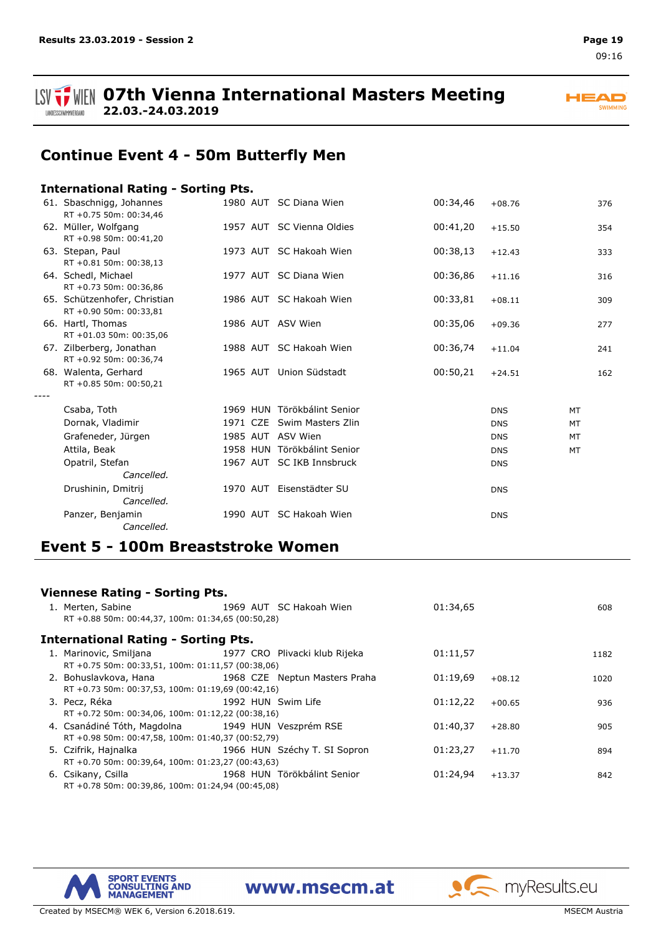



# **Continue Event 4 - 50m Butterfly Men**

#### **International Rating - Sorting Pts.**

|      | 61. Sbaschnigg, Johannes<br>RT +0.75 50m: 00:34,46     |  | 1980 AUT SC Diana Wien      | 00:34,46 | $+08.76$   |           | 376 |
|------|--------------------------------------------------------|--|-----------------------------|----------|------------|-----------|-----|
|      | 62. Müller, Wolfgang<br>RT +0.98 50m: 00:41,20         |  | 1957 AUT SC Vienna Oldies   | 00:41,20 | $+15.50$   |           | 354 |
|      | 63. Stepan, Paul<br>RT +0.81 50m: 00:38,13             |  | 1973 AUT SC Hakoah Wien     | 00:38,13 | $+12.43$   |           | 333 |
|      | 64. Schedl, Michael<br>RT +0.73 50m: 00:36,86          |  | 1977 AUT SC Diana Wien      | 00:36,86 | $+11.16$   |           | 316 |
|      | 65. Schützenhofer, Christian<br>RT +0.90 50m: 00:33,81 |  | 1986 AUT SC Hakoah Wien     | 00:33,81 | $+08.11$   |           | 309 |
|      | 66. Hartl, Thomas<br>RT +01.03 50m: 00:35,06           |  | 1986 AUT ASV Wien           | 00:35,06 | $+09.36$   |           | 277 |
|      | 67. Zilberberg, Jonathan<br>RT +0.92 50m: 00:36,74     |  | 1988 AUT SC Hakoah Wien     | 00:36,74 | $+11.04$   |           | 241 |
|      | 68. Walenta, Gerhard<br>RT +0.85 50m: 00:50,21         |  | 1965 AUT Union Südstadt     | 00:50,21 | $+24.51$   |           | 162 |
| ---- |                                                        |  |                             |          |            |           |     |
|      | Csaba, Toth                                            |  | 1969 HUN Törökbálint Senior |          | <b>DNS</b> | <b>MT</b> |     |
|      | Dornak, Vladimir                                       |  | 1971 CZE Swim Masters Zlin  |          | <b>DNS</b> | MT        |     |
|      | Grafeneder, Jürgen                                     |  | 1985 AUT ASV Wien           |          | <b>DNS</b> | MT        |     |
|      | Attila, Beak                                           |  | 1958 HUN Törökbálint Senior |          | <b>DNS</b> | <b>MT</b> |     |
|      | Opatril, Stefan                                        |  | 1967 AUT SC IKB Innsbruck   |          | <b>DNS</b> |           |     |
|      | Cancelled.                                             |  |                             |          |            |           |     |
|      | Drushinin, Dmitrij<br>Cancelled.                       |  | 1970 AUT Eisenstädter SU    |          | <b>DNS</b> |           |     |
|      | Panzer, Benjamin<br>Cancelled.                         |  | 1990 AUT SC Hakoah Wien     |          | <b>DNS</b> |           |     |

## **Event 5 - 100m Breaststroke Women**

#### **Viennese Rating - Sorting Pts.** 1. Merten, Sabine 1969 AUT SC Hakoah Wien 1969 AUT SC Hakoah Wien 603 RT +0.88 50m: 00:44,37, 100m: 01:34,65 (00:50,28) **International Rating - Sorting Pts.** 1. Marinovic, Smiljana 1977 CRO Plivacki klub Rijeka 01:11,57 1182 RT +0.75 50m: 00:33,51, 100m: 01:11,57 (00:38,06) 2. Bohuslavkova, Hana 1968 CZE Neptun Masters Praha 01:19,69 +08.12 1020 RT +0.73 50m: 00:37,53, 100m: 01:19,69 (00:42,16) 3. Pecz, Réka 1992 HUN Swim Life 01:12,22 +00.65 936 RT +0.72 50m: 00:34,06, 100m: 01:12,22 (00:38,16) 4. Csanádiné Tóth, Magdolna 1949 HUN Veszprém RSE 01:40,37 +28.80 905 RT +0.98 50m: 00:47,58, 100m: 01:40,37 (00:52,79) 5. Czifrik, Hajnalka 1966 HUN Széchy T. SI Sopron 01:23,27 +11.70 894 RT +0.70 50m: 00:39,64, 100m: 01:23,27 (00:43,63) 6. Csikany, Csilla 1968 HUN Törökbálint Senior 01:24,94 +13.37 842 RT +0.78 50m: 00:39,86, 100m: 01:24,94 (00:45,08)

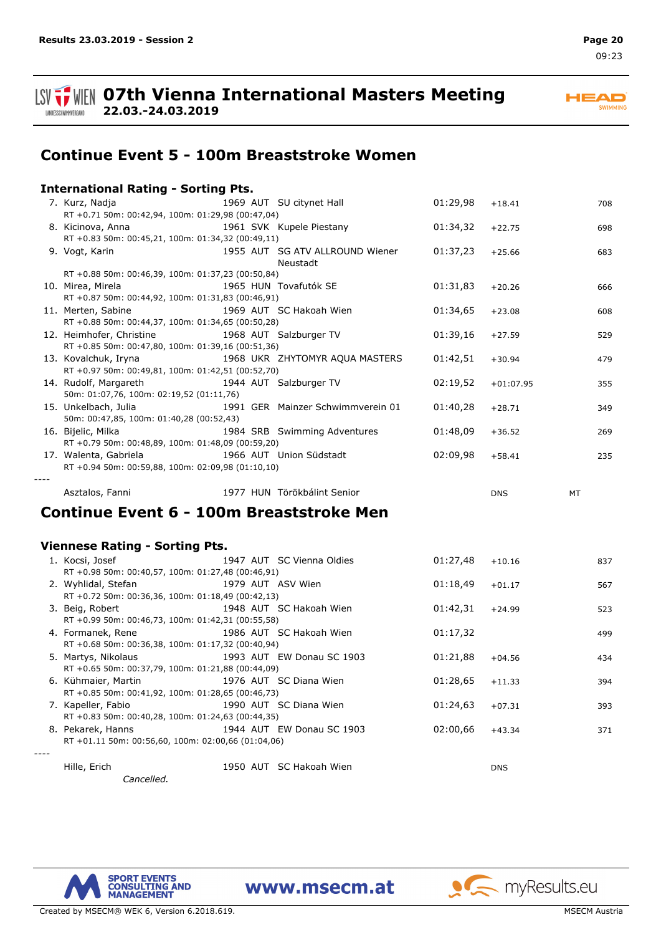



# **Continue Event 5 - 100m Breaststroke Women**

#### **International Rating - Sorting Pts.** 7. Kurz, Nadja 1969 AUT SU citynet Hall 01:29,98 +18.41 708 RT +0.71 50m: 00:42,94, 100m: 01:29,98 (00:47,04) 8. Kicinova, Anna 1961 SVK Kupele Piestany 01:34,32 +22.75 698 RT +0.83 50m: 00:45,21, 100m: 01:34,32 (00:49,11) SG ATV ALLROUND Wiener 9. Vogt, Karin 1955 AUT 01:37,23 +25.66 683 Neustadt RT +0.88 50m: 00:46,39, 100m: 01:37,23 (00:50,84) 10. Mirea, Mirela 1965 HUN Tovafutók SE 01:31,83 +20.26 666 RT +0.87 50m: 00:44,92, 100m: 01:31,83 (00:46,91) 11. Merten, Sabine 1969 AUT SC Hakoah Wien 01:34,65 +23.08 608 RT +0.88 50m: 00:44,37, 100m: 01:34,65 (00:50,28) 12. Heimhofer, Christine 1968 AUT Salzburger TV 01:39,16 +27.59 529 RT +0.85 50m: 00:47,80, 100m: 01:39,16 (00:51,36) 13. Kovalchuk, Iryna 1968 UKR ZHYTOMYR AQUA MASTERS 01:42,51 +30.94 479 RT +0.97 50m: 00:49,81, 100m: 01:42,51 (00:52,70) 14. Rudolf, Margareth 1944 AUT Salzburger TV 02:19,52 +01:07.95 355 50m: 01:07,76, 100m: 02:19,52 (01:11,76) 15. Unkelbach, Julia 1991 GER Mainzer Schwimmverein 01 01:40,28 +28.71 349 50m: 00:47,85, 100m: 01:40,28 (00:52,43) 16. Bijelic, Milka 1984 SRB Swimming Adventures 01:48,09 +36.52 269 RT +0.79 50m: 00:48,89, 100m: 01:48,09 (00:59,20) 17. Walenta, Gabriela 1966 AUT Union Südstadt 02:09,98 +58.41 235 RT +0.94 50m: 00:59,88, 100m: 02:09,98 (01:10,10) *----* Asztalos, Fanni 1977 HUN Törökbálint Senior DNS MT

## **Continue Event 6 - 100m Breaststroke Men**

### **Viennese Rating - Sorting Pts.**

| 1. Kocsi, Josef                                    |  | 1947 AUT SC Vienna Oldies | 01:27,48 | $+10.16$   | 837 |
|----------------------------------------------------|--|---------------------------|----------|------------|-----|
| RT +0.98 50m: 00:40,57, 100m: 01:27,48 (00:46,91)  |  |                           |          |            |     |
| 2. Wyhlidal, Stefan                                |  | 1979 AUT ASV Wien         | 01:18,49 | $+01.17$   | 567 |
| RT +0.72 50m: 00:36,36, 100m: 01:18,49 (00:42,13)  |  |                           |          |            |     |
| 3. Beig, Robert                                    |  | 1948 AUT SC Hakoah Wien   | 01:42,31 | $+24.99$   | 523 |
| RT +0.99 50m: 00:46,73, 100m: 01:42,31 (00:55,58)  |  |                           |          |            |     |
| 4. Formanek, Rene                                  |  | 1986 AUT SC Hakoah Wien   | 01:17,32 |            | 499 |
| RT +0.68 50m: 00:36,38, 100m: 01:17,32 (00:40,94)  |  |                           |          |            |     |
| 5. Martys, Nikolaus                                |  | 1993 AUT EW Donau SC 1903 | 01:21,88 | $+04.56$   | 434 |
| RT +0.65 50m: 00:37,79, 100m: 01:21,88 (00:44,09)  |  |                           |          |            |     |
| 6. Kühmaier, Martin 1976 AUT SC Diana Wien         |  |                           | 01:28,65 | $+11.33$   | 394 |
| RT +0.85 50m: 00:41,92, 100m: 01:28,65 (00:46,73)  |  |                           |          |            |     |
| 1990 AUT SC Diana Wien<br>7. Kapeller, Fabio       |  |                           | 01:24,63 | $+07.31$   | 393 |
| RT +0.83 50m: 00:40,28, 100m: 01:24,63 (00:44,35)  |  |                           |          |            |     |
| 8. Pekarek, Hanns                                  |  | 1944 AUT EW Donau SC 1903 | 02:00,66 | $+43.34$   | 371 |
| RT +01.11 50m: 00:56,60, 100m: 02:00,66 (01:04,06) |  |                           |          |            |     |
|                                                    |  |                           |          |            |     |
| Hille, Erich                                       |  | 1950 AUT SC Hakoah Wien   |          | <b>DNS</b> |     |



**SPORT EVENTS CONSULTING AND MANAGEMENT** 

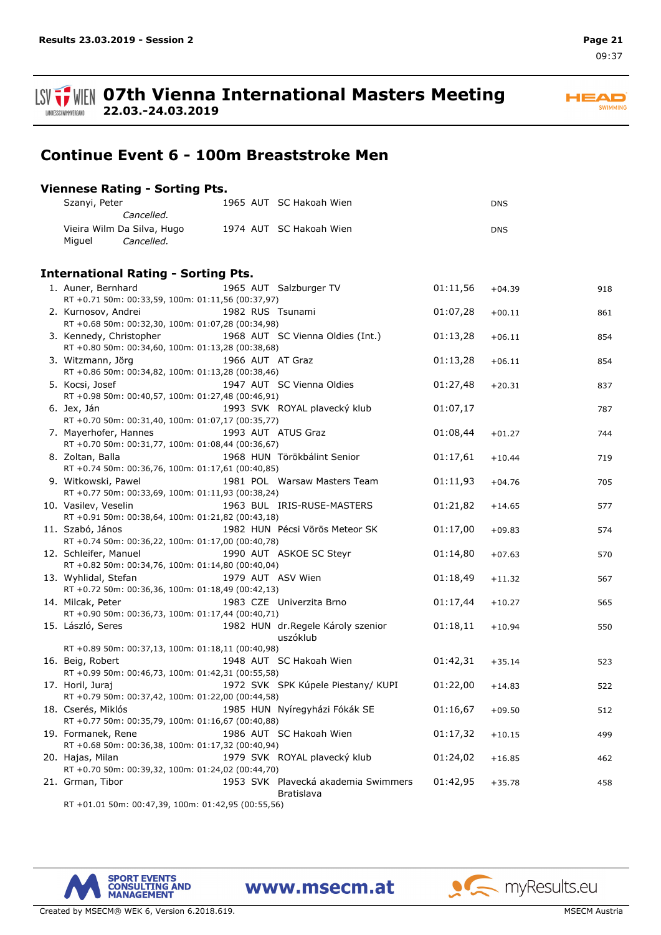**HEAD** SWIMMING

**ISV**  $\frac{1}{2}$  WIEN 07th Vienna International Masters Meeting **22.03.-24.03.2019** LANDESSCHWIMMVERBAND

## **Continue Event 6 - 100m Breaststroke Men**

## **Viennese Rating - Sorting Pts.**

| Szanyi, Peter                                                            |                   | 1965 AUT SC Hakoah Wien                           |          | <b>DNS</b> |     |
|--------------------------------------------------------------------------|-------------------|---------------------------------------------------|----------|------------|-----|
| Cancelled.                                                               |                   |                                                   |          |            |     |
| Vieira Wilm Da Silva, Hugo<br>Miguel<br>Cancelled.                       |                   | 1974 AUT SC Hakoah Wien                           |          | <b>DNS</b> |     |
| <b>International Rating - Sorting Pts.</b>                               |                   |                                                   |          |            |     |
| 1. Auner, Bernhard                                                       |                   | 1965 AUT Salzburger TV                            | 01:11,56 | $+04.39$   | 918 |
| RT +0.71 50m: 00:33,59, 100m: 01:11,56 (00:37,97)                        |                   |                                                   |          |            |     |
| 2. Kurnosov, Andrei                                                      | 1982 RUS Tsunami  |                                                   | 01:07,28 | $+00.11$   | 861 |
| RT +0.68 50m: 00:32,30, 100m: 01:07,28 (00:34,98)                        |                   |                                                   |          |            |     |
| 3. Kennedy, Christopher                                                  |                   | 1968 AUT SC Vienna Oldies (Int.)                  | 01:13,28 | $+06.11$   | 854 |
| RT +0.80 50m: 00:34,60, 100m: 01:13,28 (00:38,68)                        |                   |                                                   |          |            |     |
| 3. Witzmann, Jörg                                                        | 1966 AUT AT Graz  |                                                   | 01:13,28 | $+06.11$   | 854 |
| RT +0.86 50m: 00:34,82, 100m: 01:13,28 (00:38,46)                        |                   |                                                   |          |            |     |
| 5. Kocsi, Josef                                                          |                   | 1947 AUT SC Vienna Oldies                         | 01:27,48 | $+20.31$   | 837 |
| RT +0.98 50m: 00:40,57, 100m: 01:27,48 (00:46,91)                        |                   |                                                   |          |            |     |
| 6. Jex, Ján                                                              |                   | 1993 SVK ROYAL plavecký klub                      | 01:07,17 |            | 787 |
| RT +0.70 50m: 00:31,40, 100m: 01:07,17 (00:35,77)                        |                   |                                                   |          |            |     |
| 7. Mayerhofer, Hannes                                                    |                   | 1993 AUT ATUS Graz                                | 01:08,44 | $+01.27$   | 744 |
| RT +0.70 50m: 00:31,77, 100m: 01:08,44 (00:36,67)                        |                   |                                                   |          |            |     |
| 8. Zoltan, Balla                                                         |                   | 1968 HUN Törökbálint Senior                       | 01:17,61 | $+10.44$   | 719 |
| RT +0.74 50m: 00:36,76, 100m: 01:17,61 (00:40,85)                        |                   |                                                   |          |            |     |
| 9. Witkowski, Pawel<br>RT +0.77 50m: 00:33,69, 100m: 01:11,93 (00:38,24) |                   | 1981 POL Warsaw Masters Team                      | 01:11,93 | $+04.76$   | 705 |
| 10. Vasilev, Veselin                                                     |                   | 1963 BUL IRIS-RUSE-MASTERS                        | 01:21,82 | $+14.65$   | 577 |
| RT +0.91 50m: 00:38,64, 100m: 01:21,82 (00:43,18)                        |                   |                                                   |          |            |     |
| 11. Szabó, János                                                         |                   | 1982 HUN Pécsi Vörös Meteor SK                    | 01:17,00 | $+09.83$   | 574 |
| RT +0.74 50m: 00:36,22, 100m: 01:17,00 (00:40,78)                        |                   |                                                   |          |            |     |
| 12. Schleifer, Manuel                                                    |                   | 1990 AUT ASKOE SC Steyr                           | 01:14,80 | $+07.63$   | 570 |
| RT +0.82 50m: 00:34,76, 100m: 01:14,80 (00:40,04)                        |                   |                                                   |          |            |     |
| 13. Wyhlidal, Stefan                                                     | 1979 AUT ASV Wien |                                                   | 01:18,49 | $+11.32$   | 567 |
| RT +0.72 50m: 00:36,36, 100m: 01:18,49 (00:42,13)                        |                   |                                                   |          |            |     |
| 14. Milcak, Peter                                                        |                   | 1983 CZE Univerzita Brno                          | 01:17,44 | $+10.27$   | 565 |
| RT +0.90 50m: 00:36,73, 100m: 01:17,44 (00:40,71)                        |                   |                                                   |          |            |     |
| 15. László, Seres                                                        |                   | 1982 HUN dr.Regele Károly szenior<br>uszóklub     | 01:18,11 | $+10.94$   | 550 |
| RT +0.89 50m: 00:37,13, 100m: 01:18,11 (00:40,98)                        |                   |                                                   |          |            |     |
| 16. Beig, Robert                                                         |                   | 1948 AUT SC Hakoah Wien                           | 01:42,31 | $+35.14$   | 523 |
| RT +0.99 50m: 00:46,73, 100m: 01:42,31 (00:55,58)                        |                   |                                                   |          |            |     |
| 17. Horil, Juraj                                                         |                   | 1972 SVK SPK Kúpele Piestany/KUPI                 | 01:22,00 | $+14.83$   | 522 |
| RT +0.79 50m: 00:37,42, 100m: 01:22,00 (00:44,58)                        |                   |                                                   |          |            |     |
| 18. Cserés, Miklós                                                       |                   | 1985 HUN Nyíregyházi Fókák SE                     | 01:16,67 | $+09.50$   | 512 |
| RT +0.77 50m: 00:35,79, 100m: 01:16,67 (00:40,88)                        |                   |                                                   |          |            |     |
| 19. Formanek, Rene                                                       |                   | 1986 AUT SC Hakoah Wien                           | 01:17,32 | $+10.15$   | 499 |
| RT +0.68 50m: 00:36,38, 100m: 01:17,32 (00:40,94)                        |                   |                                                   |          |            |     |
| 20. Hajas, Milan                                                         |                   | 1979 SVK ROYAL plavecký klub                      | 01:24,02 | $+16.85$   | 462 |
| RT +0.70 50m: 00:39,32, 100m: 01:24,02 (00:44,70)                        |                   |                                                   |          |            |     |
| 21. Grman, Tibor                                                         |                   | 1953 SVK Plavecká akademia Swimmers<br>Bratislava | 01:42,95 | $+35.78$   | 458 |
|                                                                          |                   |                                                   |          |            |     |





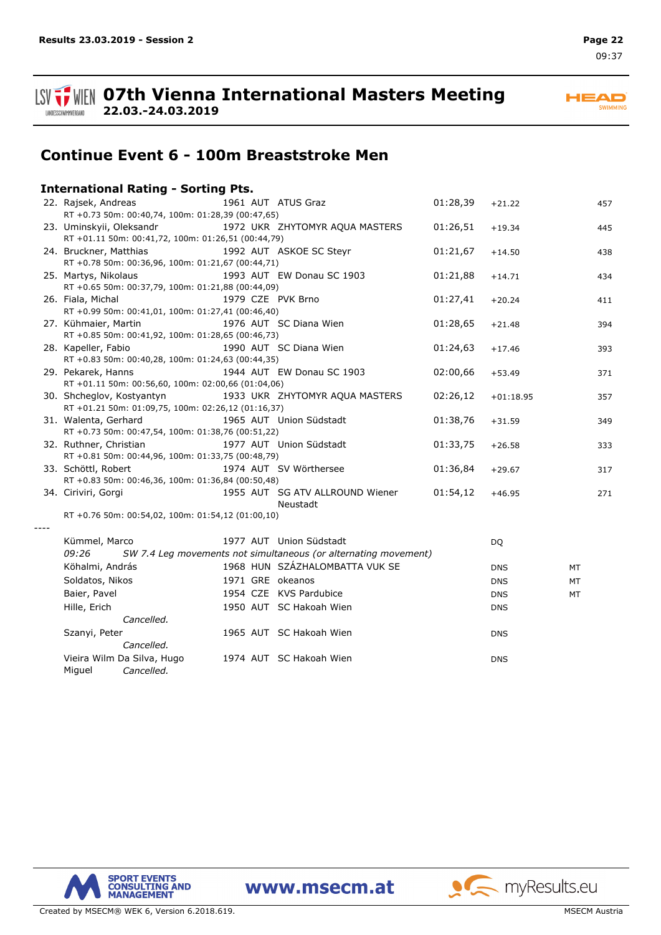

**ISV**  $\frac{1}{2}$  WIEN 07th Vienna International Masters Meeting **22.03.-24.03.2019**

**HEAD** SWIMMING

# **Continue Event 6 - 100m Breaststroke Men**

## **International Rating - Sorting Pts.**

| 22. Rajsek, Andreas<br>RT +0.73 50m: 00:40,74, 100m: 01:28,39 (00:47,65)        |                   | 1961 AUT ATUS Graz                                                                         | 01:28,39 | $+21.22$    | 457 |
|---------------------------------------------------------------------------------|-------------------|--------------------------------------------------------------------------------------------|----------|-------------|-----|
| 23. Uminskyii, Oleksandr<br>RT +01.11 50m: 00:41,72, 100m: 01:26,51 (00:44,79)  |                   | 1972 UKR ZHYTOMYR AQUA MASTERS                                                             | 01:26,51 | $+19.34$    | 445 |
| 24. Bruckner, Matthias<br>RT +0.78 50m: 00:36,96, 100m: 01:21,67 (00:44,71)     |                   | 1992 AUT ASKOE SC Steyr                                                                    | 01:21,67 | $+14.50$    | 438 |
| 25. Martys, Nikolaus<br>RT +0.65 50m: 00:37,79, 100m: 01:21,88 (00:44,09)       |                   | 1993 AUT EW Donau SC 1903                                                                  | 01:21,88 | $+14.71$    | 434 |
| 26. Fiala, Michal<br>RT +0.99 50m: 00:41,01, 100m: 01:27,41 (00:46,40)          | 1979 CZE PVK Brno |                                                                                            | 01:27,41 | $+20.24$    | 411 |
| 27. Kühmaier, Martin<br>RT +0.85 50m: 00:41,92, 100m: 01:28,65 (00:46,73)       |                   | 1976 AUT SC Diana Wien                                                                     | 01:28,65 | $+21.48$    | 394 |
| 28. Kapeller, Fabio<br>RT +0.83 50m: 00:40,28, 100m: 01:24,63 (00:44,35)        |                   | 1990 AUT SC Diana Wien                                                                     | 01:24,63 | $+17.46$    | 393 |
| 29. Pekarek, Hanns<br>RT +01.11 50m: 00:56,60, 100m: 02:00,66 (01:04,06)        |                   | 1944 AUT EW Donau SC 1903                                                                  | 02:00,66 | $+53.49$    | 371 |
| 30. Shcheglov, Kostyantyn<br>RT +01.21 50m: 01:09,75, 100m: 02:26,12 (01:16,37) |                   | 1933 UKR ZHYTOMYR AQUA MASTERS                                                             | 02:26,12 | $+01:18.95$ | 357 |
| 31. Walenta, Gerhard<br>RT +0.73 50m: 00:47,54, 100m: 01:38,76 (00:51,22)       |                   | 1965 AUT Union Südstadt                                                                    | 01:38,76 | $+31.59$    | 349 |
| 32. Ruthner, Christian<br>RT +0.81 50m: 00:44,96, 100m: 01:33,75 (00:48,79)     |                   | 1977 AUT Union Südstadt                                                                    | 01:33,75 | $+26.58$    | 333 |
| 33. Schöttl, Robert<br>RT +0.83 50m: 00:46,36, 100m: 01:36,84 (00:50,48)        |                   | 1974 AUT SV Wörthersee                                                                     | 01:36,84 | $+29.67$    | 317 |
| 34. Ciriviri, Gorgi                                                             |                   | 1955 AUT SG ATV ALLROUND Wiener<br>Neustadt                                                | 01:54,12 | $+46.95$    | 271 |
| RT +0.76 50m: 00:54,02, 100m: 01:54,12 (01:00,10)                               |                   |                                                                                            |          |             |     |
| Kümmel, Marco<br>09:26                                                          |                   | 1977 AUT Union Südstadt<br>SW 7.4 Leg movements not simultaneous (or alternating movement) |          | <b>DQ</b>   |     |
| Köhalmi, András                                                                 |                   | 1968 HUN SZÁZHALOMBATTA VUK SE                                                             |          | <b>DNS</b>  | MT  |
| Soldatos, Nikos                                                                 | 1971 GRE okeanos  |                                                                                            |          | <b>DNS</b>  | MT  |
| Baier, Pavel                                                                    |                   | 1954 CZE KVS Pardubice                                                                     |          | <b>DNS</b>  | MT  |
| Hille, Erich<br>Cancelled.                                                      |                   | 1950 AUT SC Hakoah Wien                                                                    |          | <b>DNS</b>  |     |
| Szanyi, Peter<br>Cancelled.                                                     |                   | 1965 AUT SC Hakoah Wien                                                                    |          | <b>DNS</b>  |     |
| Vieira Wilm Da Silva, Hugo<br>Miguel<br>Cancelled.                              |                   | 1974 AUT SC Hakoah Wien                                                                    |          | <b>DNS</b>  |     |

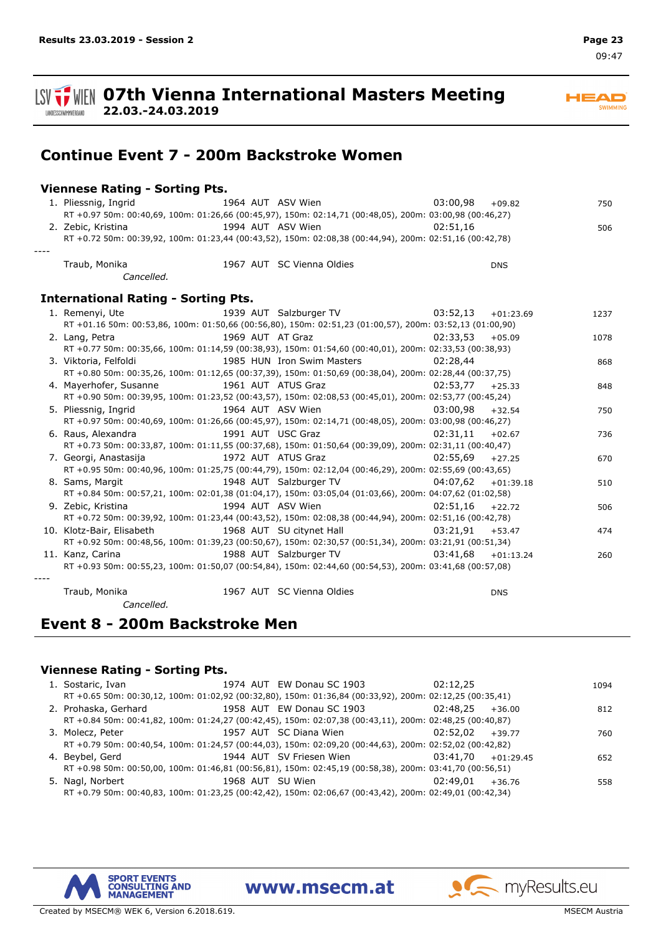**HEAD** SWIMMING

**ISV**  $\frac{1}{2}$  WIEN 07th Vienna International Masters Meeting **22.03.-24.03.2019** LANDESSCHWIMMVERBAND

**Continue Event 7 - 200m Backstroke Women**

### **Viennese Rating - Sorting Pts.**

| 1. Pliessnig, Ingrid                       |  | 1964 AUT ASV Wien                                                                                        | 03:00,98             | $+09.82$    | 750  |
|--------------------------------------------|--|----------------------------------------------------------------------------------------------------------|----------------------|-------------|------|
|                                            |  | RT +0.97 50m: 00:40,69, 100m: 01:26,66 (00:45,97), 150m: 02:14,71 (00:48,05), 200m: 03:00,98 (00:46,27)  |                      |             |      |
| 2. Zebic, Kristina                         |  | 1994 AUT ASV Wien                                                                                        | 02:51.16             |             | 506  |
|                                            |  | RT +0.72 50m: 00:39,92, 100m: 01:23,44 (00:43,52), 150m: 02:08,38 (00:44,94), 200m: 02:51,16 (00:42,78)  |                      |             |      |
|                                            |  |                                                                                                          |                      |             |      |
| Traub, Monika                              |  | 1967 AUT SC Vienna Oldies                                                                                |                      | <b>DNS</b>  |      |
| Cancelled.                                 |  |                                                                                                          |                      |             |      |
| <b>International Rating - Sorting Pts.</b> |  |                                                                                                          |                      |             |      |
| 1. Remenyi, Ute                            |  | 1939 AUT Salzburger TV 03:52,13                                                                          |                      | $+01:23.69$ | 1237 |
|                                            |  | RT +01.16 50m: 00:53,86, 100m: 01:50,66 (00:56,80), 150m: 02:51,23 (01:00,57), 200m: 03:52,13 (01:00,90) |                      |             |      |
| 2. Lang, Petra                             |  | 1969 AUT AT Graz                                                                                         | 02:33,53             | $+05.09$    | 1078 |
|                                            |  | RT +0.77 50m: 00:35,66, 100m: 01:14,59 (00:38,93), 150m: 01:54,60 (00:40,01), 200m: 02:33,53 (00:38,93)  |                      |             |      |
| 3. Viktoria, Felfoldi                      |  | 1985 HUN Iron Swim Masters                                                                               | 02:28.44             |             | 868  |
|                                            |  | RT +0.80 50m: 00:35,26, 100m: 01:12,65 (00:37,39), 150m: 01:50,69 (00:38,04), 200m: 02:28,44 (00:37,75)  |                      |             |      |
| 4. Maverhofer, Susanne                     |  | 1961 AUT ATUS Graz                                                                                       | 02:53.77             | $+25.33$    | 848  |
|                                            |  | RT +0.90 50m: 00:39,95, 100m: 01:23,52 (00:43,57), 150m: 02:08,53 (00:45,01), 200m: 02:53,77 (00:45,24)  |                      |             |      |
| 5. Pliessnig, Ingrid                       |  | 1964 AUT ASV Wien                                                                                        | 03:00.98             | $+32.54$    | 750  |
|                                            |  | RT +0.97 50m: 00:40,69, 100m: 01:26,66 (00:45,97), 150m: 02:14,71 (00:48,05), 200m: 03:00,98 (00:46,27)  |                      |             |      |
| 6. Raus, Alexandra                         |  | 1991 AUT USC Graz                                                                                        | 02:31.11             | $+02.67$    | 736  |
|                                            |  | RT +0.73 50m: 00:33,87, 100m: 01:11,55 (00:37,68), 150m: 01:50,64 (00:39,09), 200m: 02:31,11 (00:40,47)  |                      |             |      |
| 7. Georgi, Anastasija                      |  | 1972 AUT ATUS Graz                                                                                       | 02:55,69             | $+27.25$    | 670  |
|                                            |  | RT +0.95 50m: 00:40,96, 100m: 01:25,75 (00:44,79), 150m: 02:12,04 (00:46,29), 200m: 02:55,69 (00:43,65)  |                      |             |      |
| 8. Sams, Margit                            |  | 1948 AUT Salzburger TV                                                                                   | $04:07,62$ +01:39.18 |             | 510  |
|                                            |  | RT +0.84 50m: 00:57,21, 100m: 02:01,38 (01:04,17), 150m: 03:05,04 (01:03,66), 200m: 04:07,62 (01:02,58)  |                      |             |      |
| 9. Zebic, Kristina                         |  | 1994 AUT ASV Wien                                                                                        | 02:51,16             | $+22.72$    | 506  |
|                                            |  | RT +0.72 50m: 00:39,92, 100m: 01:23,44 (00:43,52), 150m: 02:08,38 (00:44,94), 200m: 02:51,16 (00:42,78)  |                      |             |      |
| 10. Klotz-Bair, Elisabeth                  |  | 1968 AUT SU citynet Hall                                                                                 | $03:21,91$ +53.47    |             | 474  |
|                                            |  | RT +0.92 50m: 00:48,56, 100m: 01:39,23 (00:50,67), 150m: 02:30,57 (00:51,34), 200m: 03:21,91 (00:51,34)  |                      |             |      |
| 11. Kanz, Carina                           |  | 1988 AUT Salzburger TV                                                                                   | 03:41.68             | $+01:13.24$ | 260  |
|                                            |  | RT +0.93 50m: 00:55,23, 100m: 01:50,07 (00:54,84), 150m: 02:44,60 (00:54,53), 200m: 03:41,68 (00:57,08)  |                      |             |      |
|                                            |  |                                                                                                          |                      |             |      |
| Traub, Monika                              |  | 1967 AUT SC Vienna Oldies                                                                                |                      | <b>DNS</b>  |      |
| Cancelled.                                 |  |                                                                                                          |                      |             |      |

## **Event 8 - 200m Backstroke Men**

#### **Viennese Rating - Sorting Pts.**

| 1. Sostaric, Ivan                                                                                       | 1974 AUT EW Donau SC 1903                        | 02:12.25           |          | 1094 |
|---------------------------------------------------------------------------------------------------------|--------------------------------------------------|--------------------|----------|------|
| RT +0.65 50m: 00:30,12, 100m: 01:02,92 (00:32,80), 150m: 01:36,84 (00:33,92), 200m: 02:12,25 (00:35,41) |                                                  |                    |          |      |
| 2. Prohaska, Gerhard 1958 AUT EW Donau SC 1903                                                          |                                                  | 02:48.25           | $+36.00$ | 812  |
| RT +0.84 50m: 00:41,82, 100m: 01:24,27 (00:42,45), 150m: 02:07,38 (00:43,11), 200m: 02:48,25 (00:40,87) |                                                  |                    |          |      |
| 3. Molecz, Peter                                                                                        | 1957 AUT SC Diana Wien                           | $02:52.02 + 39.77$ |          | 760  |
| RT +0.79 50m: 00:40,54, 100m: 01:24,57 (00:44,03), 150m: 02:09,20 (00:44,63), 200m: 02:52,02 (00:42,82) |                                                  |                    |          |      |
| 4. Beybel, Gerd                                                                                         | 1944 AUT SV Friesen Wien<br>$03:41.70 +01:29.45$ |                    |          | 652  |
| RT +0.98 50m: 00:50,00, 100m: 01:46,81 (00:56,81), 150m: 02:45,19 (00:58,38), 200m: 03:41,70 (00:56,51) |                                                  |                    |          |      |
| 5. Nagl, Norbert                                                                                        | 1968 AUT SU Wien                                 | 02:49.01           | $+36.76$ | 558  |
| RT +0.79 50m: 00:40,83, 100m: 01:23,25 (00:42,42), 150m: 02:06,67 (00:43,42), 200m: 02:49,01 (00:42,34) |                                                  |                    |          |      |

www.msecm.at



myResults.eu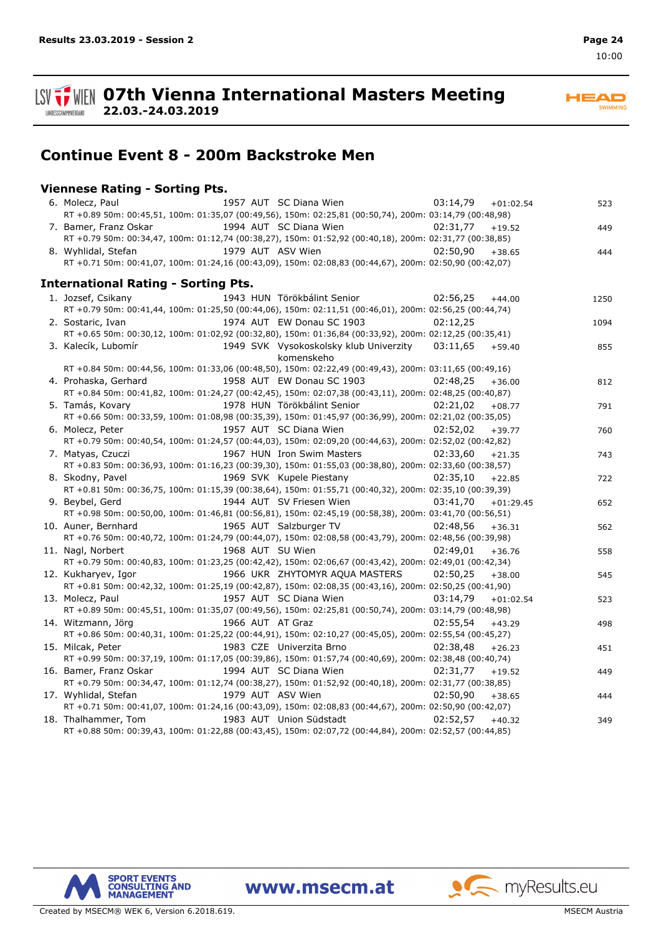

**HEAD** SWIMMING

**Continue Event 8 - 200m Backstroke Men**

### **Viennese Rating - Sorting Pts.**

**22.03.-24.03.2019**

| 1957 AUT SC Diana Wien<br>6. Molecz, Paul                                                               | 03:14,79 | $+01:02.54$ | 523  |
|---------------------------------------------------------------------------------------------------------|----------|-------------|------|
| RT +0.89 50m: 00:45,51, 100m: 01:35,07 (00:49,56), 150m: 02:25,81 (00:50,74), 200m: 03:14,79 (00:48,98) |          |             |      |
| 1994 AUT SC Diana Wien<br>7. Bamer, Franz Oskar                                                         | 02:31,77 | $+19.52$    | 449  |
| RT +0.79 50m: 00:34,47, 100m: 01:12,74 (00:38,27), 150m: 01:52,92 (00:40,18), 200m: 02:31,77 (00:38,85) |          |             |      |
| 1979 AUT ASV Wien<br>8. Wyhlidal, Stefan                                                                | 02:50.90 | $+38.65$    | 444  |
| RT +0.71 50m: 00:41,07, 100m: 01:24,16 (00:43,09), 150m: 02:08,83 (00:44,67), 200m: 02:50,90 (00:42,07) |          |             |      |
| <b>International Rating - Sorting Pts.</b>                                                              |          |             |      |
|                                                                                                         |          |             |      |
| 1. Jozsef, Csikany<br>1943 HUN Törökbálint Senior                                                       | 02:56.25 | $+44.00$    | 1250 |
| RT +0.79 50m: 00:41,44, 100m: 01:25,50 (00:44,06), 150m: 02:11,51 (00:46,01), 200m: 02:56,25 (00:44,74) |          |             |      |
| 1974 AUT EW Donau SC 1903<br>2. Sostaric, Ivan                                                          | 02:12.25 |             | 1094 |
| RT +0.65 50m: 00:30,12, 100m: 01:02,92 (00:32,80), 150m: 01:36,84 (00:33,92), 200m: 02:12,25 (00:35,41) |          |             |      |
| 1949 SVK Vysokoskolsky klub Univerzity 03:11,65<br>3. Kalecík, Lubomír<br>komenskeho                    |          | $+59.40$    | 855  |
| RT +0.84 50m: 00:44,56, 100m: 01:33,06 (00:48,50), 150m: 02:22,49 (00:49,43), 200m: 03:11,65 (00:49,16) |          |             |      |
| 1958 AUT EW Donau SC 1903<br>4. Prohaska, Gerhard                                                       | 02:48.25 | $+36.00$    | 812  |
| RT +0.84 50m: 00:41,82, 100m: 01:24,27 (00:42,45), 150m: 02:07,38 (00:43,11), 200m: 02:48,25 (00:40,87) |          |             |      |
| 5. Tamás, Kovary<br>1978 HUN Törökbálint Senior                                                         | 02:21,02 | $+08.77$    | 791  |
| RT +0.66 50m: 00:33,59, 100m: 01:08,98 (00:35,39), 150m: 01:45,97 (00:36,99), 200m: 02:21,02 (00:35,05) |          |             |      |
| 1957 AUT SC Diana Wien<br>6. Molecz, Peter                                                              | 02:52,02 | $+39.77$    | 760  |
| RT +0.79 50m: 00:40,54, 100m: 01:24,57 (00:44,03), 150m: 02:09,20 (00:44,63), 200m: 02:52,02 (00:42,82) |          |             |      |
| 1967 HUN Iron Swim Masters<br>7. Matyas, Czuczi                                                         | 02:33.60 | $+21.35$    | 743  |
| RT +0.83 50m: 00:36,93, 100m: 01:16,23 (00:39,30), 150m: 01:55,03 (00:38,80), 200m: 02:33,60 (00:38,57) |          |             |      |
| 1969 SVK Kupele Piestany<br>8. Skodny, Pavel                                                            | 02:35,10 | $+22.85$    | 722  |
| RT +0.81 50m: 00:36,75, 100m: 01:15,39 (00:38,64), 150m: 01:55,71 (00:40,32), 200m: 02:35,10 (00:39,39) |          |             |      |
| 9. Beybel, Gerd<br>1944 AUT SV Friesen Wien                                                             | 03:41.70 | $+01:29.45$ | 652  |
| RT +0.98 50m: 00:50,00, 100m: 01:46,81 (00:56,81), 150m: 02:45,19 (00:58,38), 200m: 03:41,70 (00:56,51) |          |             |      |
| 1965 AUT Salzburger TV<br>10. Auner, Bernhard                                                           | 02:48.56 | $+36.31$    | 562  |
| RT +0.76 50m: 00:40,72, 100m: 01:24,79 (00:44,07), 150m: 02:08,58 (00:43,79), 200m: 02:48,56 (00:39,98) |          |             |      |
| 1968 AUT SU Wien<br>11. Nagl, Norbert                                                                   | 02:49,01 | $+36.76$    | 558  |
| RT +0.79 50m: 00:40,83, 100m: 01:23,25 (00:42,42), 150m: 02:06,67 (00:43,42), 200m: 02:49,01 (00:42,34) |          |             |      |
| 1966 UKR ZHYTOMYR AQUA MASTERS<br>12. Kukharyev, Igor                                                   | 02:50,25 | $+38.00$    | 545  |
| RT +0.81 50m: 00:42,32, 100m: 01:25,19 (00:42,87), 150m: 02:08,35 (00:43,16), 200m: 02:50,25 (00:41,90) |          |             |      |
| 1957 AUT SC Diana Wien<br>13. Molecz, Paul                                                              | 03:14.79 | $+01:02.54$ | 523  |
| RT +0.89 50m: 00:45,51, 100m: 01:35,07 (00:49,56), 150m: 02:25,81 (00:50,74), 200m: 03:14,79 (00:48,98) |          |             |      |
| 1966 AUT AT Graz<br>14. Witzmann, Jörg                                                                  | 02:55,54 | $+43.29$    | 498  |
| RT +0.86 50m: 00:40,31, 100m: 01:25,22 (00:44,91), 150m: 02:10,27 (00:45,05), 200m: 02:55,54 (00:45,27) |          |             |      |
| 15. Milcak, Peter<br>1983 CZE Univerzita Brno                                                           | 02:38.48 | $+26.23$    | 451  |
| RT +0.99 50m: 00:37,19, 100m: 01:17,05 (00:39,86), 150m: 01:57,74 (00:40,69), 200m: 02:38,48 (00:40,74) |          |             |      |
| 1994 AUT SC Diana Wien<br>16. Bamer, Franz Oskar                                                        | 02:31,77 | $+19.52$    | 449  |
| RT +0.79 50m: 00:34,47, 100m: 01:12,74 (00:38,27), 150m: 01:52,92 (00:40,18), 200m: 02:31,77 (00:38,85) |          |             |      |
| 1979 AUT ASV Wien<br>17. Wyhlidal, Stefan                                                               | 02:50,90 | $+38.65$    | 444  |
| RT +0.71 50m: 00:41,07, 100m: 01:24,16 (00:43,09), 150m: 02:08,83 (00:44,67), 200m: 02:50,90 (00:42,07) |          |             |      |
| 1983 AUT Union Südstadt<br>18. Thalhammer, Tom                                                          | 02:52.57 | $+40.32$    | 349  |
| RT +0.88 50m: 00:39,43, 100m: 01:22,88 (00:43,45), 150m: 02:07,72 (00:44,84), 200m: 02:52,57 (00:44,85) |          |             |      |

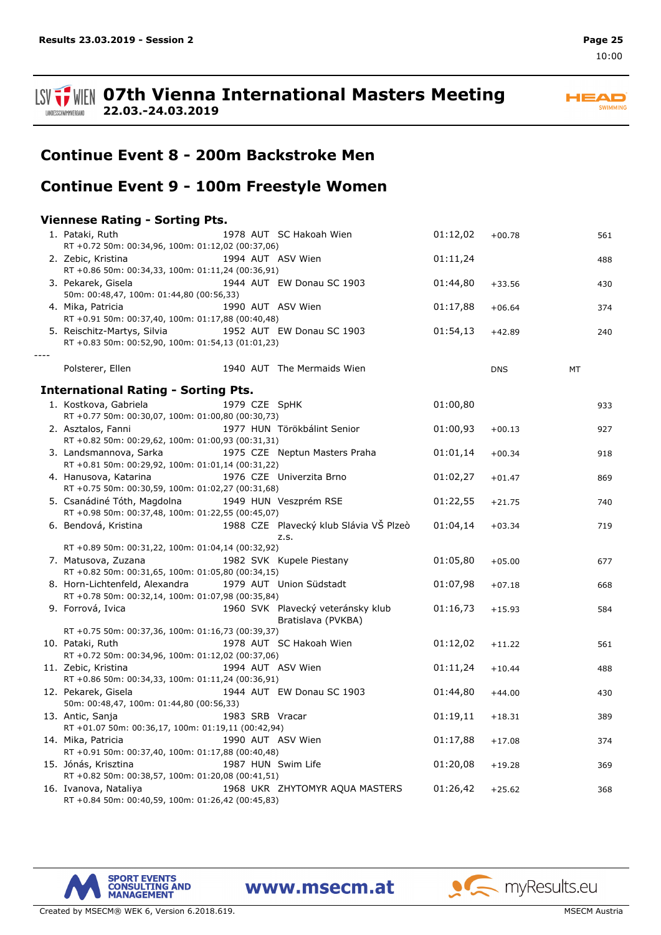#### **ISV**  $\frac{1}{2}$  WIEN 07th Vienna International Masters Meeting **22.03.-24.03.2019** LANDESSCHWIMMVERBAND



# **Continue Event 8 - 200m Backstroke Men**

# **Continue Event 9 - 100m Freestyle Women**

### **Viennese Rating - Sorting Pts.**

| 1. Pataki, Ruth<br>RT +0.72 50m: 00:34,96, 100m: 01:12,02 (00:37,06)             |                 | 1978 AUT SC Hakoah Wien                        | 01:12,02 | $+00.78$   | 561       |
|----------------------------------------------------------------------------------|-----------------|------------------------------------------------|----------|------------|-----------|
|                                                                                  |                 |                                                |          |            |           |
| 2. Zebic, Kristina<br>RT +0.86 50m: 00:34,33, 100m: 01:11,24 (00:36,91)          |                 | 1994 AUT ASV Wien                              | 01:11,24 |            | 488       |
| 3. Pekarek, Gisela                                                               |                 | 1944 AUT EW Donau SC 1903                      | 01:44,80 | $+33.56$   | 430       |
| 50m: 00:48,47, 100m: 01:44,80 (00:56,33)                                         |                 |                                                |          |            |           |
| 4. Mika, Patricia                                                                |                 | 1990 AUT ASV Wien                              | 01:17,88 | $+06.64$   | 374       |
| RT +0.91 50m: 00:37,40, 100m: 01:17,88 (00:40,48)                                |                 |                                                |          |            |           |
| 5. Reischitz-Martys, Silvia<br>RT +0.83 50m: 00:52,90, 100m: 01:54,13 (01:01,23) |                 | 1952 AUT EW Donau SC 1903                      | 01:54,13 | $+42.89$   | 240       |
|                                                                                  |                 |                                                |          |            |           |
| Polsterer, Ellen                                                                 |                 | 1940 AUT The Mermaids Wien                     |          | <b>DNS</b> | <b>MT</b> |
| <b>International Rating - Sorting Pts.</b>                                       |                 |                                                |          |            |           |
|                                                                                  | 1979 CZE SpHK   |                                                | 01:00,80 |            |           |
| 1. Kostkova, Gabriela<br>RT +0.77 50m: 00:30,07, 100m: 01:00,80 (00:30,73)       |                 |                                                |          |            | 933       |
| 2. Asztalos, Fanni                                                               |                 | 1977 HUN Törökbálint Senior                    | 01:00,93 |            |           |
| RT +0.82 50m: 00:29,62, 100m: 01:00,93 (00:31,31)                                |                 |                                                |          | $+00.13$   | 927       |
| 3. Landsmannova, Sarka                                                           |                 | 1975 CZE Neptun Masters Praha                  | 01:01,14 |            |           |
| RT +0.81 50m: 00:29,92, 100m: 01:01,14 (00:31,22)                                |                 |                                                |          | $+00.34$   | 918       |
| 4. Hanusova, Katarina                                                            |                 | 1976 CZE Univerzita Brno                       | 01:02,27 |            |           |
| RT +0.75 50m: 00:30,59, 100m: 01:02,27 (00:31,68)                                |                 |                                                |          | $+01.47$   | 869       |
| 5. Csanádiné Tóth, Magdolna                                                      |                 | 1949 HUN Veszprém RSE                          | 01:22,55 | $+21.75$   | 740       |
| RT +0.98 50m: 00:37,48, 100m: 01:22,55 (00:45,07)                                |                 |                                                |          |            |           |
| 6. Bendová, Kristina                                                             |                 | 1988 CZE Plavecký klub Slávia VŠ Plzeò<br>Z.S. | 01:04,14 | $+03.34$   | 719       |
| RT +0.89 50m: 00:31,22, 100m: 01:04,14 (00:32,92)                                |                 |                                                |          |            |           |
| 7. Matusova, Zuzana                                                              |                 | 1982 SVK Kupele Piestany                       | 01:05,80 | $+05.00$   | 677       |
| RT +0.82 50m: 00:31,65, 100m: 01:05,80 (00:34,15)                                |                 |                                                |          |            |           |
| 8. Horn-Lichtenfeld, Alexandra                                                   |                 | 1979 AUT Union Südstadt                        | 01:07,98 | $+07.18$   | 668       |
| RT +0.78 50m: 00:32,14, 100m: 01:07,98 (00:35,84)                                |                 |                                                |          |            |           |
| 9. Forrová, Ivica                                                                |                 | 1960 SVK Plavecký veteránsky klub              | 01:16,73 | $+15.93$   | 584       |
|                                                                                  |                 | Bratislava (PVKBA)                             |          |            |           |
| RT +0.75 50m: 00:37,36, 100m: 01:16,73 (00:39,37)                                |                 |                                                |          |            |           |
| 10. Pataki, Ruth                                                                 |                 | 1978 AUT SC Hakoah Wien                        | 01:12,02 | $+11.22$   | 561       |
| RT +0.72 50m: 00:34,96, 100m: 01:12,02 (00:37,06)                                |                 |                                                |          |            |           |
| 11. Zebic, Kristina                                                              |                 | 1994 AUT ASV Wien                              | 01:11,24 | $+10.44$   | 488       |
| RT +0.86 50m: 00:34,33, 100m: 01:11,24 (00:36,91)                                |                 |                                                |          |            |           |
| 12. Pekarek, Gisela                                                              |                 | 1944 AUT EW Donau SC 1903                      | 01:44,80 | $+44.00$   | 430       |
| 50m: 00:48,47, 100m: 01:44,80 (00:56,33)                                         |                 |                                                |          |            |           |
| 13. Antic, Sanja                                                                 | 1983 SRB Vracar |                                                | 01:19,11 | $+18.31$   | 389       |
| RT +01.07 50m: 00:36,17, 100m: 01:19,11 (00:42,94)                               |                 |                                                |          |            |           |
| 14. Mika, Patricia                                                               |                 | 1990 AUT ASV Wien                              | 01:17,88 | $+17.08$   | 374       |
| RT +0.91 50m: 00:37,40, 100m: 01:17,88 (00:40,48)                                |                 |                                                |          |            |           |
| 15. Jónás, Krisztina                                                             |                 | 1987 HUN Swim Life                             | 01:20,08 | $+19.28$   | 369       |
| RT +0.82 50m: 00:38,57, 100m: 01:20,08 (00:41,51)                                |                 |                                                |          |            |           |
| 16. Ivanova, Nataliya                                                            |                 | 1968 UKR ZHYTOMYR AQUA MASTERS                 | 01:26,42 | $+25.62$   | 368       |
| RT +0.84 50m: 00:40,59, 100m: 01:26,42 (00:45,83)                                |                 |                                                |          |            |           |



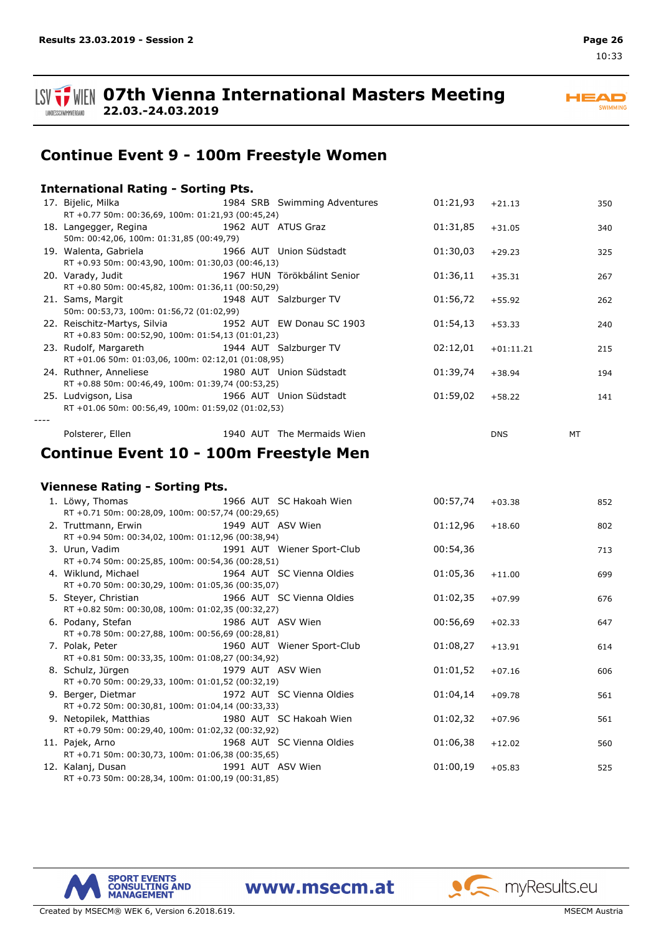

**ISV**  $\frac{1}{2}$  WIEN 07th Vienna International Masters Meeting **22.03.-24.03.2019**

**HEAD SWIMMING** 

# **Continue Event 9 - 100m Freestyle Women**

| <b>International Rating - Sorting Pts.</b> |  |  |  |
|--------------------------------------------|--|--|--|
|--------------------------------------------|--|--|--|

| 17. Bijelic, Milka                                                      |  | 1984 SRB Swimming Adventures | 01:21,93 | $+21.13$    | 350 |
|-------------------------------------------------------------------------|--|------------------------------|----------|-------------|-----|
| RT +0.77 50m: 00:36,69, 100m: 01:21,93 (00:45,24)                       |  |                              |          |             |     |
| 18. Langegger, Regina 1962 AUT ATUS Graz                                |  |                              | 01:31,85 | $+31.05$    | 340 |
| 50m: 00:42,06, 100m: 01:31,85 (00:49,79)                                |  |                              |          |             |     |
| 19. Walenta, Gabriela and the same state of the 1966 AUT Union Südstadt |  |                              | 01:30,03 | $+29.23$    | 325 |
| RT +0.93 50m: 00:43,90, 100m: 01:30,03 (00:46,13)                       |  |                              |          |             |     |
| 20. Varady, Judit 1967 HUN Törökbálint Senior                           |  |                              | 01:36,11 | $+35.31$    | 267 |
| RT +0.80 50m: 00:45,82, 100m: 01:36,11 (00:50,29)                       |  |                              |          |             |     |
| 21. Sams, Margit 1948 AUT Salzburger TV                                 |  |                              | 01:56,72 | $+55.92$    | 262 |
| 50m: 00:53,73, 100m: 01:56,72 (01:02,99)                                |  |                              |          |             |     |
| 22. Reischitz-Martys, Silvia 1952 AUT EW Donau SC 1903                  |  |                              | 01:54,13 | $+53.33$    | 240 |
| RT +0.83 50m: 00:52,90, 100m: 01:54,13 (01:01,23)                       |  |                              |          |             |     |
| 23. Rudolf, Margareth 1944 AUT Salzburger TV                            |  |                              | 02:12,01 | $+01:11.21$ | 215 |
| RT +01.06 50m: 01:03,06, 100m: 02:12,01 (01:08,95)                      |  |                              |          |             |     |
| 24. Ruthner, Anneliese 1980 AUT Union Südstadt                          |  |                              | 01:39,74 | $+38.94$    | 194 |
| RT +0.88 50m: 00:46,49, 100m: 01:39,74 (00:53,25)                       |  |                              |          |             |     |
| 25. Ludvigson, Lisa 1966 AUT Union Südstadt                             |  |                              | 01:59,02 | +58.22      | 141 |
| RT +01.06 50m: 00:56,49, 100m: 01:59,02 (01:02,53)                      |  |                              |          |             |     |
|                                                                         |  |                              |          |             |     |
| Polsterer, Ellen                                                        |  | 1940 AUT The Mermaids Wien   |          | <b>DNS</b>  | MT  |

## **Continue Event 10 - 100m Freestyle Men**

#### **Viennese Rating - Sorting Pts.**

| 1. Löwy, Thomas 1966 AUT SC Hakoah Wien                           |  | 00:57,74 | $+03.38$ | 852 |
|-------------------------------------------------------------------|--|----------|----------|-----|
| RT +0.71 50m: 00:28,09, 100m: 00:57,74 (00:29,65)                 |  |          |          |     |
| 2. Truttmann, Erwin 1949 AUT ASV Wien                             |  | 01:12,96 | $+18.60$ | 802 |
| RT +0.94 50m: 00:34,02, 100m: 01:12,96 (00:38,94)                 |  |          |          |     |
| 3. Urun, Vadim North States and States 1991 AUT Wiener Sport-Club |  | 00:54,36 |          | 713 |
| RT +0.74 50m: 00:25,85, 100m: 00:54,36 (00:28,51)                 |  |          |          |     |
| 4. Wiklund, Michael 1964 AUT SC Vienna Oldies                     |  | 01:05,36 | $+11.00$ | 699 |
| RT +0.70 50m: 00:30,29, 100m: 01:05,36 (00:35,07)                 |  |          |          |     |
| 5. Steyer, Christian 1966 AUT SC Vienna Oldies                    |  | 01:02,35 | $+07.99$ | 676 |
| RT +0.82 50m: 00:30,08, 100m: 01:02,35 (00:32,27)                 |  |          |          |     |
| 6. Podany, Stefan 1986 AUT ASV Wien                               |  | 00:56,69 | $+02.33$ | 647 |
| RT +0.78 50m: 00:27,88, 100m: 00:56,69 (00:28,81)                 |  |          |          |     |
| 7. Polak, Peter 1960 AUT Wiener Sport-Club                        |  | 01:08,27 | $+13.91$ | 614 |
| RT +0.81 50m: 00:33,35, 100m: 01:08,27 (00:34,92)                 |  |          |          |     |
| 8. Schulz, Jürgen 1979 AUT ASV Wien                               |  | 01:01,52 | $+07.16$ | 606 |
| RT +0.70 50m: 00:29,33, 100m: 01:01,52 (00:32,19)                 |  |          |          |     |
| 9. Berger, Dietmar 1972 AUT SC Vienna Oldies                      |  | 01:04,14 | $+09.78$ | 561 |
| RT +0.72 50m: 00:30,81, 100m: 01:04,14 (00:33,33)                 |  |          |          |     |
| 9. Netopilek, Matthias 1980 AUT SC Hakoah Wien                    |  | 01:02,32 | $+07.96$ | 561 |
| RT +0.79 50m: 00:29,40, 100m: 01:02,32 (00:32,92)                 |  |          |          |     |
| 1968 AUT SC Vienna Oldies<br>11. Pajek, Arno                      |  | 01:06,38 | $+12.02$ | 560 |
| RT +0.71 50m: 00:30,73, 100m: 01:06,38 (00:35,65)                 |  |          |          |     |
| 1991 AUT ASV Wien<br>12. Kalanj, Dusan                            |  | 01:00,19 | $+05.83$ | 525 |
| RT +0.73 50m: 00:28,34, 100m: 01:00,19 (00:31,85)                 |  |          |          |     |



www.msecm.at

myResults.eu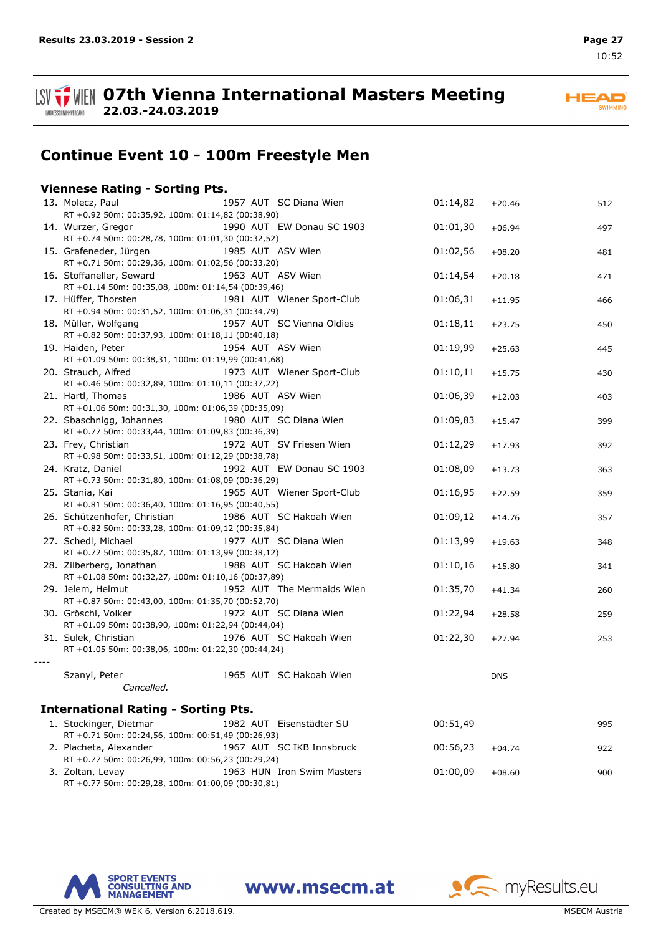

*----*

**ISV**  $\frac{1}{2}$  WIEN 07th Vienna International Masters Meeting **22.03.-24.03.2019**

**HEAD** SWIMMING

# **Continue Event 10 - 100m Freestyle Men**

### **Viennese Rating - Sorting Pts.**

| 13. Molecz, Paul                                                               | 1957 AUT SC Diana Wien     | 01:14,82 | $+20.46$   | 512 |
|--------------------------------------------------------------------------------|----------------------------|----------|------------|-----|
| RT +0.92 50m: 00:35,92, 100m: 01:14,82 (00:38,90)                              |                            |          |            |     |
| 14. Wurzer, Gregor                                                             | 1990 AUT EW Donau SC 1903  | 01:01,30 | $+06.94$   | 497 |
| RT +0.74 50m: 00:28,78, 100m: 01:01,30 (00:32,52)                              |                            |          |            |     |
| 15. Grafeneder, Jürgen                                                         | 1985 AUT ASV Wien          | 01:02,56 | $+08.20$   | 481 |
| RT +0.71 50m: 00:29,36, 100m: 01:02,56 (00:33,20)                              |                            |          |            |     |
| 16. Stoffaneller, Seward<br>RT +01.14 50m: 00:35,08, 100m: 01:14,54 (00:39,46) | 1963 AUT ASV Wien          | 01:14,54 | $+20.18$   | 471 |
| 17. Hüffer, Thorsten                                                           | 1981 AUT Wiener Sport-Club | 01:06,31 | $+11.95$   | 466 |
| RT +0.94 50m: 00:31,52, 100m: 01:06,31 (00:34,79)                              |                            |          |            |     |
| 18. Müller, Wolfgang                                                           | 1957 AUT SC Vienna Oldies  | 01:18,11 | $+23.75$   | 450 |
| RT +0.82 50m: 00:37,93, 100m: 01:18,11 (00:40,18)                              |                            |          |            |     |
| 19. Haiden, Peter                                                              | 1954 AUT ASV Wien          | 01:19,99 | $+25.63$   | 445 |
| RT +01.09 50m: 00:38,31, 100m: 01:19,99 (00:41,68)                             |                            |          |            |     |
| 20. Strauch, Alfred                                                            | 1973 AUT Wiener Sport-Club | 01:10,11 | $+15.75$   | 430 |
| RT +0.46 50m: 00:32,89, 100m: 01:10,11 (00:37,22)                              |                            |          |            |     |
| 21. Hartl, Thomas                                                              | 1986 AUT ASV Wien          | 01:06,39 | $+12.03$   | 403 |
| RT +01.06 50m: 00:31,30, 100m: 01:06,39 (00:35,09)                             |                            |          |            |     |
| 22. Sbaschnigg, Johannes                                                       | 1980 AUT SC Diana Wien     | 01:09,83 | $+15.47$   | 399 |
| RT +0.77 50m: 00:33,44, 100m: 01:09,83 (00:36,39)                              |                            |          |            |     |
| 23. Frey, Christian                                                            | 1972 AUT SV Friesen Wien   | 01:12,29 | $+17.93$   | 392 |
| RT +0.98 50m: 00:33,51, 100m: 01:12,29 (00:38,78)                              |                            |          |            |     |
| 24. Kratz, Daniel                                                              | 1992 AUT EW Donau SC 1903  | 01:08,09 | $+13.73$   | 363 |
| RT +0.73 50m: 00:31,80, 100m: 01:08,09 (00:36,29)                              |                            |          |            |     |
| 25. Stania, Kai                                                                | 1965 AUT Wiener Sport-Club | 01:16,95 | $+22.59$   | 359 |
| RT +0.81 50m: 00:36,40, 100m: 01:16,95 (00:40,55)                              |                            |          |            |     |
| 26. Schützenhofer, Christian                                                   | 1986 AUT SC Hakoah Wien    | 01:09,12 | $+14.76$   | 357 |
| RT +0.82 50m: 00:33,28, 100m: 01:09,12 (00:35,84)                              |                            |          |            |     |
| 27. Schedl, Michael                                                            | 1977 AUT SC Diana Wien     | 01:13,99 | $+19.63$   | 348 |
| RT +0.72 50m: 00:35,87, 100m: 01:13,99 (00:38,12)                              |                            |          |            |     |
| 28. Zilberberg, Jonathan<br>RT +01.08 50m: 00:32,27, 100m: 01:10,16 (00:37,89) | 1988 AUT SC Hakoah Wien    | 01:10,16 | $+15.80$   | 341 |
| 29. Jelem, Helmut                                                              | 1952 AUT The Mermaids Wien | 01:35,70 |            |     |
| RT +0.87 50m: 00:43,00, 100m: 01:35,70 (00:52,70)                              |                            |          | $+41.34$   | 260 |
| 30. Gröschl, Volker                                                            | 1972 AUT SC Diana Wien     | 01:22,94 | $+28.58$   | 259 |
| RT +01.09 50m: 00:38,90, 100m: 01:22,94 (00:44,04)                             |                            |          |            |     |
| 31. Sulek, Christian                                                           | 1976 AUT SC Hakoah Wien    | 01:22,30 | $+27.94$   | 253 |
| RT +01.05 50m: 00:38,06, 100m: 01:22,30 (00:44,24)                             |                            |          |            |     |
|                                                                                |                            |          |            |     |
| Szanyi, Peter                                                                  | 1965 AUT SC Hakoah Wien    |          | <b>DNS</b> |     |
| Cancelled.                                                                     |                            |          |            |     |
|                                                                                |                            |          |            |     |
| <b>International Rating - Sorting Pts.</b>                                     |                            |          |            |     |
| 1. Stockinger, Dietmar                                                         | 1982 AUT Eisenstädter SU   | 00:51,49 |            | 995 |
| RT +0.71 50m: 00:24,56, 100m: 00:51,49 (00:26,93)                              |                            |          |            |     |
| 2. Placheta, Alexander                                                         | 1967 AUT SC IKB Innsbruck  | 00:56,23 | $+04.74$   | 922 |
| RT +0.77 50m: 00:26,99, 100m: 00:56,23 (00:29,24)                              |                            |          |            |     |
| 3. Zoltan, Levay                                                               | 1963 HUN Iron Swim Masters | 01:00,09 | $+08.60$   | 900 |

www.msecm.at

RT +0.77 50m: 00:29,28, 100m: 01:00,09 (00:30,81)



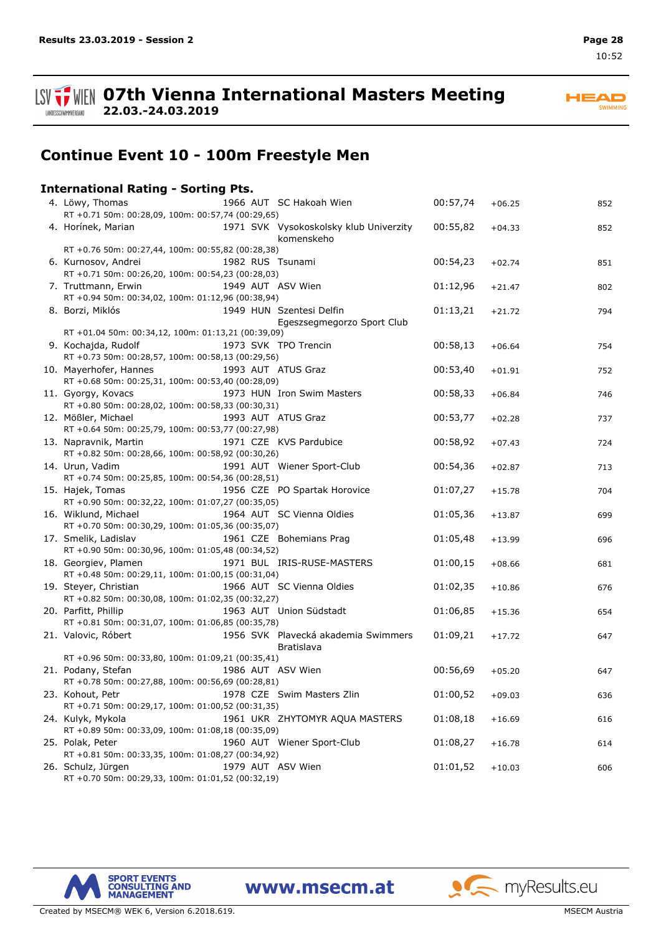**SPORT EVENTS<br>CONSULTING AND<br>MANAGEMENT** 

LANDESSCHWIMMVERBAND

# **Continue Event 10 - 100m Freestyle Men**

**ISV THE OFTH Vienna International Masters Meeting** 

| <b>International Rating - Sorting Pts.</b> |             |  |
|--------------------------------------------|-------------|--|
| 4. Löwy. Thomas                            | 1966 AUT SC |  |

**22.03.-24.03.2019**

| 4. Löwy, Thomas                                                          |  | 1966 AUT SC Hakoah Wien                              | 00:57,74 | $+06.25$ | 852 |
|--------------------------------------------------------------------------|--|------------------------------------------------------|----------|----------|-----|
| RT +0.71 50m: 00:28,09, 100m: 00:57,74 (00:29,65)                        |  |                                                      |          |          |     |
| 4. Horínek, Marian                                                       |  | 1971 SVK Vysokoskolsky klub Univerzity<br>komenskeho | 00:55,82 | $+04.33$ | 852 |
| RT +0.76 50m: 00:27,44, 100m: 00:55,82 (00:28,38)                        |  |                                                      |          |          |     |
| 6. Kurnosov, Andrei<br>RT +0.71 50m: 00:26,20, 100m: 00:54,23 (00:28,03) |  | 1982 RUS Tsunami                                     | 00:54,23 | $+02.74$ | 851 |
| 7. Truttmann, Erwin                                                      |  | 1949 AUT ASV Wien                                    | 01:12,96 | $+21.47$ | 802 |
| RT +0.94 50m: 00:34,02, 100m: 01:12,96 (00:38,94)                        |  |                                                      |          |          |     |
| 8. Borzi, Miklós                                                         |  | 1949 HUN Szentesi Delfin                             | 01:13,21 | $+21.72$ | 794 |
|                                                                          |  | Egeszsegmegorzo Sport Club                           |          |          |     |
| RT +01.04 50m: 00:34,12, 100m: 01:13,21 (00:39,09)                       |  |                                                      |          |          |     |
| 9. Kochajda, Rudolf                                                      |  | 1973 SVK TPO Trencin                                 | 00:58,13 | $+06.64$ | 754 |
| RT +0.73 50m: 00:28,57, 100m: 00:58,13 (00:29,56)                        |  |                                                      |          |          |     |
| 10. Mayerhofer, Hannes                                                   |  | 1993 AUT ATUS Graz                                   | 00:53,40 | $+01.91$ | 752 |
| RT +0.68 50m: 00:25,31, 100m: 00:53,40 (00:28,09)                        |  |                                                      |          |          |     |
| 11. Gyorgy, Kovacs                                                       |  | 1973 HUN Iron Swim Masters                           | 00:58,33 | $+06.84$ | 746 |
| RT +0.80 50m: 00:28,02, 100m: 00:58,33 (00:30,31)                        |  |                                                      |          |          |     |
| 12. Mößler, Michael                                                      |  | 1993 AUT ATUS Graz                                   | 00:53,77 | $+02.28$ | 737 |
| RT +0.64 50m: 00:25,79, 100m: 00:53,77 (00:27,98)                        |  |                                                      |          |          |     |
| 13. Napravnik, Martin                                                    |  | 1971 CZE KVS Pardubice                               | 00:58,92 | $+07.43$ | 724 |
| RT +0.82 50m: 00:28,66, 100m: 00:58,92 (00:30,26)                        |  |                                                      |          |          |     |
| 14. Urun, Vadim                                                          |  | 1991 AUT Wiener Sport-Club                           | 00:54,36 | $+02.87$ | 713 |
| RT +0.74 50m: 00:25,85, 100m: 00:54,36 (00:28,51)                        |  |                                                      |          |          |     |
| 15. Hajek, Tomas                                                         |  | 1956 CZE PO Spartak Horovice                         | 01:07,27 | $+15.78$ | 704 |
| RT +0.90 50m: 00:32,22, 100m: 01:07,27 (00:35,05)                        |  |                                                      |          |          |     |
| 16. Wiklund, Michael                                                     |  | 1964 AUT SC Vienna Oldies                            | 01:05,36 | $+13.87$ | 699 |
| RT +0.70 50m: 00:30,29, 100m: 01:05,36 (00:35,07)                        |  |                                                      |          |          |     |
| 17. Smelik, Ladislav                                                     |  | 1961 CZE Bohemians Prag                              | 01:05,48 | $+13.99$ | 696 |
| RT +0.90 50m: 00:30,96, 100m: 01:05,48 (00:34,52)                        |  |                                                      |          |          |     |
| 18. Georgiev, Plamen                                                     |  | 1971 BUL IRIS-RUSE-MASTERS                           | 01:00,15 | $+08.66$ | 681 |
| RT +0.48 50m: 00:29,11, 100m: 01:00,15 (00:31,04)                        |  |                                                      |          |          |     |
| 19. Steyer, Christian                                                    |  | 1966 AUT SC Vienna Oldies                            | 01:02,35 | $+10.86$ | 676 |
| RT +0.82 50m: 00:30,08, 100m: 01:02,35 (00:32,27)                        |  |                                                      |          |          |     |
| 20. Parfitt, Phillip                                                     |  | 1963 AUT Union Südstadt                              | 01:06,85 | $+15.36$ | 654 |
| RT +0.81 50m: 00:31,07, 100m: 01:06,85 (00:35,78)                        |  |                                                      |          |          |     |
| 21. Valovic, Róbert                                                      |  | 1956 SVK Plavecká akademia Swimmers                  | 01:09,21 | $+17.72$ | 647 |
| RT +0.96 50m: 00:33,80, 100m: 01:09,21 (00:35,41)                        |  | Bratislava                                           |          |          |     |
| 21. Podany, Stefan                                                       |  | 1986 AUT ASV Wien                                    | 00:56,69 |          |     |
| RT +0.78 50m: 00:27,88, 100m: 00:56,69 (00:28,81)                        |  |                                                      |          | $+05.20$ | 647 |
|                                                                          |  |                                                      | 01:00,52 |          |     |
| 23. Kohout, Petr<br>RT +0.71 50m: 00:29,17, 100m: 01:00,52 (00:31,35)    |  | 1978 CZE Swim Masters Zlin                           |          | $+09.03$ | 636 |
| 24. Kulyk, Mykola                                                        |  | 1961 UKR ZHYTOMYR AQUA MASTERS                       | 01:08,18 |          |     |
| RT +0.89 50m: 00:33,09, 100m: 01:08,18 (00:35,09)                        |  |                                                      |          | $+16.69$ | 616 |
| 25. Polak, Peter                                                         |  | 1960 AUT Wiener Sport-Club                           | 01:08,27 |          |     |
| RT +0.81 50m: 00:33,35, 100m: 01:08,27 (00:34,92)                        |  |                                                      |          | $+16.78$ | 614 |
| 26. Schulz, Jürgen                                                       |  | 1979 AUT ASV Wien                                    | 01:01,52 | $+10.03$ |     |
| RT +0.70 50m: 00:29,33, 100m: 01:01,52 (00:32,19)                        |  |                                                      |          |          | 606 |
|                                                                          |  |                                                      |          |          |     |





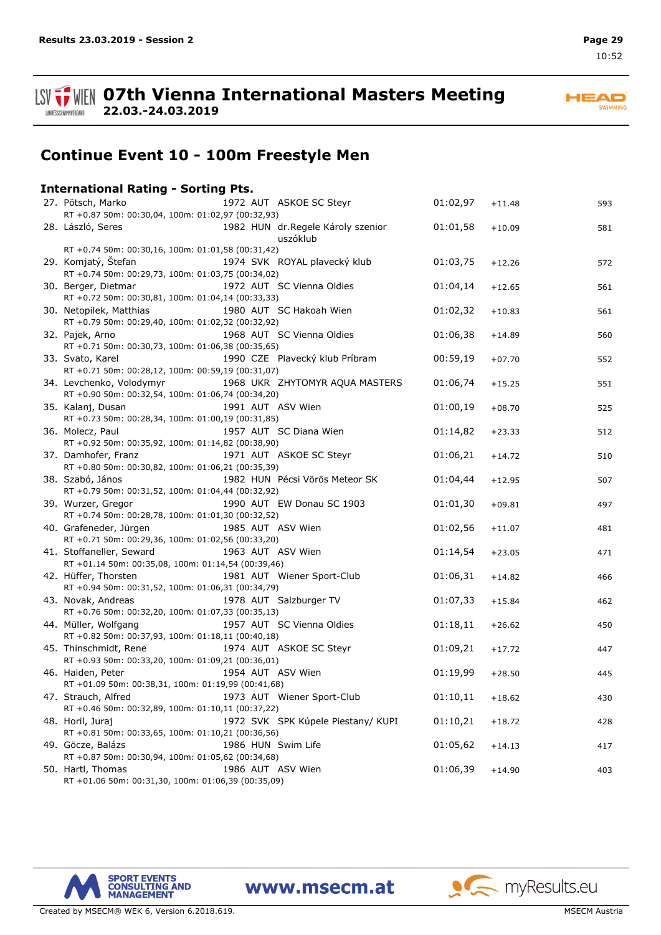LANDESSCHWIMMVERBAND

**ISV THE OFTH Vienna International Masters Meeting** 

**HEAD** SWIMMING

# **Continue Event 10 - 100m Freestyle Men**

## **International Rating - Sorting Pts.**

**22.03.-24.03.2019**

| 27. Pötsch, Marko                                                                                   |                    | 1972 AUT ASKOE SC Steyr                       | 01:02,97          | $+11.48$ | 593 |
|-----------------------------------------------------------------------------------------------------|--------------------|-----------------------------------------------|-------------------|----------|-----|
| RT +0.87 50m: 00:30,04, 100m: 01:02,97 (00:32,93)                                                   |                    |                                               |                   |          |     |
| 28. László, Seres                                                                                   |                    | 1982 HUN dr.Regele Károly szenior<br>uszóklub | 01:01,58          | $+10.09$ | 581 |
| RT +0.74 50m: 00:30,16, 100m: 01:01,58 (00:31,42)                                                   |                    |                                               |                   |          |     |
| 29. Komjatý, Štefan<br>RT +0.74 50m: 00:29,73, 100m: 01:03,75 (00:34,02)                            |                    | 1974 SVK ROYAL plavecký klub                  | 01:03,75          | $+12.26$ | 572 |
| 30. Berger, Dietmar<br>RT +0.72 50m: 00:30,81, 100m: 01:04,14 (00:33,33)                            |                    | 1972 AUT SC Vienna Oldies                     | 01:04,14          | $+12.65$ | 561 |
| 30. Netopilek, Matthias<br>RT +0.79 50m: 00:29,40, 100m: 01:02,32 (00:32,92)                        |                    | 1980 AUT SC Hakoah Wien                       | 01:02,32          | $+10.83$ | 561 |
| 32. Pajek, Arno<br>RT +0.71 50m: 00:30,73, 100m: 01:06,38 (00:35,65)                                |                    | 1968 AUT SC Vienna Oldies                     | 01:06,38          | $+14.89$ | 560 |
| 33. Svato, Karel<br>RT +0.71 50m: 00:28,12, 100m: 00:59,19 (00:31,07)                               |                    | 1990 CZE Plavecký klub Príbram                | 00:59,19          | $+07.70$ | 552 |
| 34. Levchenko, Volodymyr<br>RT +0.90 50m: 00:32,54, 100m: 01:06,74 (00:34,20)                       |                    | 1968 UKR ZHYTOMYR AQUA MASTERS                | 01:06,74          | $+15.25$ | 551 |
| 35. Kalanj, Dusan<br>RT +0.73 50m: 00:28,34, 100m: 01:00,19 (00:31,85)                              | 1991 AUT ASV Wien  |                                               | 01:00,19          | $+08.70$ | 525 |
| 36. Molecz, Paul<br>RT +0.92 50m: 00:35,92, 100m: 01:14,82 (00:38,90)                               |                    | 1957 AUT SC Diana Wien                        | 01:14,82          | $+23.33$ | 512 |
| 37. Damhofer, Franz<br>RT +0.80 50m: 00:30,82, 100m: 01:06,21 (00:35,39)                            |                    | 1971 AUT ASKOE SC Steyr                       | 01:06,21          | $+14.72$ | 510 |
| 38. Szabó, János<br>RT +0.79 50m: 00:31,52, 100m: 01:04,44 (00:32,92)                               |                    | 1982 HUN Pécsi Vörös Meteor SK                | 01:04,44          | $+12.95$ | 507 |
| 39. Wurzer, Gregor<br>RT +0.74 50m: 00:28,78, 100m: 01:01,30 (00:32,52)                             |                    | 1990 AUT EW Donau SC 1903                     | 01:01,30          | $+09.81$ | 497 |
| 40. Grafeneder, Jürgen<br>RT +0.71 50m: 00:29,36, 100m: 01:02,56 (00:33,20)                         | 1985 AUT ASV Wien  |                                               | 01:02,56          | $+11.07$ | 481 |
| 41. Stoffaneller, Seward<br>RT +01.14 50m: 00:35,08, 100m: 01:14,54 (00:39,46)                      | 1963 AUT ASV Wien  |                                               | 01:14,54          | $+23.05$ | 471 |
| 42. Hüffer, Thorsten<br>RT +0.94 50m: 00:31,52, 100m: 01:06,31 (00:34,79)                           |                    | 1981 AUT Wiener Sport-Club                    | 01:06,31          | $+14.82$ | 466 |
| 43. Novak, Andreas<br>RT +0.76 50m: 00:32,20, 100m: 01:07,33 (00:35,13)                             |                    | 1978 AUT Salzburger TV                        | 01:07,33          | $+15.84$ | 462 |
| 44. Müller, Wolfgang<br>RT +0.82 50m: 00:37,93, 100m: 01:18,11 (00:40,18)                           |                    | 1957 AUT SC Vienna Oldies                     | 01:18,11          | $+26.62$ | 450 |
| 45. Thinschmidt, Rene<br>RT +0.93 50m: 00:33,20, 100m: 01:09,21 (00:36,01)                          |                    | 1974 AUT ASKOE SC Steyr                       | 01:09,21          | $+17.72$ | 447 |
| 46. Haiden, Peter<br>RT +01.09 50m: 00:38,31, 100m: 01:19,99 (00:41,68)                             | 1954 AUT ASV Wien  |                                               | 01:19,99          | $+28.50$ | 445 |
| 47. Strauch, Alfred 1973 AUT Wiener Sport-Club<br>RT +0.46 50m: 00:32,89, 100m: 01:10,11 (00:37,22) |                    |                                               | $01:10,11$ +18.62 |          | 430 |
| 48. Horil, Juraj<br>RT +0.81 50m: 00:33,65, 100m: 01:10,21 (00:36,56)                               |                    | 1972 SVK SPK Kúpele Piestany/KUPI             | 01:10,21          | $+18.72$ | 428 |
| 49. Göcze, Balázs<br>RT +0.87 50m: 00:30,94, 100m: 01:05,62 (00:34,68)                              | 1986 HUN Swim Life |                                               | 01:05,62          | $+14.13$ | 417 |
| 50. Hartl, Thomas<br>RT +01.06 50m: 00:31,30, 100m: 01:06,39 (00:35,09)                             | 1986 AUT ASV Wien  |                                               | 01:06,39          | $+14.90$ | 403 |

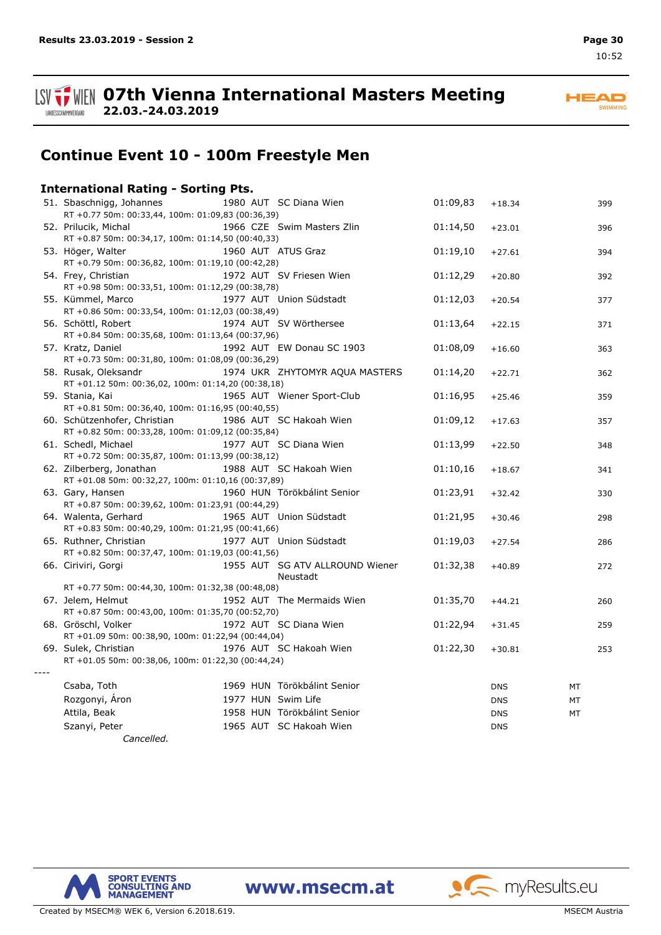**HEAD** SWIMMING



**07th Vienna International Masters Meeting 22.03.-24.03.2019**

# **Continue Event 10 - 100m Freestyle Men**

### **International Rating - Sorting Pts.**

| 51. Sbaschnigg, Johannes<br>RT +0.77 50m: 00:33,44, 100m: 01:09,83 (00:36,39)     |                    | 1980 AUT SC Diana Wien                      | 01:09,83 | $+18.34$   | 399 |
|-----------------------------------------------------------------------------------|--------------------|---------------------------------------------|----------|------------|-----|
| 52. Prilucik, Michal<br>RT +0.87 50m: 00:34,17, 100m: 01:14,50 (00:40,33)         |                    | 1966 CZE Swim Masters Zlin                  | 01:14,50 | $+23.01$   | 396 |
| 53. Höger, Walter<br>RT +0.79 50m: 00:36,82, 100m: 01:19,10 (00:42,28)            |                    | 1960 AUT ATUS Graz                          | 01:19,10 | $+27.61$   | 394 |
| 54. Frey, Christian<br>RT +0.98 50m: 00:33,51, 100m: 01:12,29 (00:38,78)          |                    | 1972 AUT SV Friesen Wien                    | 01:12,29 | $+20.80$   | 392 |
| 55. Kümmel, Marco<br>RT +0.86 50m: 00:33,54, 100m: 01:12,03 (00:38,49)            |                    | 1977 AUT Union Südstadt                     | 01:12,03 | $+20.54$   | 377 |
| 56. Schöttl, Robert<br>RT +0.84 50m: 00:35,68, 100m: 01:13,64 (00:37,96)          |                    | 1974 AUT SV Wörthersee                      | 01:13,64 | $+22.15$   | 371 |
| 57. Kratz, Daniel<br>RT +0.73 50m: 00:31,80, 100m: 01:08,09 (00:36,29)            |                    | 1992 AUT EW Donau SC 1903                   | 01:08,09 | $+16.60$   | 363 |
| 58. Rusak, Oleksandr<br>RT +01.12 50m: 00:36,02, 100m: 01:14,20 (00:38,18)        |                    | 1974 UKR ZHYTOMYR AQUA MASTERS              | 01:14,20 | $+22.71$   | 362 |
| 59. Stania, Kai<br>RT +0.81 50m: 00:36,40, 100m: 01:16,95 (00:40,55)              |                    | 1965 AUT Wiener Sport-Club                  | 01:16,95 | $+25.46$   | 359 |
| 60. Schützenhofer, Christian<br>RT +0.82 50m: 00:33,28, 100m: 01:09,12 (00:35,84) |                    | 1986 AUT SC Hakoah Wien                     | 01:09,12 | $+17.63$   | 357 |
| 61. Schedl, Michael<br>RT +0.72 50m: 00:35,87, 100m: 01:13,99 (00:38,12)          |                    | 1977 AUT SC Diana Wien                      | 01:13,99 | $+22.50$   | 348 |
| 62. Zilberberg, Jonathan<br>RT +01.08 50m: 00:32,27, 100m: 01:10,16 (00:37,89)    |                    | 1988 AUT SC Hakoah Wien                     | 01:10,16 | $+18.67$   | 341 |
| 63. Gary, Hansen<br>RT +0.87 50m: 00:39,62, 100m: 01:23,91 (00:44,29)             |                    | 1960 HUN Törökbálint Senior                 | 01:23,91 | $+32.42$   | 330 |
| 64. Walenta, Gerhard<br>RT +0.83 50m: 00:40,29, 100m: 01:21,95 (00:41,66)         |                    | 1965 AUT Union Südstadt                     | 01:21,95 | $+30.46$   | 298 |
| 65. Ruthner, Christian<br>RT +0.82 50m: 00:37,47, 100m: 01:19,03 (00:41,56)       |                    | 1977 AUT Union Südstadt                     | 01:19,03 | $+27.54$   | 286 |
| 66. Ciriviri, Gorgi                                                               |                    | 1955 AUT SG ATV ALLROUND Wiener<br>Neustadt | 01:32,38 | $+40.89$   | 272 |
| RT +0.77 50m: 00:44,30, 100m: 01:32,38 (00:48,08)                                 |                    |                                             |          |            |     |
| 67. Jelem, Helmut<br>RT +0.87 50m: 00:43,00, 100m: 01:35,70 (00:52,70)            |                    | 1952 AUT The Mermaids Wien                  | 01:35,70 | $+44.21$   | 260 |
| 68. Gröschl, Volker<br>RT +01.09 50m: 00:38,90, 100m: 01:22,94 (00:44,04)         |                    | 1972 AUT SC Diana Wien                      | 01:22,94 | $+31.45$   | 259 |
| 69. Sulek, Christian<br>RT +01.05 50m: 00:38,06, 100m: 01:22,30 (00:44,24)        |                    | 1976 AUT SC Hakoah Wien                     | 01:22,30 | $+30.81$   | 253 |
| Csaba, Toth                                                                       |                    | 1969 HUN Törökbálint Senior                 |          | <b>DNS</b> | MT  |
| Rozgonyi, Áron                                                                    | 1977 HUN Swim Life |                                             |          | <b>DNS</b> | MT  |
| Attila, Beak                                                                      |                    | 1958 HUN Törökbálint Senior                 |          | <b>DNS</b> | МT  |
| Szanyi, Peter                                                                     |                    | 1965 AUT SC Hakoah Wien                     |          | <b>DNS</b> |     |

*Cancelled.*

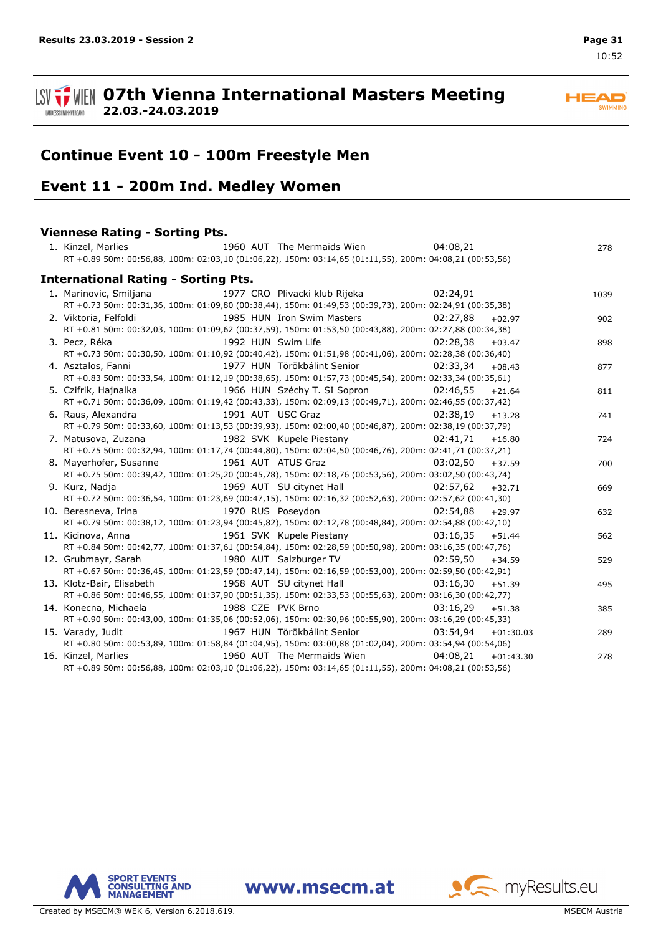

#### **ISV**  $\frac{1}{2}$  WIEN 07th Vienna International Masters Meeting **22.03.-24.03.2019** LANDESSCHWIMMVERBAND

# **Continue Event 10 - 100m Freestyle Men**

## **Event 11 - 200m Ind. Medley Women**

# **Viennese Rating - Sorting Pts.**

| 1. Kinzel, Marlies<br>1960 AUT The Mermaids Wien                                                                | 04:08,21               | 278  |
|-----------------------------------------------------------------------------------------------------------------|------------------------|------|
| RT +0.89 50m: 00:56,88, 100m: 02:03,10 (01:06,22), 150m: 03:14,65 (01:11,55), 200m: 04:08,21 (00:53,56)         |                        |      |
| <b>International Rating - Sorting Pts.</b>                                                                      |                        |      |
| 1977 CRO Plivacki klub Rijeka<br>1. Marinovic, Smiljana                                                         | 02:24.91               | 1039 |
| RT +0.73 50m: 00:31,36, 100m: 01:09,80 (00:38,44), 150m: 01:49,53 (00:39,73), 200m: 02:24,91 (00:35,38)         |                        |      |
| 2. Viktoria, Felfoldi                                   1985 HUN Iron Swim Masters                     02:27,88 | $+02.97$               | 902  |
| RT +0.81 50m: 00:32,03, 100m: 01:09,62 (00:37,59), 150m: 01:53,50 (00:43,88), 200m: 02:27,88 (00:34,38)         |                        |      |
| 1992 HUN Swim Life<br>3. Pecz, Réka                                                                             | 02:28,38<br>$+03.47$   | 898  |
| RT +0.73 50m: 00:30,50, 100m: 01:10,92 (00:40,42), 150m: 01:51,98 (00:41,06), 200m: 02:28,38 (00:36,40)         |                        |      |
| 1977 HUN Törökbálint Senior (2:33,34<br>4. Asztalos, Fanni                                                      | $+08.43$               | 877  |
| RT +0.83 50m: 00:33,54, 100m: 01:12,19 (00:38,65), 150m: 01:57,73 (00:45,54), 200m: 02:33,34 (00:35,61)         |                        |      |
| 1966 HUN Széchy T. SI Sopron 02:46,55<br>5. Czifrik, Hajnalka                                                   | $+21.64$               | 811  |
| RT +0.71 50m: 00:36,09, 100m: 01:19,42 (00:43,33), 150m: 02:09,13 (00:49,71), 200m: 02:46,55 (00:37,42)         |                        |      |
| 1991 AUT USC Graz<br>6. Raus, Alexandra                                                                         | 02:38.19<br>$+13.28$   | 741  |
| RT +0.79 50m: 00:33,60, 100m: 01:13,53 (00:39,93), 150m: 02:00,40 (00:46,87), 200m: 02:38,19 (00:37,79)         |                        |      |
|                                                                                                                 | 02:41,71<br>$+16.80$   | 724  |
| RT +0.75 50m: 00:32,94, 100m: 01:17,74 (00:44,80), 150m: 02:04,50 (00:46,76), 200m: 02:41,71 (00:37,21)         |                        |      |
| 8. Mayerhofer, Susanne 1961 AUT ATUS Graz                                                                       | 03:02.50<br>$+37.59$   | 700  |
| RT +0.75 50m: 00:39,42, 100m: 01:25,20 (00:45,78), 150m: 02:18,76 (00:53,56), 200m: 03:02,50 (00:43,74)         |                        |      |
| 9. Kurz, Nadja<br>1969 AUT SU citynet Hall                                                                      | 02:57.62<br>$+32.71$   | 669  |
| RT +0.72 50m: 00:36,54, 100m: 01:23,69 (00:47,15), 150m: 02:16,32 (00:52,63), 200m: 02:57,62 (00:41,30)         |                        |      |
| 1970 RUS Poseydon<br>10. Beresneva, Irina                                                                       | 02:54.88<br>$+29.97$   | 632  |
| RT +0.79 50m: 00:38,12, 100m: 01:23,94 (00:45,82), 150m: 02:12,78 (00:48,84), 200m: 02:54,88 (00:42,10)         |                        |      |
| 1961 SVK Kupele Piestany 03:16,35<br>11. Kicinova, Anna                                                         | $+51.44$               | 562  |
| RT +0.84 50m: 00:42,77, 100m: 01:37,61 (00:54,84), 150m: 02:28,59 (00:50,98), 200m: 03:16,35 (00:47,76)         |                        |      |
| 1980 AUT Salzburger TV 02:59,50<br>12. Grubmayr, Sarah                                                          | $+34.59$               | 529  |
| RT +0.67 50m: 00:36,45, 100m: 01:23,59 (00:47,14), 150m: 02:16,59 (00:53,00), 200m: 02:59,50 (00:42,91)         |                        |      |
| 13. Klotz-Bair, Elisabeth<br>1968 AUT SU citynet Hall                                                           | 03:16.30<br>$+51.39$   | 495  |
| RT +0.86 50m: 00:46,55, 100m: 01:37,90 (00:51,35), 150m: 02:33,53 (00:55,63), 200m: 03:16,30 (00:42,77)         |                        |      |
| 1988 CZE PVK Brno<br>14. Konecna, Michaela                                                                      | 03:16.29<br>$+51.38$   | 385  |
| RT +0.90 50m: 00:43,00, 100m: 01:35,06 (00:52,06), 150m: 02:30,96 (00:55,90), 200m: 03:16,29 (00:45,33)         |                        |      |
| 1967 HUN Törökbálint Senior<br>15. Varady, Judit                                                                | $03:54,94$ $+01:30.03$ | 289  |
| RT +0.80 50m: 00:53,89, 100m: 01:58,84 (01:04,95), 150m: 03:00,88 (01:02,04), 200m: 03:54,94 (00:54,06)         |                        |      |
| 16. Kinzel, Marlies 1960 AUT The Mermaids Wien 14:08,21 + 01:43.30                                              |                        | 278  |
| RT +0.89 50m: 00:56,88, 100m: 02:03,10 (01:06,22), 150m: 03:14,65 (01:11,55), 200m: 04:08,21 (00:53,56)         |                        |      |

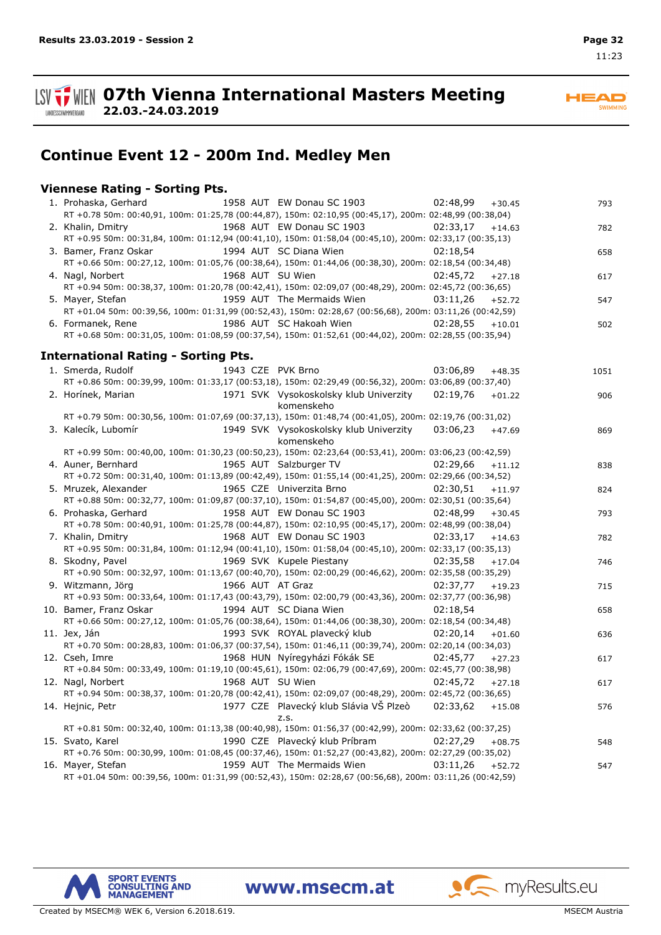

**HEAD** SWIMMING

**Continue Event 12 - 200m Ind. Medley Men**

## **Viennese Rating - Sorting Pts.**

**22.03.-24.03.2019**

| 1958 AUT EW Donau SC 1903<br>1. Prohaska, Gerhard<br>RT +0.78 50m: 00:40,91, 100m: 01:25,78 (00:44,87), 150m: 02:10,95 (00:45,17), 200m: 02:48,99 (00:38,04) | 02:48.99 | $+30.45$ | 793  |
|--------------------------------------------------------------------------------------------------------------------------------------------------------------|----------|----------|------|
| 1968 AUT EW Donau SC 1903<br>2. Khalin, Dmitry<br>RT +0.95 50m: 00:31,84, 100m: 01:12,94 (00:41,10), 150m: 01:58,04 (00:45,10), 200m: 02:33,17 (00:35,13)    | 02:33,17 | $+14.63$ | 782  |
| 1994 AUT SC Diana Wien                                                                                                                                       |          |          |      |
| 3. Bamer, Franz Oskar<br>RT +0.66 50m: 00:27,12, 100m: 01:05,76 (00:38,64), 150m: 01:44,06 (00:38,30), 200m: 02:18,54 (00:34,48)                             | 02:18,54 |          | 658  |
|                                                                                                                                                              |          |          |      |
| 4. Nagl, Norbert<br>1968 AUT SU Wien                                                                                                                         | 02:45,72 | $+27.18$ | 617  |
| RT +0.94 50m: 00:38,37, 100m: 01:20,78 (00:42,41), 150m: 02:09,07 (00:48,29), 200m: 02:45,72 (00:36,65)                                                      |          |          |      |
| 1959 AUT The Mermaids Wien<br>5. Mayer, Stefan                                                                                                               | 03:11,26 | $+52.72$ | 547  |
| RT +01.04 50m: 00:39,56, 100m: 01:31,99 (00:52,43), 150m: 02:28,67 (00:56,68), 200m: 03:11,26 (00:42,59)                                                     |          |          |      |
| 1986 AUT SC Hakoah Wien 02:28,55<br>6. Formanek, Rene                                                                                                        |          | $+10.01$ | 502  |
| RT +0.68 50m: 00:31,05, 100m: 01:08,59 (00:37,54), 150m: 01:52,61 (00:44,02), 200m: 02:28,55 (00:35,94)                                                      |          |          |      |
| <b>International Rating - Sorting Pts.</b>                                                                                                                   |          |          |      |
| 1. Smerda, Rudolf<br>1943 CZE PVK Brno                                                                                                                       | 03:06,89 | $+48.35$ | 1051 |
| RT +0.86 50m: 00:39,99, 100m: 01:33,17 (00:53,18), 150m: 02:29,49 (00:56,32), 200m: 03:06,89 (00:37,40)                                                      |          |          |      |
| 2. Horínek, Marian<br>1971 SVK Vysokoskolsky klub Univerzity                                                                                                 | 02:19,76 | $+01.22$ | 906  |
| komenskeho                                                                                                                                                   |          |          |      |
| RT +0.79 50m: 00:30,56, 100m: 01:07,69 (00:37,13), 150m: 01:48,74 (00:41,05), 200m: 02:19,76 (00:31,02)                                                      |          |          |      |
| 3. Kalecík, Lubomír<br>1949 SVK Vysokoskolsky klub Univerzity 03:06,23                                                                                       |          | $+47.69$ | 869  |
| komenskeho                                                                                                                                                   |          |          |      |
| RT +0.99 50m: 00:40,00, 100m: 01:30,23 (00:50,23), 150m: 02:23,64 (00:53,41), 200m: 03:06,23 (00:42,59)                                                      |          |          |      |
| 4. Auner, Bernhard<br>1965 AUT Salzburger TV                                                                                                                 | 02:29,66 | $+11.12$ | 838  |
| RT +0.72 50m: 00:31,40, 100m: 01:13,89 (00:42,49), 150m: 01:55,14 (00:41,25), 200m: 02:29,66 (00:34,52)                                                      |          |          |      |
| 5. Mruzek, Alexander<br>1965 CZE Univerzita Brno                                                                                                             | 02:30,51 | $+11.97$ | 824  |
| RT +0.88 50m: 00:32,77, 100m: 01:09,87 (00:37,10), 150m: 01:54,87 (00:45,00), 200m: 02:30,51 (00:35,64)                                                      |          |          |      |
| 1958 AUT EW Donau SC 1903<br>6. Prohaska, Gerhard                                                                                                            | 02:48,99 | $+30.45$ | 793  |
| RT +0.78 50m: 00:40,91, 100m: 01:25,78 (00:44,87), 150m: 02:10,95 (00:45,17), 200m: 02:48,99 (00:38,04)                                                      |          |          |      |
| 1968 AUT EW Donau SC 1903<br>7. Khalin, Dmitry                                                                                                               | 02:33,17 | $+14.63$ | 782  |
| RT +0.95 50m: 00:31,84, 100m: 01:12,94 (00:41,10), 150m: 01:58,04 (00:45,10), 200m: 02:33,17 (00:35,13)                                                      |          |          |      |
| 1969 SVK Kupele Piestany<br>8. Skodny, Pavel                                                                                                                 | 02:35,58 | $+17.04$ | 746  |
| RT +0.90 50m: 00:32,97, 100m: 01:13,67 (00:40,70), 150m: 02:00,29 (00:46,62), 200m: 02:35,58 (00:35,29)                                                      |          |          |      |
| 9. Witzmann, Jörg<br>1966 AUT AT Graz                                                                                                                        | 02:37,77 | $+19.23$ | 715  |
| RT +0.93 50m: 00:33,64, 100m: 01:17,43 (00:43,79), 150m: 02:00,79 (00:43,36), 200m: 02:37,77 (00:36,98)                                                      |          |          |      |
| 10. Bamer, Franz Oskar<br>1994 AUT SC Diana Wien                                                                                                             | 02:18,54 |          | 658  |
| RT +0.66 50m: 00:27,12, 100m: 01:05,76 (00:38,64), 150m: 01:44,06 (00:38,30), 200m: 02:18,54 (00:34,48)                                                      |          |          |      |
| 1993 SVK ROYAL plavecký klub<br>11. Jex, Ján                                                                                                                 | 02:20.14 | $+01.60$ | 636  |
| RT +0.70 50m: 00:28,83, 100m: 01:06,37 (00:37,54), 150m: 01:46,11 (00:39,74), 200m: 02:20,14 (00:34,03)                                                      |          |          |      |
| 1968 HUN Nyíregyházi Fókák SE<br>12. Cseh, Imre                                                                                                              | 02:45,77 |          |      |
| RT +0.84 50m: 00:33,49, 100m: 01:19,10 (00:45,61), 150m: 02:06,79 (00:47,69), 200m: 02:45,77 (00:38,98)                                                      |          | $+27.23$ | 617  |
| 1968 AUT SU Wien                                                                                                                                             | 02:45,72 |          |      |
| 12. Nagl, Norbert<br>RT +0.94 50m: 00:38,37, 100m: 01:20,78 (00:42,41), 150m: 02:09,07 (00:48,29), 200m: 02:45,72 (00:36,65)                                 |          | $+27.18$ | 617  |
|                                                                                                                                                              |          |          |      |
| 1977 CZE Plavecký klub Slávia VŠ Plzeò<br>14. Hejnic, Petr                                                                                                   | 02:33.62 | $+15.08$ | 576  |
| z.s.<br>RT +0.81 50m: 00:32,40, 100m: 01:13,38 (00:40,98), 150m: 01:56,37 (00:42,99), 200m: 02:33,62 (00:37,25)                                              |          |          |      |
|                                                                                                                                                              |          |          |      |
| 1990 CZE Plavecký klub Príbram<br>15. Svato, Karel                                                                                                           | 02:27,29 | $+08.75$ | 548  |
| RT +0.76 50m: 00:30,99, 100m: 01:08,45 (00:37,46), 150m: 01:52,27 (00:43,82), 200m: 02:27,29 (00:35,02)                                                      |          |          |      |
| 1959 AUT The Mermaids Wien<br>16. Mayer, Stefan<br>RT +01.04 50m: 00:39,56, 100m: 01:31,99 (00:52,43), 150m: 02:28,67 (00:56,68), 200m: 03:11,26 (00:42,59)  | 03:11,26 | $+52.72$ | 547  |

www.msecm.at



myResults.eu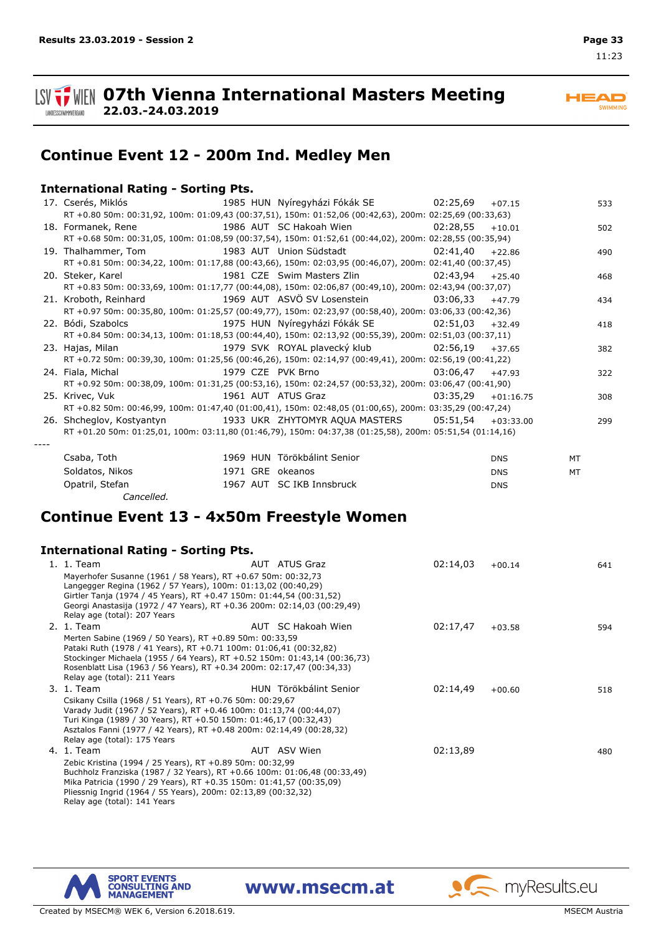

SWIMMING



**HEAD** 

**Continue Event 12 - 200m Ind. Medley Men**

## **International Rating - Sorting Pts.**

**22.03.-24.03.2019**

|                                                                                                                 |                  |                                                                                                          |                   | $+07.15$    | 533 |
|-----------------------------------------------------------------------------------------------------------------|------------------|----------------------------------------------------------------------------------------------------------|-------------------|-------------|-----|
|                                                                                                                 |                  | RT +0.80 50m: 00:31,92, 100m: 01:09,43 (00:37,51), 150m: 01:52,06 (00:42,63), 200m: 02:25,69 (00:33,63)  |                   |             |     |
| 18. Formanek, Rene                                                                                              |                  | 1986 AUT SC Hakoah Wien                                                                                  | 02:28,55          | $+10.01$    | 502 |
|                                                                                                                 |                  | RT +0.68 50m: 00:31,05, 100m: 01:08,59 (00:37,54), 150m: 01:52,61 (00:44,02), 200m: 02:28,55 (00:35,94)  |                   |             |     |
|                                                                                                                 |                  |                                                                                                          | 02:41.40          | $+22.86$    | 490 |
|                                                                                                                 |                  | RT +0.81 50m: 00:34,22, 100m: 01:17,88 (00:43,66), 150m: 02:03,95 (00:46,07), 200m: 02:41,40 (00:37,45)  |                   |             |     |
| 20. Steker, Karel and Steker and Steker and Steker and Steker and Steker and Steker and Steker and Steker and   |                  | 1981 CZE Swim Masters Zlin 62:43,94                                                                      |                   | $+25.40$    | 468 |
|                                                                                                                 |                  | RT +0.83 50m: 00:33,69, 100m: 01:17,77 (00:44,08), 150m: 02:06,87 (00:49,10), 200m: 02:43,94 (00:37,07)  |                   |             |     |
| 21. Kroboth, Reinhard                           1969 AUT ASVÖ SV Losenstein                 03:06.33            |                  |                                                                                                          |                   | $+47.79$    | 434 |
|                                                                                                                 |                  | RT +0.97 50m: 00:35,80, 100m: 01:25,57 (00:49,77), 150m: 02:23,97 (00:58,40), 200m: 03:06,33 (00:42,36)  |                   |             |     |
|                                                                                                                 |                  |                                                                                                          |                   | $+32.49$    | 418 |
|                                                                                                                 |                  | RT +0.84 50m: 00:34,13, 100m: 01:18,53 (00:44,40), 150m: 02:13,92 (00:55,39), 200m: 02:51,03 (00:37,11)  |                   |             |     |
| 23. Hajas, Milan                               1979 SVK ROYAL plavecký klub               02:56,19              |                  |                                                                                                          |                   | $+37.65$    | 382 |
|                                                                                                                 |                  | RT +0.72 50m: 00:39,30, 100m: 01:25,56 (00:46,26), 150m: 02:14,97 (00:49,41), 200m: 02:56,19 (00:41,22)  |                   |             |     |
| 24. Fiala, Michal                                                                                               |                  | 1979 CZE PVK Brno                                                                                        | $03:06.47$ +47.93 |             | 322 |
|                                                                                                                 |                  | RT +0.92 50m: 00:38,09, 100m: 01:31,25 (00:53,16), 150m: 02:24,57 (00:53,32), 200m: 03:06,47 (00:41,90)  |                   |             |     |
| 25. Krivec, Vuk                                                                                                 |                  | 03:35.29<br>1961 AUT ATUS Graz                                                                           |                   | $+01:16.75$ | 308 |
|                                                                                                                 |                  | RT +0.82 50m: 00:46,99, 100m: 01:47,40 (01:00,41), 150m: 02:48,05 (01:00,65), 200m: 03:35,29 (00:47,24)  |                   |             |     |
| 26. Shcheqlov, Kostyantyn                       1933 UKR ZHYTOMYR AQUA MASTERS           05:51,54     +03:33.00 |                  |                                                                                                          |                   |             | 299 |
|                                                                                                                 |                  | RT +01.20 50m: 01:25,01, 100m: 03:11,80 (01:46,79), 150m: 04:37,38 (01:25,58), 200m: 05:51,54 (01:14,16) |                   |             |     |
|                                                                                                                 |                  |                                                                                                          |                   |             |     |
| Csaba, Toth                                                                                                     |                  | 1969 HUN Törökbálint Senior                                                                              |                   | <b>DNS</b>  | MT  |
| Soldatos, Nikos                                                                                                 | 1971 GRE okeanos |                                                                                                          |                   | <b>DNS</b>  | MT  |
| Opatril, Stefan                                                                                                 |                  | 1967 AUT SC IKB Innsbruck                                                                                |                   | <b>DNS</b>  |     |

# **Continue Event 13 - 4x50m Freestyle Women**

### **International Rating - Sorting Pts.**

*Cancelled.*

| 1. 1. Team                                                                                                                                     | AUT ATUS Graz          | 02:14,03 | $+00.14$ | 641 |
|------------------------------------------------------------------------------------------------------------------------------------------------|------------------------|----------|----------|-----|
| Mayerhofer Susanne (1961 / 58 Years), RT +0.67 50m: 00:32,73                                                                                   |                        |          |          |     |
| Langegger Regina (1962 / 57 Years), 100m: 01:13,02 (00:40,29)                                                                                  |                        |          |          |     |
| Girtler Tanja (1974 / 45 Years), RT +0.47 150m: 01:44,54 (00:31,52)                                                                            |                        |          |          |     |
| Georgi Anastasija (1972 / 47 Years), RT +0.36 200m: 02:14,03 (00:29,49)<br>Relay age (total): 207 Years                                        |                        |          |          |     |
| 2. 1. Team                                                                                                                                     | AUT SC Hakoah Wien     | 02:17,47 |          |     |
|                                                                                                                                                |                        |          | $+03.58$ | 594 |
| Merten Sabine (1969 / 50 Years), RT +0.89 50m: 00:33,59                                                                                        |                        |          |          |     |
| Pataki Ruth (1978 / 41 Years), RT +0.71 100m: 01:06,41 (00:32,82)<br>Stockinger Michaela (1955 / 64 Years), RT +0.52 150m: 01:43,14 (00:36,73) |                        |          |          |     |
| Rosenblatt Lisa (1963 / 56 Years), RT +0.34 200m: 02:17,47 (00:34,33)                                                                          |                        |          |          |     |
| Relay age (total): 211 Years                                                                                                                   |                        |          |          |     |
| 3. 1. Team                                                                                                                                     | HUN Törökbálint Senior | 02:14,49 | $+00.60$ | 518 |
| Csikany Csilla (1968 / 51 Years), RT +0.76 50m: 00:29,67                                                                                       |                        |          |          |     |
| Varady Judit (1967 / 52 Years), RT +0.46 100m: 01:13,74 (00:44,07)                                                                             |                        |          |          |     |
| Turi Kinga (1989 / 30 Years), RT +0.50 150m: 01:46,17 (00:32,43)                                                                               |                        |          |          |     |
| Asztalos Fanni (1977 / 42 Years), RT +0.48 200m: 02:14,49 (00:28,32)                                                                           |                        |          |          |     |
| Relay age (total): 175 Years                                                                                                                   |                        |          |          |     |
| 4. 1. Team                                                                                                                                     | AUT ASV Wien           | 02:13,89 |          | 480 |
| Zebic Kristina (1994 / 25 Years), RT +0.89 50m: 00:32,99                                                                                       |                        |          |          |     |
| Buchholz Franziska (1987 / 32 Years), RT +0.66 100m: 01:06,48 (00:33,49)                                                                       |                        |          |          |     |
| Mika Patricia (1990 / 29 Years), RT +0.35 150m: 01:41,57 (00:35,09)                                                                            |                        |          |          |     |
| Pliessnig Ingrid (1964 / 55 Years), 200m: 02:13,89 (00:32,32)<br>Relay age (total): 141 Years                                                  |                        |          |          |     |
|                                                                                                                                                |                        |          |          |     |

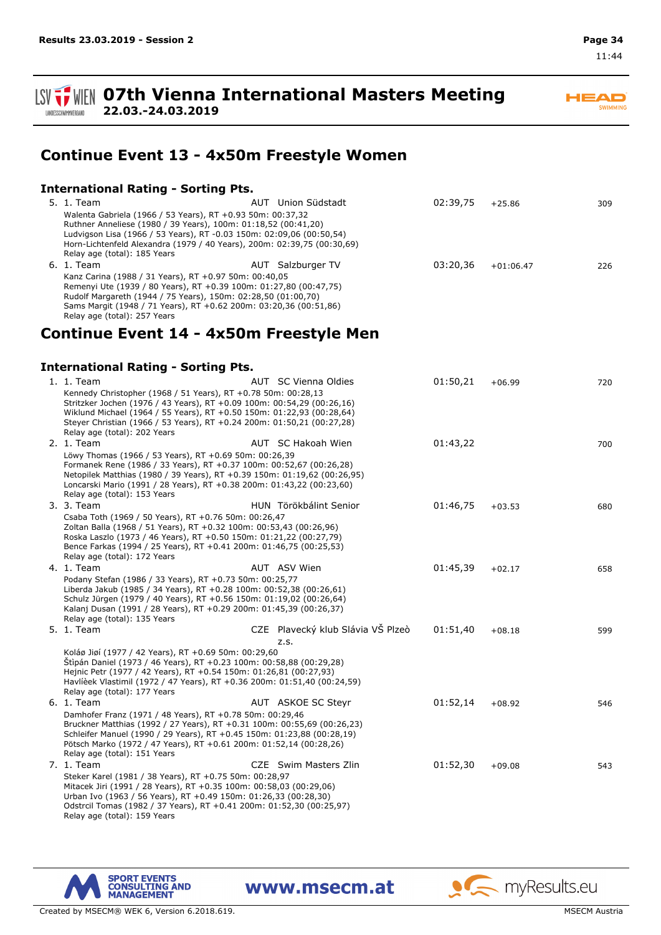**HEAD** SWIMMING

11:44



# **Continue Event 13 - 4x50m Freestyle Women**

## **International Rating - Sorting Pts.**

| 5. 1. Team                                                                                                                                                                                                                                                                                                                 | AUT Union Südstadt                        | 02:39,75 | $+25.86$    | 309 |
|----------------------------------------------------------------------------------------------------------------------------------------------------------------------------------------------------------------------------------------------------------------------------------------------------------------------------|-------------------------------------------|----------|-------------|-----|
| Walenta Gabriela (1966 / 53 Years), RT +0.93 50m: 00:37,32<br>Ruthner Anneliese (1980 / 39 Years), 100m: 01:18,52 (00:41,20)<br>Ludvigson Lisa (1966 / 53 Years), RT -0.03 150m: 02:09,06 (00:50,54)<br>Horn-Lichtenfeld Alexandra (1979 / 40 Years), 200m: 02:39,75 (00:30,69)                                            |                                           |          |             |     |
| Relay age (total): 185 Years                                                                                                                                                                                                                                                                                               |                                           |          |             |     |
| 6. 1. Team<br>Kanz Carina (1988 / 31 Years), RT +0.97 50m: 00:40,05<br>Remenyi Ute (1939 / 80 Years), RT +0.39 100m: 01:27,80 (00:47,75)<br>Rudolf Margareth (1944 / 75 Years), 150m: 02:28,50 (01:00,70)<br>Sams Margit (1948 / 71 Years), RT +0.62 200m: 03:20,36 (00:51,86)<br>Relay age (total): 257 Years             | AUT Salzburger TV                         | 03:20,36 | $+01:06.47$ | 226 |
| Continue Event 14 - 4x50m Freestyle Men                                                                                                                                                                                                                                                                                    |                                           |          |             |     |
| <b>International Rating - Sorting Pts.</b>                                                                                                                                                                                                                                                                                 |                                           |          |             |     |
| 1. 1. Team                                                                                                                                                                                                                                                                                                                 | AUT SC Vienna Oldies                      | 01:50,21 | $+06.99$    | 720 |
| Kennedy Christopher (1968 / 51 Years), RT +0.78 50m: 00:28,13<br>Stritzker Jochen (1976 / 43 Years), RT +0.09 100m: 00:54,29 (00:26,16)<br>Wiklund Michael (1964 / 55 Years), RT +0.50 150m: 01:22,93 (00:28,64)<br>Steyer Christian (1966 / 53 Years), RT +0.24 200m: 01:50,21 (00:27,28)<br>Relay age (total): 202 Years |                                           |          |             |     |
| 2. 1. Team                                                                                                                                                                                                                                                                                                                 | AUT SC Hakoah Wien                        | 01:43,22 |             | 700 |
| Löwy Thomas (1966 / 53 Years), RT +0.69 50m: 00:26,39<br>Formanek Rene (1986 / 33 Years), RT +0.37 100m: 00:52,67 (00:26,28)<br>Netopilek Matthias (1980 / 39 Years), RT +0.39 150m: 01:19,62 (00:26,95)<br>Loncarski Mario (1991 / 28 Years), RT +0.38 200m: 01:43,22 (00:23,60)<br>Relay age (total): 153 Years          |                                           |          |             |     |
| 3. 3. Team                                                                                                                                                                                                                                                                                                                 | HUN Törökbálint Senior                    | 01:46,75 | $+03.53$    | 680 |
| Csaba Toth (1969 / 50 Years), RT +0.76 50m: 00:26,47<br>Zoltan Balla (1968 / 51 Years), RT +0.32 100m: 00:53,43 (00:26,96)<br>Roska Laszlo (1973 / 46 Years), RT +0.50 150m: 01:21,22 (00:27,79)<br>Bence Farkas (1994 / 25 Years), RT +0.41 200m: 01:46,75 (00:25,53)<br>Relay age (total): 172 Years                     |                                           |          |             |     |
| 4. 1. Team                                                                                                                                                                                                                                                                                                                 | AUT ASV Wien                              | 01:45,39 | $+02.17$    | 658 |
| Podany Stefan (1986 / 33 Years), RT +0.73 50m: 00:25,77<br>Liberda Jakub (1985 / 34 Years), RT +0.28 100m: 00:52,38 (00:26,61)<br>Schulz Jürgen (1979 / 40 Years), RT +0.56 150m: 01:19,02 (00:26,64)<br>Kalanj Dusan (1991 / 28 Years), RT +0.29 200m: 01:45,39 (00:26,37)<br>Relay age (total): 135 Years                |                                           |          |             |     |
| 5. 1. Team                                                                                                                                                                                                                                                                                                                 | CZE Plavecký klub Slávia VŠ Plzeò<br>z.s. | 01:51,40 | $+08.18$    | 599 |
| Koláø Jiøí (1977 / 42 Years), RT +0.69 50m: 00:29,60<br>Stipán Daniel (1973 / 46 Years), RT +0.23 100m: 00:58,88 (00:29,28)<br>Hejnic Petr (1977 / 42 Years), RT +0.54 150m: 01:26,81 (00:27,93)<br>Havlièek Vlastimil (1972 / 47 Years), RT +0.36 200m: 01:51,40 (00:24,59)<br>Relay age (total): 177 Years               |                                           |          |             |     |
| 6. 1. Team                                                                                                                                                                                                                                                                                                                 | AUT ASKOE SC Steyr                        | 01:52,14 | $+08.92$    | 546 |
| Damhofer Franz (1971 / 48 Years), RT +0.78 50m: 00:29,46<br>Bruckner Matthias (1992 / 27 Years), RT +0.31 100m: 00:55,69 (00:26,23)<br>Schleifer Manuel (1990 / 29 Years), RT +0.45 150m: 01:23,88 (00:28,19)<br>Pötsch Marko (1972 / 47 Years), RT +0.61 200m: 01:52,14 (00:28,26)<br>Relay age (total): 151 Years        |                                           |          |             |     |
| 7. 1. Team                                                                                                                                                                                                                                                                                                                 | CZE Swim Masters Zlin                     | 01:52,30 | $+09.08$    | 543 |
| Steker Karel (1981 / 38 Years), RT +0.75 50m: 00:28,97<br>Mitacek Jiri (1991 / 28 Years), RT +0.35 100m: 00:58,03 (00:29,06)<br>Urban Ivo (1963 / 56 Years), RT +0.49 150m: 01:26,33 (00:28,30)<br>Odstrcil Tomas (1982 / 37 Years), RT +0.41 200m: 01:52,30 (00:25,97)<br>Relay age (total): 159 Years                    |                                           |          |             |     |



www.msecm.at

**A** myResults.eu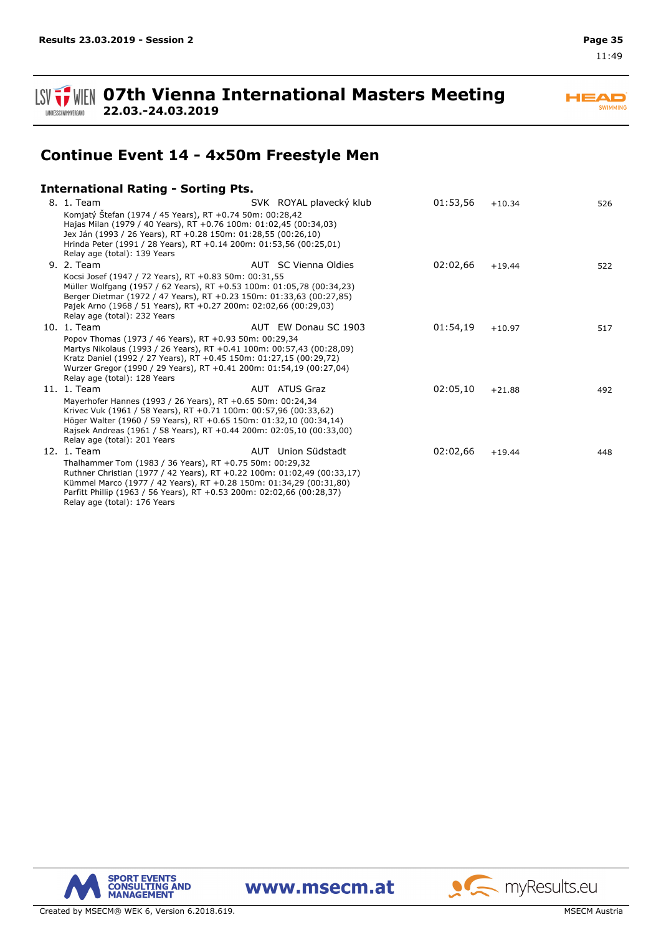

**HEAD** SWIMMING

**Continue Event 14 - 4x50m Freestyle Men**

## **International Rating - Sorting Pts.**

**22.03.-24.03.2019**

| 8. 1. Team                                                                                                                      | SVK ROYAL plavecký klub | 01:53,56 | $+10.34$ | 526 |
|---------------------------------------------------------------------------------------------------------------------------------|-------------------------|----------|----------|-----|
| Komjatý Štefan (1974 / 45 Years), RT +0.74 50m: 00:28,42                                                                        |                         |          |          |     |
| Hajas Milan (1979 / 40 Years), RT +0.76 100m: 01:02,45 (00:34,03)                                                               |                         |          |          |     |
| Jex Ján (1993 / 26 Years), RT +0.28 150m: 01:28,55 (00:26,10)                                                                   |                         |          |          |     |
| Hrinda Peter (1991 / 28 Years), RT +0.14 200m: 01:53,56 (00:25,01)<br>Relay age (total): 139 Years                              |                         |          |          |     |
| 9. 2. Team                                                                                                                      | AUT SC Vienna Oldies    | 02:02,66 | $+19.44$ | 522 |
| Kocsi Josef (1947 / 72 Years), RT +0.83 50m: 00:31,55                                                                           |                         |          |          |     |
| Müller Wolfgang (1957 / 62 Years), RT +0.53 100m: 01:05,78 (00:34,23)                                                           |                         |          |          |     |
| Berger Dietmar (1972 / 47 Years), RT +0.23 150m: 01:33,63 (00:27,85)                                                            |                         |          |          |     |
| Pajek Arno (1968 / 51 Years), RT +0.27 200m: 02:02,66 (00:29,03)                                                                |                         |          |          |     |
| Relay age (total): 232 Years                                                                                                    |                         |          |          |     |
| 10. 1. Team                                                                                                                     | AUT EW Donau SC 1903    | 01:54,19 | $+10.97$ | 517 |
| Popov Thomas (1973 / 46 Years), RT +0.93 50m: 00:29,34                                                                          |                         |          |          |     |
| Martys Nikolaus (1993 / 26 Years), RT +0.41 100m: 00:57,43 (00:28,09)                                                           |                         |          |          |     |
| Kratz Daniel (1992 / 27 Years), RT +0.45 150m: 01:27,15 (00:29,72)                                                              |                         |          |          |     |
| Wurzer Gregor (1990 / 29 Years), RT +0.41 200m: 01:54,19 (00:27,04)                                                             |                         |          |          |     |
| Relay age (total): 128 Years                                                                                                    |                         |          |          |     |
| 11. 1. Team                                                                                                                     | AUT ATUS Graz           | 02:05,10 | $+21.88$ | 492 |
| Mayerhofer Hannes (1993 / 26 Years), RT +0.65 50m: 00:24,34<br>Krivec Vuk (1961 / 58 Years), RT +0.71 100m: 00:57,96 (00:33,62) |                         |          |          |     |
| Höger Walter (1960 / 59 Years), RT +0.65 150m: 01:32,10 (00:34,14)                                                              |                         |          |          |     |
| Rajsek Andreas (1961 / 58 Years), RT +0.44 200m: 02:05,10 (00:33,00)                                                            |                         |          |          |     |
| Relay age (total): 201 Years                                                                                                    |                         |          |          |     |
| 12. 1. Team                                                                                                                     | AUT Union Südstadt      | 02:02,66 | $+19.44$ | 448 |
| Thalhammer Tom (1983 / 36 Years), RT +0.75 50m: 00:29,32                                                                        |                         |          |          |     |
| Ruthner Christian (1977 / 42 Years), RT +0.22 100m: 01:02,49 (00:33,17)                                                         |                         |          |          |     |
| Kümmel Marco (1977 / 42 Years), RT +0.28 150m: 01:34,29 (00:31,80)                                                              |                         |          |          |     |
| Parfitt Phillip (1963 / 56 Years), RT +0.53 200m: 02:02,66 (00:28,37)                                                           |                         |          |          |     |
| Relay age (total): 176 Years                                                                                                    |                         |          |          |     |



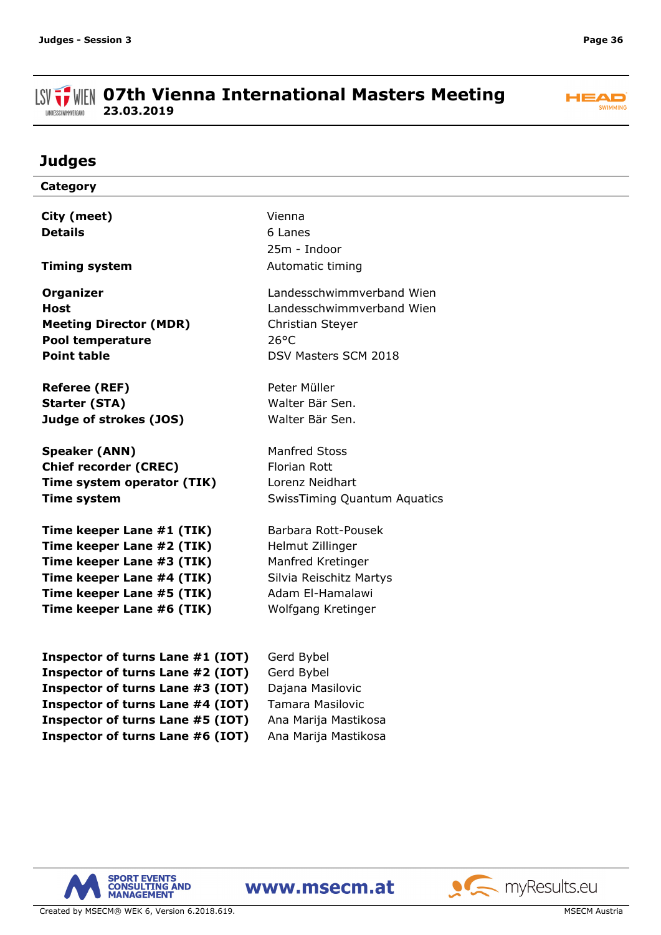#### **ISV**  $\frac{1}{2}$  WIEN 07th Vienna International Masters Meeting **23.03.2019** LANDESSCHWIMMVERBAND



# **Judges**

| Category                         |                                     |
|----------------------------------|-------------------------------------|
|                                  | Vienna                              |
| City (meet)                      |                                     |
| <b>Details</b>                   | 6 Lanes                             |
|                                  | 25m - Indoor                        |
| <b>Timing system</b>             | Automatic timing                    |
| <b>Organizer</b>                 | Landesschwimmverband Wien           |
| <b>Host</b>                      | Landesschwimmverband Wien           |
| <b>Meeting Director (MDR)</b>    | Christian Steyer                    |
| Pool temperature                 | $26^{\circ}$ C                      |
| <b>Point table</b>               | DSV Masters SCM 2018                |
| <b>Referee (REF)</b>             | Peter Müller                        |
| <b>Starter (STA)</b>             | Walter Bär Sen.                     |
| Judge of strokes (JOS)           | Walter Bär Sen.                     |
| <b>Speaker (ANN)</b>             | <b>Manfred Stoss</b>                |
| <b>Chief recorder (CREC)</b>     | <b>Florian Rott</b>                 |
| Time system operator (TIK)       | Lorenz Neidhart                     |
| <b>Time system</b>               | <b>SwissTiming Quantum Aquatics</b> |
| Time keeper Lane #1 (TIK)        | Barbara Rott-Pousek                 |
| Time keeper Lane #2 (TIK)        | Helmut Zillinger                    |
| Time keeper Lane #3 (TIK)        | Manfred Kretinger                   |
| Time keeper Lane #4 (TIK)        | Silvia Reischitz Martys             |
| Time keeper Lane #5 (TIK)        | Adam El-Hamalawi                    |
| Time keeper Lane #6 (TIK)        | Wolfgang Kretinger                  |
|                                  |                                     |
| Inspector of turns Lane #1 (IOT) | Gerd Bybel                          |
| Inspector of turns Lane #2 (IOT) | Gerd Bybel                          |
| Inspector of turns Lane #3 (IOT) | Dajana Masilovic                    |
| Inspector of turns Lane #4 (IOT) | <b>Tamara Masilovic</b>             |
| Inspector of turns Lane #5 (IOT) | Ana Marija Mastikosa                |





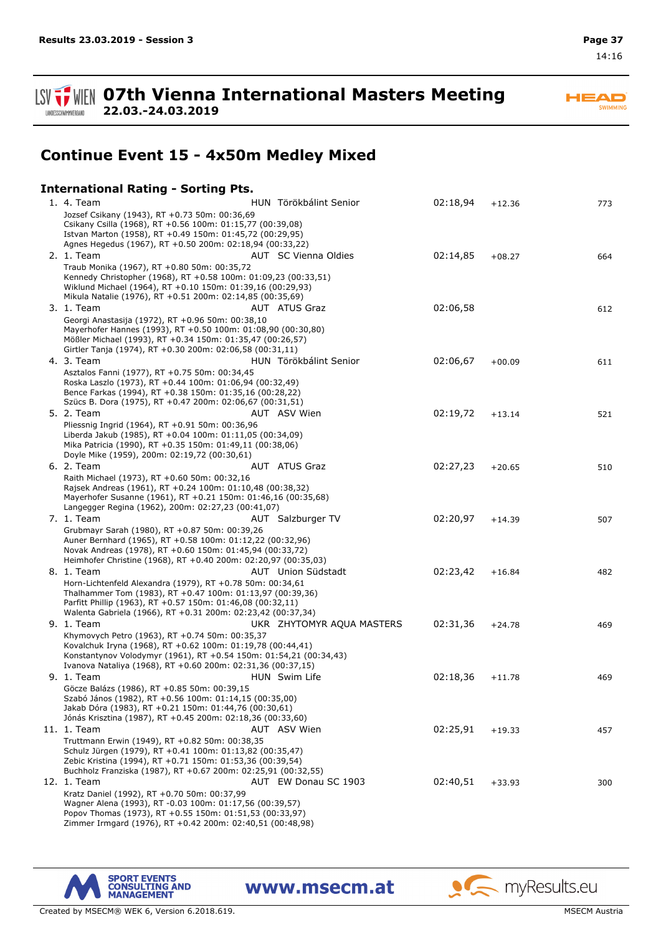SWIMMING



**Continue Event 15 - 4x50m Medley Mixed**

**07th Vienna International Masters Meeting**

### **International Rating - Sorting Pts.**

**22.03.-24.03.2019**

| 1. 4. Team<br>Jozsef Csikany (1943), RT +0.73 50m: 00:36,69                                                                                                                                                                                         | HUN Törökbálint Senior    | 02:18,94 | $+12.36$ | 773 |
|-----------------------------------------------------------------------------------------------------------------------------------------------------------------------------------------------------------------------------------------------------|---------------------------|----------|----------|-----|
| Csikany Csilla (1968), RT +0.56 100m: 01:15,77 (00:39,08)<br>Istvan Marton (1958), RT +0.49 150m: 01:45,72 (00:29,95)                                                                                                                               |                           |          |          |     |
| Agnes Hegedus (1967), RT +0.50 200m: 02:18,94 (00:33,22)                                                                                                                                                                                            |                           |          |          |     |
| 2. 1. Team                                                                                                                                                                                                                                          | AUT SC Vienna Oldies      | 02:14,85 | $+08.27$ | 664 |
| Traub Monika (1967), RT +0.80 50m: 00:35,72<br>Kennedy Christopher (1968), RT +0.58 100m: 01:09,23 (00:33,51)<br>Wiklund Michael (1964), RT +0.10 150m: 01:39,16 (00:29,93)<br>Mikula Natalie (1976), RT +0.51 200m: 02:14,85 (00:35,69)            |                           |          |          |     |
| 3. 1. Team                                                                                                                                                                                                                                          | AUT ATUS Graz             | 02:06,58 |          | 612 |
| Georgi Anastasija (1972), RT +0.96 50m: 00:38,10<br>Mayerhofer Hannes (1993), RT +0.50 100m: 01:08,90 (00:30,80)<br>Mößler Michael (1993), RT +0.34 150m: 01:35,47 (00:26,57)<br>Girtler Tanja (1974), RT +0.30 200m: 02:06,58 (00:31,11)           |                           |          |          |     |
| 4. 3. Team                                                                                                                                                                                                                                          | HUN Törökbálint Senior    | 02:06,67 | $+00.09$ | 611 |
| Asztalos Fanni (1977), RT +0.75 50m: 00:34,45<br>Roska Laszlo (1973), RT +0.44 100m: 01:06,94 (00:32,49)<br>Bence Farkas (1994), RT +0.38 150m: 01:35,16 (00:28,22)<br>Szücs B. Dora (1975), RT +0.47 200m: 02:06,67 (00:31,51)                     |                           |          |          |     |
| 5. 2. Team                                                                                                                                                                                                                                          | AUT ASV Wien              | 02:19,72 | $+13.14$ | 521 |
| Pliessnig Ingrid (1964), RT +0.91 50m: 00:36,96<br>Liberda Jakub (1985), RT +0.04 100m: 01:11,05 (00:34,09)<br>Mika Patricia (1990), RT +0.35 150m: 01:49,11 (00:38,06)<br>Doyle Mike (1959), 200m: 02:19,72 (00:30,61)                             |                           |          |          |     |
| 6. 2. Team                                                                                                                                                                                                                                          | AUT ATUS Graz             | 02:27,23 | $+20.65$ | 510 |
| Raith Michael (1973), RT +0.60 50m: 00:32,16<br>Rajsek Andreas (1961), RT +0.24 100m: 01:10,48 (00:38,32)<br>Mayerhofer Susanne (1961), RT +0.21 150m: 01:46,16 (00:35,68)<br>Langegger Regina (1962), 200m: 02:27,23 (00:41,07)                    |                           |          |          |     |
| 7. 1. Team                                                                                                                                                                                                                                          | AUT Salzburger TV         | 02:20,97 | $+14.39$ | 507 |
| Grubmayr Sarah (1980), RT +0.87 50m: 00:39,26<br>Auner Bernhard (1965), RT +0.58 100m: 01:12,22 (00:32,96)<br>Novak Andreas (1978), RT +0.60 150m: 01:45,94 (00:33,72)<br>Heimhofer Christine (1968), RT +0.40 200m: 02:20,97 (00:35,03)            |                           |          |          |     |
| 8. 1. Team                                                                                                                                                                                                                                          | AUT Union Südstadt        | 02:23,42 | $+16.84$ | 482 |
| Horn-Lichtenfeld Alexandra (1979), RT +0.78 50m: 00:34,61<br>Thalhammer Tom (1983), RT +0.47 100m: 01:13,97 (00:39,36)<br>Parfitt Phillip (1963), RT +0.57 150m: 01:46,08 (00:32,11)<br>Walenta Gabriela (1966), RT +0.31 200m: 02:23,42 (00:37,34) |                           |          |          |     |
| 9. 1. Team                                                                                                                                                                                                                                          | UKR ZHYTOMYR AQUA MASTERS | 02:31,36 | $+24.78$ | 469 |
| Khymovych Petro (1963), RT +0.74 50m: 00:35,37<br>Kovalchuk Iryna (1968), RT +0.62 100m: 01:19,78 (00:44,41)<br>Konstantynov Volodymyr (1961), RT +0.54 150m: 01:54,21 (00:34,43)<br>Ivanova Nataliya (1968), RT +0.60 200m: 02:31,36 (00:37,15)    |                           |          |          |     |
| 9. 1. Team                                                                                                                                                                                                                                          | HUN Swim Life             | 02:18,36 | $+11.78$ | 469 |
| Göcze Balázs (1986), RT +0.85 50m: 00:39,15<br>Szabó János (1982), RT +0.56 100m: 01:14,15 (00:35,00)<br>Jakab Dóra (1983), RT +0.21 150m: 01:44,76 (00:30,61)                                                                                      |                           |          |          |     |
| Jónás Krisztina (1987), RT +0.45 200m: 02:18,36 (00:33,60)<br>11. 1. Team                                                                                                                                                                           | AUT ASV Wien              | 02:25,91 | $+19.33$ | 457 |
| Truttmann Erwin (1949), RT +0.82 50m: 00:38,35                                                                                                                                                                                                      |                           |          |          |     |
| Schulz Jürgen (1979), RT +0.41 100m: 01:13,82 (00:35,47)<br>Zebic Kristina (1994), RT +0.71 150m: 01:53,36 (00:39,54)<br>Buchholz Franziska (1987), RT +0.67 200m: 02:25,91 (00:32,55)                                                              |                           |          |          |     |
| 12. 1. Team                                                                                                                                                                                                                                         | AUT EW Donau SC 1903      | 02:40,51 | $+33.93$ | 300 |
| Kratz Daniel (1992), RT +0.70 50m: 00:37,99<br>Wagner Alena (1993), RT -0.03 100m: 01:17,56 (00:39,57)<br>Popov Thomas (1973), RT +0.55 150m: 01:51,53 (00:33,97)<br>Zimmer Irmgard (1976), RT +0.42 200m: 02:40,51 (00:48,98)                      |                           |          |          |     |

www.msecm.at



Created by MSECM® WEK 6, Version 6.2018.619. MSECM Austria and Structure of the MSECM Austria and MSECM Austria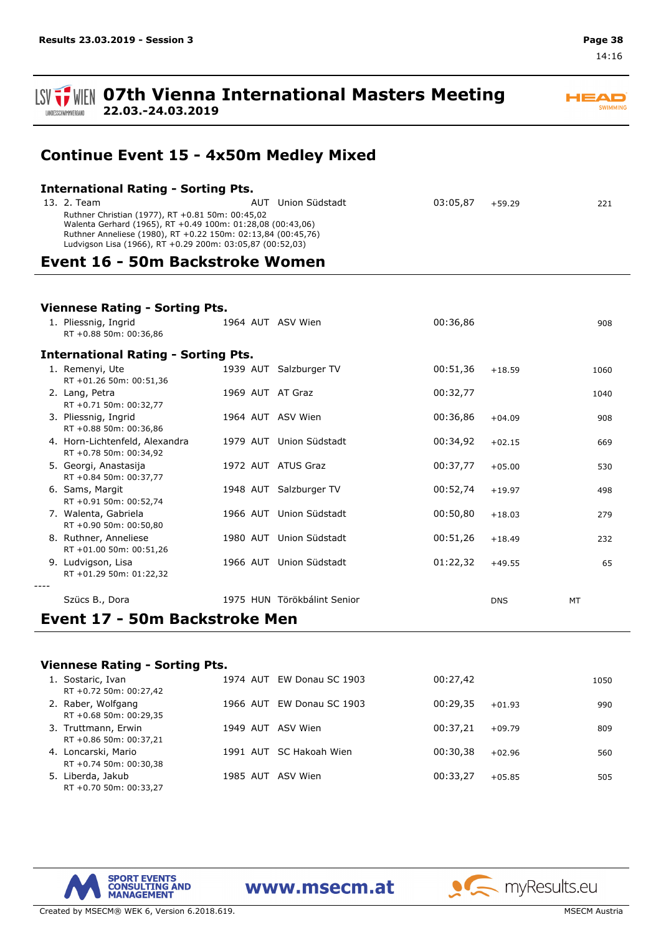LANDESSCHWIMMVERBAND

# **ISV**  $\frac{1}{2}$  WIEN 07th Vienna International Masters Meeting

**22.03.-24.03.2019**

## **Continue Event 15 - 4x50m Medley Mixed**

| Union Südstadt<br>AUT                                                                                                     | 03:05.87                                   | $+59.29$ | 221 |  |  |
|---------------------------------------------------------------------------------------------------------------------------|--------------------------------------------|----------|-----|--|--|
| Ruthner Christian (1977), RT +0.81 50m: 00:45,02<br>Walenta Gerhard (1965), RT +0.49 100m: 01:28,08 (00:43,06)            |                                            |          |     |  |  |
| Ruthner Anneliese (1980), RT +0.22 150m: 02:13,84 (00:45,76)<br>Ludvigson Lisa (1966), RT +0.29 200m: 03:05,87 (00:52,03) |                                            |          |     |  |  |
|                                                                                                                           | <b>International Rating - Sorting Pts.</b> |          |     |  |  |

### **Event 16 - 50m Backstroke Women**

| <b>Viennese Rating - Sorting Pts.</b>                    |  |                             |          |            |      |  |  |  |  |  |  |
|----------------------------------------------------------|--|-----------------------------|----------|------------|------|--|--|--|--|--|--|
| 1. Pliessnig, Ingrid<br>RT +0.88 50m: 00:36,86           |  | 1964 AUT ASV Wien           | 00:36,86 |            | 908  |  |  |  |  |  |  |
| <b>International Rating - Sorting Pts.</b>               |  |                             |          |            |      |  |  |  |  |  |  |
| 1. Remenyi, Ute<br>RT +01.26 50m: 00:51,36               |  | 1939 AUT Salzburger TV      | 00:51,36 | $+18.59$   | 1060 |  |  |  |  |  |  |
| 2. Lang, Petra<br>RT +0.71 50m: 00:32,77                 |  | 1969 AUT AT Graz            | 00:32,77 |            | 1040 |  |  |  |  |  |  |
| 3. Pliessnig, Ingrid<br>RT +0.88 50m: 00:36,86           |  | 1964 AUT ASV Wien           | 00:36,86 | $+04.09$   | 908  |  |  |  |  |  |  |
| 4. Horn-Lichtenfeld, Alexandra<br>RT +0.78 50m: 00:34,92 |  | 1979 AUT Union Südstadt     | 00:34,92 | $+02.15$   | 669  |  |  |  |  |  |  |
| 5. Georgi, Anastasija<br>RT +0.84 50m: 00:37,77          |  | 1972 AUT ATUS Graz          | 00:37,77 | $+05.00$   | 530  |  |  |  |  |  |  |
| 6. Sams, Margit<br>RT +0.91 50m: 00:52,74                |  | 1948 AUT Salzburger TV      | 00:52,74 | $+19.97$   | 498  |  |  |  |  |  |  |
| 7. Walenta, Gabriela<br>RT +0.90 50m: 00:50,80           |  | 1966 AUT Union Südstadt     | 00:50,80 | $+18.03$   | 279  |  |  |  |  |  |  |
| 8. Ruthner, Anneliese<br>RT +01.00 50m: 00:51,26         |  | 1980 AUT Union Südstadt     | 00:51,26 | $+18.49$   | 232  |  |  |  |  |  |  |
| 9. Ludvigson, Lisa<br>RT +01.29 50m: 01:22,32            |  | 1966 AUT Union Südstadt     | 01:22,32 | $+49.55$   | 65   |  |  |  |  |  |  |
| Szücs B., Dora                                           |  | 1975 HUN Törökbálint Senior |          | <b>DNS</b> | MT   |  |  |  |  |  |  |
| Event 17 - 50m Backstroke Men                            |  |                             |          |            |      |  |  |  |  |  |  |

### **Viennese Rating - Sorting Pts.**

| 1. | Sostaric, Ivan         |          | 1974 AUT EW Donau SC 1903 | 00:27.42 |          | 1050 |
|----|------------------------|----------|---------------------------|----------|----------|------|
|    | RT +0.72 50m: 00:27,42 |          |                           |          |          |      |
|    | 2. Raber, Wolfgang     |          | 1966 AUT EW Donau SC 1903 | 00:29.35 | $+01.93$ | 990  |
|    | RT +0.68 50m: 00:29,35 |          |                           |          |          |      |
|    | 3. Truttmann, Erwin    |          | 1949 AUT ASV Wien         | 00:37.21 | $+09.79$ | 809  |
|    | RT +0.86 50m: 00:37,21 |          |                           |          |          |      |
|    | 4. Loncarski, Mario    |          | 1991 AUT SC Hakoah Wien   | 00:30,38 | $+02.96$ | 560  |
|    | RT +0.74 50m: 00:30,38 |          |                           |          |          |      |
|    | 5. Liberda, Jakub      | 1985 AUT | ASV Wien                  | 00:33.27 | $+05.85$ | 505  |
|    | RT +0.70 50m: 00:33,27 |          |                           |          |          |      |

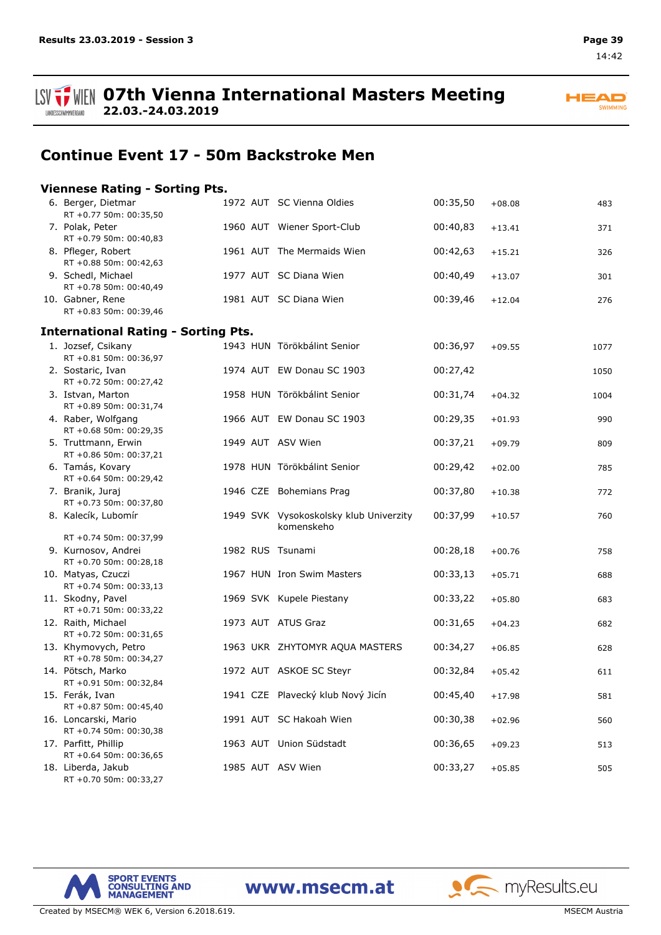$\blacktriangle \blacksquare$ **SWIMMING** 

ANDESSCHWIMMVERBAND

**22.03.-24.03.2019**

## **Continue Event 17 - 50m Backstroke Men**

#### **Viennese Rating - Sorting Pts.** 6. Berger, Dietmar 1972 AUT SC Vienna Oldies 00:35,50 +08.08 483 RT +0.77 50m: 00:35,50 7. Polak, Peter 1960 AUT Wiener Sport-Club 00:40,83 +13.41 371 RT +0.79 50m: 00:40,83 8. Pfleger, Robert 1961 AUT The Mermaids Wien 00:42,63 +15.21 326 RT +0.88 50m: 00:42,63 9. Schedl, Michael 1977 AUT SC Diana Wien 00:40,49 +13.07 301 RT +0.78 50m: 00:40,49 10. Gabner, Rene 1981 AUT SC Diana Wien 00:39,46 +12.04 276 RT +0.83 50m: 00:39,46 **International Rating - Sorting Pts.** 1. Jozsef, Csikany 1943 HUN Törökbálint Senior 00:36,97 +09.55 1077 RT +0.81 50m: 00:36,97 2. Sostaric, Ivan 1974 AUT EW Donau SC 1903 00:27,42 1050 RT +0.72 50m: 00:27,42 3. Istvan, Marton 1958 HUN Törökbálint Senior 00:31,74 +04.32 1004 RT +0.89 50m: 00:31,74 4. Raber, Wolfgang 1966 AUT EW Donau SC 1903 00:29,35 +01.93 990 RT +0.68 50m: 00:29,35 5. Truttmann, Erwin 1949 AUT ASV Wien 00:37,21 +09.79 809 RT +0.86 50m: 00:37,21 6. Tamás, Kovary 1978 HUN Törökbálint Senior 00:29,42 +02.00 785 RT +0.64 50m: 00:29,42 7. Branik, Juraj 1946 CZE Bohemians Prag 00:37,80 +10.38 772 RT +0.73 50m: 00:37,80 Vysokoskolsky klub Univerzity 8. Kalecík, Lubomír 1949 SVK 00:37,99 +10.57 760 komenskeho RT +0.74 50m: 00:37,99 9. Kurnosov, Andrei 1982 RUS Tsunami 00:28,18 +00.76 758 RT +0.70 50m: 00:28,18 10. Matyas, Czuczi 1967 HUN Iron Swim Masters 00:33,13 +05.71 688 RT +0.74 50m: 00:33,13 11. Skodny, Pavel 1969 SVK Kupele Piestany 00:33,22 +05.80 683 RT +0.71 50m: 00:33,22 12. Raith, Michael 1973 AUT ATUS Graz 00:31,65 +04.23 682 RT +0.72 50m: 00:31,65 13. Khymovych, Petro 1963 UKR ZHYTOMYR AQUA MASTERS 00:34,27 +06.85 628 RT +0.78 50m: 00:34,27 14. Pötsch, Marko 1972 AUT ASKOE SC Steyr 00:32,84 +05.42 611 RT +0.91 50m: 00:32,84 15. Ferák, Ivan 1941 CZE Plavecký klub Nový Jicín 00:45,40 +17.98 581 RT +0.87 50m: 00:45,40 16. Loncarski, Mario 1991 AUT SC Hakoah Wien 00:30,38 +02.96 560 RT +0.74 50m: 00:30,38 17. Parfitt, Phillip 1963 AUT Union Südstadt 00:36,65 +09.23 513 RT +0.64 50m: 00:36,65 18. Liberda, Jakub 1985 AUT ASV Wien 00:33,27 +05.85 505 RT +0.70 50m: 00:33,27



www.msecm.at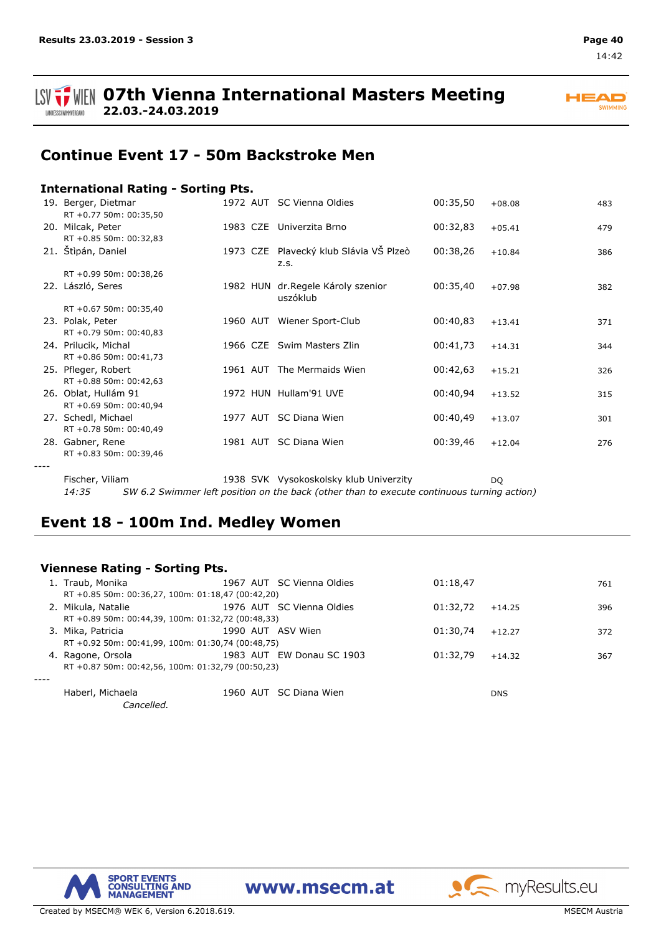

## **Continue Event 17 - 50m Backstroke Men**

### **International Rating - Sorting Pts.**

| 19. Berger, Dietmar<br>RT +0.77 50m: 00:35,50 |  | 1972 AUT SC Vienna Oldies                      | 00:35,50 | $+08.08$ | 483 |
|-----------------------------------------------|--|------------------------------------------------|----------|----------|-----|
| 20. Milcak, Peter<br>RT +0.85 50m: 00:32,83   |  | 1983 CZE Univerzita Brno                       | 00:32,83 | $+05.41$ | 479 |
| 21. Stìpán, Daniel                            |  | 1973 CZE Plavecký klub Slávia VŠ Plzeò<br>z.s. | 00:38,26 | $+10.84$ | 386 |
| RT +0.99 50m: 00:38,26                        |  |                                                |          |          |     |
| 22. László, Seres                             |  | 1982 HUN dr. Regele Károly szenior<br>uszóklub | 00:35,40 | $+07.98$ | 382 |
| RT +0.67 50m: 00:35,40                        |  |                                                |          |          |     |
| 23. Polak, Peter                              |  | 1960 AUT Wiener Sport-Club                     | 00:40,83 | $+13.41$ | 371 |
| RT +0.79 50m: 00:40,83                        |  |                                                |          |          |     |
| 24. Prilucik, Michal                          |  | 1966 CZE Swim Masters Zlin                     | 00:41,73 | $+14.31$ | 344 |
| RT +0.86 50m: 00:41,73                        |  |                                                |          |          |     |
| 25. Pfleger, Robert                           |  | 1961 AUT The Mermaids Wien                     | 00:42,63 | $+15.21$ | 326 |
| RT +0.88 50m: 00:42,63                        |  |                                                |          |          |     |
| 26. Oblat, Hullám 91                          |  | 1972 HUN Hullam'91 UVE                         | 00:40,94 | $+13.52$ | 315 |
| RT +0.69 50m: 00:40,94                        |  |                                                |          |          |     |
| 27. Schedl, Michael                           |  | 1977 AUT SC Diana Wien                         | 00:40,49 | $+13.07$ | 301 |
| RT +0.78 50m: 00:40,49                        |  |                                                |          |          |     |
| 28. Gabner, Rene                              |  | 1981 AUT SC Diana Wien                         | 00:39,46 | $+12.04$ | 276 |
| RT +0.83 50m: 00:39,46                        |  |                                                |          |          |     |
|                                               |  |                                                |          |          |     |
|                                               |  |                                                |          |          |     |

Vysokoskolsky klub Univerzity SVK DQ 14:35 SW 6.2 Swimmer left position on the back (other than to execute continuous turning action) Fischer, Viliam

## **Event 18 - 100m Ind. Medley Women**

### **Viennese Rating - Sorting Pts.**

| Traub, Monika                                     | 1967 AUT SC Vienna Oldies | 01:18,47 |            | 761 |
|---------------------------------------------------|---------------------------|----------|------------|-----|
| RT +0.85 50m: 00:36,27, 100m: 01:18,47 (00:42,20) |                           |          |            |     |
| 2. Mikula, Natalie                                | 1976 AUT SC Vienna Oldies | 01:32.72 | $+14.25$   | 396 |
| RT +0.89 50m: 00:44,39, 100m: 01:32,72 (00:48,33) |                           |          |            |     |
| 3. Mika, Patricia                                 | 1990 AUT ASV Wien         | 01:30.74 | $+12.27$   | 372 |
| RT +0.92 50m: 00:41,99, 100m: 01:30,74 (00:48,75) |                           |          |            |     |
| 4. Ragone, Orsola                                 | 1983 AUT EW Donau SC 1903 | 01:32.79 | $+14.32$   | 367 |
| RT +0.87 50m: 00:42,56, 100m: 01:32,79 (00:50,23) |                           |          |            |     |
|                                                   |                           |          |            |     |
| Haberl, Michaela                                  | 1960 AUT SC Diana Wien    |          | <b>DNS</b> |     |
| Cancelled.                                        |                           |          |            |     |

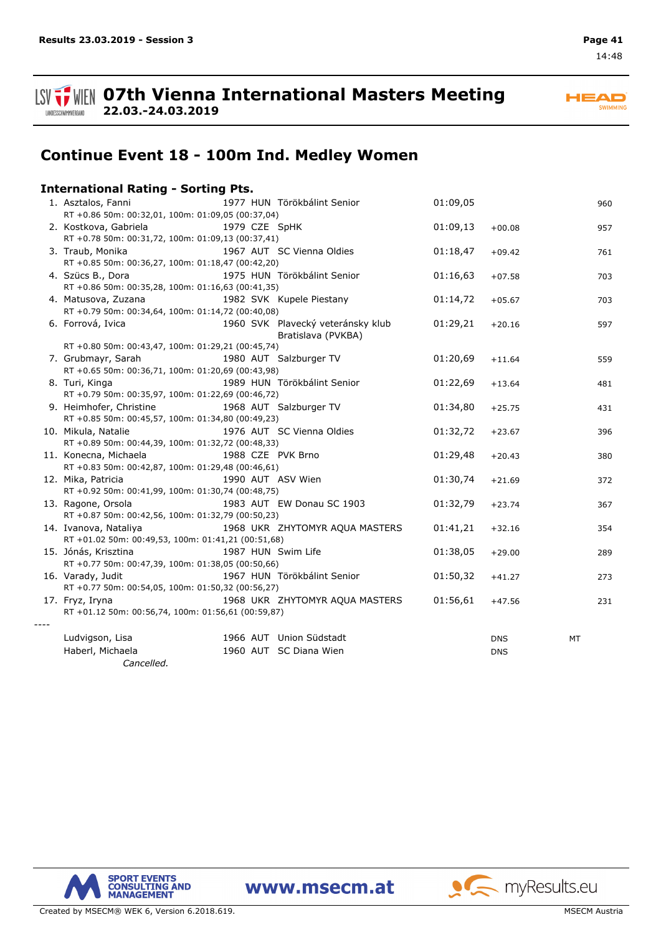LANDESSCHWIMMVERBAND

**HEAD** SWIMMING

## **Continue Event 18 - 100m Ind. Medley Women**

|      | <b>International Rating - Sorting Pts.</b>                                                                                   |                    |                                                         |          |            |     |
|------|------------------------------------------------------------------------------------------------------------------------------|--------------------|---------------------------------------------------------|----------|------------|-----|
|      | 1. Asztalos, Fanni<br>RT +0.86 50m: 00:32,01, 100m: 01:09,05 (00:37,04)                                                      |                    | 1977 HUN Törökbálint Senior                             | 01:09,05 |            | 960 |
|      | 2. Kostkova, Gabriela<br>RT +0.78 50m: 00:31,72, 100m: 01:09,13 (00:37,41)                                                   | 1979 CZE SpHK      |                                                         | 01:09,13 | $+00.08$   | 957 |
|      | 3. Traub, Monika<br>RT +0.85 50m: 00:36,27, 100m: 01:18,47 (00:42,20)                                                        |                    | 1967 AUT SC Vienna Oldies                               | 01:18,47 | $+09.42$   | 761 |
|      | 4. Szücs B., Dora<br>RT +0.86 50m: 00:35,28, 100m: 01:16,63 (00:41,35)                                                       |                    | 1975 HUN Törökbálint Senior                             | 01:16,63 | $+07.58$   | 703 |
|      | 4. Matusova, Zuzana<br>RT +0.79 50m: 00:34,64, 100m: 01:14,72 (00:40,08)                                                     |                    | 1982 SVK Kupele Piestany                                | 01:14,72 | $+05.67$   | 703 |
|      | 6. Forrová, Ivica                                                                                                            |                    | 1960 SVK Plavecký veteránsky klub<br>Bratislava (PVKBA) | 01:29,21 | $+20.16$   | 597 |
|      | RT +0.80 50m: 00:43,47, 100m: 01:29,21 (00:45,74)<br>7. Grubmayr, Sarah<br>RT +0.65 50m: 00:36,71, 100m: 01:20,69 (00:43,98) |                    | 1980 AUT Salzburger TV                                  | 01:20,69 | $+11.64$   | 559 |
|      | 8. Turi, Kinga<br>RT +0.79 50m: 00:35,97, 100m: 01:22,69 (00:46,72)                                                          |                    | 1989 HUN Törökbálint Senior                             | 01:22,69 | $+13.64$   | 481 |
|      | 9. Heimhofer, Christine<br>RT +0.85 50m: 00:45,57, 100m: 01:34,80 (00:49,23)                                                 |                    | 1968 AUT Salzburger TV                                  | 01:34,80 | $+25.75$   | 431 |
|      | 10. Mikula, Natalie<br>RT +0.89 50m: 00:44,39, 100m: 01:32,72 (00:48,33)                                                     |                    | 1976 AUT SC Vienna Oldies                               | 01:32,72 | $+23.67$   | 396 |
|      | 11. Konecna, Michaela<br>RT +0.83 50m: 00:42,87, 100m: 01:29,48 (00:46,61)                                                   | 1988 CZE PVK Brno  |                                                         | 01:29,48 | $+20.43$   | 380 |
|      | 12. Mika, Patricia<br>RT +0.92 50m: 00:41,99, 100m: 01:30,74 (00:48,75)                                                      | 1990 AUT ASV Wien  |                                                         | 01:30,74 | $+21.69$   | 372 |
|      | 13. Ragone, Orsola<br>RT +0.87 50m: 00:42,56, 100m: 01:32,79 (00:50,23)                                                      |                    | 1983 AUT EW Donau SC 1903                               | 01:32,79 | $+23.74$   | 367 |
|      | 14. Ivanova, Nataliya<br>RT +01.02 50m: 00:49,53, 100m: 01:41,21 (00:51,68)                                                  |                    | 1968 UKR ZHYTOMYR AQUA MASTERS                          | 01:41,21 | $+32.16$   | 354 |
|      | 15. Jónás, Krisztina<br>RT +0.77 50m: 00:47,39, 100m: 01:38,05 (00:50,66)                                                    | 1987 HUN Swim Life |                                                         | 01:38,05 | $+29.00$   | 289 |
|      | 16. Varady, Judit<br>RT +0.77 50m: 00:54,05, 100m: 01:50,32 (00:56,27)                                                       |                    | 1967 HUN Törökbálint Senior                             | 01:50,32 | $+41.27$   | 273 |
| ---- | 17. Fryz, Iryna<br>RT +01.12 50m: 00:56,74, 100m: 01:56,61 (00:59,87)                                                        |                    | 1968 UKR ZHYTOMYR AQUA MASTERS                          | 01:56,61 | $+47.56$   | 231 |
|      | Ludvigson, Lisa                                                                                                              |                    | 1966 AUT Union Südstadt                                 |          | <b>DNS</b> | МT  |
|      | Haberl, Michaela<br>Cancelled.                                                                                               |                    | 1960 AUT SC Diana Wien                                  |          | <b>DNS</b> |     |

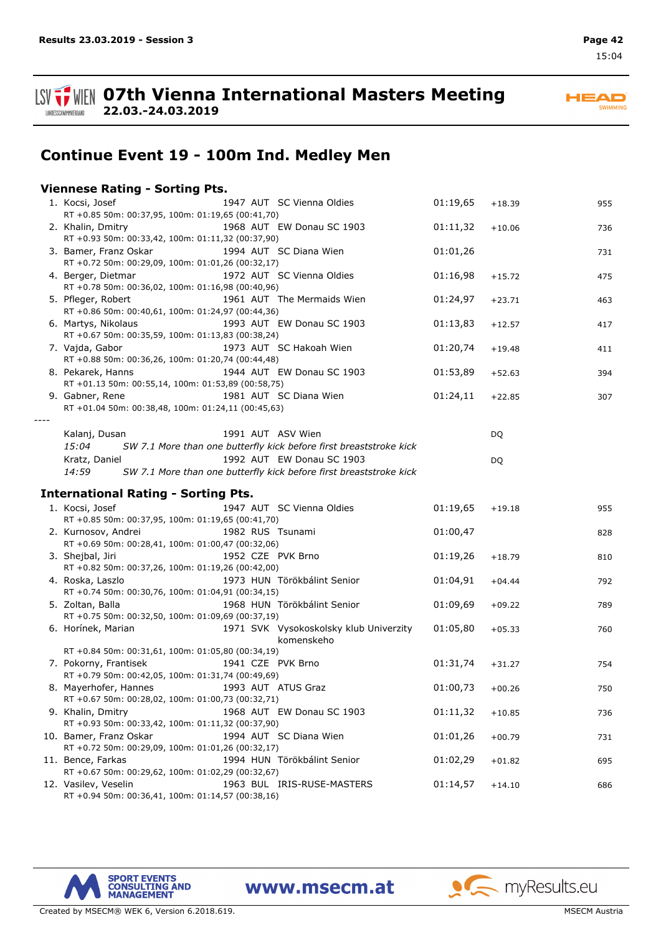

**ISV**  $\frac{1}{2}$  WIEN 07th Vienna International Masters Meeting

**22.03.-24.03.2019**



## **Continue Event 19 - 100m Ind. Medley Men**

### **Viennese Rating - Sorting Pts.**

|      | 1. Kocsi, Josef<br>RT +0.85 50m: 00:37,95, 100m: 01:19,65 (00:41,70)     |                   | 1947 AUT SC Vienna Oldies                                          | 01:19,65 | $+18.39$ | 955 |
|------|--------------------------------------------------------------------------|-------------------|--------------------------------------------------------------------|----------|----------|-----|
|      | 2. Khalin, Dmitry                                                        |                   | 1968 AUT EW Donau SC 1903                                          | 01:11,32 | $+10.06$ | 736 |
|      | RT +0.93 50m: 00:33,42, 100m: 01:11,32 (00:37,90)                        |                   |                                                                    |          |          |     |
|      | 3. Bamer, Franz Oskar                                                    |                   | 1994 AUT SC Diana Wien                                             | 01:01,26 |          | 731 |
|      | RT +0.72 50m: 00:29,09, 100m: 01:01,26 (00:32,17)                        |                   |                                                                    |          |          |     |
|      | 4. Berger, Dietmar                                                       |                   | 1972 AUT SC Vienna Oldies                                          | 01:16,98 | $+15.72$ | 475 |
|      | RT +0.78 50m: 00:36,02, 100m: 01:16,98 (00:40,96)                        |                   |                                                                    |          |          |     |
|      | 5. Pfleger, Robert<br>RT +0.86 50m: 00:40,61, 100m: 01:24,97 (00:44,36)  |                   | 1961 AUT The Mermaids Wien                                         | 01:24,97 | $+23.71$ | 463 |
|      | 6. Martys, Nikolaus                                                      |                   | 1993 AUT EW Donau SC 1903                                          | 01:13,83 | $+12.57$ | 417 |
|      | RT +0.67 50m: 00:35,59, 100m: 01:13,83 (00:38,24)                        |                   |                                                                    |          |          |     |
|      | 7. Vajda, Gabor                                                          |                   | 1973 AUT SC Hakoah Wien                                            | 01:20,74 | $+19.48$ | 411 |
|      | RT +0.88 50m: 00:36,26, 100m: 01:20,74 (00:44,48)                        |                   |                                                                    |          |          |     |
|      | 8. Pekarek, Hanns                                                        |                   | 1944 AUT EW Donau SC 1903                                          | 01:53,89 | $+52.63$ | 394 |
|      | RT +01.13 50m: 00:55,14, 100m: 01:53,89 (00:58,75)                       |                   |                                                                    |          |          |     |
|      | 9. Gabner, Rene                                                          |                   | 1981 AUT SC Diana Wien                                             | 01:24,11 | $+22.85$ | 307 |
| ---- | RT +01.04 50m: 00:38,48, 100m: 01:24,11 (00:45,63)                       |                   |                                                                    |          |          |     |
|      | Kalanj, Dusan                                                            | 1991 AUT ASV Wien |                                                                    |          | DQ       |     |
|      | 15:04                                                                    |                   | SW 7.1 More than one butterfly kick before first breaststroke kick |          |          |     |
|      | Kratz, Daniel                                                            |                   | 1992 AUT EW Donau SC 1903                                          |          | DQ       |     |
|      | 14:59                                                                    |                   | SW 7.1 More than one butterfly kick before first breaststroke kick |          |          |     |
|      |                                                                          |                   |                                                                    |          |          |     |
|      | <b>International Rating - Sorting Pts.</b>                               |                   |                                                                    |          |          |     |
|      | 1. Kocsi, Josef                                                          |                   | 1947 AUT SC Vienna Oldies                                          | 01:19,65 | $+19.18$ | 955 |
|      | RT +0.85 50m: 00:37,95, 100m: 01:19,65 (00:41,70)<br>2. Kurnosov, Andrei | 1982 RUS Tsunami  |                                                                    | 01:00,47 |          |     |
|      | RT +0.69 50m: 00:28,41, 100m: 01:00,47 (00:32,06)                        |                   |                                                                    |          |          | 828 |
|      | 3. Shejbal, Jiri                                                         | 1952 CZE PVK Brno |                                                                    | 01:19,26 | $+18.79$ | 810 |
|      | RT +0.82 50m: 00:37,26, 100m: 01:19,26 (00:42,00)                        |                   |                                                                    |          |          |     |
|      | 4. Roska, Laszlo                                                         |                   | 1973 HUN Törökbálint Senior                                        | 01:04,91 | $+04.44$ | 792 |
|      | RT +0.74 50m: 00:30,76, 100m: 01:04,91 (00:34,15)                        |                   |                                                                    |          |          |     |
|      | 5. Zoltan, Balla                                                         |                   | 1968 HUN Törökbálint Senior                                        | 01:09,69 | $+09.22$ | 789 |
|      | RT +0.75 50m: 00:32,50, 100m: 01:09,69 (00:37,19)                        |                   |                                                                    |          |          |     |
|      | 6. Horínek, Marian                                                       |                   | 1971 SVK Vysokoskolsky klub Univerzity<br>komenskeho               | 01:05,80 | $+05.33$ | 760 |
|      | RT +0.84 50m: 00:31,61, 100m: 01:05,80 (00:34,19)                        |                   |                                                                    |          |          |     |
|      |                                                                          |                   |                                                                    |          |          |     |
|      | 7. Pokorny, Frantisek                                                    | 1941 CZE PVK Brno |                                                                    | 01:31,74 | $+31.27$ | 754 |
|      | RT +0.79 50m: 00:42,05, 100m: 01:31,74 (00:49,69)                        |                   |                                                                    |          |          |     |
|      | 8. Mayerhofer, Hannes                                                    |                   | 1993 AUT ATUS Graz                                                 | 01:00,73 | $+00.26$ | 750 |
|      | RT +0.67 50m: 00:28,02, 100m: 01:00,73 (00:32,71)                        |                   |                                                                    |          |          |     |
|      | 9. Khalin, Dmitry                                                        |                   | 1968 AUT EW Donau SC 1903                                          | 01:11,32 | $+10.85$ | 736 |
|      | RT +0.93 50m: 00:33,42, 100m: 01:11,32 (00:37,90)                        |                   |                                                                    |          |          |     |
|      | 10. Bamer, Franz Oskar                                                   |                   | 1994 AUT SC Diana Wien                                             | 01:01,26 | $+00.79$ | 731 |
|      | RT +0.72 50m: 00:29,09, 100m: 01:01,26 (00:32,17)                        |                   |                                                                    |          |          |     |
|      | 11. Bence, Farkas<br>RT +0.67 50m: 00:29,62, 100m: 01:02,29 (00:32,67)   |                   | 1994 HUN Törökbálint Senior                                        | 01:02,29 | $+01.82$ | 695 |
|      | 12. Vasilev, Veselin                                                     |                   | 1963 BUL IRIS-RUSE-MASTERS                                         | 01:14,57 | $+14.10$ | 686 |

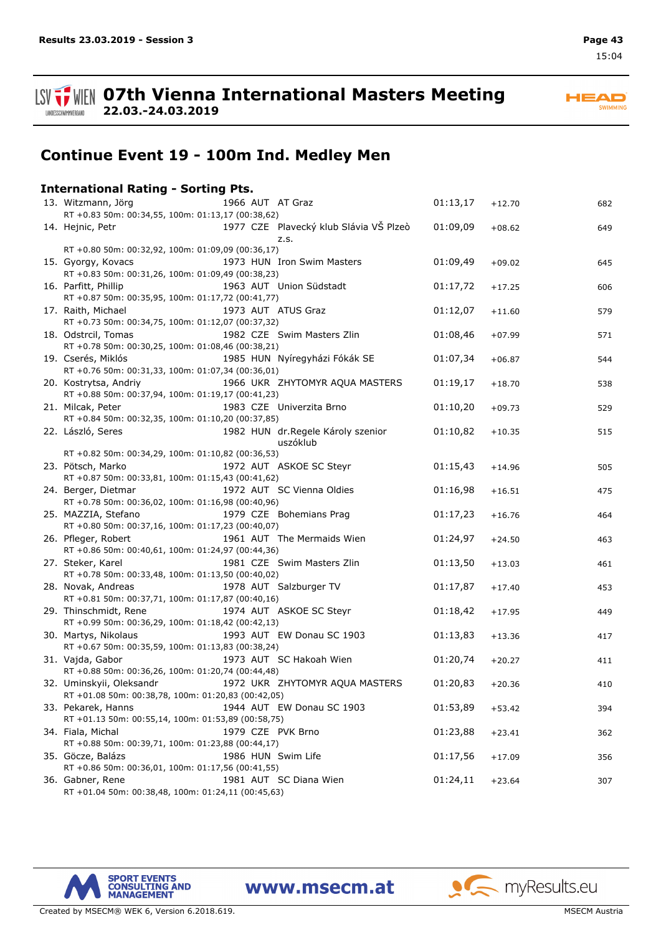

**HEAD** SWIMMING

## **Continue Event 19 - 100m Ind. Medley Men**

## **International Rating - Sorting Pts.**

**22.03.-24.03.2019**

| RT +0.83 50m: 00:34,55, 100m: 01:13,17 (00:38,62)<br>1977 CZE Plavecký klub Slávia VŠ Plzeò<br>01:09,09<br>14. Hejnic, Petr<br>$+08.62$<br>z.s.<br>RT +0.80 50m: 00:32,92, 100m: 01:09,09 (00:36,17)<br>1973 HUN Iron Swim Masters<br>01:09,49<br>15. Gyorgy, Kovacs<br>$+09.02$<br>RT +0.83 50m: 00:31,26, 100m: 01:09,49 (00:38,23)<br>16. Parfitt, Phillip<br>1963 AUT Union Südstadt<br>01:17,72<br>$+17.25$<br>RT +0.87 50m: 00:35,95, 100m: 01:17,72 (00:41,77)<br>1973 AUT ATUS Graz<br>17. Raith, Michael<br>01:12,07<br>$+11.60$<br>RT +0.73 50m: 00:34,75, 100m: 01:12,07 (00:37,32)<br>18. Odstrcil, Tomas<br>1982 CZE Swim Masters Zlin<br>01:08,46<br>$+07.99$<br>RT +0.78 50m: 00:30,25, 100m: 01:08,46 (00:38,21)<br>19. Cserés, Miklós<br>1985 HUN Nyíregyházi Fókák SE<br>01:07,34<br>$+06.87$<br>RT +0.76 50m: 00:31,33, 100m: 01:07,34 (00:36,01)<br>20. Kostrytsa, Andriy<br>1966 UKR ZHYTOMYR AQUA MASTERS<br>01:19,17<br>$+18.70$<br>RT +0.88 50m: 00:37,94, 100m: 01:19,17 (00:41,23)<br>1983 CZE Univerzita Brno<br>21. Milcak, Peter<br>01:10,20<br>$+09.73$<br>RT +0.84 50m: 00:32,35, 100m: 01:10,20 (00:37,85)<br>22. László, Seres<br>1982 HUN dr. Regele Károly szenior<br>01:10,82<br>$+10.35$<br>uszóklub<br>RT +0.82 50m: 00:34,29, 100m: 01:10,82 (00:36,53)<br>23. Pötsch, Marko<br>1972 AUT ASKOE SC Steyr<br>01:15,43<br>$+14.96$<br>RT +0.87 50m: 00:33,81, 100m: 01:15,43 (00:41,62)<br>1972 AUT SC Vienna Oldies<br>01:16,98<br>24. Berger, Dietmar<br>$+16.51$<br>RT +0.78 50m: 00:36,02, 100m: 01:16,98 (00:40,96)<br>1979 CZE Bohemians Prag<br>25. MAZZIA, Stefano<br>01:17,23<br>$+16.76$<br>RT +0.80 50m: 00:37,16, 100m: 01:17,23 (00:40,07)<br>26. Pfleger, Robert<br>1961 AUT The Mermaids Wien<br>01:24,97<br>$+24.50$<br>RT +0.86 50m: 00:40,61, 100m: 01:24,97 (00:44,36)<br>1981 CZE Swim Masters Zlin<br>27. Steker, Karel<br>01:13,50<br>$+13.03$<br>RT +0.78 50m: 00:33,48, 100m: 01:13,50 (00:40,02)<br>28. Novak, Andreas<br>1978 AUT Salzburger TV<br>01:17,87<br>$+17.40$<br>RT +0.81 50m: 00:37,71, 100m: 01:17,87 (00:40,16)<br>29. Thinschmidt, Rene<br>1974 AUT ASKOE SC Steyr<br>01:18,42<br>$+17.95$<br>RT +0.99 50m: 00:36,29, 100m: 01:18,42 (00:42,13)<br>1993 AUT EW Donau SC 1903<br>01:13,83<br>30. Martys, Nikolaus<br>$+13.36$<br>RT +0.67 50m: 00:35,59, 100m: 01:13,83 (00:38,24)<br>31. Vajda, Gabor<br>1973 AUT SC Hakoah Wien<br>01:20,74<br>$+20.27$<br>RT +0.88 50m: 00:36,26, 100m: 01:20,74 (00:44,48)<br>1972 UKR ZHYTOMYR AQUA MASTERS<br>32. Uminskyii, Oleksandr<br>01:20,83<br>$+20.36$<br>RT +01.08 50m: 00:38,78, 100m: 01:20,83 (00:42,05)<br>33. Pekarek, Hanns<br>1944 AUT EW Donau SC 1903<br>01:53,89<br>$+53.42$<br>RT +01.13 50m: 00:55,14, 100m: 01:53,89 (00:58,75)<br>34. Fiala, Michal<br>1979 CZE PVK Brno<br>01:23,88<br>$+23.41$<br>RT +0.88 50m: 00:39,71, 100m: 01:23,88 (00:44,17)<br>35. Göcze, Balázs<br>1986 HUN Swim Life<br>01:17,56<br>$+17.09$<br>RT +0.86 50m: 00:36,01, 100m: 01:17,56 (00:41,55)<br>36. Gabner, Rene<br>1981 AUT SC Diana Wien<br>01:24,11<br>$+23.64$ | 13. Witzmann, Jörg                                 |  | 1966 AUT AT Graz | 01:13,17 | $+12.70$ | 682 |
|---------------------------------------------------------------------------------------------------------------------------------------------------------------------------------------------------------------------------------------------------------------------------------------------------------------------------------------------------------------------------------------------------------------------------------------------------------------------------------------------------------------------------------------------------------------------------------------------------------------------------------------------------------------------------------------------------------------------------------------------------------------------------------------------------------------------------------------------------------------------------------------------------------------------------------------------------------------------------------------------------------------------------------------------------------------------------------------------------------------------------------------------------------------------------------------------------------------------------------------------------------------------------------------------------------------------------------------------------------------------------------------------------------------------------------------------------------------------------------------------------------------------------------------------------------------------------------------------------------------------------------------------------------------------------------------------------------------------------------------------------------------------------------------------------------------------------------------------------------------------------------------------------------------------------------------------------------------------------------------------------------------------------------------------------------------------------------------------------------------------------------------------------------------------------------------------------------------------------------------------------------------------------------------------------------------------------------------------------------------------------------------------------------------------------------------------------------------------------------------------------------------------------------------------------------------------------------------------------------------------------------------------------------------------------------------------------------------------------------------------------------------------------------------------------------------------------------------------------------------------------------------------------------------------------------------------------------------------------------------------------------------------------------------------------------------------------------------------|----------------------------------------------------|--|------------------|----------|----------|-----|
|                                                                                                                                                                                                                                                                                                                                                                                                                                                                                                                                                                                                                                                                                                                                                                                                                                                                                                                                                                                                                                                                                                                                                                                                                                                                                                                                                                                                                                                                                                                                                                                                                                                                                                                                                                                                                                                                                                                                                                                                                                                                                                                                                                                                                                                                                                                                                                                                                                                                                                                                                                                                                                                                                                                                                                                                                                                                                                                                                                                                                                                                                             |                                                    |  |                  |          |          |     |
|                                                                                                                                                                                                                                                                                                                                                                                                                                                                                                                                                                                                                                                                                                                                                                                                                                                                                                                                                                                                                                                                                                                                                                                                                                                                                                                                                                                                                                                                                                                                                                                                                                                                                                                                                                                                                                                                                                                                                                                                                                                                                                                                                                                                                                                                                                                                                                                                                                                                                                                                                                                                                                                                                                                                                                                                                                                                                                                                                                                                                                                                                             |                                                    |  |                  |          |          | 649 |
|                                                                                                                                                                                                                                                                                                                                                                                                                                                                                                                                                                                                                                                                                                                                                                                                                                                                                                                                                                                                                                                                                                                                                                                                                                                                                                                                                                                                                                                                                                                                                                                                                                                                                                                                                                                                                                                                                                                                                                                                                                                                                                                                                                                                                                                                                                                                                                                                                                                                                                                                                                                                                                                                                                                                                                                                                                                                                                                                                                                                                                                                                             |                                                    |  |                  |          |          |     |
|                                                                                                                                                                                                                                                                                                                                                                                                                                                                                                                                                                                                                                                                                                                                                                                                                                                                                                                                                                                                                                                                                                                                                                                                                                                                                                                                                                                                                                                                                                                                                                                                                                                                                                                                                                                                                                                                                                                                                                                                                                                                                                                                                                                                                                                                                                                                                                                                                                                                                                                                                                                                                                                                                                                                                                                                                                                                                                                                                                                                                                                                                             |                                                    |  |                  |          |          | 645 |
|                                                                                                                                                                                                                                                                                                                                                                                                                                                                                                                                                                                                                                                                                                                                                                                                                                                                                                                                                                                                                                                                                                                                                                                                                                                                                                                                                                                                                                                                                                                                                                                                                                                                                                                                                                                                                                                                                                                                                                                                                                                                                                                                                                                                                                                                                                                                                                                                                                                                                                                                                                                                                                                                                                                                                                                                                                                                                                                                                                                                                                                                                             |                                                    |  |                  |          |          | 606 |
|                                                                                                                                                                                                                                                                                                                                                                                                                                                                                                                                                                                                                                                                                                                                                                                                                                                                                                                                                                                                                                                                                                                                                                                                                                                                                                                                                                                                                                                                                                                                                                                                                                                                                                                                                                                                                                                                                                                                                                                                                                                                                                                                                                                                                                                                                                                                                                                                                                                                                                                                                                                                                                                                                                                                                                                                                                                                                                                                                                                                                                                                                             |                                                    |  |                  |          |          | 579 |
|                                                                                                                                                                                                                                                                                                                                                                                                                                                                                                                                                                                                                                                                                                                                                                                                                                                                                                                                                                                                                                                                                                                                                                                                                                                                                                                                                                                                                                                                                                                                                                                                                                                                                                                                                                                                                                                                                                                                                                                                                                                                                                                                                                                                                                                                                                                                                                                                                                                                                                                                                                                                                                                                                                                                                                                                                                                                                                                                                                                                                                                                                             |                                                    |  |                  |          |          | 571 |
|                                                                                                                                                                                                                                                                                                                                                                                                                                                                                                                                                                                                                                                                                                                                                                                                                                                                                                                                                                                                                                                                                                                                                                                                                                                                                                                                                                                                                                                                                                                                                                                                                                                                                                                                                                                                                                                                                                                                                                                                                                                                                                                                                                                                                                                                                                                                                                                                                                                                                                                                                                                                                                                                                                                                                                                                                                                                                                                                                                                                                                                                                             |                                                    |  |                  |          |          | 544 |
|                                                                                                                                                                                                                                                                                                                                                                                                                                                                                                                                                                                                                                                                                                                                                                                                                                                                                                                                                                                                                                                                                                                                                                                                                                                                                                                                                                                                                                                                                                                                                                                                                                                                                                                                                                                                                                                                                                                                                                                                                                                                                                                                                                                                                                                                                                                                                                                                                                                                                                                                                                                                                                                                                                                                                                                                                                                                                                                                                                                                                                                                                             |                                                    |  |                  |          |          |     |
|                                                                                                                                                                                                                                                                                                                                                                                                                                                                                                                                                                                                                                                                                                                                                                                                                                                                                                                                                                                                                                                                                                                                                                                                                                                                                                                                                                                                                                                                                                                                                                                                                                                                                                                                                                                                                                                                                                                                                                                                                                                                                                                                                                                                                                                                                                                                                                                                                                                                                                                                                                                                                                                                                                                                                                                                                                                                                                                                                                                                                                                                                             |                                                    |  |                  |          |          | 538 |
|                                                                                                                                                                                                                                                                                                                                                                                                                                                                                                                                                                                                                                                                                                                                                                                                                                                                                                                                                                                                                                                                                                                                                                                                                                                                                                                                                                                                                                                                                                                                                                                                                                                                                                                                                                                                                                                                                                                                                                                                                                                                                                                                                                                                                                                                                                                                                                                                                                                                                                                                                                                                                                                                                                                                                                                                                                                                                                                                                                                                                                                                                             |                                                    |  |                  |          |          | 529 |
|                                                                                                                                                                                                                                                                                                                                                                                                                                                                                                                                                                                                                                                                                                                                                                                                                                                                                                                                                                                                                                                                                                                                                                                                                                                                                                                                                                                                                                                                                                                                                                                                                                                                                                                                                                                                                                                                                                                                                                                                                                                                                                                                                                                                                                                                                                                                                                                                                                                                                                                                                                                                                                                                                                                                                                                                                                                                                                                                                                                                                                                                                             |                                                    |  |                  |          |          |     |
|                                                                                                                                                                                                                                                                                                                                                                                                                                                                                                                                                                                                                                                                                                                                                                                                                                                                                                                                                                                                                                                                                                                                                                                                                                                                                                                                                                                                                                                                                                                                                                                                                                                                                                                                                                                                                                                                                                                                                                                                                                                                                                                                                                                                                                                                                                                                                                                                                                                                                                                                                                                                                                                                                                                                                                                                                                                                                                                                                                                                                                                                                             |                                                    |  |                  |          |          | 515 |
|                                                                                                                                                                                                                                                                                                                                                                                                                                                                                                                                                                                                                                                                                                                                                                                                                                                                                                                                                                                                                                                                                                                                                                                                                                                                                                                                                                                                                                                                                                                                                                                                                                                                                                                                                                                                                                                                                                                                                                                                                                                                                                                                                                                                                                                                                                                                                                                                                                                                                                                                                                                                                                                                                                                                                                                                                                                                                                                                                                                                                                                                                             |                                                    |  |                  |          |          |     |
|                                                                                                                                                                                                                                                                                                                                                                                                                                                                                                                                                                                                                                                                                                                                                                                                                                                                                                                                                                                                                                                                                                                                                                                                                                                                                                                                                                                                                                                                                                                                                                                                                                                                                                                                                                                                                                                                                                                                                                                                                                                                                                                                                                                                                                                                                                                                                                                                                                                                                                                                                                                                                                                                                                                                                                                                                                                                                                                                                                                                                                                                                             |                                                    |  |                  |          |          | 505 |
|                                                                                                                                                                                                                                                                                                                                                                                                                                                                                                                                                                                                                                                                                                                                                                                                                                                                                                                                                                                                                                                                                                                                                                                                                                                                                                                                                                                                                                                                                                                                                                                                                                                                                                                                                                                                                                                                                                                                                                                                                                                                                                                                                                                                                                                                                                                                                                                                                                                                                                                                                                                                                                                                                                                                                                                                                                                                                                                                                                                                                                                                                             |                                                    |  |                  |          |          |     |
|                                                                                                                                                                                                                                                                                                                                                                                                                                                                                                                                                                                                                                                                                                                                                                                                                                                                                                                                                                                                                                                                                                                                                                                                                                                                                                                                                                                                                                                                                                                                                                                                                                                                                                                                                                                                                                                                                                                                                                                                                                                                                                                                                                                                                                                                                                                                                                                                                                                                                                                                                                                                                                                                                                                                                                                                                                                                                                                                                                                                                                                                                             |                                                    |  |                  |          |          | 475 |
|                                                                                                                                                                                                                                                                                                                                                                                                                                                                                                                                                                                                                                                                                                                                                                                                                                                                                                                                                                                                                                                                                                                                                                                                                                                                                                                                                                                                                                                                                                                                                                                                                                                                                                                                                                                                                                                                                                                                                                                                                                                                                                                                                                                                                                                                                                                                                                                                                                                                                                                                                                                                                                                                                                                                                                                                                                                                                                                                                                                                                                                                                             |                                                    |  |                  |          |          |     |
|                                                                                                                                                                                                                                                                                                                                                                                                                                                                                                                                                                                                                                                                                                                                                                                                                                                                                                                                                                                                                                                                                                                                                                                                                                                                                                                                                                                                                                                                                                                                                                                                                                                                                                                                                                                                                                                                                                                                                                                                                                                                                                                                                                                                                                                                                                                                                                                                                                                                                                                                                                                                                                                                                                                                                                                                                                                                                                                                                                                                                                                                                             |                                                    |  |                  |          |          | 464 |
|                                                                                                                                                                                                                                                                                                                                                                                                                                                                                                                                                                                                                                                                                                                                                                                                                                                                                                                                                                                                                                                                                                                                                                                                                                                                                                                                                                                                                                                                                                                                                                                                                                                                                                                                                                                                                                                                                                                                                                                                                                                                                                                                                                                                                                                                                                                                                                                                                                                                                                                                                                                                                                                                                                                                                                                                                                                                                                                                                                                                                                                                                             |                                                    |  |                  |          |          |     |
|                                                                                                                                                                                                                                                                                                                                                                                                                                                                                                                                                                                                                                                                                                                                                                                                                                                                                                                                                                                                                                                                                                                                                                                                                                                                                                                                                                                                                                                                                                                                                                                                                                                                                                                                                                                                                                                                                                                                                                                                                                                                                                                                                                                                                                                                                                                                                                                                                                                                                                                                                                                                                                                                                                                                                                                                                                                                                                                                                                                                                                                                                             |                                                    |  |                  |          |          | 463 |
|                                                                                                                                                                                                                                                                                                                                                                                                                                                                                                                                                                                                                                                                                                                                                                                                                                                                                                                                                                                                                                                                                                                                                                                                                                                                                                                                                                                                                                                                                                                                                                                                                                                                                                                                                                                                                                                                                                                                                                                                                                                                                                                                                                                                                                                                                                                                                                                                                                                                                                                                                                                                                                                                                                                                                                                                                                                                                                                                                                                                                                                                                             |                                                    |  |                  |          |          | 461 |
|                                                                                                                                                                                                                                                                                                                                                                                                                                                                                                                                                                                                                                                                                                                                                                                                                                                                                                                                                                                                                                                                                                                                                                                                                                                                                                                                                                                                                                                                                                                                                                                                                                                                                                                                                                                                                                                                                                                                                                                                                                                                                                                                                                                                                                                                                                                                                                                                                                                                                                                                                                                                                                                                                                                                                                                                                                                                                                                                                                                                                                                                                             |                                                    |  |                  |          |          |     |
|                                                                                                                                                                                                                                                                                                                                                                                                                                                                                                                                                                                                                                                                                                                                                                                                                                                                                                                                                                                                                                                                                                                                                                                                                                                                                                                                                                                                                                                                                                                                                                                                                                                                                                                                                                                                                                                                                                                                                                                                                                                                                                                                                                                                                                                                                                                                                                                                                                                                                                                                                                                                                                                                                                                                                                                                                                                                                                                                                                                                                                                                                             |                                                    |  |                  |          |          | 453 |
|                                                                                                                                                                                                                                                                                                                                                                                                                                                                                                                                                                                                                                                                                                                                                                                                                                                                                                                                                                                                                                                                                                                                                                                                                                                                                                                                                                                                                                                                                                                                                                                                                                                                                                                                                                                                                                                                                                                                                                                                                                                                                                                                                                                                                                                                                                                                                                                                                                                                                                                                                                                                                                                                                                                                                                                                                                                                                                                                                                                                                                                                                             |                                                    |  |                  |          |          |     |
|                                                                                                                                                                                                                                                                                                                                                                                                                                                                                                                                                                                                                                                                                                                                                                                                                                                                                                                                                                                                                                                                                                                                                                                                                                                                                                                                                                                                                                                                                                                                                                                                                                                                                                                                                                                                                                                                                                                                                                                                                                                                                                                                                                                                                                                                                                                                                                                                                                                                                                                                                                                                                                                                                                                                                                                                                                                                                                                                                                                                                                                                                             |                                                    |  |                  |          |          | 449 |
|                                                                                                                                                                                                                                                                                                                                                                                                                                                                                                                                                                                                                                                                                                                                                                                                                                                                                                                                                                                                                                                                                                                                                                                                                                                                                                                                                                                                                                                                                                                                                                                                                                                                                                                                                                                                                                                                                                                                                                                                                                                                                                                                                                                                                                                                                                                                                                                                                                                                                                                                                                                                                                                                                                                                                                                                                                                                                                                                                                                                                                                                                             |                                                    |  |                  |          |          | 417 |
|                                                                                                                                                                                                                                                                                                                                                                                                                                                                                                                                                                                                                                                                                                                                                                                                                                                                                                                                                                                                                                                                                                                                                                                                                                                                                                                                                                                                                                                                                                                                                                                                                                                                                                                                                                                                                                                                                                                                                                                                                                                                                                                                                                                                                                                                                                                                                                                                                                                                                                                                                                                                                                                                                                                                                                                                                                                                                                                                                                                                                                                                                             |                                                    |  |                  |          |          |     |
|                                                                                                                                                                                                                                                                                                                                                                                                                                                                                                                                                                                                                                                                                                                                                                                                                                                                                                                                                                                                                                                                                                                                                                                                                                                                                                                                                                                                                                                                                                                                                                                                                                                                                                                                                                                                                                                                                                                                                                                                                                                                                                                                                                                                                                                                                                                                                                                                                                                                                                                                                                                                                                                                                                                                                                                                                                                                                                                                                                                                                                                                                             |                                                    |  |                  |          |          | 411 |
|                                                                                                                                                                                                                                                                                                                                                                                                                                                                                                                                                                                                                                                                                                                                                                                                                                                                                                                                                                                                                                                                                                                                                                                                                                                                                                                                                                                                                                                                                                                                                                                                                                                                                                                                                                                                                                                                                                                                                                                                                                                                                                                                                                                                                                                                                                                                                                                                                                                                                                                                                                                                                                                                                                                                                                                                                                                                                                                                                                                                                                                                                             |                                                    |  |                  |          |          | 410 |
|                                                                                                                                                                                                                                                                                                                                                                                                                                                                                                                                                                                                                                                                                                                                                                                                                                                                                                                                                                                                                                                                                                                                                                                                                                                                                                                                                                                                                                                                                                                                                                                                                                                                                                                                                                                                                                                                                                                                                                                                                                                                                                                                                                                                                                                                                                                                                                                                                                                                                                                                                                                                                                                                                                                                                                                                                                                                                                                                                                                                                                                                                             |                                                    |  |                  |          |          | 394 |
|                                                                                                                                                                                                                                                                                                                                                                                                                                                                                                                                                                                                                                                                                                                                                                                                                                                                                                                                                                                                                                                                                                                                                                                                                                                                                                                                                                                                                                                                                                                                                                                                                                                                                                                                                                                                                                                                                                                                                                                                                                                                                                                                                                                                                                                                                                                                                                                                                                                                                                                                                                                                                                                                                                                                                                                                                                                                                                                                                                                                                                                                                             |                                                    |  |                  |          |          |     |
|                                                                                                                                                                                                                                                                                                                                                                                                                                                                                                                                                                                                                                                                                                                                                                                                                                                                                                                                                                                                                                                                                                                                                                                                                                                                                                                                                                                                                                                                                                                                                                                                                                                                                                                                                                                                                                                                                                                                                                                                                                                                                                                                                                                                                                                                                                                                                                                                                                                                                                                                                                                                                                                                                                                                                                                                                                                                                                                                                                                                                                                                                             |                                                    |  |                  |          |          | 362 |
|                                                                                                                                                                                                                                                                                                                                                                                                                                                                                                                                                                                                                                                                                                                                                                                                                                                                                                                                                                                                                                                                                                                                                                                                                                                                                                                                                                                                                                                                                                                                                                                                                                                                                                                                                                                                                                                                                                                                                                                                                                                                                                                                                                                                                                                                                                                                                                                                                                                                                                                                                                                                                                                                                                                                                                                                                                                                                                                                                                                                                                                                                             |                                                    |  |                  |          |          |     |
|                                                                                                                                                                                                                                                                                                                                                                                                                                                                                                                                                                                                                                                                                                                                                                                                                                                                                                                                                                                                                                                                                                                                                                                                                                                                                                                                                                                                                                                                                                                                                                                                                                                                                                                                                                                                                                                                                                                                                                                                                                                                                                                                                                                                                                                                                                                                                                                                                                                                                                                                                                                                                                                                                                                                                                                                                                                                                                                                                                                                                                                                                             |                                                    |  |                  |          |          | 356 |
|                                                                                                                                                                                                                                                                                                                                                                                                                                                                                                                                                                                                                                                                                                                                                                                                                                                                                                                                                                                                                                                                                                                                                                                                                                                                                                                                                                                                                                                                                                                                                                                                                                                                                                                                                                                                                                                                                                                                                                                                                                                                                                                                                                                                                                                                                                                                                                                                                                                                                                                                                                                                                                                                                                                                                                                                                                                                                                                                                                                                                                                                                             | RT +01.04 50m: 00:38,48, 100m: 01:24,11 (00:45,63) |  |                  |          |          | 307 |

www.msecm.at



Created by MSECM® WEK 6, Version 6.2018.619. MSECM Austria and Structure of the MSECM Austria and MSECM Austria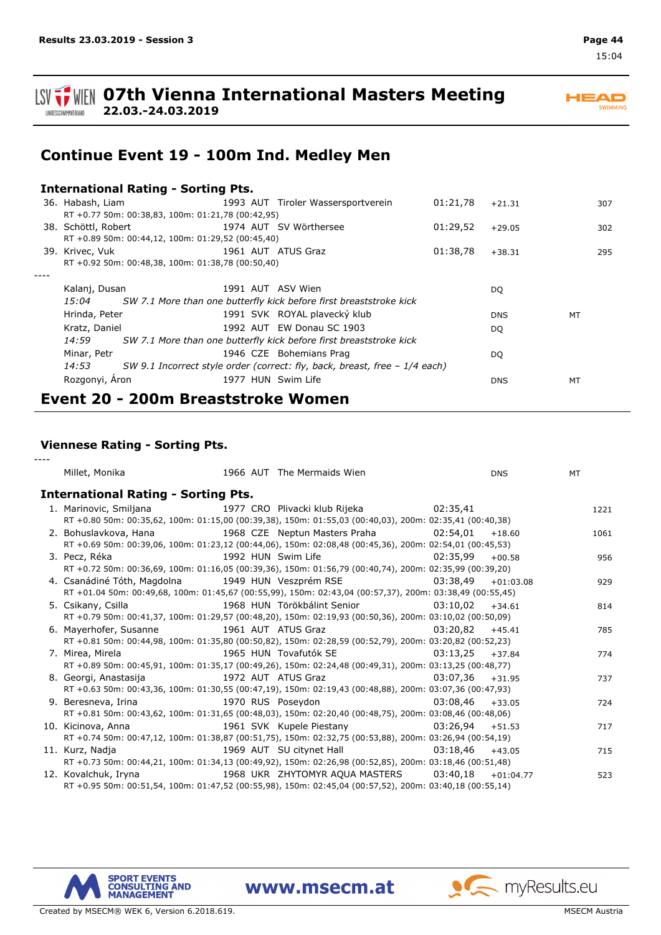

*----*

**ISV**  $\frac{1}{2}$  WIEN 07th Vienna International Masters Meeting **22.03.-24.03.2019**

**HEAD** SWIMMING

## **Continue Event 19 - 100m Ind. Medley Men**

|                                                                          | <b>International Rating - Sorting Pts.</b>                                  |                    |                                                                          |          |            |    |     |  |  |
|--------------------------------------------------------------------------|-----------------------------------------------------------------------------|--------------------|--------------------------------------------------------------------------|----------|------------|----|-----|--|--|
|                                                                          |                                                                             |                    | 36. Habash, Liam (1993 AUT) Tiroler Wassersportverein                    | 01:21,78 | $+21.31$   |    | 307 |  |  |
|                                                                          | RT +0.77 50m: 00:38,83, 100m: 01:21,78 (00:42,95)                           |                    |                                                                          |          |            |    |     |  |  |
|                                                                          | 38. Schöttl, Robert 1974 AUT SV Wörthersee                                  |                    |                                                                          | 01:29,52 | $+29.05$   |    | 302 |  |  |
|                                                                          | RT +0.89 50m: 00:44,12, 100m: 01:29,52 (00:45,40)                           |                    |                                                                          |          |            |    |     |  |  |
| 39. Krivec, Vuk                                                          |                                                                             |                    | 1961 AUT ATUS Graz                                                       | 01:38,78 | $+38.31$   |    | 295 |  |  |
|                                                                          | RT +0.92 50m: 00:48,38, 100m: 01:38,78 (00:50,40)                           |                    |                                                                          |          |            |    |     |  |  |
|                                                                          |                                                                             |                    |                                                                          |          |            |    |     |  |  |
| Kalanj, Dusan                                                            |                                                                             |                    | 1991 AUT ASV Wien                                                        |          | DQ         |    |     |  |  |
| 15:04 SW 7.1 More than one butterfly kick before first breaststroke kick |                                                                             |                    |                                                                          |          |            |    |     |  |  |
| Hrinda, Peter                                                            |                                                                             |                    | 1991 SVK ROYAL plavecký klub                                             |          | <b>DNS</b> | MT |     |  |  |
| Kratz, Daniel                                                            |                                                                             |                    | 1992 AUT EW Donau SC 1903                                                |          | DQ         |    |     |  |  |
|                                                                          |                                                                             |                    | 14:59 SW 7.1 More than one butterfly kick before first breaststroke kick |          |            |    |     |  |  |
| Minar, Petr                                                              |                                                                             |                    | 1946 CZE Bohemians Prag                                                  |          | DQ         |    |     |  |  |
| 14:53                                                                    | SW 9.1 Incorrect style order (correct: fly, back, breast, free $-1/4$ each) |                    |                                                                          |          |            |    |     |  |  |
| Rozgonyi, Aron                                                           |                                                                             | 1977 HUN Swim Life |                                                                          |          | <b>DNS</b> | MT |     |  |  |
| Event 20 - 200m Breaststroke Women                                       |                                                                             |                    |                                                                          |          |            |    |     |  |  |

### **Viennese Rating - Sorting Pts.**

| Millet, Monika                                                                                                  |  | 1966 AUT The Mermaids Wien |                    | <b>DNS</b> | MT   |
|-----------------------------------------------------------------------------------------------------------------|--|----------------------------|--------------------|------------|------|
| <b>International Rating - Sorting Pts.</b>                                                                      |  |                            |                    |            |      |
| 1. Marinovic, Smiljana                       1977 CRO Plivacki klub Rijeka                   02:35,41           |  |                            |                    |            | 1221 |
| RT +0.80 50m: 00:35,62, 100m: 01:15,00 (00:39,38), 150m: 01:55,03 (00:40,03), 200m: 02:35,41 (00:40,38)         |  |                            |                    |            |      |
| 2. Bohuslavkova, Hana                       1968 CZE Neptun Masters Praha                 02:54,01              |  |                            |                    | $+18.60$   | 1061 |
| RT +0.69 50m: 00:39,06, 100m: 01:23,12 (00:44,06), 150m: 02:08,48 (00:45,36), 200m: 02:54,01 (00:45,53)         |  |                            |                    |            |      |
| 3. Pecz, Réka                                                                                                   |  | 1992 HUN Swim Life         | 02:35.99           | $+00.58$   | 956  |
| RT +0.72 50m: 00:36,69, 100m: 01:16,05 (00:39,36), 150m: 01:56,79 (00:40,74), 200m: 02:35,99 (00:39,20)         |  |                            |                    |            |      |
| 4. Csanádiné Tóth, Magdolna 1949 HUN Veszprém RSE 63:38,49 +01:03.08                                            |  |                            |                    |            | 929  |
| RT +01.04 50m: 00:49,68, 100m: 01:45,67 (00:55,99), 150m: 02:43,04 (00:57,37), 200m: 03:38,49 (00:55,45)        |  |                            |                    |            |      |
| 5. Csikany, Csilla                                   1968 HUN Törökbálint Senior                       03:10,02 |  |                            |                    | $+34.61$   | 814  |
| RT +0.79 50m: 00:41,37, 100m: 01:29,57 (00:48,20), 150m: 02:19,93 (00:50,36), 200m: 03:10,02 (00:50,09)         |  |                            |                    |            |      |
| 6. Mayerhofer, Susanne and 1961 AUT ATUS Graz                                                                   |  |                            | $03:20.82 +45.41$  |            | 785  |
| RT +0.81 50m: 00:44,98, 100m: 01:35,80 (00:50,82), 150m: 02:28,59 (00:52,79), 200m: 03:20,82 (00:52,23)         |  |                            |                    |            |      |
| 7. Mirea, Mirela                                                                                                |  | 1965 HUN Tovafutók SE      | 03:13,25           | $+37.84$   | 774  |
| RT +0.89 50m: 00:45,91, 100m: 01:35,17 (00:49,26), 150m: 02:24,48 (00:49,31), 200m: 03:13,25 (00:48,77)         |  |                            |                    |            |      |
| 8. Georgi, Anastasija and an 1972 AUT ATUS Graz                                                                 |  |                            | $03:07.36 + 31.95$ |            | 737  |
| RT +0.63 50m: 00:43,36, 100m: 01:30,55 (00:47,19), 150m: 02:19,43 (00:48,88), 200m: 03:07,36 (00:47,93)         |  |                            |                    |            |      |
| 9. Beresneva, Irina and the same state of 1970 RUS Poseydon                                                     |  |                            | 03:08.46           | $+33.05$   | 724  |
| RT +0.81 50m: 00:43,62, 100m: 01:31,65 (00:48,03), 150m: 02:20,40 (00:48,75), 200m: 03:08,46 (00:48,06)         |  |                            |                    |            |      |
| 10. Kicinova, Anna 1961 SVK Kupele Piestany 1961 SVK Kupele Piestany 1961 SVK Kupele Piestany                   |  |                            |                    |            | 717  |
| RT +0.74 50m: 00:47,12, 100m: 01:38,87 (00:51,75), 150m: 02:32,75 (00:53,88), 200m: 03:26,94 (00:54,19)         |  |                            |                    |            |      |
|                                                                                                                 |  |                            |                    | $+43.05$   | 715  |
| RT +0.73 50m: 00:44,21, 100m: 01:34,13 (00:49,92), 150m: 02:26,98 (00:52,85), 200m: 03:18,46 (00:51,48)         |  |                            |                    |            |      |
| 12. Kovalchuk, Iryna                           1968 UKR ZHYTOMYR AQUA MASTERS         03:40,18     +01:04.77    |  |                            |                    |            | 523  |
| RT +0.95 50m: 00:51,54, 100m: 01:47,52 (00:55,98), 150m: 02:45,04 (00:57,52), 200m: 03:40,18 (00:55,14)         |  |                            |                    |            |      |

www.msecm.at

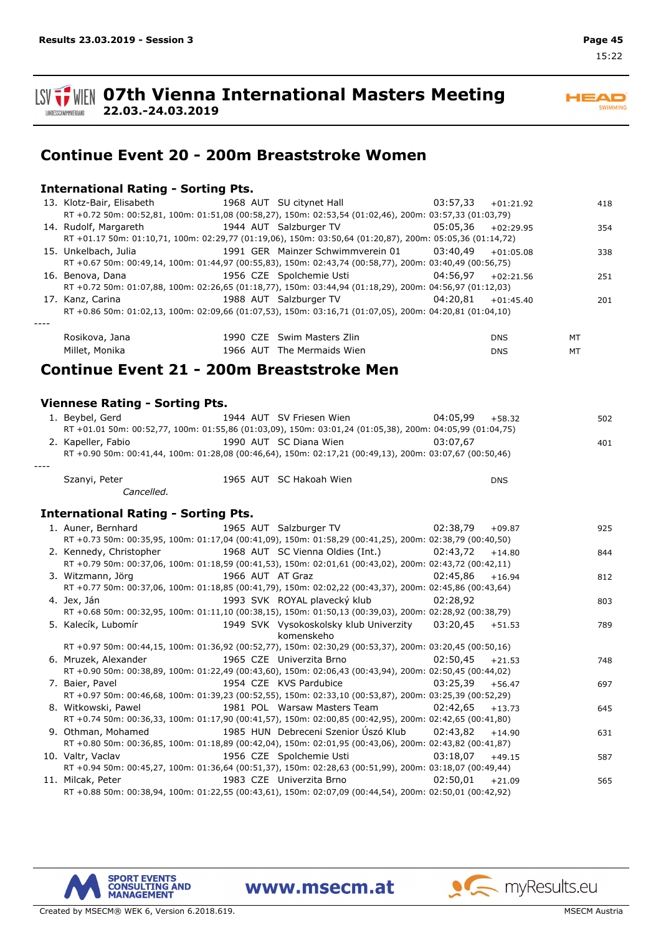

**Continue Event 20 - 200m Breaststroke Women**

### **International Rating - Sorting Pts.**

**22.03.-24.03.2019**

| 13. Klotz-Bair, Elisabeth 1968 AUT SU citynet Hall 13. Klotz-Bair, Elisabeth 1968 AUT SU citynet Hall 1968 20 |                                                        |             | 418 |
|---------------------------------------------------------------------------------------------------------------|--------------------------------------------------------|-------------|-----|
| RT +0.72 50m: 00:52,81, 100m: 01:51,08 (00:58,27), 150m: 02:53,54 (01:02,46), 200m: 03:57,33 (01:03,79)       |                                                        |             |     |
| 14. Rudolf, Margareth                                                                                         | 1944 AUT Salzburger TV 05:05,36                        | $+02:29.95$ | 354 |
| RT +01.17 50m: 01:10,71, 100m: 02:29,77 (01:19,06), 150m: 03:50,64 (01:20,87), 200m: 05:05,36 (01:14,72)      |                                                        |             |     |
| 15. Unkelbach, Julia                                                                                          | 1991 GER Mainzer Schwimmverein 01 $03:40.49 +01:05.08$ |             | 338 |
| RT +0.67 50m: 00:49,14, 100m: 01:44,97 (00:55,83), 150m: 02:43,74 (00:58,77), 200m: 03:40,49 (00:56,75)       |                                                        |             |     |
| 16. Benova, Dana                                                                                              | 1956 CZE Spolchemie Usti $04:56.97$ +02:21.56          |             | 251 |
| RT +0.72 50m: 01:07,88, 100m: 02:26,65 (01:18,77), 150m: 03:44,94 (01:18,29), 200m: 04:56,97 (01:12,03)       |                                                        |             |     |
| 17. Kanz, Carina                                                                                              | 1988 AUT Salzburger TV $04:20,81 +01:45.40$            |             | 201 |
| RT +0.86 50m: 01:02,13, 100m: 02:09,66 (01:07,53), 150m: 03:16,71 (01:07,05), 200m: 04:20,81 (01:04,10)       |                                                        |             |     |
|                                                                                                               |                                                        |             |     |
| Rosikova, Jana                                                                                                | 1990 CZE Swim Masters Zlin                             | <b>DNS</b>  | MT  |
| Millet, Monika                                                                                                | 1966 AUT The Mermaids Wien                             | <b>DNS</b>  | MT  |
|                                                                                                               |                                                        |             |     |

### **Continue Event 21 - 200m Breaststroke Men**

### **Viennese Rating - Sorting Pts.**

|      | 1. Bevbel, Gerd    | 1944 AUT SV Friesen Wien                                                                                 | 04:05.99<br>+58.32 | 502 |
|------|--------------------|----------------------------------------------------------------------------------------------------------|--------------------|-----|
|      |                    | RT +01.01 50m: 00:52,77, 100m: 01:55,86 (01:03,09), 150m: 03:01,24 (01:05,38), 200m: 04:05,99 (01:04,75) |                    |     |
|      | 2. Kapeller, Fabio | 1990 AUT SC Diana Wien                                                                                   | 03:07.67           | 401 |
|      |                    | RT +0.90 50m: 00:41,44, 100m: 01:28,08 (00:46,64), 150m: 02:17,21 (00:49,13), 200m: 03:07,67 (00:50,46)  |                    |     |
| ---- |                    |                                                                                                          |                    |     |
|      |                    | $1007 - 117$ $100$                                                                                       |                    |     |

Szanyi, Peter 1965 SC Hakoah Wien AUT DNS *Cancelled.*

#### **International Rating - Sorting Pts.**

| 1. Auner, Bernhard 1965 AUT Salzburger TV 02:38,79                                                      |          | $+09.87$ | 925 |
|---------------------------------------------------------------------------------------------------------|----------|----------|-----|
| RT +0.73 50m: 00:35,95, 100m: 01:17,04 (00:41,09), 150m: 01:58,29 (00:41,25), 200m: 02:38,79 (00:40,50) |          |          |     |
| 2. Kennedy, Christopher 1968 AUT SC Vienna Oldies (Int.) 02:43,72                                       |          | $+14.80$ | 844 |
| RT +0.79 50m: 00:37,06, 100m: 01:18,59 (00:41,53), 150m: 02:01,61 (00:43,02), 200m: 02:43,72 (00:42,11) |          |          |     |
| 1966 AUT AT Graz<br>3. Witzmann, Jörg                                                                   | 02:45.86 | $+16.94$ | 812 |
| RT +0.77 50m: 00:37,06, 100m: 01:18,85 (00:41,79), 150m: 02:02,22 (00:43,37), 200m: 02:45,86 (00:43,64) |          |          |     |
| 1993 SVK ROYAL plavecký klub<br>4. Jex, Ján                                                             | 02:28,92 |          | 803 |
| RT +0.68 50m: 00:32,95, 100m: 01:11,10 (00:38,15), 150m: 01:50,13 (00:39,03), 200m: 02:28,92 (00:38,79) |          |          |     |
| 5. Kalecík, Lubomír<br>1949 SVK Vysokoskolsky klub Univerzity 03:20,45                                  |          | $+51.53$ | 789 |
| komenskeho                                                                                              |          |          |     |
| RT +0.97 50m: 00:44,15, 100m: 01:36,92 (00:52,77), 150m: 02:30,29 (00:53,37), 200m: 03:20,45 (00:50,16) |          |          |     |
| 1965 CZE Univerzita Brno<br>6. Mruzek, Alexander                                                        | 02:50.45 | $+21.53$ | 748 |
| RT +0.90 50m: 00:38,89, 100m: 01:22,49 (00:43,60), 150m: 02:06,43 (00:43,94), 200m: 02:50,45 (00:44,02) |          |          |     |
| 1954 CZE KVS Pardubice<br>7. Baier, Pavel                                                               | 03:25.39 | $+56.47$ | 697 |
| RT +0.97 50m: 00:46,68, 100m: 01:39,23 (00:52,55), 150m: 02:33,10 (00:53,87), 200m: 03:25,39 (00:52,29) |          |          |     |
| 8. Witkowski, Pawel                                                                                     |          | $+13.73$ | 645 |
| RT +0.74 50m: 00:36,33, 100m: 01:17,90 (00:41,57), 150m: 02:00,85 (00:42,95), 200m: 02:42,65 (00:41,80) |          |          |     |
|                                                                                                         |          | $+14.90$ | 631 |
| RT +0.80 50m: 00:36,85, 100m: 01:18,89 (00:42,04), 150m: 02:01,95 (00:43,06), 200m: 02:43,82 (00:41,87) |          |          |     |
|                                                                                                         |          | $+49.15$ | 587 |
| RT +0.94 50m: 00:45,27, 100m: 01:36,64 (00:51,37), 150m: 02:28,63 (00:51,99), 200m: 03:18,07 (00:49,44) |          |          |     |
| 1983 CZE Univerzita Brno<br>11. Milcak, Peter                                                           | 02:50.01 | $+21.09$ | 565 |
| RT +0.88 50m: 00:38,94, 100m: 01:22,55 (00:43,61), 150m: 02:07,09 (00:44,54), 200m: 02:50,01 (00:42,92) |          |          |     |

www.msecm.at

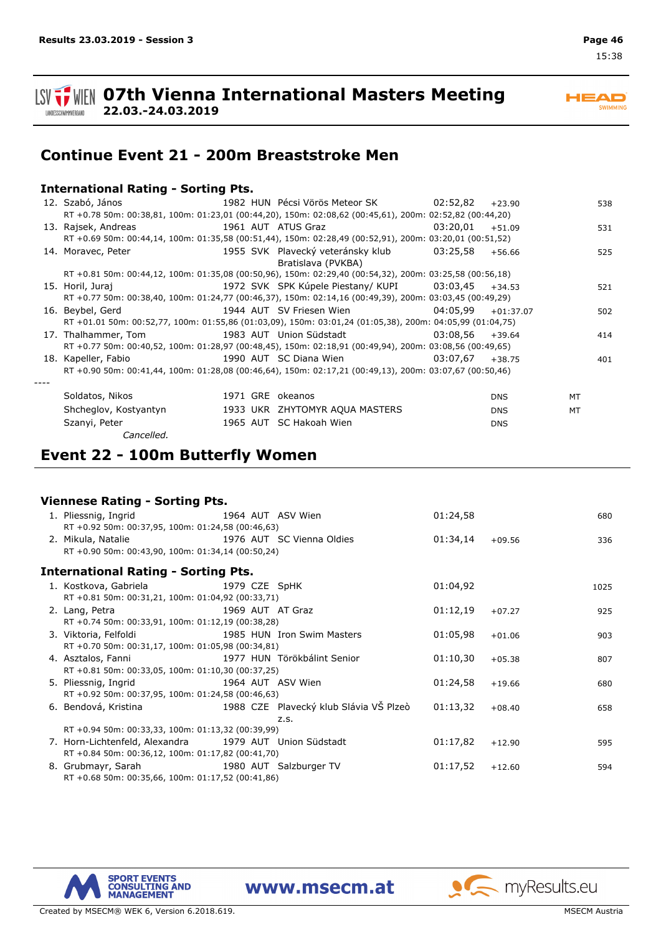

**22.03.-24.03.2019**

### SWIMMING

**Continue Event 21 - 200m Breaststroke Men**

### **International Rating - Sorting Pts.**

| 12. Szabó, János                                                                                                  |                  |                                                                  |          | $+23.90$   | 538       |  |
|-------------------------------------------------------------------------------------------------------------------|------------------|------------------------------------------------------------------|----------|------------|-----------|--|
| RT +0.78 50m: 00:38,81, 100m: 01:23,01 (00:44,20), 150m: 02:08,62 (00:45,61), 200m: 02:52,82 (00:44,20)           |                  |                                                                  |          |            |           |  |
| 13. Rajsek, Andreas                                                                                               |                  | 1961 AUT ATUS Graz                                               | 03:20.01 | $+51.09$   | 531       |  |
| RT +0.69 50m: 00:44,14, 100m: 01:35,58 (00:51,44), 150m: 02:28,49 (00:52,91), 200m: 03:20,01 (00:51,52)           |                  |                                                                  |          |            |           |  |
| 14. Moravec, Peter                                                                                                |                  | 1955 SVK Plavecký veteránsky klub 03:25,58<br>Bratislava (PVKBA) |          | $+56.66$   | 525       |  |
| RT +0.81 50m: 00:44,12, 100m: 01:35,08 (00:50,96), 150m: 02:29,40 (00:54,32), 200m: 03:25,58 (00:56,18)           |                  |                                                                  |          |            |           |  |
| 15. Horil, Juraj                                                                                                  |                  | 1972 SVK SPK Kúpele Piestany/KUPI 03:03,45 +34.53                |          |            | 521       |  |
| RT +0.77 50m: 00:38,40, 100m: 01:24,77 (00:46,37), 150m: 02:14,16 (00:49,39), 200m: 03:03,45 (00:49,29)           |                  |                                                                  |          |            |           |  |
| 16. Beybel, Gerd                                                                                                  |                  | 1944 AUT SV Friesen Wien 64:05,99                                |          | +01:37.07  | 502       |  |
| RT +01.01 50m: 00:52,77, 100m: 01:55,86 (01:03,09), 150m: 03:01,24 (01:05,38), 200m: 04:05,99 (01:04,75)          |                  |                                                                  |          |            |           |  |
| 17. Thalhammer, Tom                           1983 AUT Union Südstadt                         03:08,56     +39.64 |                  |                                                                  |          |            | 414       |  |
| RT +0.77 50m: 00:40,52, 100m: 01:28,97 (00:48,45), 150m: 02:18,91 (00:49,94), 200m: 03:08,56 (00:49,65)           |                  |                                                                  |          |            |           |  |
| 18. Kapeller, Fabio                                                                                               |                  | 1990 AUT SC Diana Wien 63:07.67                                  |          | $+38.75$   | 401       |  |
| RT +0.90 50m: 00:41,44, 100m: 01:28,08 (00:46,64), 150m: 02:17,21 (00:49,13), 200m: 03:07,67 (00:50,46)           |                  |                                                                  |          |            |           |  |
|                                                                                                                   |                  |                                                                  |          |            |           |  |
| Soldatos, Nikos                                                                                                   | 1971 GRE okeanos |                                                                  |          | <b>DNS</b> | <b>MT</b> |  |
| Shcheglov, Kostyantyn                                                                                             |                  | 1933 UKR ZHYTOMYR AQUA MASTERS                                   |          | <b>DNS</b> | MT        |  |
| Szanyi, Peter                                                                                                     |                  | 1965 AUT SC Hakoah Wien                                          |          | <b>DNS</b> |           |  |

*Cancelled.*

### **Event 22 - 100m Butterfly Women**

#### **Viennese Rating - Sorting Pts.**

| 1. Pliessnig, Ingrid 1964 AUT ASV Wien                                                        |                            | 01:24,58 |          | 680  |
|-----------------------------------------------------------------------------------------------|----------------------------|----------|----------|------|
| RT +0.92 50m: 00:37,95, 100m: 01:24,58 (00:46,63)                                             |                            |          |          |      |
| 1976 AUT SC Vienna Oldies<br>2. Mikula, Natalie                                               |                            | 01:34,14 | $+09.56$ | 336  |
| RT +0.90 50m: 00:43,90, 100m: 01:34,14 (00:50,24)                                             |                            |          |          |      |
| <b>International Rating - Sorting Pts.</b>                                                    |                            |          |          |      |
| 1. Kostkova, Gabriela 1979 CZE SpHK                                                           |                            | 01:04,92 |          | 1025 |
| RT +0.81 50m: 00:31,21, 100m: 01:04,92 (00:33,71)                                             |                            |          |          |      |
| 1969 AUT AT Graz<br>2. Lang, Petra                                                            |                            | 01:12,19 | $+07.27$ | 925  |
| RT +0.74 50m: 00:33,91, 100m: 01:12,19 (00:38,28)                                             |                            |          |          |      |
| 3. Viktoria, Felfoldi                                                                         | 1985 HUN Iron Swim Masters | 01:05,98 | $+01.06$ | 903  |
| RT +0.70 50m: 00:31,17, 100m: 01:05,98 (00:34,81)                                             |                            |          |          |      |
| 4. Asztalos, Fanni 1977 HUN Törökbálint Senior                                                |                            | 01:10,30 | $+05.38$ | 807  |
| RT +0.81 50m: 00:33,05, 100m: 01:10,30 (00:37,25)                                             |                            |          |          |      |
| 5. Pliessnig, Ingrid<br>1964 AUT ASV Wien                                                     |                            | 01:24,58 | $+19.66$ | 680  |
| RT +0.92 50m: 00:37,95, 100m: 01:24,58 (00:46,63)                                             |                            |          |          |      |
| 6. Bendová, Kristina                                   1988 CZE Plavecký klub Slávia VŠ Plzeò |                            | 01:13,32 | $+08.40$ | 658  |
|                                                                                               | Z.S.                       |          |          |      |
| RT +0.94 50m: 00:33,33, 100m: 01:13,32 (00:39,99)                                             |                            |          |          |      |
| 7. Horn-Lichtenfeld, Alexandra 1979 AUT Union Südstadt                                        |                            | 01:17,82 | $+12.90$ | 595  |
| RT +0.84 50m: 00:36,12, 100m: 01:17,82 (00:41,70)                                             |                            |          |          |      |
| 8. Grubmayr, Sarah 1980 AUT Salzburger TV                                                     |                            | 01:17,52 | $+12.60$ | 594  |
| RT +0.68 50m: 00:35,66, 100m: 01:17,52 (00:41,86)                                             |                            |          |          |      |



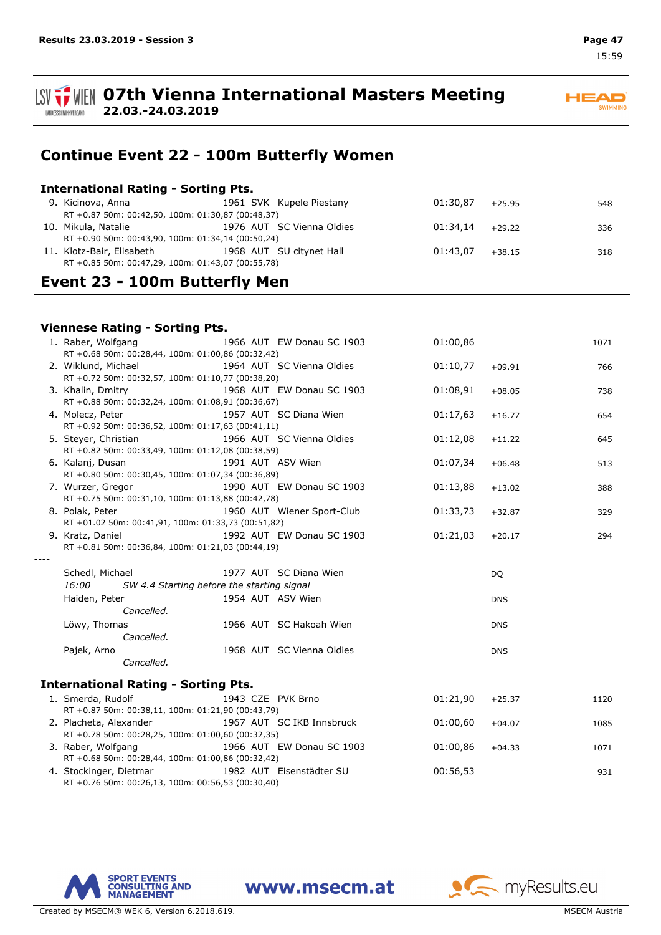

## **Continue Event 22 - 100m Butterfly Women**

### **International Rating - Sorting Pts.**

**22.03.-24.03.2019**

| 9. Kicinova, Anna                                 |  |                                                                                                                                                                                             |  | 548                                                         |  |  |
|---------------------------------------------------|--|---------------------------------------------------------------------------------------------------------------------------------------------------------------------------------------------|--|-------------------------------------------------------------|--|--|
|                                                   |  |                                                                                                                                                                                             |  |                                                             |  |  |
| 10. Mikula, Natalie                               |  |                                                                                                                                                                                             |  | 336                                                         |  |  |
|                                                   |  |                                                                                                                                                                                             |  |                                                             |  |  |
| 11. Klotz-Bair, Elisabeth                         |  |                                                                                                                                                                                             |  | 318                                                         |  |  |
| RT +0.85 50m: 00:47,29, 100m: 01:43,07 (00:55,78) |  |                                                                                                                                                                                             |  |                                                             |  |  |
|                                                   |  | 1961 SVK Kupele Piestany<br>RT +0.87 50m: 00:42,50, 100m: 01:30,87 (00:48,37)<br>1976 AUT SC Vienna Oldies<br>RT +0.90 50m: 00:43,90, 100m: 01:34,14 (00:50,24)<br>1968 AUT SU citynet Hall |  | $01:30.87$ +25.95<br>$01:34,14$ +29.22<br>$01:43,07$ +38.15 |  |  |

## **Event 23 - 100m Butterfly Men**

### **Viennese Rating - Sorting Pts.**

| 1. Raber, Wolfgang<br>RT +0.68 50m: 00:28,44, 100m: 01:00,86 (00:32,42)     |                   | 1966 AUT EW Donau SC 1903  | 01:00,86 |            | 1071 |
|-----------------------------------------------------------------------------|-------------------|----------------------------|----------|------------|------|
| 2. Wiklund, Michael<br>RT +0.72 50m: 00:32,57, 100m: 01:10,77 (00:38,20)    |                   | 1964 AUT SC Vienna Oldies  | 01:10,77 | $+09.91$   | 766  |
| 3. Khalin, Dmitry<br>RT +0.88 50m: 00:32,24, 100m: 01:08,91 (00:36,67)      |                   | 1968 AUT EW Donau SC 1903  | 01:08,91 | $+08.05$   | 738  |
| 4. Molecz, Peter<br>RT +0.92 50m: 00:36,52, 100m: 01:17,63 (00:41,11)       |                   | 1957 AUT SC Diana Wien     | 01:17,63 | $+16.77$   | 654  |
| 5. Steyer, Christian<br>RT +0.82 50m: 00:33,49, 100m: 01:12,08 (00:38,59)   |                   | 1966 AUT SC Vienna Oldies  | 01:12,08 | $+11.22$   | 645  |
| 6. Kalanj, Dusan<br>RT +0.80 50m: 00:30,45, 100m: 01:07,34 (00:36,89)       | 1991 AUT ASV Wien |                            | 01:07,34 | $+06.48$   | 513  |
| 7. Wurzer, Gregor<br>RT +0.75 50m: 00:31,10, 100m: 01:13,88 (00:42,78)      |                   | 1990 AUT EW Donau SC 1903  | 01:13,88 | $+13.02$   | 388  |
| 8. Polak, Peter<br>RT +01.02 50m: 00:41,91, 100m: 01:33,73 (00:51,82)       |                   | 1960 AUT Wiener Sport-Club | 01:33,73 | $+32.87$   | 329  |
| 9. Kratz, Daniel<br>RT +0.81 50m: 00:36,84, 100m: 01:21,03 (00:44,19)       |                   | 1992 AUT EW Donau SC 1903  | 01:21,03 | $+20.17$   | 294  |
|                                                                             |                   |                            |          |            |      |
| Schedl, Michael<br>16:00<br>SW 4.4 Starting before the starting signal      |                   | 1977 AUT SC Diana Wien     |          | <b>DQ</b>  |      |
| Haiden, Peter                                                               | 1954 AUT ASV Wien |                            |          | <b>DNS</b> |      |
| Cancelled.                                                                  |                   |                            |          |            |      |
| Löwy, Thomas<br>Cancelled.                                                  |                   | 1966 AUT SC Hakoah Wien    |          | <b>DNS</b> |      |
|                                                                             |                   |                            |          |            |      |
| Pajek, Arno<br>Cancelled.                                                   |                   | 1968 AUT SC Vienna Oldies  |          | <b>DNS</b> |      |
| <b>International Rating - Sorting Pts.</b>                                  |                   |                            |          |            |      |
| 1. Smerda, Rudolf<br>RT +0.87 50m: 00:38,11, 100m: 01:21,90 (00:43,79)      | 1943 CZE PVK Brno |                            | 01:21,90 | $+25.37$   | 1120 |
| 2. Placheta, Alexander<br>RT +0.78 50m: 00:28,25, 100m: 01:00,60 (00:32,35) |                   | 1967 AUT SC IKB Innsbruck  | 01:00,60 | $+04.07$   | 1085 |
| 3. Raber, Wolfgang<br>RT +0.68 50m: 00:28,44, 100m: 01:00,86 (00:32,42)     |                   | 1966 AUT EW Donau SC 1903  | 01:00,86 | $+04.33$   | 1071 |

RT +0.76 50m: 00:26,13, 100m: 00:56,53 (00:30,40)

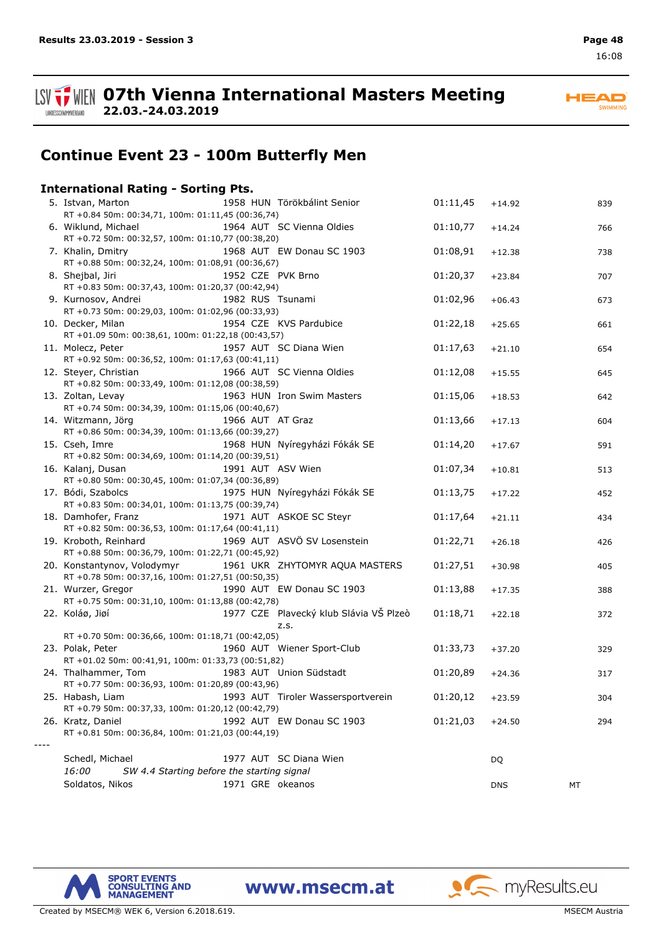

**ISV THE OFTH Vienna International Masters Meeting 22.03.-24.03.2019**

**HEAD** SWIMMING

## **Continue Event 23 - 100m Butterfly Men**

### **International Rating - Sorting Pts.**

| 5. Istvan, Marton<br>RT +0.84 50m: 00:34,71, 100m: 01:11,45 (00:36,74)           |                   | 1958 HUN Törökbálint Senior            | 01:11,45 | $+14.92$   | 839 |
|----------------------------------------------------------------------------------|-------------------|----------------------------------------|----------|------------|-----|
| 6. Wiklund, Michael                                                              |                   | 1964 AUT SC Vienna Oldies              | 01:10,77 | $+14.24$   | 766 |
| RT +0.72 50m: 00:32,57, 100m: 01:10,77 (00:38,20)<br>7. Khalin, Dmitry           |                   | 1968 AUT EW Donau SC 1903              | 01:08,91 | $+12.38$   | 738 |
| RT +0.88 50m: 00:32,24, 100m: 01:08,91 (00:36,67)<br>8. Shejbal, Jiri            | 1952 CZE PVK Brno |                                        | 01:20,37 | $+23.84$   | 707 |
| RT +0.83 50m: 00:37,43, 100m: 01:20,37 (00:42,94)<br>9. Kurnosov, Andrei         | 1982 RUS Tsunami  |                                        | 01:02,96 | $+06.43$   | 673 |
| RT +0.73 50m: 00:29,03, 100m: 01:02,96 (00:33,93)<br>10. Decker, Milan           |                   | 1954 CZE KVS Pardubice                 | 01:22,18 | $+25.65$   | 661 |
| RT +01.09 50m: 00:38,61, 100m: 01:22,18 (00:43,57)                               |                   |                                        |          |            |     |
| 11. Molecz, Peter<br>RT +0.92 50m: 00:36,52, 100m: 01:17,63 (00:41,11)           |                   | 1957 AUT SC Diana Wien                 | 01:17,63 | $+21.10$   | 654 |
| 12. Steyer, Christian<br>RT +0.82 50m: 00:33,49, 100m: 01:12,08 (00:38,59)       |                   | 1966 AUT SC Vienna Oldies              | 01:12,08 | $+15.55$   | 645 |
| 13. Zoltan, Levay<br>RT +0.74 50m: 00:34,39, 100m: 01:15,06 (00:40,67)           |                   | 1963 HUN Iron Swim Masters             | 01:15,06 | $+18.53$   | 642 |
| 14. Witzmann, Jörg<br>RT +0.86 50m: 00:34,39, 100m: 01:13,66 (00:39,27)          | 1966 AUT AT Graz  |                                        | 01:13,66 | $+17.13$   | 604 |
| 15. Cseh, Imre<br>RT +0.82 50m: 00:34,69, 100m: 01:14,20 (00:39,51)              |                   | 1968 HUN Nyíregyházi Fókák SE          | 01:14,20 | $+17.67$   | 591 |
| 16. Kalanj, Dusan<br>RT +0.80 50m: 00:30,45, 100m: 01:07,34 (00:36,89)           |                   | 1991 AUT ASV Wien                      | 01:07,34 | $+10.81$   | 513 |
| 17. Bódi, Szabolcs<br>RT +0.83 50m: 00:34,01, 100m: 01:13,75 (00:39,74)          |                   | 1975 HUN Nyíregyházi Fókák SE          | 01:13,75 | $+17.22$   | 452 |
| 18. Damhofer, Franz<br>RT +0.82 50m: 00:36,53, 100m: 01:17,64 (00:41,11)         |                   | 1971 AUT ASKOE SC Steyr                | 01:17,64 | $+21.11$   | 434 |
| 19. Kroboth, Reinhard<br>RT +0.88 50m: 00:36,79, 100m: 01:22,71 (00:45,92)       |                   | 1969 AUT ASVÖ SV Losenstein            | 01:22,71 | $+26.18$   | 426 |
| 20. Konstantynov, Volodymyr<br>RT +0.78 50m: 00:37,16, 100m: 01:27,51 (00:50,35) |                   | 1961 UKR ZHYTOMYR AQUA MASTERS         | 01:27,51 | $+30.98$   | 405 |
| 21. Wurzer, Gregor                                                               |                   | 1990 AUT EW Donau SC 1903              | 01:13,88 | $+17.35$   | 388 |
| RT +0.75 50m: 00:31,10, 100m: 01:13,88 (00:42,78)<br>22. Koláø, Jiøí             |                   | 1977 CZE Plavecký klub Slávia VŠ Plzeò | 01:18,71 | $+22.18$   | 372 |
| RT +0.70 50m: 00:36,66, 100m: 01:18,71 (00:42,05)                                |                   | Z.S.                                   |          |            |     |
| 23. Polak, Peter<br>RT +01.02 50m: 00:41,91, 100m: 01:33,73 (00:51,82)           |                   | 1960 AUT Wiener Sport-Club             | 01:33,73 | $+37.20$   | 329 |
| 24. Thalhammer, Tom<br>RT +0.77 50m: 00:36,93, 100m: 01:20,89 (00:43,96)         |                   | 1983 AUT Union Südstadt                | 01:20,89 | $+24.36$   | 317 |
| 25. Habash, Liam<br>RT +0.79 50m: 00:37,33, 100m: 01:20,12 (00:42,79)            |                   | 1993 AUT Tiroler Wassersportverein     | 01:20,12 | $+23.59$   | 304 |
| 26. Kratz, Daniel<br>RT +0.81 50m: 00:36,84, 100m: 01:21,03 (00:44,19)           |                   | 1992 AUT EW Donau SC 1903              | 01:21,03 | $+24.50$   | 294 |
|                                                                                  |                   |                                        |          |            |     |
| Schedl, Michael                                                                  |                   | 1977 AUT SC Diana Wien                 |          | DQ         |     |
| 16:00<br>SW 4.4 Starting before the starting signal<br>Soldatos, Nikos           | 1971 GRE okeanos  |                                        |          | <b>DNS</b> | МT  |
|                                                                                  |                   |                                        |          |            |     |

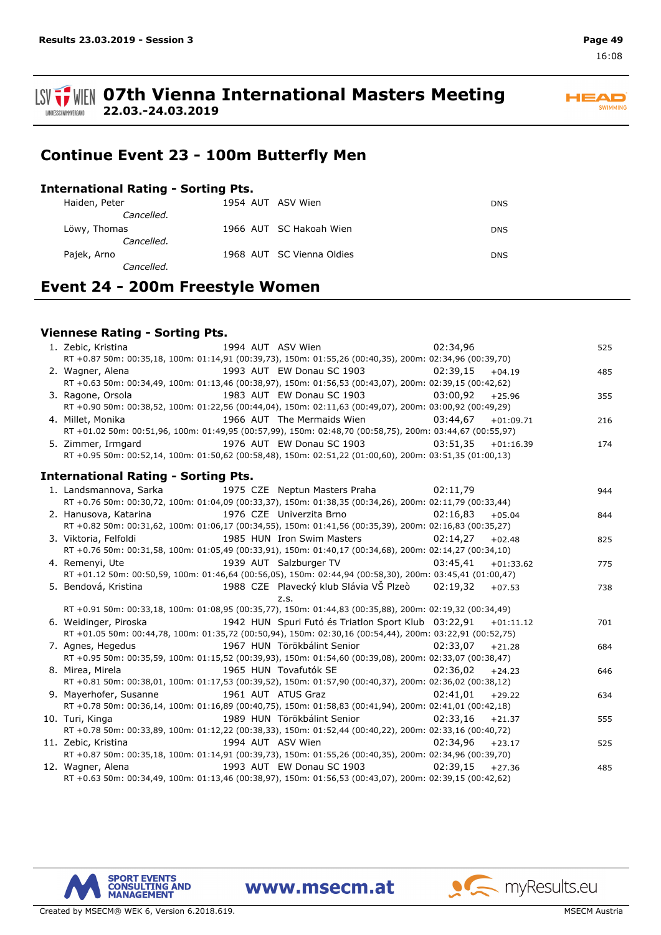**ISV**  $\frac{1}{2}$  WIEN 07th Vienna International Masters Meeting **22.03.-24.03.2019** LANDESSCHWIMMVERBAND



## **Continue Event 23 - 100m Butterfly Men**

### **International Rating - Sorting Pts.**

| Haiden, Peter | 1954 AUT ASV Wien         | <b>DNS</b> |
|---------------|---------------------------|------------|
| Cancelled.    |                           |            |
| Löwy, Thomas  | 1966 AUT SC Hakoah Wien   | <b>DNS</b> |
| Cancelled.    |                           |            |
| Pajek, Arno   | 1968 AUT SC Vienna Oldies | <b>DNS</b> |
| Cancelled.    |                           |            |

## **Event 24 - 200m Freestyle Women**

### **Viennese Rating - Sorting Pts.**

| 1. Zebic, Kristina<br>1994 AUT ASV Wien                                                                                     | 02:34,96 |             | 525 |
|-----------------------------------------------------------------------------------------------------------------------------|----------|-------------|-----|
| RT +0.87 50m: 00:35,18, 100m: 01:14,91 (00:39,73), 150m: 01:55,26 (00:40,35), 200m: 02:34,96 (00:39,70)                     |          |             |     |
| 1993 AUT EW Donau SC 1903 62:39.15<br>2. Wagner, Alena                                                                      |          | $+04.19$    | 485 |
| RT +0.63 50m: 00:34,49, 100m: 01:13,46 (00:38,97), 150m: 01:56,53 (00:43,07), 200m: 02:39,15 (00:42,62)                     |          |             |     |
| 1983 AUT EW Donau SC 1903 03:00,92<br>3. Ragone, Orsola                                                                     |          | $+25.96$    | 355 |
| RT +0.90 50m: 00:38,52, 100m: 01:22,56 (00:44,04), 150m: 02:11,63 (00:49,07), 200m: 03:00,92 (00:49,29)                     |          |             |     |
| 1966 AUT The Mermaids Wien<br>4. Millet, Monika                                                                             | 03:44,67 | $+01:09.71$ | 216 |
| RT +01.02 50m: 00:51,96, 100m: 01:49,95 (00:57,99), 150m: 02:48,70 (00:58,75), 200m: 03:44,67 (00:55,97)                    |          |             |     |
| 5. Zimmer, Irmgard<br>1976 AUT EW Donau SC 1903 03:51,35                                                                    |          | $+01:16.39$ | 174 |
| RT +0.95 50m: 00:52,14, 100m: 01:50,62 (00:58,48), 150m: 02:51,22 (01:00,60), 200m: 03:51,35 (01:00,13)                     |          |             |     |
|                                                                                                                             |          |             |     |
| <b>International Rating - Sorting Pts.</b>                                                                                  |          |             |     |
| 1. Landsmannova, Sarka 1975 CZE Neptun Masters Praha 02:11,79                                                               |          |             | 944 |
| RT +0.76 50m: 00:30,72, 100m: 01:04,09 (00:33,37), 150m: 01:38,35 (00:34,26), 200m: 02:11,79 (00:33,44)                     |          |             |     |
| 2. Hanusova, Katarina<br>1976 CZE Univerzita Brno                                                                           | 02:16,83 | $+05.04$    | 844 |
| RT +0.82 50m: 00:31,62, 100m: 01:06,17 (00:34,55), 150m: 01:41,56 (00:35,39), 200m: 02:16,83 (00:35,27)                     |          |             |     |
| 3. Viktoria, Felfoldi<br>1985 HUN Iron Swim Masters                                                                         | 02:14.27 | $+02.48$    | 825 |
| RT +0.76 50m: 00:31,58, 100m: 01:05,49 (00:33,91), 150m: 01:40,17 (00:34,68), 200m: 02:14,27 (00:34,10)                     |          |             |     |
| 1939 AUT Salzburger TV<br>4. Remenyi, Ute                                                                                   | 03:45.41 | $+01:33.62$ | 775 |
| RT +01.12 50m: 00:50,59, 100m: 01:46,64 (00:56,05), 150m: 02:44,94 (00:58,30), 200m: 03:45,41 (01:00,47)                    |          |             |     |
| 5. Bendová, Kristina                                     1988 CZE Plavecký klub Slávia VŠ Plzeò         02:19,32     +07.53 |          |             | 738 |
| Z.S.                                                                                                                        |          |             |     |
| RT +0.91 50m: 00:33,18, 100m: 01:08,95 (00:35,77), 150m: 01:44,83 (00:35,88), 200m: 02:19,32 (00:34,49)                     |          |             |     |
| 1942 HUN Spuri Futó és Triatlon Sport Klub 03:22,91<br>6. Weidinger, Piroska                                                |          | $+01:11.12$ | 701 |
| RT +01.05 50m: 00:44,78, 100m: 01:35,72 (00:50,94), 150m: 02:30,16 (00:54,44), 200m: 03:22,91 (00:52,75)                    |          |             |     |
| 1967 HUN Törökbálint Senior<br>7. Agnes, Hegedus                                                                            | 02:33.07 | $+21.28$    | 684 |
| RT +0.95 50m: 00:35,59, 100m: 01:15,52 (00:39,93), 150m: 01:54,60 (00:39,08), 200m: 02:33,07 (00:38,47)                     |          |             |     |
| 8. Mirea, Mirela<br>1965 HUN Tovafutók SE                                                                                   | 02:36,02 | $+24.23$    | 646 |
| RT +0.81 50m: 00:38,01, 100m: 01:17,53 (00:39,52), 150m: 01:57,90 (00:40,37), 200m: 02:36,02 (00:38,12)                     |          |             |     |
| 9. Mayerhofer, Susanne <b>1961 AUT</b> ATUS Graz                                                                            | 02:41.01 | $+29.22$    | 634 |
| RT +0.78 50m: 00:36,14, 100m: 01:16,89 (00:40,75), 150m: 01:58,83 (00:41,94), 200m: 02:41,01 (00:42,18)                     |          |             |     |
| 1989 HUN Törökbálint Senior<br>10. Turi, Kinga                                                                              | 02:33,16 | $+21.37$    | 555 |
| RT +0.78 50m: 00:33,89, 100m: 01:12,22 (00:38,33), 150m: 01:52,44 (00:40,22), 200m: 02:33,16 (00:40,72)                     |          |             |     |
| 1994 AUT ASV Wien<br>11. Zebic, Kristina                                                                                    | 02:34,96 | $+23.17$    | 525 |
| RT +0.87 50m: 00:35,18, 100m: 01:14,91 (00:39,73), 150m: 01:55,26 (00:40,35), 200m: 02:34,96 (00:39,70)                     |          |             |     |
| 12. Wagner, Alena <b>1993</b> AUT EW Donau SC 1903 <b>1903</b> 02:39,15                                                     |          | $+27.36$    | 485 |
| RT +0.63 50m: 00:34,49, 100m: 01:13,46 (00:38,97), 150m: 01:56,53 (00:43,07), 200m: 02:39,15 (00:42,62)                     |          |             |     |

www.msecm.at

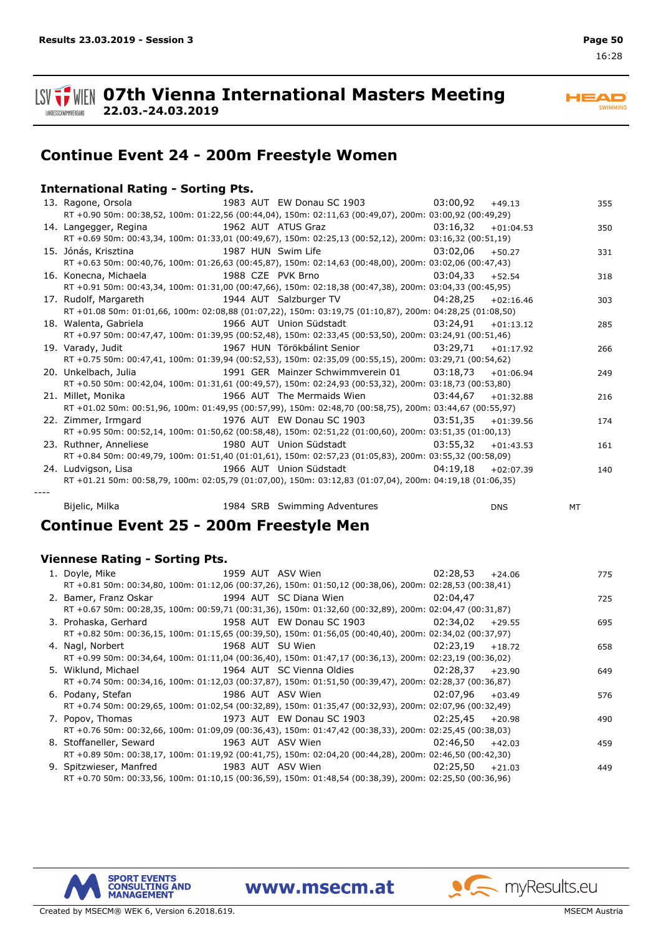

**HEAD SWIMMING** 

## **Continue Event 24 - 200m Freestyle Women**

### **International Rating - Sorting Pts.**

**22.03.-24.03.2019**

| 13. Ragone, Orsola 1983 AUT EW Donau SC 1903 03:00,92                                                                      |  |                              |          | $+49.13$    | 355 |
|----------------------------------------------------------------------------------------------------------------------------|--|------------------------------|----------|-------------|-----|
| RT +0.90 50m: 00:38,52, 100m: 01:22,56 (00:44,04), 150m: 02:11,63 (00:49,07), 200m: 03:00,92 (00:49,29)                    |  |                              |          |             |     |
| 14. Langegger, Regina 1962 AUT ATUS Graz 63:16,32 +01:04.53                                                                |  |                              |          |             | 350 |
| RT +0.69 50m: 00:43,34, 100m: 01:33,01 (00:49,67), 150m: 02:25,13 (00:52,12), 200m: 03:16,32 (00:51,19)                    |  |                              |          |             |     |
|                                                                                                                            |  |                              | 03:02,06 | $+50.27$    | 331 |
| RT +0.63 50m: 00:40,76, 100m: 01:26,63 (00:45,87), 150m: 02:14,63 (00:48,00), 200m: 03:02,06 (00:47,43)                    |  |                              |          |             |     |
|                                                                                                                            |  |                              |          | $+52.54$    | 318 |
| RT +0.91 50m: 00:43,34, 100m: 01:31,00 (00:47,66), 150m: 02:18,38 (00:47,38), 200m: 03:04,33 (00:45,95)                    |  |                              |          |             |     |
| 17. Rudolf, Margareth                         1944 AUT Salzburger TV                         04:28,25     +02:16.46        |  |                              |          |             | 303 |
| RT +01.08 50m: 01:01,66, 100m: 02:08,88 (01:07,22), 150m: 03:19,75 (01:10,87), 200m: 04:28,25 (01:08,50)                   |  |                              |          |             |     |
| 18. Walenta, Gabriela                               1966 AUT Union Südstadt                         03:24,91     +01:13.12 |  |                              |          |             | 285 |
| RT +0.97 50m: 00:47,47, 100m: 01:39,95 (00:52,48), 150m: 02:33,45 (00:53,50), 200m: 03:24,91 (00:51,46)                    |  |                              |          |             |     |
| 19. Varady, Judit 1967 HUN Törökbálint Senior (1952), 29, 71 + 01:17.92                                                    |  |                              |          |             | 266 |
| RT +0.75 50m: 00:47,41, 100m: 01:39,94 (00:52,53), 150m: 02:35,09 (00:55,15), 200m: 03:29,71 (00:54,62)                    |  |                              |          |             |     |
|                                                                                                                            |  |                              |          | $+01:06.94$ | 249 |
| RT +0.50 50m: 00:42,04, 100m: 01:31,61 (00:49,57), 150m: 02:24,93 (00:53,32), 200m: 03:18,73 (00:53,80)                    |  |                              |          |             |     |
| 21. Millet, Monika                                   1966 AUT The Mermaids Wien                   03:44,67     +01:32.88   |  |                              |          |             | 216 |
| RT +01.02 50m: 00:51,96, 100m: 01:49,95 (00:57,99), 150m: 02:48,70 (00:58,75), 200m: 03:44,67 (00:55,97)                   |  |                              |          |             |     |
|                                                                                                                            |  |                              |          | $+01:39.56$ | 174 |
| RT +0.95 50m: 00:52,14, 100m: 01:50,62 (00:58,48), 150m: 02:51,22 (01:00,60), 200m: 03:51,35 (01:00,13)                    |  |                              |          |             |     |
| 23. Ruthner, Anneliese The Suite of the Suite of the Marian Muslim of the Marian Muslim Communication of the M             |  |                              |          | $+01:43.53$ | 161 |
| RT +0.84 50m: 00:49,79, 100m: 01:51,40 (01:01,61), 150m: 02:57,23 (01:05,83), 200m: 03:55,32 (00:58,09)                    |  |                              |          |             |     |
| 24. Ludvigson, Lisa 1966 AUT Union Südstadt 1961 19,18 +02:07.39                                                           |  |                              |          |             | 140 |
| RT +01.21 50m: 00:58,79, 100m: 02:05,79 (01:07,00), 150m: 03:12,83 (01:07,04), 200m: 04:19,18 (01:06,35)                   |  |                              |          |             |     |
|                                                                                                                            |  |                              |          |             |     |
| Bijelic, Milka                                                                                                             |  | 1984 SRB Swimming Adventures |          | <b>DNS</b>  | MT  |

## **Continue Event 25 - 200m Freestyle Men**

### **Viennese Rating - Sorting Pts.**

| 1. Doyle, Mike                                                                                                        | 1959 AUT ASV Wien                  | 02:28,53           | $+24.06$ | 775 |
|-----------------------------------------------------------------------------------------------------------------------|------------------------------------|--------------------|----------|-----|
| RT +0.81 50m: 00:34,80, 100m: 01:12,06 (00:37,26), 150m: 01:50,12 (00:38,06), 200m: 02:28,53 (00:38,41)               |                                    |                    |          |     |
| 2. Bamer, Franz Oskar 1994 AUT SC Diana Wien 12:04,47                                                                 |                                    |                    |          | 725 |
| RT +0.67 50m: 00:28,35, 100m: 00:59,71 (00:31,36), 150m: 01:32,60 (00:32,89), 200m: 02:04,47 (00:31,87)               |                                    |                    |          |     |
| 3. Prohaska, Gerhard 1958 AUT EW Donau SC 1903 02:34,02                                                               |                                    |                    | $+29.55$ | 695 |
| RT +0.82 50m: 00:36,15, 100m: 01:15,65 (00:39,50), 150m: 01:56,05 (00:40,40), 200m: 02:34,02 (00:37,97)               |                                    |                    |          |     |
| 4. Nagl, Norbert                                                                                                      | 1968 AUT SU Wien 02:23,19          |                    | $+18.72$ | 658 |
| RT +0.99 50m: 00:34,64, 100m: 01:11,04 (00:36,40), 150m: 01:47,17 (00:36,13), 200m: 02:23,19 (00:36,02)               |                                    |                    |          |     |
| 5. Wiklund, Michael                               1964 AUT SC Vienna Oldies                       02:28,37     +23,90 |                                    |                    |          | 649 |
| RT +0.74 50m: 00:34,16, 100m: 01:12,03 (00:37,87), 150m: 01:51,50 (00:39,47), 200m: 02:28,37 (00:36,87)               |                                    |                    |          |     |
| 6. Podany, Stefan                                                                                                     | 1986 AUT ASV Wien                  | $02:07.96 + 03.49$ |          | 576 |
| RT +0.74 50m: 00:29,65, 100m: 01:02,54 (00:32,89), 150m: 01:35,47 (00:32,93), 200m: 02:07,96 (00:32,49)               |                                    |                    |          |     |
| 7. Popov, Thomas                                                                                                      | 1973 AUT EW Donau SC 1903 02:25,45 |                    | $+20.98$ | 490 |
| RT +0.76 50m: 00:32,66, 100m: 01:09,09 (00:36,43), 150m: 01:47,42 (00:38,33), 200m: 02:25,45 (00:38,03)               |                                    |                    |          |     |
| 8. Stoffaneller, Seward 1963 AUT ASV Wien                                                                             |                                    | 02:46,50           | $+42.03$ | 459 |
| RT +0.89 50m: 00:38,17, 100m: 01:19,92 (00:41,75), 150m: 02:04,20 (00:44,28), 200m: 02:46,50 (00:42,30)               |                                    |                    |          |     |
| 9. Spitzwieser, Manfred 1983 AUT ASV Wien                                                                             |                                    | 02:25.50           | $+21.03$ | 449 |
| RT +0.70 50m: 00:33,56, 100m: 01:10,15 (00:36,59), 150m: 01:48,54 (00:38,39), 200m: 02:25,50 (00:36,96)               |                                    |                    |          |     |

www.msecm.at

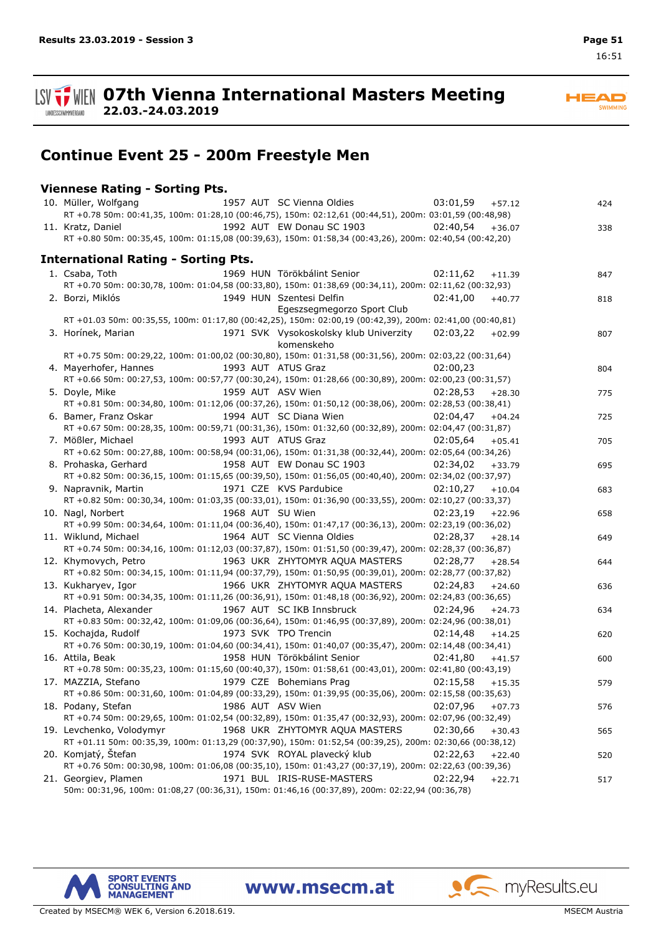**ISV**  $\frac{1}{2}$  WIEN 07th Vienna International Masters Meeting LANDESSCHWIMMVERBAND

**HEAD** SWIMMING

## **Continue Event 25 - 200m Freestyle Men**

### **Viennese Rating - Sorting Pts.**

**22.03.-24.03.2019**

| 1957 AUT SC Vienna Oldies<br>10. Müller, Wolfgang                                                                                                          | 03:01,59 | $+57.12$ | 424 |
|------------------------------------------------------------------------------------------------------------------------------------------------------------|----------|----------|-----|
| RT +0.78 50m: 00:41,35, 100m: 01:28,10 (00:46,75), 150m: 02:12,61 (00:44,51), 200m: 03:01,59 (00:48,98)                                                    |          |          |     |
| 1992 AUT EW Donau SC 1903<br>11. Kratz, Daniel                                                                                                             | 02:40.54 | $+36.07$ | 338 |
| RT +0.80 50m: 00:35,45, 100m: 01:15,08 (00:39,63), 150m: 01:58,34 (00:43,26), 200m: 02:40,54 (00:42,20)                                                    |          |          |     |
| <b>International Rating - Sorting Pts.</b>                                                                                                                 |          |          |     |
| 1969 HUN Törökbálint Senior<br>1. Csaba, Toth                                                                                                              | 02:11,62 | $+11.39$ | 847 |
| RT +0.70 50m: 00:30,78, 100m: 01:04,58 (00:33,80), 150m: 01:38,69 (00:34,11), 200m: 02:11,62 (00:32,93)                                                    |          |          |     |
| 2. Borzi, Miklós<br>1949 HUN Szentesi Delfin                                                                                                               | 02:41,00 | $+40.77$ | 818 |
| Egeszsegmegorzo Sport Club                                                                                                                                 |          |          |     |
| RT +01.03 50m: 00:35,55, 100m: 01:17,80 (00:42,25), 150m: 02:00,19 (00:42,39), 200m: 02:41,00 (00:40,81)                                                   |          |          |     |
| 3. Horínek, Marian<br>1971 SVK Vysokoskolsky klub Univerzity 02:03,22                                                                                      |          | $+02.99$ | 807 |
| komenskeho                                                                                                                                                 |          |          |     |
| RT +0.75 50m: 00:29,22, 100m: 01:00,02 (00:30,80), 150m: 01:31,58 (00:31,56), 200m: 02:03,22 (00:31,64)                                                    |          |          |     |
| 1993 AUT ATUS Graz<br>4. Mayerhofer, Hannes                                                                                                                | 02:00,23 |          | 804 |
| RT +0.66 50m: 00:27,53, 100m: 00:57,77 (00:30,24), 150m: 01:28,66 (00:30,89), 200m: 02:00,23 (00:31,57)                                                    |          |          |     |
| 1959 AUT ASV Wien<br>5. Doyle, Mike                                                                                                                        | 02:28,53 | $+28.30$ | 775 |
| RT +0.81 50m: 00:34,80, 100m: 01:12,06 (00:37,26), 150m: 01:50,12 (00:38,06), 200m: 02:28,53 (00:38,41)                                                    |          |          |     |
| 6. Bamer, Franz Oskar<br>1994 AUT SC Diana Wien                                                                                                            | 02:04,47 | $+04.24$ | 725 |
| RT +0.67 50m: 00:28,35, 100m: 00:59,71 (00:31,36), 150m: 01:32,60 (00:32,89), 200m: 02:04,47 (00:31,87)                                                    |          |          |     |
| 1993 AUT ATUS Graz<br>7. Mößler, Michael                                                                                                                   | 02:05,64 | $+05.41$ | 705 |
| RT +0.62 50m: 00:27,88, 100m: 00:58,94 (00:31,06), 150m: 01:31,38 (00:32,44), 200m: 02:05,64 (00:34,26)                                                    |          |          |     |
| 1958 AUT EW Donau SC 1903<br>8. Prohaska, Gerhard                                                                                                          | 02:34,02 | $+33.79$ | 695 |
| RT +0.82 50m: 00:36,15, 100m: 01:15,65 (00:39,50), 150m: 01:56,05 (00:40,40), 200m: 02:34,02 (00:37,97)                                                    |          |          |     |
| 1971 CZE KVS Pardubice<br>9. Napravnik, Martin                                                                                                             | 02:10,27 | $+10.04$ | 683 |
| RT +0.82 50m: 00:30,34, 100m: 01:03,35 (00:33,01), 150m: 01:36,90 (00:33,55), 200m: 02:10,27 (00:33,37)                                                    |          |          |     |
| 1968 AUT SU Wien<br>10. Nagl, Norbert                                                                                                                      | 02:23,19 | $+22.96$ | 658 |
| RT +0.99 50m: 00:34,64, 100m: 01:11,04 (00:36,40), 150m: 01:47,17 (00:36,13), 200m: 02:23,19 (00:36,02)                                                    |          |          |     |
| 1964 AUT SC Vienna Oldies<br>11. Wiklund, Michael                                                                                                          | 02:28,37 | $+28.14$ | 649 |
| RT +0.74 50m: 00:34,16, 100m: 01:12,03 (00:37,87), 150m: 01:51,50 (00:39,47), 200m: 02:28,37 (00:36,87)                                                    |          |          |     |
| 1963 UKR ZHYTOMYR AQUA MASTERS<br>12. Khymovych, Petro                                                                                                     | 02:28,77 | $+28.54$ | 644 |
| RT +0.82 50m: 00:34,15, 100m: 01:11,94 (00:37,79), 150m: 01:50,95 (00:39,01), 200m: 02:28,77 (00:37,82)                                                    |          |          |     |
| 13. Kukharyev, Igor<br>1966 UKR ZHYTOMYR AQUA MASTERS                                                                                                      | 02:24,83 | $+24.60$ | 636 |
| RT +0.91 50m: 00:34,35, 100m: 01:11,26 (00:36,91), 150m: 01:48,18 (00:36,92), 200m: 02:24,83 (00:36,65)                                                    |          |          |     |
| 14. Placheta, Alexander<br>1967 AUT SC IKB Innsbruck                                                                                                       | 02:24,96 | $+24.73$ | 634 |
| RT +0.83 50m: 00:32,42, 100m: 01:09,06 (00:36,64), 150m: 01:46,95 (00:37,89), 200m: 02:24,96 (00:38,01)                                                    |          |          |     |
| 1973 SVK TPO Trencin<br>15. Kochajda, Rudolf                                                                                                               | 02:14,48 | $+14.25$ | 620 |
| RT +0.76 50m: 00:30,19, 100m: 01:04,60 (00:34,41), 150m: 01:40,07 (00:35,47), 200m: 02:14,48 (00:34,41)                                                    |          |          |     |
| 1958 HUN Törökbálint Senior<br>16. Attila, Beak<br>RT +0.78 50m: 00:35,23, 100m: 01:15,60 (00:40,37), 150m: 01:58,61 (00:43,01), 200m: 02:41,80 (00:43,19) | 02:41,80 | $+41.57$ | 600 |
|                                                                                                                                                            | 02:15.58 |          |     |
| 1979 CZE Bohemians Prag<br>17. MAZZIA, Stefano                                                                                                             |          | $+15.35$ | 579 |
| RT +0.86 50m: 00:31,60, 100m: 01:04,89 (00:33,29), 150m: 01:39,95 (00:35,06), 200m: 02:15,58 (00:35,63)<br>1986 AUT ASV Wien                               |          |          |     |
| 18. Podany, Stefan<br>RT +0.74 50m: 00:29,65, 100m: 01:02,54 (00:32,89), 150m: 01:35,47 (00:32,93), 200m: 02:07,96 (00:32,49)                              | 02:07,96 | $+07.73$ | 576 |
| 19. Levchenko, Volodymyr<br>1968 UKR ZHYTOMYR AQUA MASTERS                                                                                                 | 02:30,66 |          |     |
| RT +01.11 50m: 00:35,39, 100m: 01:13,29 (00:37,90), 150m: 01:52,54 (00:39,25), 200m: 02:30,66 (00:38,12)                                                   |          | $+30.43$ | 565 |
| 20. Komjatý, Štefan<br>1974 SVK ROYAL plavecký klub                                                                                                        | 02:22,63 | $+22.40$ |     |
| RT +0.76 50m: 00:30,98, 100m: 01:06,08 (00:35,10), 150m: 01:43,27 (00:37,19), 200m: 02:22,63 (00:39,36)                                                    |          |          | 520 |
| 21. Georgiev, Plamen<br>1971 BUL IRIS-RUSE-MASTERS                                                                                                         | 02:22,94 | $+22.71$ | 517 |
| 50m: 00:31,96, 100m: 01:08,27 (00:36,31), 150m: 01:46,16 (00:37,89), 200m: 02:22,94 (00:36,78)                                                             |          |          |     |

www.msecm.at

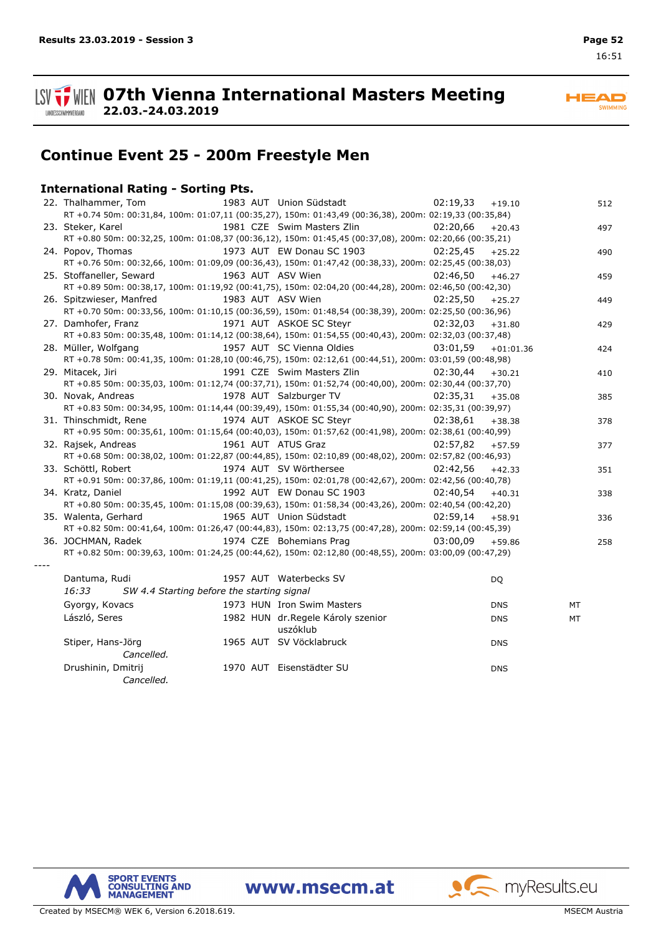

**HEAD** SWIMMING

## **Continue Event 25 - 200m Freestyle Men**

### **International Rating - Sorting Pts.**

**22.03.-24.03.2019**

| 22. Thalhammer, Tom                                                                                     | 1983 AUT Union Südstadt            | 02:19,33<br>$+19.10$    | 512 |
|---------------------------------------------------------------------------------------------------------|------------------------------------|-------------------------|-----|
| RT +0.74 50m: 00:31,84, 100m: 01:07,11 (00:35,27), 150m: 01:43,49 (00:36,38), 200m: 02:19,33 (00:35,84) |                                    |                         |     |
| 23. Steker, Karel                                                                                       | 1981 CZE Swim Masters Zlin         | 02:20.66<br>$+20.43$    | 497 |
| RT +0.80 50m: 00:32,25, 100m: 01:08,37 (00:36,12), 150m: 01:45,45 (00:37,08), 200m: 02:20,66 (00:35,21) |                                    |                         |     |
| 24. Popov, Thomas                                                                                       | 1973 AUT EW Donau SC 1903          | 02:25,45<br>$+25.22$    | 490 |
| RT +0.76 50m: 00:32,66, 100m: 01:09,09 (00:36,43), 150m: 01:47,42 (00:38,33), 200m: 02:25,45 (00:38,03) |                                    |                         |     |
| 25. Stoffaneller, Seward                                                                                | 1963 AUT ASV Wien                  | 02:46,50<br>$+46.27$    | 459 |
| RT +0.89 50m: 00:38,17, 100m: 01:19,92 (00:41,75), 150m: 02:04,20 (00:44,28), 200m: 02:46,50 (00:42,30) |                                    |                         |     |
| 26. Spitzwieser, Manfred                                                                                | 1983 AUT ASV Wien                  | 02:25,50<br>$+25.27$    | 449 |
| RT +0.70 50m: 00:33,56, 100m: 01:10,15 (00:36,59), 150m: 01:48,54 (00:38,39), 200m: 02:25,50 (00:36,96) |                                    |                         |     |
| 27. Damhofer, Franz                                                                                     | 1971 AUT ASKOE SC Steyr            | 02:32,03<br>$+31.80$    | 429 |
| RT +0.83 50m: 00:35,48, 100m: 01:14,12 (00:38,64), 150m: 01:54,55 (00:40,43), 200m: 02:32,03 (00:37,48) |                                    |                         |     |
| 28. Müller, Wolfgang                                                                                    | 1957 AUT SC Vienna Oldies          | 03:01.59<br>$+01:01.36$ | 424 |
| RT +0.78 50m: 00:41,35, 100m: 01:28,10 (00:46,75), 150m: 02:12,61 (00:44,51), 200m: 03:01,59 (00:48,98) |                                    |                         |     |
| 29. Mitacek, Jiri                                                                                       | 1991 CZE Swim Masters Zlin         | 02:30.44<br>$+30.21$    | 410 |
| RT +0.85 50m: 00:35,03, 100m: 01:12,74 (00:37,71), 150m: 01:52,74 (00:40,00), 200m: 02:30,44 (00:37,70) |                                    |                         |     |
| 30. Novak, Andreas                                                                                      | 1978 AUT Salzburger TV             | 02:35,31<br>$+35.08$    | 385 |
| RT +0.83 50m: 00:34,95, 100m: 01:14,44 (00:39,49), 150m: 01:55,34 (00:40,90), 200m: 02:35,31 (00:39,97) |                                    |                         |     |
| 31. Thinschmidt, Rene                                                                                   | 1974 AUT ASKOE SC Steyr            | 02:38.61<br>$+38.38$    | 378 |
| RT +0.95 50m: 00:35,61, 100m: 01:15,64 (00:40,03), 150m: 01:57,62 (00:41,98), 200m: 02:38,61 (00:40,99) |                                    |                         |     |
| 32. Rajsek, Andreas                                                                                     | 1961 AUT ATUS Graz                 | 02:57,82<br>$+57.59$    | 377 |
| RT +0.68 50m: 00:38,02, 100m: 01:22,87 (00:44,85), 150m: 02:10,89 (00:48,02), 200m: 02:57,82 (00:46,93) |                                    |                         |     |
| 33. Schöttl, Robert                                                                                     | 1974 AUT SV Wörthersee             | 02:42,56<br>$+42.33$    | 351 |
| RT +0.91 50m: 00:37,86, 100m: 01:19,11 (00:41,25), 150m: 02:01,78 (00:42,67), 200m: 02:42,56 (00:40,78) |                                    |                         |     |
| 34. Kratz, Daniel                                                                                       | 1992 AUT EW Donau SC 1903          | 02:40.54<br>$+40.31$    | 338 |
| RT +0.80 50m: 00:35,45, 100m: 01:15,08 (00:39,63), 150m: 01:58,34 (00:43,26), 200m: 02:40,54 (00:42,20) |                                    |                         |     |
| 35. Walenta, Gerhard                                                                                    | 1965 AUT Union Südstadt            | 02:59.14<br>$+58.91$    | 336 |
| RT +0.82 50m: 00:41,64, 100m: 01:26,47 (00:44,83), 150m: 02:13,75 (00:47,28), 200m: 02:59,14 (00:45,39) |                                    |                         |     |
| 36. JOCHMAN, Radek                                                                                      | 1974 CZE Bohemians Prag            | 03:00.09<br>$+59.86$    | 258 |
| RT +0.82 50m: 00:39,63, 100m: 01:24,25 (00:44,62), 150m: 02:12,80 (00:48,55), 200m: 03:00,09 (00:47,29) |                                    |                         |     |
|                                                                                                         |                                    |                         |     |
| Dantuma, Rudi                                                                                           | 1957 AUT Waterbecks SV             | DQ                      |     |
| 16:33<br>SW 4.4 Starting before the starting signal                                                     |                                    |                         |     |
| Gyorgy, Kovacs                                                                                          | 1973 HUN Iron Swim Masters         | <b>DNS</b>              | MT  |
| László, Seres                                                                                           | 1982 HUN dr. Regele Károly szenior |                         |     |
|                                                                                                         | uszóklub                           | <b>DNS</b>              | МT  |
|                                                                                                         | 1965 AUT SV Vöcklabruck            |                         |     |
| Stiper, Hans-Jörg<br>Cancelled.                                                                         |                                    | <b>DNS</b>              |     |
|                                                                                                         |                                    |                         |     |
| Drushinin, Dmitrij                                                                                      | 1970 AUT Eisenstädter SU           | <b>DNS</b>              |     |
| Cancelled.                                                                                              |                                    |                         |     |

**07th Vienna International Masters Meeting**

**SPORT EVENTS<br>CONSULTING AND<br>MANAGEMENT**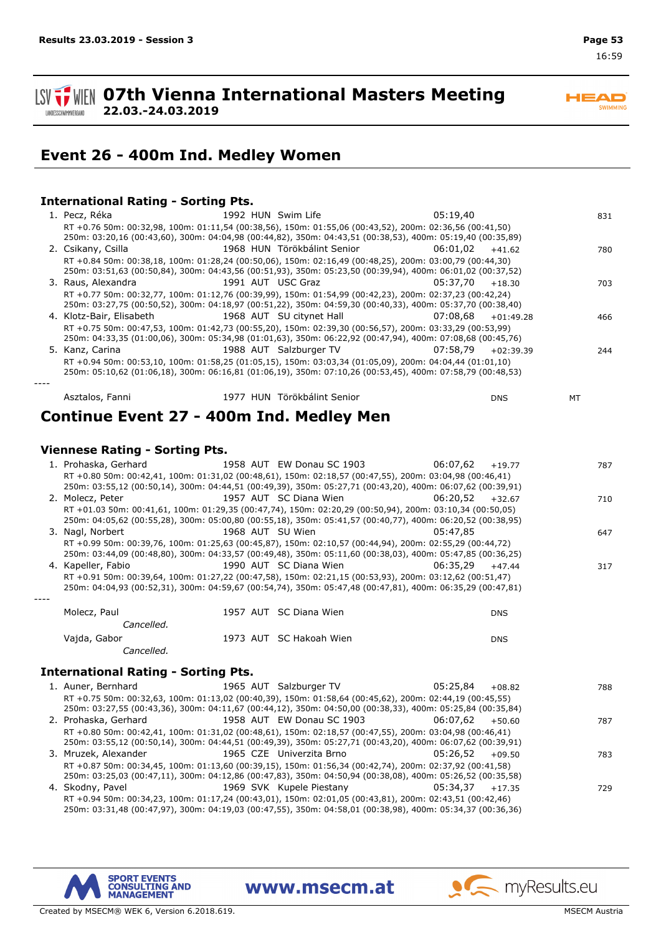#### **ISV TWEIN 07th Vienna International Masters Meeting 22.03.-24.03.2019** LANDESSCHWIMMVERBAND

## **Event 26 - 400m Ind. Medley Women**

### **International Rating - Sorting Pts.**

| 1. Pecz, Réka                              | 1992 HUN Swim Life<br>RT +0.76 50m: 00:32,98, 100m: 01:11,54 (00:38,56), 150m: 01:55,06 (00:43,52), 200m: 02:36,56 (00:41,50)<br>250m: 03:20,16 (00:43,60), 300m: 04:04,98 (00:44,82), 350m: 04:43,51 (00:38,53), 400m: 05:19,40 (00:35,89) | 05:19.40 |             | 831 |
|--------------------------------------------|---------------------------------------------------------------------------------------------------------------------------------------------------------------------------------------------------------------------------------------------|----------|-------------|-----|
| 2. Csikany, Csilla                         | 1968 HUN Törökbálint Senior<br>RT +0.84 50m: 00:38,18, 100m: 01:28,24 (00:50,06), 150m: 02:16,49 (00:48,25), 200m: 03:00,79 (00:44,30)                                                                                                      | 06:01,02 | $+41.62$    | 780 |
|                                            | 250m: 03:51,63 (00:50,84), 300m: 04:43,56 (00:51,93), 350m: 05:23,50 (00:39,94), 400m: 06:01,02 (00:37,52)                                                                                                                                  |          |             |     |
| 3. Raus, Alexandra                         | 1991 AUT USC Graz<br>RT +0.77 50m: 00:32,77, 100m: 01:12,76 (00:39,99), 150m: 01:54,99 (00:42,23), 200m: 02:37,23 (00:42,24)                                                                                                                | 05:37,70 | $+18.30$    | 703 |
|                                            | 250m: 03:27,75 (00:50,52), 300m: 04:18,97 (00:51,22), 350m: 04:59,30 (00:40,33), 400m: 05:37,70 (00:38,40)                                                                                                                                  |          |             |     |
| 4. Klotz-Bair, Elisabeth                   | 1968 AUT SU citynet Hall<br>RT +0.75 50m: 00:47,53, 100m: 01:42,73 (00:55,20), 150m: 02:39,30 (00:56,57), 200m: 03:33,29 (00:53,99)                                                                                                         | 07:08,68 | $+01:49.28$ | 466 |
|                                            | 250m: 04:33,35 (01:00,06), 300m: 05:34,98 (01:01,63), 350m: 06:22,92 (00:47,94), 400m: 07:08,68 (00:45,76)                                                                                                                                  |          |             |     |
| 5. Kanz, Carina                            | 1988 AUT Salzburger TV                                                                                                                                                                                                                      | 07:58.79 | $+02:39.39$ | 244 |
|                                            | RT +0.94 50m: 00:53,10, 100m: 01:58,25 (01:05,15), 150m: 03:03,34 (01:05,09), 200m: 04:04,44 (01:01,10)<br>250m: 05:10,62 (01:06,18), 300m: 06:16,81 (01:06,19), 350m: 07:10,26 (00:53,45), 400m: 07:58,79 (00:48,53)                       |          |             |     |
| Asztalos, Fanni                            | 1977 HUN Törökbálint Senior                                                                                                                                                                                                                 |          | <b>DNS</b>  | MT  |
| Continue Event 27 - 400m Ind. Medley Men   |                                                                                                                                                                                                                                             |          |             |     |
| <b>Viennese Rating - Sorting Pts.</b>      |                                                                                                                                                                                                                                             |          |             |     |
| 1. Prohaska, Gerhard                       | 1958 AUT EW Donau SC 1903                                                                                                                                                                                                                   | 06:07,62 | $+19.77$    | 787 |
|                                            | RT +0.80 50m: 00:42,41, 100m: 01:31,02 (00:48,61), 150m: 02:18,57 (00:47,55), 200m: 03:04,98 (00:46,41)                                                                                                                                     |          |             |     |
|                                            | 250m: 03:55,12 (00:50,14), 300m: 04:44,51 (00:49,39), 350m: 05:27,71 (00:43,20), 400m: 06:07,62 (00:39,91)                                                                                                                                  |          |             |     |
| 2. Molecz, Peter                           | 1957 AUT SC Diana Wien<br>RT +01.03 50m: 00:41,61, 100m: 01:29,35 (00:47,74), 150m: 02:20,29 (00:50,94), 200m: 03:10,34 (00:50,05)                                                                                                          | 06:20,52 | $+32.67$    | 710 |
|                                            | 250m: 04:05,62 (00:55,28), 300m: 05:00,80 (00:55,18), 350m: 05:41,57 (00:40,77), 400m: 06:20,52 (00:38,95)                                                                                                                                  |          |             |     |
| 3. Nagl, Norbert                           | 1968 AUT SU Wien                                                                                                                                                                                                                            | 05:47,85 |             | 647 |
|                                            | RT +0.99 50m: 00:39,76, 100m: 01:25,63 (00:45,87), 150m: 02:10,57 (00:44,94), 200m: 02:55,29 (00:44,72)<br>250m: 03:44,09 (00:48,80), 300m: 04:33,57 (00:49,48), 350m: 05:11,60 (00:38,03), 400m: 05:47,85 (00:36,25)                       |          |             |     |
| 4. Kapeller, Fabio                         | 1990 AUT SC Diana Wien                                                                                                                                                                                                                      | 06:35,29 | $+47.44$    | 317 |
|                                            | RT +0.91 50m: 00:39,64, 100m: 01:27,22 (00:47,58), 150m: 02:21,15 (00:53,93), 200m: 03:12,62 (00:51,47)<br>250m: 04:04,93 (00:52,31), 300m: 04:59,67 (00:54,74), 350m: 05:47,48 (00:47,81), 400m: 06:35,29 (00:47,81)                       |          |             |     |
| Molecz, Paul                               | 1957 AUT SC Diana Wien                                                                                                                                                                                                                      |          | <b>DNS</b>  |     |
| Cancelled.                                 |                                                                                                                                                                                                                                             |          |             |     |
| Vajda, Gabor<br>Cancelled.                 | 1973 AUT SC Hakoah Wien                                                                                                                                                                                                                     |          | <b>DNS</b>  |     |
| <b>International Rating - Sorting Pts.</b> |                                                                                                                                                                                                                                             |          |             |     |
|                                            |                                                                                                                                                                                                                                             |          |             |     |
| 1. Auner, Bernhard                         | 1965 AUT Salzburger TV<br>RT +0.75 50m: 00:32,63, 100m: 01:13,02 (00:40,39), 150m: 01:58,64 (00:45,62), 200m: 02:44,19 (00:45,55)                                                                                                           | 05:25,84 | $+08.82$    | 788 |
|                                            | 250m: 03:27,55 (00:43,36), 300m: 04:11,67 (00:44,12), 350m: 04:50,00 (00:38,33), 400m: 05:25,84 (00:35,84)                                                                                                                                  |          |             |     |
| 2. Prohaska, Gerhard                       | 1958 AUT EW Donau SC 1903                                                                                                                                                                                                                   | 06:07,62 | $+50.60$    | 787 |
|                                            | RT +0.80 50m: 00:42,41, 100m: 01:31,02 (00:48,61), 150m: 02:18,57 (00:47,55), 200m: 03:04,98 (00:46,41)<br>250m: 03:55,12 (00:50,14), 300m: 04:44,51 (00:49,39), 350m: 05:27,71 (00:43,20), 400m: 06:07,62 (00:39,91)                       |          |             |     |
| 3. Mruzek, Alexander                       | 1965 CZE Univerzita Brno                                                                                                                                                                                                                    | 05:26,52 | $+09.50$    | 783 |
|                                            | RT +0.87 50m: 00:34,45, 100m: 01:13,60 (00:39,15), 150m: 01:56,34 (00:42,74), 200m: 02:37,92 (00:41,58)                                                                                                                                     |          |             |     |
|                                            | 250m: 03:25,03 (00:47,11), 300m: 04:12,86 (00:47,83), 350m: 04:50,94 (00:38,08), 400m: 05:26,52 (00:35,58)                                                                                                                                  |          |             |     |
| 4. Skodny, Pavel                           | 1969 SVK Kupele Piestany                                                                                                                                                                                                                    | 05:34,37 | $+17.35$    | 729 |

RT +0.94 50m: 00:34,23, 100m: 01:17,24 (00:43,01), 150m: 02:01,05 (00:43,81), 200m: 02:43,51 (00:42,46) 250m: 03:31,48 (00:47,97), 300m: 04:19,03 (00:47,55), 350m: 04:58,01 (00:38,98), 400m: 05:34,37 (00:36,36)

www.msecm.at



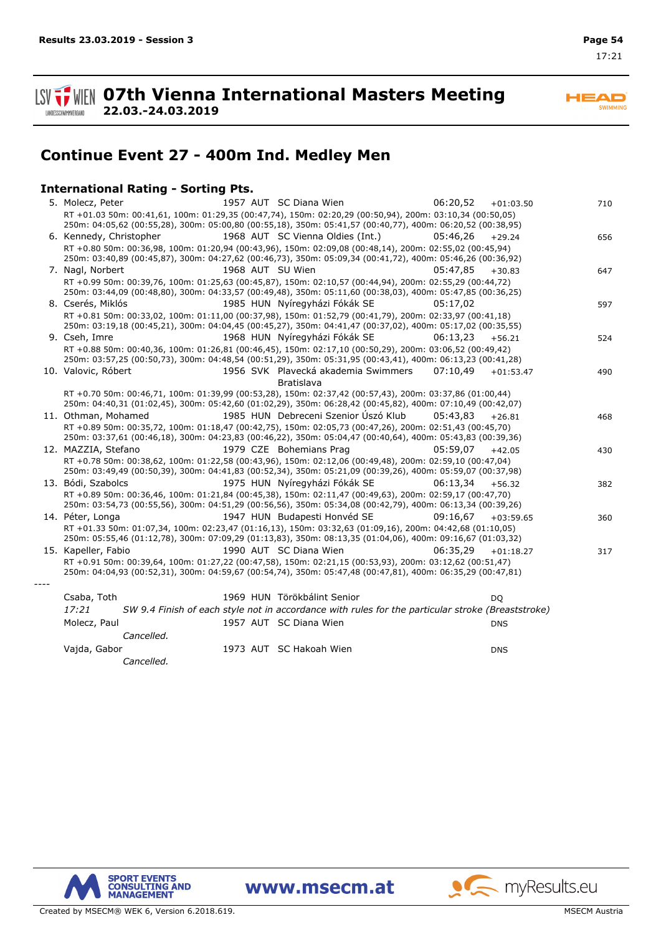**ISV**  $\frac{1}{2}$  WIEN 07th Vienna International Masters Meeting **22.03.-24.03.2019** LANDESSCHWIMMVERBAND

**HEAD** SWIMMING

## **Continue Event 27 - 400m Ind. Medley Men**

### **International Rating - Sorting Pts.**

| 1957 AUT SC Diana Wien<br>06:20,52<br>5. Molecz, Peter<br>$+01:03.50$<br>RT +01.03 50m: 00:41,61, 100m: 01:29,35 (00:47,74), 150m: 02:20,29 (00:50,94), 200m: 03:10,34 (00:50,05)                                     | 710 |
|-----------------------------------------------------------------------------------------------------------------------------------------------------------------------------------------------------------------------|-----|
| 250m: 04:05,62 (00:55,28), 300m: 05:00,80 (00:55,18), 350m: 05:41,57 (00:40,77), 400m: 06:20,52 (00:38,95)                                                                                                            |     |
| 1968 AUT SC Vienna Oldies (Int.)<br>6. Kennedy, Christopher<br>05:46.26<br>$+29.24$                                                                                                                                   | 656 |
| RT +0.80 50m: 00:36,98, 100m: 01:20,94 (00:43,96), 150m: 02:09,08 (00:48,14), 200m: 02:55,02 (00:45,94)                                                                                                               |     |
| 250m: 03:40,89 (00:45,87), 300m: 04:27,62 (00:46,73), 350m: 05:09,34 (00:41,72), 400m: 05:46,26 (00:36,92)                                                                                                            |     |
| 7. Nagl, Norbert<br>1968 AUT SU Wien<br>05:47.85<br>$+30.83$                                                                                                                                                          | 647 |
| RT +0.99 50m: 00:39,76, 100m: 01:25,63 (00:45,87), 150m: 02:10,57 (00:44,94), 200m: 02:55,29 (00:44,72)                                                                                                               |     |
| 250m: 03:44,09 (00:48,80), 300m: 04:33,57 (00:49,48), 350m: 05:11,60 (00:38,03), 400m: 05:47,85 (00:36,25)                                                                                                            |     |
| 8. Cserés, Miklós<br>1985 HUN Nyíregyházi Fókák SE<br>05:17,02                                                                                                                                                        | 597 |
| RT +0.81 50m: 00:33,02, 100m: 01:11,00 (00:37,98), 150m: 01:52,79 (00:41,79), 200m: 02:33,97 (00:41,18)                                                                                                               |     |
| 250m: 03:19,18 (00:45,21), 300m: 04:04,45 (00:45,27), 350m: 04:41,47 (00:37,02), 400m: 05:17,02 (00:35,55)                                                                                                            |     |
| 1968 HUN Nyíregyházi Fókák SE<br>9. Cseh, Imre<br>06:13,23<br>$+56.21$                                                                                                                                                | 524 |
| RT +0.88 50m: 00:40,36, 100m: 01:26,81 (00:46,45), 150m: 02:17,10 (00:50,29), 200m: 03:06,52 (00:49,42)                                                                                                               |     |
| 250m: 03:57,25 (00:50,73), 300m: 04:48,54 (00:51,29), 350m: 05:31,95 (00:43,41), 400m: 06:13,23 (00:41,28)                                                                                                            |     |
| 1956 SVK Plavecká akademia Swimmers<br>10. Valovic, Róbert<br>07:10.49<br>$+01:53.47$                                                                                                                                 | 490 |
| <b>Bratislava</b>                                                                                                                                                                                                     |     |
| RT +0.70 50m: 00:46,71, 100m: 01:39,99 (00:53,28), 150m: 02:37,42 (00:57,43), 200m: 03:37,86 (01:00,44)                                                                                                               |     |
| 250m: 04:40,31 (01:02,45), 300m: 05:42,60 (01:02,29), 350m: 06:28,42 (00:45,82), 400m: 07:10,49 (00:42,07)                                                                                                            |     |
| 1985 HUN Debreceni Szenior Úszó Klub<br>11. Othman, Mohamed<br>05:43.83<br>$+26.81$                                                                                                                                   | 468 |
| RT +0.89 50m: 00:35,72, 100m: 01:18,47 (00:42,75), 150m: 02:05,73 (00:47,26), 200m: 02:51,43 (00:45,70)<br>250m: 03:37,61 (00:46,18), 300m: 04:23,83 (00:46,22), 350m: 05:04,47 (00:40,64), 400m: 05:43,83 (00:39,36) |     |
| 1979 CZE Bohemians Prag<br>12. MAZZIA, Stefano<br>05:59,07                                                                                                                                                            |     |
| $+42.05$<br>RT +0.78 50m: 00:38,62, 100m: 01:22,58 (00:43,96), 150m: 02:12,06 (00:49,48), 200m: 02:59,10 (00:47,04)                                                                                                   | 430 |
| 250m: 03:49,49 (00:50,39), 300m: 04:41,83 (00:52,34), 350m: 05:21,09 (00:39,26), 400m: 05:59,07 (00:37,98)                                                                                                            |     |
| 1975 HUN Nyíregyházi Fókák SE<br>13. Bódi, Szabolcs<br>06:13,34<br>$+56.32$                                                                                                                                           | 382 |
| RT +0.89 50m: 00:36,46, 100m: 01:21,84 (00:45,38), 150m: 02:11,47 (00:49,63), 200m: 02:59,17 (00:47,70)                                                                                                               |     |
| 250m: 03:54,73 (00:55,56), 300m: 04:51,29 (00:56,56), 350m: 05:34,08 (00:42,79), 400m: 06:13,34 (00:39,26)                                                                                                            |     |
| 14. Péter, Longa<br>1947 HUN Budapesti Honvéd SE<br>09:16.67<br>$+03:59.65$                                                                                                                                           | 360 |
| RT +01.33 50m: 01:07,34, 100m: 02:23,47 (01:16,13), 150m: 03:32,63 (01:09,16), 200m: 04:42,68 (01:10,05)                                                                                                              |     |
| 250m: 05:55,46 (01:12,78), 300m: 07:09,29 (01:13,83), 350m: 08:13,35 (01:04,06), 400m: 09:16,67 (01:03,32)                                                                                                            |     |
| 15. Kapeller, Fabio<br>1990 AUT SC Diana Wien<br>06:35,29<br>$+01:18.27$                                                                                                                                              | 317 |
| RT +0.91 50m: 00:39,64, 100m: 01:27,22 (00:47,58), 150m: 02:21,15 (00:53,93), 200m: 03:12,62 (00:51,47)                                                                                                               |     |
| 250m: 04:04,93 (00:52,31), 300m: 04:59,67 (00:54,74), 350m: 05:47,48 (00:47,81), 400m: 06:35,29 (00:47,81)                                                                                                            |     |
|                                                                                                                                                                                                                       |     |
| 1969 HUN Törökbálint Senior<br>Csaba, Toth<br><b>DO</b>                                                                                                                                                               |     |
| 17:21<br>SW 9.4 Finish of each style not in accordance with rules for the particular stroke (Breaststroke)                                                                                                            |     |
| 1957 AUT SC Diana Wien<br>Molecz, Paul<br><b>DNS</b>                                                                                                                                                                  |     |
| Cancelled.                                                                                                                                                                                                            |     |
|                                                                                                                                                                                                                       |     |
| 1973 AUT SC Hakoah Wien<br>Vajda, Gabor<br><b>DNS</b>                                                                                                                                                                 |     |
| Cancelled.                                                                                                                                                                                                            |     |

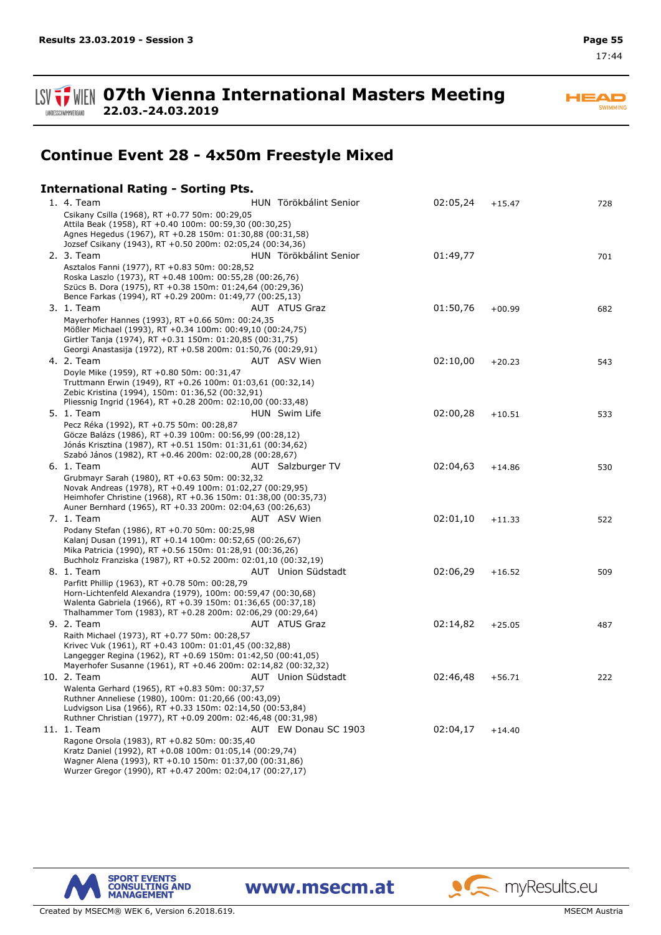**07th Vienna International Masters Meeting 22.03.-24.03.2019**

## **Continue Event 28 - 4x50m Freestyle Mixed**

### **International Rating - Sorting Pts.**

| 1. 4. Team                                                                                                                                                                                                                                 | HUN Törökbálint Senior | 02:05,24 | $+15.47$ | 728 |
|--------------------------------------------------------------------------------------------------------------------------------------------------------------------------------------------------------------------------------------------|------------------------|----------|----------|-----|
| Csikany Csilla (1968), RT +0.77 50m: 00:29,05<br>Attila Beak (1958), RT +0.40 100m: 00:59,30 (00:30,25)<br>Agnes Hegedus (1967), RT +0.28 150m: 01:30,88 (00:31,58)<br>Jozsef Csikany (1943), RT +0.50 200m: 02:05,24 (00:34,36)           |                        |          |          |     |
| 2. 3. Team                                                                                                                                                                                                                                 | HUN Törökbálint Senior | 01:49,77 |          | 701 |
| Asztalos Fanni (1977), RT +0.83 50m: 00:28,52<br>Roska Laszlo (1973), RT +0.48 100m: 00:55,28 (00:26,76)<br>Szücs B. Dora (1975), RT +0.38 150m: 01:24,64 (00:29,36)<br>Bence Farkas (1994), RT +0.29 200m: 01:49,77 (00:25,13)            |                        |          |          |     |
| 3. 1. Team                                                                                                                                                                                                                                 | AUT ATUS Graz          | 01:50,76 | $+00.99$ | 682 |
| Mayerhofer Hannes (1993), RT +0.66 50m: 00:24,35<br>Mößler Michael (1993), RT +0.34 100m: 00:49,10 (00:24,75)<br>Girtler Tanja (1974), RT +0.31 150m: 01:20,85 (00:31,75)<br>Georgi Anastasija (1972), RT +0.58 200m: 01:50,76 (00:29,91)  |                        |          |          |     |
| 4. 2. Team                                                                                                                                                                                                                                 | AUT ASV Wien           | 02:10,00 | $+20.23$ | 543 |
| Doyle Mike (1959), RT +0.80 50m: 00:31,47<br>Truttmann Erwin (1949), RT +0.26 100m: 01:03,61 (00:32,14)<br>Zebic Kristina (1994), 150m: 01:36,52 (00:32,91)<br>Pliessnig Ingrid (1964), RT +0.28 200m: 02:10,00 (00:33,48)<br>5. 1. Team   | HUN Swim Life          | 02:00,28 | $+10.51$ | 533 |
| Pecz Réka (1992), RT +0.75 50m: 00:28,87                                                                                                                                                                                                   |                        |          |          |     |
| Göcze Balázs (1986), RT +0.39 100m: 00:56,99 (00:28,12)<br>Jónás Krisztina (1987), RT +0.51 150m: 01:31,61 (00:34,62)<br>Szabó János (1982), RT +0.46 200m: 02:00,28 (00:28,67)                                                            |                        |          |          |     |
| 6. 1. Team                                                                                                                                                                                                                                 | AUT Salzburger TV      | 02:04,63 | $+14.86$ | 530 |
| Grubmayr Sarah (1980), RT +0.63 50m: 00:32,32<br>Novak Andreas (1978), RT +0.49 100m: 01:02,27 (00:29,95)<br>Heimhofer Christine (1968), RT +0.36 150m: 01:38,00 (00:35,73)<br>Auner Bernhard (1965), RT +0.33 200m: 02:04,63 (00:26,63)   |                        |          |          |     |
| 7. 1. Team                                                                                                                                                                                                                                 | AUT ASV Wien           | 02:01,10 | $+11.33$ | 522 |
| Podany Stefan (1986), RT +0.70 50m: 00:25,98<br>Kalanj Dusan (1991), RT +0.14 100m: 00:52,65 (00:26,67)<br>Mika Patricia (1990), RT +0.56 150m: 01:28,91 (00:36,26)<br>Buchholz Franziska (1987), RT +0.52 200m: 02:01,10 (00:32,19)       |                        |          |          |     |
| 8. 1. Team                                                                                                                                                                                                                                 | AUT Union Südstadt     | 02:06,29 | $+16.52$ | 509 |
| Parfitt Phillip (1963), RT +0.78 50m: 00:28,79<br>Horn-Lichtenfeld Alexandra (1979), 100m: 00:59,47 (00:30,68)<br>Walenta Gabriela (1966), RT +0.39 150m: 01:36,65 (00:37,18)<br>Thalhammer Tom (1983), RT +0.28 200m: 02:06,29 (00:29,64) |                        |          |          |     |
| 9. 2. Team                                                                                                                                                                                                                                 | <b>AUT ATUS Graz</b>   | 02:14,82 | $+25.05$ | 487 |
| Raith Michael (1973), RT +0.77 50m: 00:28,57<br>Krivec Vuk (1961), RT +0.43 100m: 01:01,45 (00:32,88)<br>Langegger Regina (1962), RT +0.69 150m: 01:42,50 (00:41,05)<br>Mayerhofer Susanne (1961), RT +0.46 200m: 02:14,82 (00:32,32)      |                        |          |          |     |
| 10. 2. Team                                                                                                                                                                                                                                | AUT Union Südstadt     | 02:46,48 | $+56.71$ | 222 |
| Walenta Gerhard (1965), RT +0.83 50m: 00:37,57<br>Ruthner Anneliese (1980), 100m: 01:20,66 (00:43,09)<br>Ludvigson Lisa (1966), RT +0.33 150m: 02:14,50 (00:53,84)<br>Ruthner Christian (1977), RT +0.09 200m: 02:46,48 (00:31,98)         |                        |          |          |     |
| 11. 1. Team                                                                                                                                                                                                                                | AUT EW Donau SC 1903   | 02:04,17 | $+14.40$ |     |
| Ragone Orsola (1983), RT +0.82 50m: 00:35,40<br>Kratz Daniel (1992), RT +0.08 100m: 01:05,14 (00:29,74)<br>Wagner Alena (1993), RT +0.10 150m: 01:37,00 (00:31,86)<br>Wurzer Gregor (1990), RT +0.47 200m: 02:04,17 (00:27,17)             |                        |          |          |     |



www.msecm.at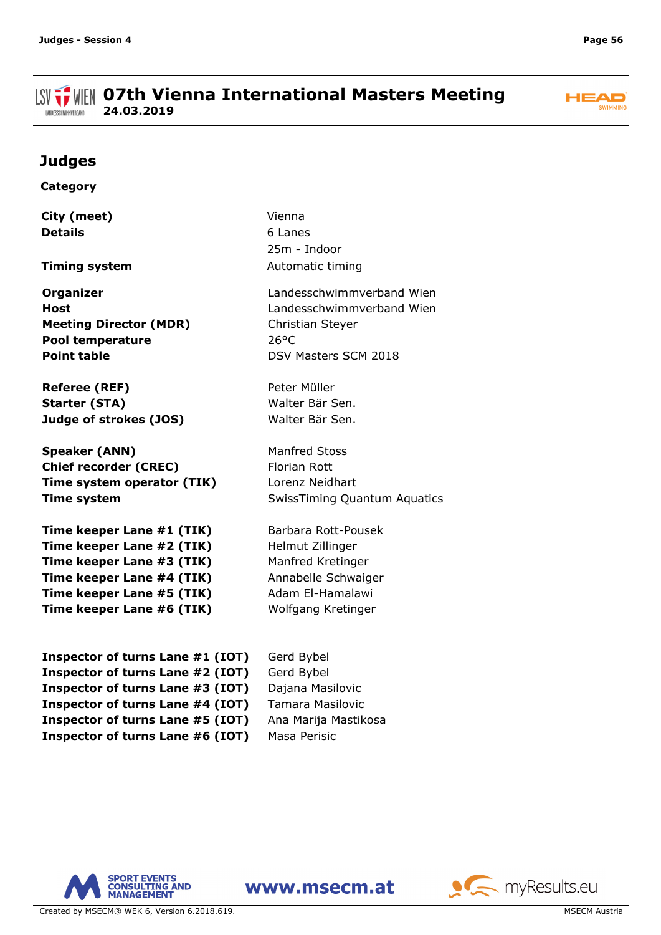#### **ISV THE OFTH Vienna International Masters Meeting 24.03.2019** LANDESSCHWIMMVERBAND



## **Judges**

| Category                         |                                             |
|----------------------------------|---------------------------------------------|
|                                  | Vienna                                      |
| City (meet)                      |                                             |
| <b>Details</b>                   | 6 Lanes                                     |
|                                  | 25m - Indoor                                |
| <b>Timing system</b>             | Automatic timing                            |
| <b>Organizer</b>                 | Landesschwimmverband Wien                   |
| <b>Host</b>                      | Landesschwimmverband Wien                   |
| <b>Meeting Director (MDR)</b>    | Christian Steyer                            |
| <b>Pool temperature</b>          | $26^{\circ}$ C                              |
| <b>Point table</b>               | DSV Masters SCM 2018                        |
|                                  |                                             |
| <b>Referee (REF)</b>             | Peter Müller                                |
| <b>Starter (STA)</b>             | Walter Bär Sen.                             |
| Judge of strokes (JOS)           | Walter Bär Sen.                             |
|                                  |                                             |
| <b>Speaker (ANN)</b>             | <b>Manfred Stoss</b>                        |
| <b>Chief recorder (CREC)</b>     | <b>Florian Rott</b>                         |
| Time system operator (TIK)       | Lorenz Neidhart                             |
| <b>Time system</b>               | <b>SwissTiming Quantum Aquatics</b>         |
|                                  |                                             |
| Time keeper Lane #1 (TIK)        | Barbara Rott-Pousek                         |
| Time keeper Lane #2 (TIK)        | Helmut Zillinger                            |
| Time keeper Lane #3 (TIK)        | Manfred Kretinger                           |
| Time keeper Lane #4 (TIK)        | Annabelle Schwaiger                         |
| Time keeper Lane #5 (TIK)        | Adam El-Hamalawi                            |
| Time keeper Lane #6 (TIK)        | Wolfgang Kretinger                          |
|                                  |                                             |
| Inspector of turns Lane #1 (IOT) | Gerd Bybel                                  |
| Inspector of turns Lane #2 (IOT) | Gerd Bybel                                  |
| Inspector of turns Lane #3 (IOT) |                                             |
|                                  | Dajana Masilovic<br><b>Tamara Masilovic</b> |
| Inspector of turns Lane #4 (IOT) |                                             |
| Inspector of turns Lane #5 (IOT) | Ana Marija Mastikosa                        |





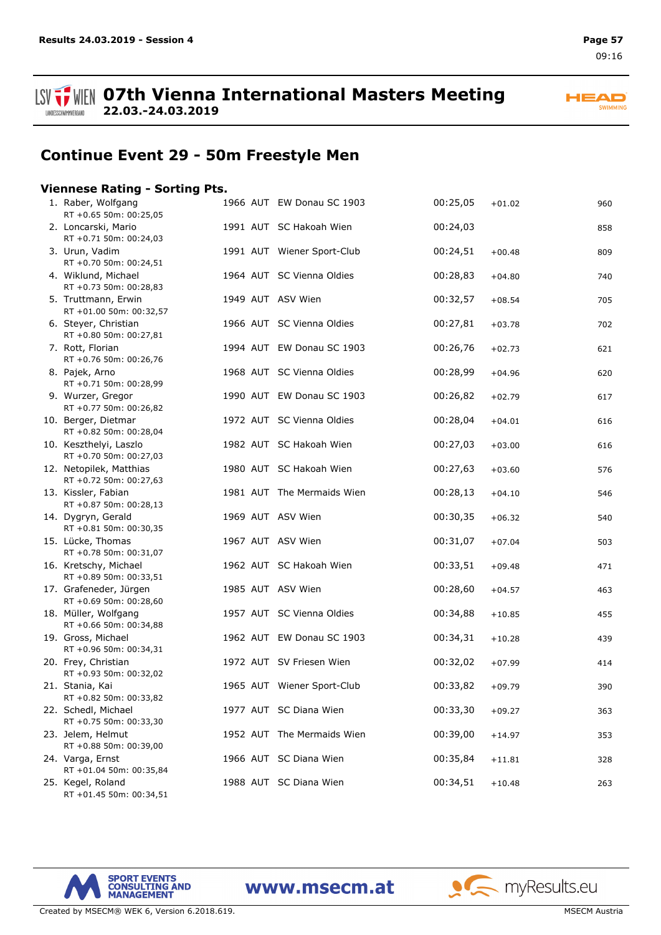

**07th Vienna International Masters Meeting 22.03.-24.03.2019**

**HEAD** SWIMMING

## **Continue Event 29 - 50m Freestyle Men**

### **Viennese Rating - Sorting Pts.**

| 1. Raber, Wolfgang<br>RT +0.65 50m: 00:25,05      |  | 1966 AUT EW Donau SC 1903  | 00:25,05 | $+01.02$ | 960 |
|---------------------------------------------------|--|----------------------------|----------|----------|-----|
| 2. Loncarski, Mario<br>RT +0.71 50m: 00:24,03     |  | 1991 AUT SC Hakoah Wien    | 00:24,03 |          | 858 |
| 3. Urun, Vadim<br>RT +0.70 50m: 00:24,51          |  | 1991 AUT Wiener Sport-Club | 00:24,51 | $+00.48$ | 809 |
| 4. Wiklund, Michael<br>RT +0.73 50m: 00:28,83     |  | 1964 AUT SC Vienna Oldies  | 00:28,83 | $+04.80$ | 740 |
| 5. Truttmann, Erwin<br>RT +01.00 50m: 00:32,57    |  | 1949 AUT ASV Wien          | 00:32,57 | $+08.54$ | 705 |
| 6. Steyer, Christian<br>RT +0.80 50m: 00:27,81    |  | 1966 AUT SC Vienna Oldies  | 00:27,81 | $+03.78$ | 702 |
| 7. Rott, Florian<br>RT +0.76 50m: 00:26,76        |  | 1994 AUT EW Donau SC 1903  | 00:26,76 | $+02.73$ | 621 |
| 8. Pajek, Arno<br>RT +0.71 50m: 00:28,99          |  | 1968 AUT SC Vienna Oldies  | 00:28,99 | $+04.96$ | 620 |
| 9. Wurzer, Gregor<br>RT +0.77 50m: 00:26,82       |  | 1990 AUT EW Donau SC 1903  | 00:26,82 | $+02.79$ | 617 |
| 10. Berger, Dietmar<br>RT +0.82 50m: 00:28,04     |  | 1972 AUT SC Vienna Oldies  | 00:28,04 | $+04.01$ | 616 |
| 10. Keszthelyi, Laszlo<br>RT +0.70 50m: 00:27,03  |  | 1982 AUT SC Hakoah Wien    | 00:27,03 | $+03.00$ | 616 |
| 12. Netopilek, Matthias<br>RT +0.72 50m: 00:27,63 |  | 1980 AUT SC Hakoah Wien    | 00:27,63 | $+03.60$ | 576 |
| 13. Kissler, Fabian<br>RT +0.87 50m: 00:28,13     |  | 1981 AUT The Mermaids Wien | 00:28,13 | $+04.10$ | 546 |
| 14. Dygryn, Gerald<br>RT +0.81 50m: 00:30,35      |  | 1969 AUT ASV Wien          | 00:30,35 | $+06.32$ | 540 |
| 15. Lücke, Thomas<br>RT +0.78 50m: 00:31,07       |  | 1967 AUT ASV Wien          | 00:31,07 | $+07.04$ | 503 |
| 16. Kretschy, Michael<br>RT +0.89 50m: 00:33,51   |  | 1962 AUT SC Hakoah Wien    | 00:33,51 | $+09.48$ | 471 |
| 17. Grafeneder, Jürgen<br>RT +0.69 50m: 00:28,60  |  | 1985 AUT ASV Wien          | 00:28,60 | $+04.57$ | 463 |
| 18. Müller, Wolfgang<br>RT +0.66 50m: 00:34,88    |  | 1957 AUT SC Vienna Oldies  | 00:34,88 | $+10.85$ | 455 |
| 19. Gross, Michael<br>RT +0.96 50m: 00:34,31      |  | 1962 AUT EW Donau SC 1903  | 00:34,31 | $+10.28$ | 439 |
| 20. Frey, Christian<br>RT +0.93 50m: 00:32,02     |  | 1972 AUT SV Friesen Wien   | 00:32,02 | $+07.99$ | 414 |
| 21. Stania, Kai<br>RT +0.82 50m: 00:33,82         |  | 1965 AUT Wiener Sport-Club | 00:33,82 | $+09.79$ | 390 |
| 22. Schedl, Michael<br>RT +0.75 50m: 00:33,30     |  | 1977 AUT SC Diana Wien     | 00:33,30 | $+09.27$ | 363 |
| 23. Jelem, Helmut<br>RT +0.88 50m: 00:39,00       |  | 1952 AUT The Mermaids Wien | 00:39,00 | $+14.97$ | 353 |
| 24. Varga, Ernst<br>RT +01.04 50m: 00:35,84       |  | 1966 AUT SC Diana Wien     | 00:35,84 | $+11.81$ | 328 |
| 25. Kegel, Roland<br>RT +01.45 50m: 00:34,51      |  | 1988 AUT SC Diana Wien     | 00:34,51 | $+10.48$ | 263 |

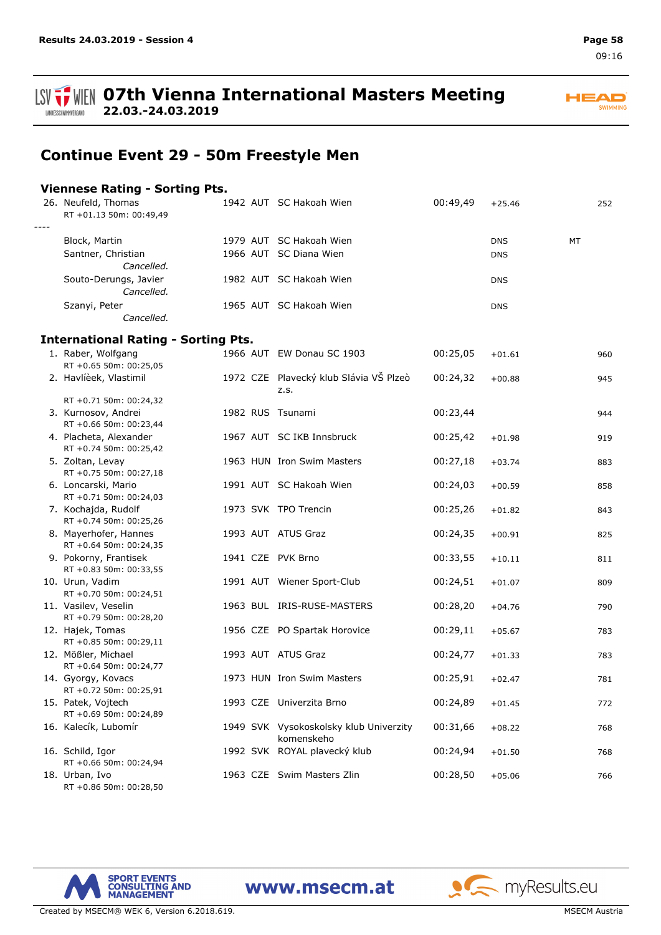#### **ISV THE OFTH Vienna International Masters Meeting 22.03.-24.03.2019** LANDESSCHWIMMVERBAND



## **Continue Event 29 - 50m Freestyle Men**

### **Viennese Rating - Sorting Pts.**

|      | 26. Neufeld, Thomas<br>RT +01.13 50m: 00:49,49   |  | 1942 AUT SC Hakoah Wien                              | 00:49,49 | $+25.46$   |           | 252 |
|------|--------------------------------------------------|--|------------------------------------------------------|----------|------------|-----------|-----|
| ---- |                                                  |  |                                                      |          |            |           |     |
|      | Block, Martin                                    |  | 1979 AUT SC Hakoah Wien                              |          | <b>DNS</b> | <b>MT</b> |     |
|      | Santner, Christian<br>Cancelled.                 |  | 1966 AUT SC Diana Wien                               |          | <b>DNS</b> |           |     |
|      | Souto-Derungs, Javier<br>Cancelled.              |  | 1982 AUT SC Hakoah Wien                              |          | <b>DNS</b> |           |     |
|      | Szanyi, Peter<br>Cancelled.                      |  | 1965 AUT SC Hakoah Wien                              |          | <b>DNS</b> |           |     |
|      |                                                  |  |                                                      |          |            |           |     |
|      | <b>International Rating - Sorting Pts.</b>       |  |                                                      |          |            |           |     |
|      | 1. Raber, Wolfgang<br>RT +0.65 50m: 00:25,05     |  | 1966 AUT EW Donau SC 1903                            | 00:25,05 | $+01.61$   |           | 960 |
|      | 2. Havlíèek, Vlastimil                           |  | 1972 CZE Plavecký klub Slávia VŠ Plzeò<br>z.s.       | 00:24,32 | $+00.88$   |           | 945 |
|      | RT +0.71 50m: 00:24,32                           |  |                                                      |          |            |           |     |
|      | 3. Kurnosov, Andrei<br>RT +0.66 50m: 00:23,44    |  | 1982 RUS Tsunami                                     | 00:23,44 |            |           | 944 |
|      | 4. Placheta, Alexander<br>RT +0.74 50m: 00:25,42 |  | 1967 AUT SC IKB Innsbruck                            | 00:25,42 | $+01.98$   |           | 919 |
|      | 5. Zoltan, Levay<br>RT +0.75 50m: 00:27,18       |  | 1963 HUN Iron Swim Masters                           | 00:27,18 | $+03.74$   |           | 883 |
|      | 6. Loncarski, Mario<br>RT +0.71 50m: 00:24,03    |  | 1991 AUT SC Hakoah Wien                              | 00:24,03 | $+00.59$   |           | 858 |
|      | 7. Kochajda, Rudolf<br>RT +0.74 50m: 00:25,26    |  | 1973 SVK TPO Trencin                                 | 00:25,26 | $+01.82$   |           | 843 |
|      | 8. Mayerhofer, Hannes<br>RT +0.64 50m: 00:24,35  |  | 1993 AUT ATUS Graz                                   | 00:24,35 | $+00.91$   |           | 825 |
|      | 9. Pokorny, Frantisek<br>RT +0.83 50m: 00:33,55  |  | 1941 CZE PVK Brno                                    | 00:33,55 | $+10.11$   |           | 811 |
|      | 10. Urun, Vadim<br>RT +0.70 50m: 00:24,51        |  | 1991 AUT Wiener Sport-Club                           | 00:24,51 | $+01.07$   |           | 809 |
|      | 11. Vasilev, Veselin<br>RT +0.79 50m: 00:28,20   |  | 1963 BUL IRIS-RUSE-MASTERS                           | 00:28,20 | $+04.76$   |           | 790 |
|      | 12. Hajek, Tomas<br>RT +0.85 50m: 00:29,11       |  | 1956 CZE PO Spartak Horovice                         | 00:29,11 | $+05.67$   |           | 783 |
|      | 12. Mößler, Michael<br>RT +0.64 50m: 00:24,77    |  | 1993 AUT ATUS Graz                                   | 00:24,77 | $+01.33$   |           | 783 |
|      | 14. Gyorgy, Kovacs<br>RT +0.72 50m: 00:25,91     |  | 1973 HUN Iron Swim Masters                           | 00:25,91 | $+02.47$   |           | 781 |
|      | 15. Patek, Vojtech<br>RT +0.69 50m: 00:24,89     |  | 1993 CZE Univerzita Brno                             | 00:24,89 | $+01.45$   |           | 772 |
|      | 16. Kalecík, Lubomír                             |  | 1949 SVK Vysokoskolsky klub Univerzity<br>komenskeho | 00:31,66 | $+08.22$   |           | 768 |
|      | 16. Schild, Igor<br>RT +0.66 50m: 00:24,94       |  | 1992 SVK ROYAL plavecký klub                         | 00:24,94 | $+01.50$   |           | 768 |
|      | 18. Urban, Ivo<br>RT +0.86 50m: 00:28,50         |  | 1963 CZE Swim Masters Zlin                           | 00:28,50 | $+05.06$   |           | 766 |

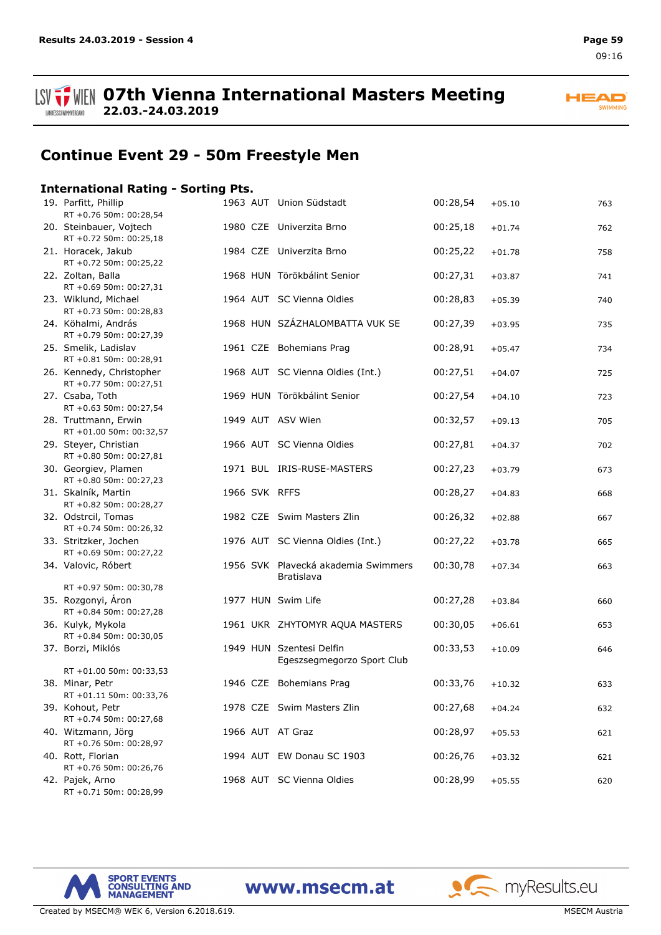

**ISV**  $\frac{1}{2}$  WIEN 07th Vienna International Masters Meeting **22.03.-24.03.2019**

**HEAD** SWIMMING

## **Continue Event 29 - 50m Freestyle Men**

### **International Rating - Sorting Pts.**

| 19. Parfitt, Phillip<br>RT +0.76 50m: 00:28,54     |  | 1963 AUT Union Südstadt                                | 00:28,54 | $+05.10$ | 763 |
|----------------------------------------------------|--|--------------------------------------------------------|----------|----------|-----|
| 20. Steinbauer, Vojtech<br>RT +0.72 50m: 00:25,18  |  | 1980 CZE Univerzita Brno                               | 00:25,18 | $+01.74$ | 762 |
| 21. Horacek, Jakub<br>RT +0.72 50m: 00:25,22       |  | 1984 CZE Univerzita Brno                               | 00:25,22 | $+01.78$ | 758 |
| 22. Zoltan, Balla<br>RT +0.69 50m: 00:27,31        |  | 1968 HUN Törökbálint Senior                            | 00:27,31 | $+03.87$ | 741 |
| 23. Wiklund, Michael<br>RT +0.73 50m: 00:28,83     |  | 1964 AUT SC Vienna Oldies                              | 00:28,83 | $+05.39$ | 740 |
| 24. Köhalmi, András<br>RT +0.79 50m: 00:27,39      |  | 1968 HUN SZÁZHALOMBATTA VUK SE                         | 00:27,39 | $+03.95$ | 735 |
| 25. Smelik, Ladislav<br>RT +0.81 50m: 00:28,91     |  | 1961 CZE Bohemians Prag                                | 00:28,91 | $+05.47$ | 734 |
| 26. Kennedy, Christopher<br>RT +0.77 50m: 00:27,51 |  | 1968 AUT SC Vienna Oldies (Int.)                       | 00:27,51 | $+04.07$ | 725 |
| 27. Csaba, Toth<br>RT +0.63 50m: 00:27,54          |  | 1969 HUN Törökbálint Senior                            | 00:27,54 | $+04.10$ | 723 |
| 28. Truttmann, Erwin<br>RT +01.00 50m: 00:32,57    |  | 1949 AUT ASV Wien                                      | 00:32,57 | $+09.13$ | 705 |
| 29. Steyer, Christian<br>RT +0.80 50m: 00:27,81    |  | 1966 AUT SC Vienna Oldies                              | 00:27,81 | $+04.37$ | 702 |
| 30. Georgiev, Plamen<br>RT +0.80 50m: 00:27,23     |  | 1971 BUL IRIS-RUSE-MASTERS                             | 00:27,23 | $+03.79$ | 673 |
| 31. Skalník, Martin<br>RT +0.82 50m: 00:28,27      |  | 1966 SVK RFFS                                          | 00:28,27 | $+04.83$ | 668 |
| 32. Odstrcil, Tomas<br>RT +0.74 50m: 00:26,32      |  | 1982 CZE Swim Masters Zlin                             | 00:26,32 | $+02.88$ | 667 |
| 33. Stritzker, Jochen<br>RT +0.69 50m: 00:27,22    |  | 1976 AUT SC Vienna Oldies (Int.)                       | 00:27,22 | $+03.78$ | 665 |
| 34. Valovic, Róbert                                |  | 1956 SVK Plavecká akademia Swimmers<br>Bratislava      | 00:30,78 | $+07.34$ | 663 |
| RT +0.97 50m: 00:30,78                             |  |                                                        |          |          |     |
| 35. Rozgonyi, Áron<br>RT +0.84 50m: 00:27,28       |  | 1977 HUN Swim Life                                     | 00:27,28 | $+03.84$ | 660 |
| 36. Kulyk, Mykola<br>RT +0.84 50m: 00:30,05        |  | 1961 UKR ZHYTOMYR AQUA MASTERS                         | 00:30,05 | $+06.61$ | 653 |
| 37. Borzi, Miklós                                  |  | 1949 HUN Szentesi Delfin<br>Egeszsegmegorzo Sport Club | 00:33,53 | $+10.09$ | 646 |
| RT +01.00 50m: 00:33,53                            |  |                                                        |          |          |     |
| 38. Minar, Petr<br>RT +01.11 50m: 00:33,76         |  | 1946 CZE Bohemians Prag                                | 00:33,76 | $+10.32$ | 633 |
| 39. Kohout, Petr<br>RT +0.74 50m: 00:27,68         |  | 1978 CZE Swim Masters Zlin                             | 00:27,68 | $+04.24$ | 632 |
| 40. Witzmann, Jörg<br>RT +0.76 50m: 00:28,97       |  | 1966 AUT AT Graz                                       | 00:28,97 | $+05.53$ | 621 |
| 40. Rott, Florian<br>RT +0.76 50m: 00:26,76        |  | 1994 AUT EW Donau SC 1903                              | 00:26,76 | $+03.32$ | 621 |
| 42. Pajek, Arno<br>RT +0.71 50m: 00:28,99          |  | 1968 AUT SC Vienna Oldies                              | 00:28,99 | $+05.55$ | 620 |

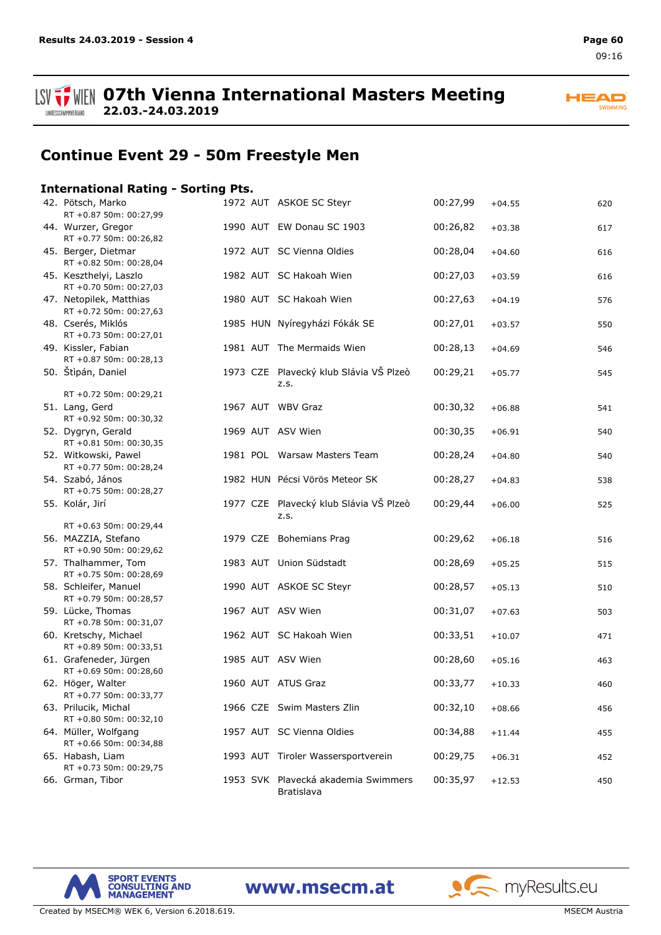LANDESSCHWIMMVERBAND

**ISV**  $\frac{1}{2}$  WIEN 07th Vienna International Masters Meeting **22.03.-24.03.2019**

**HEAD** SWIMMING

## **Continue Event 29 - 50m Freestyle Men**

### **International Rating - Sorting Pts.**

| 42. Pötsch, Marko<br>RT +0.87 50m: 00:27,99       |  | 1972 AUT ASKOE SC Steyr                           | 00:27,99 | $+04.55$ | 620 |
|---------------------------------------------------|--|---------------------------------------------------|----------|----------|-----|
| 44. Wurzer, Gregor<br>RT +0.77 50m: 00:26,82      |  | 1990 AUT EW Donau SC 1903                         | 00:26,82 | $+03.38$ | 617 |
| 45. Berger, Dietmar<br>RT +0.82 50m: 00:28,04     |  | 1972 AUT SC Vienna Oldies                         | 00:28,04 | $+04.60$ | 616 |
| 45. Keszthelyi, Laszlo<br>RT +0.70 50m: 00:27,03  |  | 1982 AUT SC Hakoah Wien                           | 00:27,03 | $+03.59$ | 616 |
| 47. Netopilek, Matthias<br>RT +0.72 50m: 00:27,63 |  | 1980 AUT SC Hakoah Wien                           | 00:27,63 | $+04.19$ | 576 |
| 48. Cserés, Miklós<br>RT +0.73 50m: 00:27,01      |  | 1985 HUN Nyíregyházi Fókák SE                     | 00:27,01 | $+03.57$ | 550 |
| 49. Kissler, Fabian<br>RT +0.87 50m: 00:28,13     |  | 1981 AUT The Mermaids Wien                        | 00:28,13 | $+04.69$ | 546 |
| 50. Štìpán, Daniel                                |  | 1973 CZE Plavecký klub Slávia VŠ Plzeò<br>Z.S.    | 00:29,21 | $+05.77$ | 545 |
| RT +0.72 50m: 00:29,21                            |  |                                                   |          |          |     |
| 51. Lang, Gerd<br>RT +0.92 50m: 00:30,32          |  | 1967 AUT WBV Graz                                 | 00:30,32 | $+06.88$ | 541 |
| 52. Dygryn, Gerald<br>RT +0.81 50m: 00:30,35      |  | 1969 AUT ASV Wien                                 | 00:30,35 | $+06.91$ | 540 |
| 52. Witkowski, Pawel<br>RT +0.77 50m: 00:28,24    |  | 1981 POL Warsaw Masters Team                      | 00:28,24 | $+04.80$ | 540 |
| 54. Szabó, János<br>RT +0.75 50m: 00:28,27        |  | 1982 HUN Pécsi Vörös Meteor SK                    | 00:28,27 | $+04.83$ | 538 |
| 55. Kolár, Jirí                                   |  | 1977 CZE Plavecký klub Slávia VŠ Plzeò<br>Z.S.    | 00:29,44 | $+06.00$ | 525 |
| RT +0.63 50m: 00:29,44                            |  |                                                   |          |          |     |
| 56. MAZZIA, Stefano<br>RT +0.90 50m: 00:29,62     |  | 1979 CZE Bohemians Prag                           | 00:29,62 | $+06.18$ | 516 |
| 57. Thalhammer, Tom<br>RT +0.75 50m: 00:28,69     |  | 1983 AUT Union Südstadt                           | 00:28,69 | $+05.25$ | 515 |
| 58. Schleifer, Manuel<br>RT +0.79 50m: 00:28,57   |  | 1990 AUT ASKOE SC Steyr                           | 00:28,57 | $+05.13$ | 510 |
| 59. Lücke, Thomas<br>RT +0.78 50m: 00:31,07       |  | 1967 AUT ASV Wien                                 | 00:31,07 | $+07.63$ | 503 |
| 60. Kretschy, Michael<br>RT +0.89 50m: 00:33,51   |  | 1962 AUT SC Hakoah Wien                           | 00:33,51 | $+10.07$ | 471 |
| 61. Grafeneder, Jürgen<br>RT +0.69 50m: 00:28,60  |  | 1985 AUT ASV Wien                                 | 00:28,60 | $+05.16$ | 463 |
| 62. Höger, Walter<br>RT +0.77 50m: 00:33,77       |  | 1960 AUT ATUS Graz                                | 00:33,77 | $+10.33$ | 460 |
| 63. Prilucik, Michal<br>RT +0.80 50m: 00:32,10    |  | 1966 CZE Swim Masters Zlin                        | 00:32,10 | $+08.66$ | 456 |
| 64. Müller, Wolfgang<br>RT +0.66 50m: 00:34,88    |  | 1957 AUT SC Vienna Oldies                         | 00:34,88 | $+11.44$ | 455 |
| 65. Habash, Liam<br>RT +0.73 50m: 00:29,75        |  | 1993 AUT Tiroler Wassersportverein                | 00:29,75 | $+06.31$ | 452 |
| 66. Grman, Tibor                                  |  | 1953 SVK Plavecká akademia Swimmers<br>Bratislava | 00:35,97 | $+12.53$ | 450 |



www.msecm.at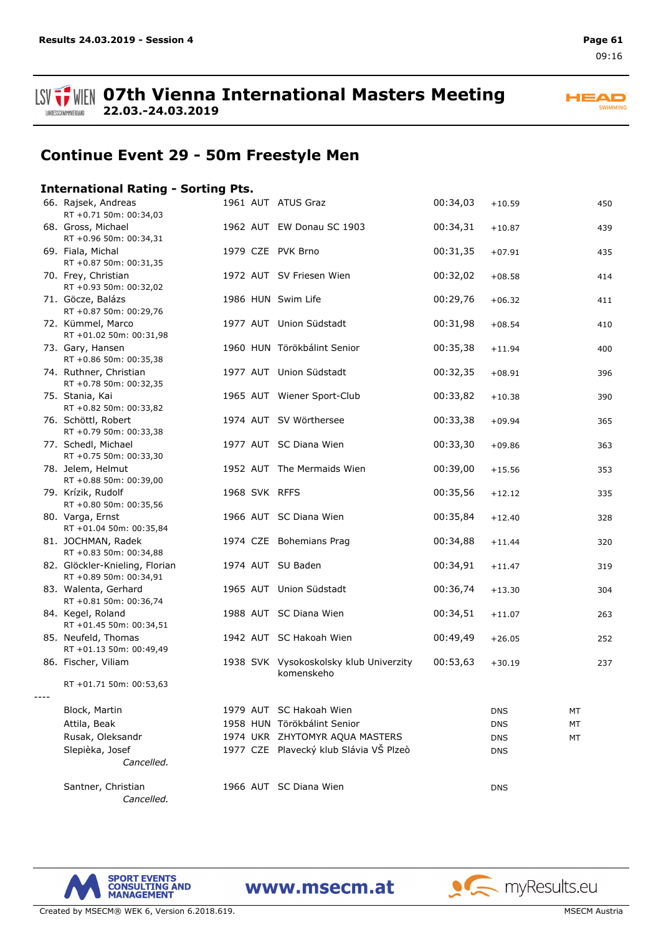



## **Continue Event 29 - 50m Freestyle Men**

### **International Rating - Sorting Pts.**

| 66. Rajsek, Andreas<br>RT +0.71 50m: 00:34,03            |  | 1961 AUT ATUS Graz                                   | 00:34,03 | $+10.59$   | 450 |
|----------------------------------------------------------|--|------------------------------------------------------|----------|------------|-----|
| 68. Gross, Michael<br>RT +0.96 50m: 00:34,31             |  | 1962 AUT EW Donau SC 1903                            | 00:34,31 | $+10.87$   | 439 |
| 69. Fiala, Michal<br>RT +0.87 50m: 00:31,35              |  | 1979 CZE PVK Brno                                    | 00:31,35 | $+07.91$   | 435 |
| 70. Frey, Christian<br>RT +0.93 50m: 00:32,02            |  | 1972 AUT SV Friesen Wien                             | 00:32,02 | $+08.58$   | 414 |
| 71. Göcze, Balázs<br>RT +0.87 50m: 00:29,76              |  | 1986 HUN Swim Life                                   | 00:29,76 | $+06.32$   | 411 |
| 72. Kümmel, Marco<br>RT +01.02 50m: 00:31,98             |  | 1977 AUT Union Südstadt                              | 00:31,98 | $+08.54$   | 410 |
| 73. Gary, Hansen<br>RT +0.86 50m: 00:35,38               |  | 1960 HUN Törökbálint Senior                          | 00:35,38 | $+11.94$   | 400 |
| 74. Ruthner, Christian<br>RT +0.78 50m: 00:32,35         |  | 1977 AUT Union Südstadt                              | 00:32,35 | $+08.91$   | 396 |
| 75. Stania, Kai<br>RT +0.82 50m: 00:33,82                |  | 1965 AUT Wiener Sport-Club                           | 00:33,82 | $+10.38$   | 390 |
| 76. Schöttl, Robert<br>RT +0.79 50m: 00:33,38            |  | 1974 AUT SV Wörthersee                               | 00:33,38 | $+09.94$   | 365 |
| 77. Schedl, Michael<br>RT +0.75 50m: 00:33,30            |  | 1977 AUT SC Diana Wien                               | 00:33,30 | $+09.86$   | 363 |
| 78. Jelem, Helmut<br>RT +0.88 50m: 00:39,00              |  | 1952 AUT The Mermaids Wien                           | 00:39,00 | $+15.56$   | 353 |
| 79. Krízik, Rudolf<br>RT +0.80 50m: 00:35,56             |  | 1968 SVK RFFS                                        | 00:35,56 | $+12.12$   | 335 |
| 80. Varga, Ernst<br>RT +01.04 50m: 00:35,84              |  | 1966 AUT SC Diana Wien                               | 00:35,84 | $+12.40$   | 328 |
| 81. JOCHMAN, Radek<br>RT +0.83 50m: 00:34,88             |  | 1974 CZE Bohemians Prag                              | 00:34,88 | $+11.44$   | 320 |
| 82. Glöckler-Knieling, Florian<br>RT +0.89 50m: 00:34,91 |  | 1974 AUT SU Baden                                    | 00:34,91 | $+11.47$   | 319 |
| 83. Walenta, Gerhard<br>RT +0.81 50m: 00:36,74           |  | 1965 AUT Union Südstadt                              | 00:36,74 | $+13.30$   | 304 |
| 84. Kegel, Roland<br>RT +01.45 50m: 00:34,51             |  | 1988 AUT SC Diana Wien                               | 00:34,51 | $+11.07$   | 263 |
| 85. Neufeld, Thomas<br>RT +01.13 50m: 00:49,49           |  | 1942 AUT SC Hakoah Wien                              | 00:49,49 | $+26.05$   | 252 |
| 86. Fischer, Viliam                                      |  | 1938 SVK Vysokoskolsky klub Univerzity<br>komenskeho | 00:53,63 | $+30.19$   | 237 |
| RT +01.71 50m: 00:53,63                                  |  |                                                      |          |            |     |
| Block, Martin                                            |  | 1979 AUT SC Hakoah Wien                              |          | <b>DNS</b> | МT  |
| Attila, Beak                                             |  | 1958 HUN Törökbálint Senior                          |          | <b>DNS</b> | МT  |
| Rusak, Oleksandr                                         |  | 1974 UKR ZHYTOMYR AQUA MASTERS                       |          | <b>DNS</b> | МT  |
| Slepièka, Josef                                          |  | 1977 CZE Plavecký klub Slávia VŠ Plzeò               |          | <b>DNS</b> |     |
| Cancelled.                                               |  |                                                      |          |            |     |
| Santner, Christian<br>Cancelled.                         |  | 1966 AUT SC Diana Wien                               |          | <b>DNS</b> |     |

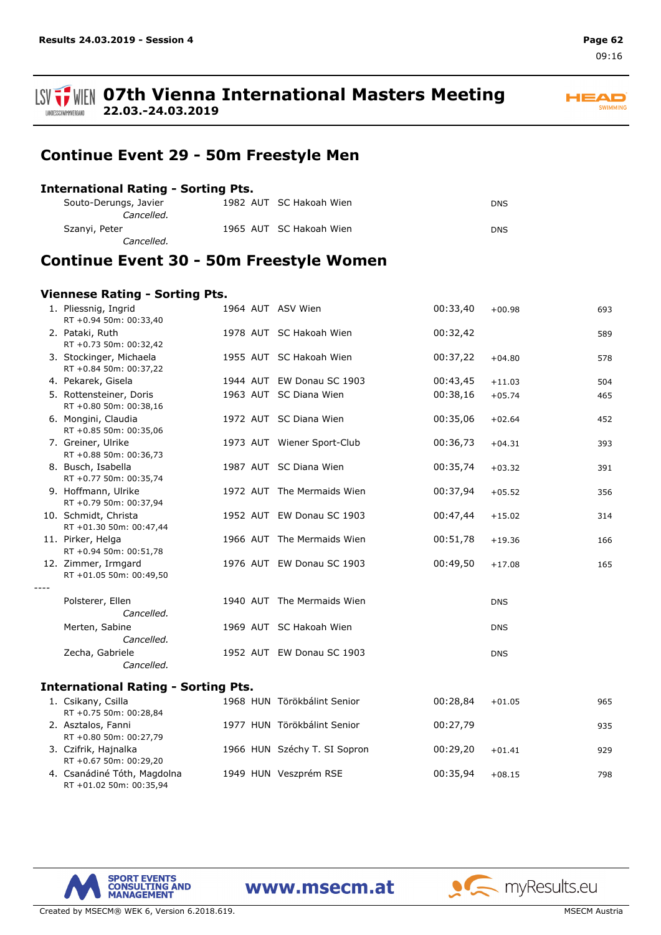09:16

#### **ISV TWEIN 07th Vienna International Masters Meeting 22.03.-24.03.2019** LANDESSCHWIMMVERBAND

## **Continue Event 29 - 50m Freestyle Men**

### **International Rating - Sorting Pts.**

| Souto-Derungs, Javier<br><i>Cancelled.</i> | 1982 AUT SC Hakoah Wien | <b>DNS</b> |
|--------------------------------------------|-------------------------|------------|
| Szanyi, Peter                              | 1965 AUT SC Hakoah Wien | <b>DNS</b> |
| Cancelled.                                 |                         |            |

## **Continue Event 30 - 50m Freestyle Women**

### **Viennese Rating - Sorting Pts.**

|      | 1. Pliessnig, Ingrid<br>RT +0.94 50m: 00:33,40    |  | 1964 AUT ASV Wien            | 00:33,40 | $+00.98$   | 693 |
|------|---------------------------------------------------|--|------------------------------|----------|------------|-----|
|      | 2. Pataki, Ruth<br>RT +0.73 50m: 00:32,42         |  | 1978 AUT SC Hakoah Wien      | 00:32,42 |            | 589 |
|      | 3. Stockinger, Michaela<br>RT +0.84 50m: 00:37,22 |  | 1955 AUT SC Hakoah Wien      | 00:37,22 | $+04.80$   | 578 |
|      | 4. Pekarek, Gisela                                |  | 1944 AUT EW Donau SC 1903    | 00:43,45 | $+11.03$   | 504 |
|      | 5. Rottensteiner, Doris<br>RT +0.80 50m: 00:38,16 |  | 1963 AUT SC Diana Wien       | 00:38,16 | $+05.74$   | 465 |
|      | 6. Mongini, Claudia<br>RT +0.85 50m: 00:35,06     |  | 1972 AUT SC Diana Wien       | 00:35,06 | $+02.64$   | 452 |
|      | 7. Greiner, Ulrike<br>RT +0.88 50m: 00:36,73      |  | 1973 AUT Wiener Sport-Club   | 00:36,73 | $+04.31$   | 393 |
|      | 8. Busch, Isabella<br>RT +0.77 50m: 00:35,74      |  | 1987 AUT SC Diana Wien       | 00:35,74 | $+03.32$   | 391 |
|      | 9. Hoffmann, Ulrike<br>RT +0.79 50m: 00:37,94     |  | 1972 AUT The Mermaids Wien   | 00:37,94 | $+05.52$   | 356 |
|      | 10. Schmidt, Christa<br>RT +01.30 50m: 00:47,44   |  | 1952 AUT EW Donau SC 1903    | 00:47,44 | $+15.02$   | 314 |
|      | 11. Pirker, Helga<br>RT +0.94 50m: 00:51,78       |  | 1966 AUT The Mermaids Wien   | 00:51,78 | $+19.36$   | 166 |
|      | 12. Zimmer, Irmgard<br>RT +01.05 50m: 00:49,50    |  | 1976 AUT EW Donau SC 1903    | 00:49,50 | $+17.08$   | 165 |
| ---- | Polsterer, Ellen<br>Cancelled.                    |  | 1940 AUT The Mermaids Wien   |          | <b>DNS</b> |     |
|      | Merten, Sabine<br>Cancelled.                      |  | 1969 AUT SC Hakoah Wien      |          | <b>DNS</b> |     |
|      | Zecha, Gabriele<br>Cancelled.                     |  | 1952 AUT EW Donau SC 1903    |          | <b>DNS</b> |     |
|      | <b>International Rating - Sorting Pts.</b>        |  |                              |          |            |     |
|      | 1. Csikany, Csilla<br>RT +0.75 50m: 00:28,84      |  | 1968 HUN Törökbálint Senior  | 00:28,84 | $+01.05$   | 965 |
|      | 2. Asztalos, Fanni<br>RT +0.80 50m: 00:27,79      |  | 1977 HUN Törökbálint Senior  | 00:27,79 |            | 935 |
|      | 3. Czifrik, Hajnalka<br>RT +0.67 50m: 00:29,20    |  | 1966 HUN Széchy T. SI Sopron | 00:29,20 | $+01.41$   | 929 |
|      | 4. Csanádiné Tóth, Magdolna                       |  | 1949 HUN Veszprém RSE        | 00:35,94 | $+08.15$   | 798 |





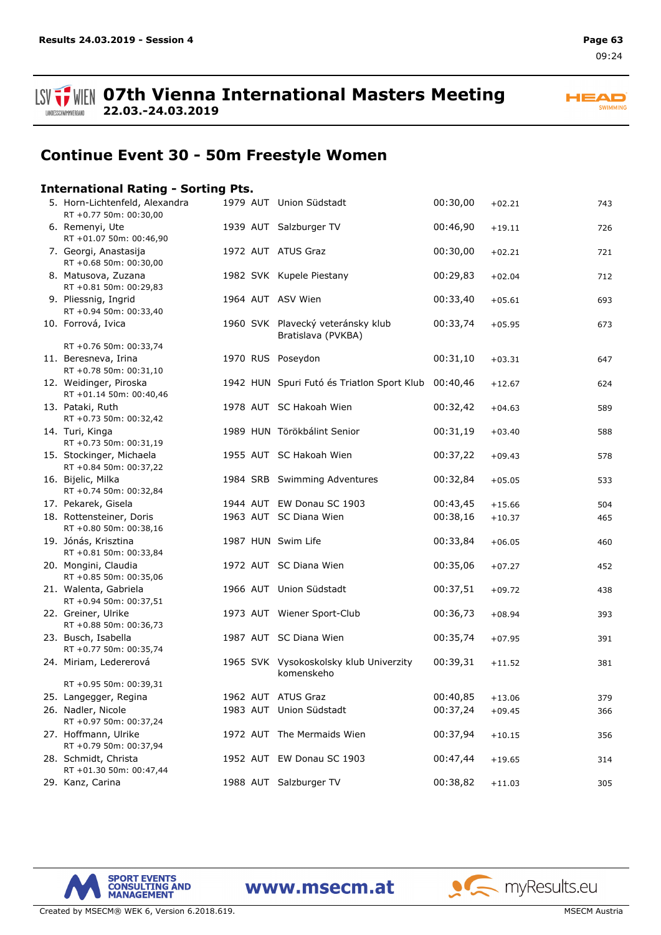



## **Continue Event 30 - 50m Freestyle Women**

### **International Rating - Sorting Pts.**

| 5. Horn-Lichtenfeld, Alexandra<br>RT +0.77 50m: 00:30,00                 |  | 1979 AUT Union Südstadt                                 | 00:30,00 | $+02.21$ | 743 |
|--------------------------------------------------------------------------|--|---------------------------------------------------------|----------|----------|-----|
| 6. Remenyi, Ute<br>RT +01.07 50m: 00:46,90                               |  | 1939 AUT Salzburger TV                                  | 00:46,90 | $+19.11$ | 726 |
| 7. Georgi, Anastasija<br>RT +0.68 50m: 00:30,00                          |  | 1972 AUT ATUS Graz                                      | 00:30,00 | $+02.21$ | 721 |
| 8. Matusova, Zuzana<br>RT +0.81 50m: 00:29,83                            |  | 1982 SVK Kupele Piestany                                | 00:29,83 | $+02.04$ | 712 |
| 9. Pliessnig, Ingrid<br>RT +0.94 50m: 00:33,40                           |  | 1964 AUT ASV Wien                                       | 00:33,40 | $+05.61$ | 693 |
| 10. Forrová, Ivica                                                       |  | 1960 SVK Plavecký veteránsky klub<br>Bratislava (PVKBA) | 00:33,74 | $+05.95$ | 673 |
| RT +0.76 50m: 00:33,74<br>11. Beresneva, Irina<br>RT +0.78 50m: 00:31,10 |  | 1970 RUS Poseydon                                       | 00:31,10 | $+03.31$ | 647 |
| 12. Weidinger, Piroska<br>RT +01.14 50m: 00:40,46                        |  | 1942 HUN Spuri Futó és Triatlon Sport Klub 00:40,46     |          | $+12.67$ | 624 |
| 13. Pataki, Ruth<br>RT +0.73 50m: 00:32,42                               |  | 1978 AUT SC Hakoah Wien                                 | 00:32,42 | $+04.63$ | 589 |
| 14. Turi, Kinga<br>RT +0.73 50m: 00:31,19                                |  | 1989 HUN Törökbálint Senior                             | 00:31,19 | $+03.40$ | 588 |
| 15. Stockinger, Michaela<br>RT +0.84 50m: 00:37,22                       |  | 1955 AUT SC Hakoah Wien                                 | 00:37,22 | $+09.43$ | 578 |
| 16. Bijelic, Milka<br>RT +0.74 50m: 00:32,84                             |  | 1984 SRB Swimming Adventures                            | 00:32,84 | $+05.05$ | 533 |
| 17. Pekarek, Gisela                                                      |  | 1944 AUT EW Donau SC 1903                               | 00:43,45 | $+15.66$ | 504 |
| 18. Rottensteiner, Doris<br>RT +0.80 50m: 00:38,16                       |  | 1963 AUT SC Diana Wien                                  | 00:38,16 | $+10.37$ | 465 |
| 19. Jónás, Krisztina<br>RT +0.81 50m: 00:33,84                           |  | 1987 HUN Swim Life                                      | 00:33,84 | $+06.05$ | 460 |
| 20. Mongini, Claudia<br>RT +0.85 50m: 00:35,06                           |  | 1972 AUT SC Diana Wien                                  | 00:35,06 | $+07.27$ | 452 |
| 21. Walenta, Gabriela<br>RT +0.94 50m: 00:37,51                          |  | 1966 AUT Union Südstadt                                 | 00:37,51 | $+09.72$ | 438 |
| 22. Greiner, Ulrike<br>RT +0.88 50m: 00:36,73                            |  | 1973 AUT Wiener Sport-Club                              | 00:36,73 | $+08.94$ | 393 |
| 23. Busch, Isabella<br>RT +0.77 50m: 00:35,74                            |  | 1987 AUT SC Diana Wien                                  | 00:35,74 | $+07.95$ | 391 |
| 24. Miriam, Ledererová                                                   |  | 1965 SVK Vysokoskolsky klub Univerzity<br>komenskeho    | 00:39,31 | $+11.52$ | 381 |
| RT +0.95 50m: 00:39,31                                                   |  |                                                         |          |          |     |
| 25. Langegger, Regina                                                    |  | 1962 AUT ATUS Graz                                      | 00:40,85 | $+13.06$ | 379 |
| 26. Nadler, Nicole<br>RT +0.97 50m: 00:37,24                             |  | 1983 AUT Union Südstadt                                 | 00:37,24 | $+09.45$ | 366 |
| 27. Hoffmann, Ulrike<br>RT +0.79 50m: 00:37,94                           |  | 1972 AUT The Mermaids Wien                              | 00:37,94 | $+10.15$ | 356 |
| 28. Schmidt, Christa<br>RT +01.30 50m: 00:47,44                          |  | 1952 AUT EW Donau SC 1903                               | 00:47,44 | $+19.65$ | 314 |
| 29. Kanz, Carina                                                         |  | 1988 AUT Salzburger TV                                  | 00:38,82 | $+11.03$ | 305 |

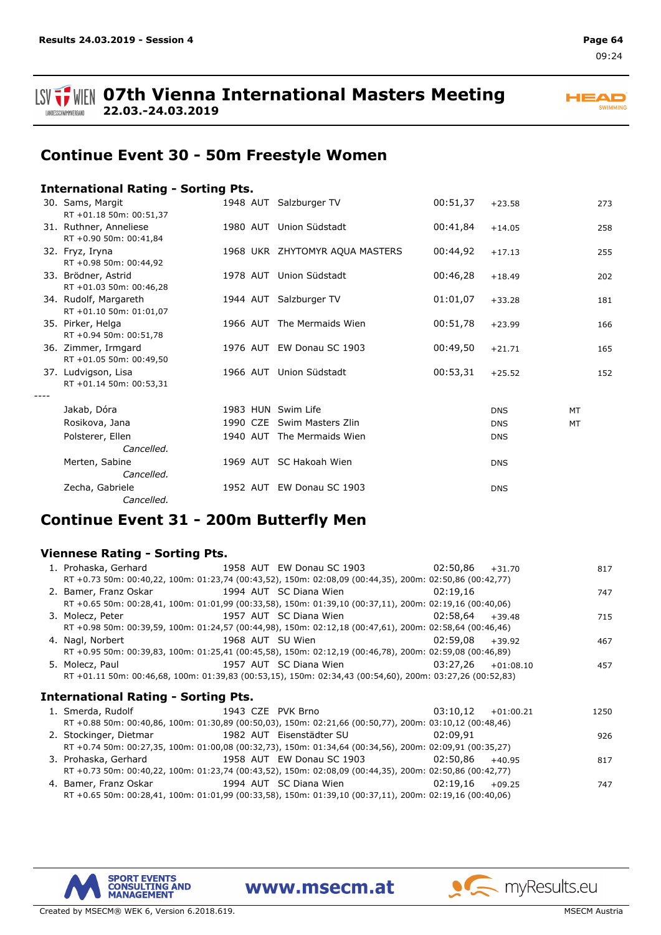



## **Continue Event 30 - 50m Freestyle Women**

### **International Rating - Sorting Pts.**

| 30. Sams, Margit<br>RT +01.18 50m: 00:51,37      |                    | 1948 AUT Salzburger TV         | 00:51,37 | $+23.58$   | 273       |
|--------------------------------------------------|--------------------|--------------------------------|----------|------------|-----------|
| 31. Ruthner, Anneliese<br>RT +0.90 50m: 00:41,84 |                    | 1980 AUT Union Südstadt        | 00:41,84 | $+14.05$   | 258       |
| 32. Fryz, Iryna<br>RT +0.98 50m: 00:44,92        |                    | 1968 UKR ZHYTOMYR AQUA MASTERS | 00:44,92 | $+17.13$   | 255       |
| 33. Brödner, Astrid<br>RT +01.03 50m: 00:46,28   |                    | 1978 AUT Union Südstadt        | 00:46,28 | $+18.49$   | 202       |
| 34. Rudolf, Margareth<br>RT +01.10 50m: 01:01,07 |                    | 1944 AUT Salzburger TV         | 01:01,07 | $+33.28$   | 181       |
| 35. Pirker, Helga<br>RT +0.94 50m: 00:51,78      |                    | 1966 AUT The Mermaids Wien     | 00:51,78 | $+23.99$   | 166       |
| 36. Zimmer, Irmgard<br>RT +01.05 50m: 00:49,50   |                    | 1976 AUT EW Donau SC 1903      | 00:49,50 | $+21.71$   | 165       |
| 37. Ludvigson, Lisa<br>RT +01.14 50m: 00:53,31   | 1966 AUT           | Union Südstadt                 | 00:53,31 | $+25.52$   | 152       |
|                                                  |                    |                                |          |            |           |
| Jakab, Dóra                                      | 1983 HUN Swim Life |                                |          | <b>DNS</b> | <b>MT</b> |
| Rosikova, Jana                                   |                    | 1990 CZE Swim Masters Zlin     |          | <b>DNS</b> | MT        |
| Polsterer, Ellen                                 | 1940 AUT           | The Mermaids Wien              |          | <b>DNS</b> |           |
| Cancelled.                                       |                    |                                |          |            |           |
| Merten, Sabine                                   |                    | 1969 AUT SC Hakoah Wien        |          | <b>DNS</b> |           |
| Cancelled.                                       |                    |                                |          |            |           |
| Zecha, Gabriele                                  |                    | 1952 AUT EW Donau SC 1903      |          | <b>DNS</b> |           |
| Cancelled.                                       |                    |                                |          |            |           |

## **Continue Event 31 - 200m Butterfly Men**

### **Viennese Rating - Sorting Pts.**

| 1. Prohaska, Gerhard 1958 AUT EW Donau SC 1903 02:50,86 +31.70                                               |                  |          |             | 817  |
|--------------------------------------------------------------------------------------------------------------|------------------|----------|-------------|------|
| RT +0.73 50m: 00:40,22, 100m: 01:23,74 (00:43,52), 150m: 02:08,09 (00:44,35), 200m: 02:50,86 (00:42,77)      |                  |          |             |      |
| 2. Bamer, Franz Oskar 1994 AUT SC Diana Wien 1994.16                                                         |                  |          |             | 747  |
| RT +0.65 50m: 00:28,41, 100m: 01:01,99 (00:33,58), 150m: 01:39,10 (00:37,11), 200m: 02:19,16 (00:40,06)      |                  |          |             |      |
| 3. Molecz, Peter 1957 AUT SC Diana Wien 1958,64                                                              |                  |          | $+39.48$    | 715  |
| RT +0.98 50m: 00:39,59, 100m: 01:24,57 (00:44,98), 150m: 02:12,18 (00:47,61), 200m: 02:58,64 (00:46,46)      |                  |          |             |      |
| 4. Nagl, Norbert                                                                                             | 1968 AUT SU Wien | 02:59.08 | $+39.92$    | 467  |
| RT +0.95 50m: 00:39,83, 100m: 01:25,41 (00:45,58), 150m: 02:12,19 (00:46,78), 200m: 02:59,08 (00:46,89)      |                  |          |             |      |
| 5. Molecz, Paul and American and Australian 1957 AUT SC Diana Wien                                           |                  | 03:27,26 | $+01:08.10$ | 457  |
| RT +01.11 50m: 00:46,68, 100m: 01:39,83 (00:53,15), 150m: 02:34,43 (00:54,60), 200m: 03:27,26 (00:52,83)     |                  |          |             |      |
|                                                                                                              |                  |          |             |      |
|                                                                                                              |                  |          |             |      |
| <b>International Rating - Sorting Pts.</b>                                                                   |                  |          |             |      |
|                                                                                                              |                  |          |             | 1250 |
| RT +0.88 50m: 00:40,86, 100m: 01:30,89 (00:50,03), 150m: 02:21,66 (00:50,77), 200m: 03:10,12 (00:48,46)      |                  |          |             |      |
| 2. Stockinger, Dietmar                             1982 AUT Eisenstädter SU                         02:09,91 |                  |          |             | 926  |
| RT +0.74 50m: 00:27,35, 100m: 01:00,08 (00:32,73), 150m: 01:34,64 (00:34,56), 200m: 02:09,91 (00:35,27)      |                  |          |             |      |
| 3. Prohaska, Gerhard                                   1958 AUT EW Donau SC 1903                             |                  | 02:50.86 | $+40.95$    | 817  |
| RT +0.73 50m: 00:40,22, 100m: 01:23,74 (00:43,52), 150m: 02:08,09 (00:44,35), 200m: 02:50,86 (00:42,77)      |                  |          |             |      |
| 4. Bamer, Franz Oskar 1994 AUT SC Diana Wien 1992.19,16 +09.25                                               |                  |          |             | 747  |

www.msecm.at

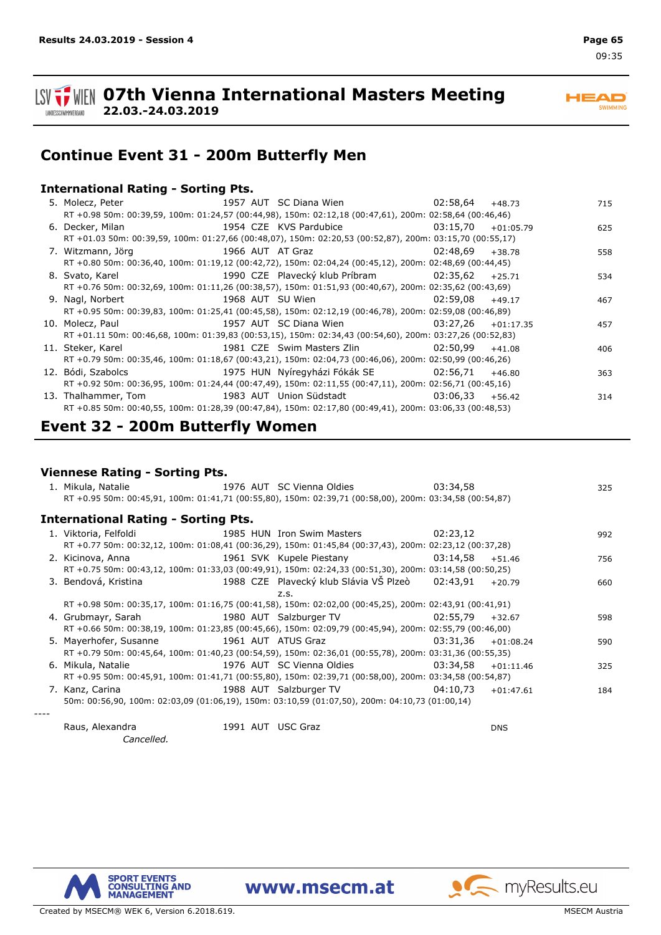

**ISV TWEIN 07th Vienna International Masters Meeting 22.03.-24.03.2019** LANDESSCHWIMMVERBAND

**HEAD SWIMMING** 

## **Continue Event 31 - 200m Butterfly Men**

### **International Rating - Sorting Pts.**

| 5. Molecz, Peter 1957 AUT SC Diana Wien 1957 AUT SC Diana Wien                                                      |                                           |          | $+48.73$    | 715 |
|---------------------------------------------------------------------------------------------------------------------|-------------------------------------------|----------|-------------|-----|
| RT +0.98 50m: 00:39,59, 100m: 01:24,57 (00:44,98), 150m: 02:12,18 (00:47,61), 200m: 02:58,64 (00:46,46)             |                                           |          |             |     |
|                                                                                                                     |                                           |          | $+01:05.79$ | 625 |
| RT +01.03 50m: 00:39,59, 100m: 01:27,66 (00:48,07), 150m: 02:20,53 (00:52,87), 200m: 03:15,70 (00:55,17)            |                                           |          |             |     |
| 7. Witzmann, Jörg                                                                                                   | 1966 AUT AT Graz                          | 02:48.69 | $+38.78$    | 558 |
| RT +0.80 50m: 00:36,40, 100m: 01:19,12 (00:42,72), 150m: 02:04,24 (00:45,12), 200m: 02:48,69 (00:44,45)             |                                           |          |             |     |
|                                                                                                                     |                                           |          |             | 534 |
| RT +0.76 50m: 00:32,69, 100m: 01:11,26 (00:38,57), 150m: 01:51,93 (00:40,67), 200m: 02:35,62 (00:43,69)             |                                           |          |             |     |
| 9. Nagl, Norbert                                                                                                    | 1968 AUT SU Wien <b>Sulleman Strutter</b> | 02:59.08 | $+49.17$    | 467 |
| RT +0.95 50m: 00:39,83, 100m: 01:25,41 (00:45,58), 150m: 02:12,19 (00:46,78), 200m: 02:59,08 (00:46,89)             |                                           |          |             |     |
| 10. Molecz, Paul                                                                                                    | 1957 AUT SC Diana Wien                    | 03:27.26 | $+01:17.35$ | 457 |
| RT +01.11 50m: 00:46,68, 100m: 01:39,83 (00:53,15), 150m: 02:34,43 (00:54,60), 200m: 03:27,26 (00:52,83)            |                                           |          |             |     |
| 11. Steker, Karel and Steker, Karel                                                                                 | 1981 CZE Swim Masters Zlin 62:50.99       |          | $+41.08$    | 406 |
| RT +0.79 50m: 00:35,46, 100m: 01:18,67 (00:43,21), 150m: 02:04,73 (00:46,06), 200m: 02:50,99 (00:46,26)             |                                           |          |             |     |
|                                                                                                                     |                                           |          | $+46.80$    | 363 |
| RT +0.92 50m: 00:36,95, 100m: 01:24,44 (00:47,49), 150m: 02:11,55 (00:47,11), 200m: 02:56,71 (00:45,16)             |                                           |          |             |     |
| 13. Thalhammer, Tom                             1983 AUT Union Südstadt                         03:06,33     +56.42 |                                           |          |             | 314 |
| RT +0.85 50m: 00:40,55, 100m: 01:28,39 (00:47,84), 150m: 02:17,80 (00:49,41), 200m: 03:06,33 (00:48,53)             |                                           |          |             |     |

## **Event 32 - 200m Butterfly Women**

### **Viennese Rating - Sorting Pts.**

| 1. Mikula, Natalie                                                                                           | 1976 AUT SC Vienna Oldies            | 03:34,58 |             | 325 |
|--------------------------------------------------------------------------------------------------------------|--------------------------------------|----------|-------------|-----|
| RT +0.95 50m: 00:45,91, 100m: 01:41,71 (00:55,80), 150m: 02:39,71 (00:58,00), 200m: 03:34,58 (00:54,87)      |                                      |          |             |     |
| <b>International Rating - Sorting Pts.</b>                                                                   |                                      |          |             |     |
| 1. Viktoria, Felfoldi                                                                                        | 1985 HUN Iron Swim Masters 62:23.12  |          |             | 992 |
| RT +0.77 50m: 00:32,12, 100m: 01:08,41 (00:36,29), 150m: 01:45,84 (00:37,43), 200m: 02:23,12 (00:37,28)      |                                      |          |             |     |
| 2. Kicinova, Anna                                                                                            | 1961 SVK Kupele Piestany<br>03:14,58 |          | $+51.46$    | 756 |
| RT +0.75 50m: 00:43,12, 100m: 01:33,03 (00:49,91), 150m: 02:24,33 (00:51,30), 200m: 03:14,58 (00:50,25)      |                                      |          |             |     |
| 3. Bendová, Kristina                                 1988 CZE Plavecký klub Slávia VŠ Plzeò       02:43,91   |                                      |          | $+20.79$    | 660 |
|                                                                                                              | Z.S.                                 |          |             |     |
| RT +0.98 50m: 00:35,17, 100m: 01:16,75 (00:41,58), 150m: 02:02,00 (00:45,25), 200m: 02:43,91 (00:41,91)      |                                      |          |             |     |
| 4. Grubmayr, Sarah                                 1980 AUT Salzburger TV                           02:55,79 |                                      |          | $+32.67$    | 598 |
| RT +0.66 50m: 00:38,19, 100m: 01:23,85 (00:45,66), 150m: 02:09,79 (00:45,94), 200m: 02:55,79 (00:46,00)      |                                      |          |             |     |
| 5. Mayerhofer, Susanne                                                                                       | 1961 AUT ATUS Graz                   | 03:31.36 | $+01:08.24$ | 590 |
| RT +0.79 50m: 00:45,64, 100m: 01:40,23 (00:54,59), 150m: 02:36,01 (00:55,78), 200m: 03:31,36 (00:55,35)      |                                      |          |             |     |
| 6. Mikula, Natalie                                                                                           | 1976 AUT SC Vienna Oldies            | 03:34.58 | $+01:11.46$ | 325 |
| RT +0.95 50m: 00:45,91, 100m: 01:41,71 (00:55,80), 150m: 02:39,71 (00:58,00), 200m: 03:34,58 (00:54,87)      |                                      |          |             |     |
|                                                                                                              |                                      |          | $+01:47.61$ | 184 |
| 50m: 00:56,90, 100m: 02:03,09 (01:06,19), 150m: 03:10,59 (01:07,50), 200m: 04:10,73 (01:00,14)               |                                      |          |             |     |
|                                                                                                              |                                      |          |             |     |

Raus, Alexandra 1991 USC Graz AUT DNS *Cancelled.*

SPORT EVENTS<br>CONSULTING AND<br>MANAGEMENT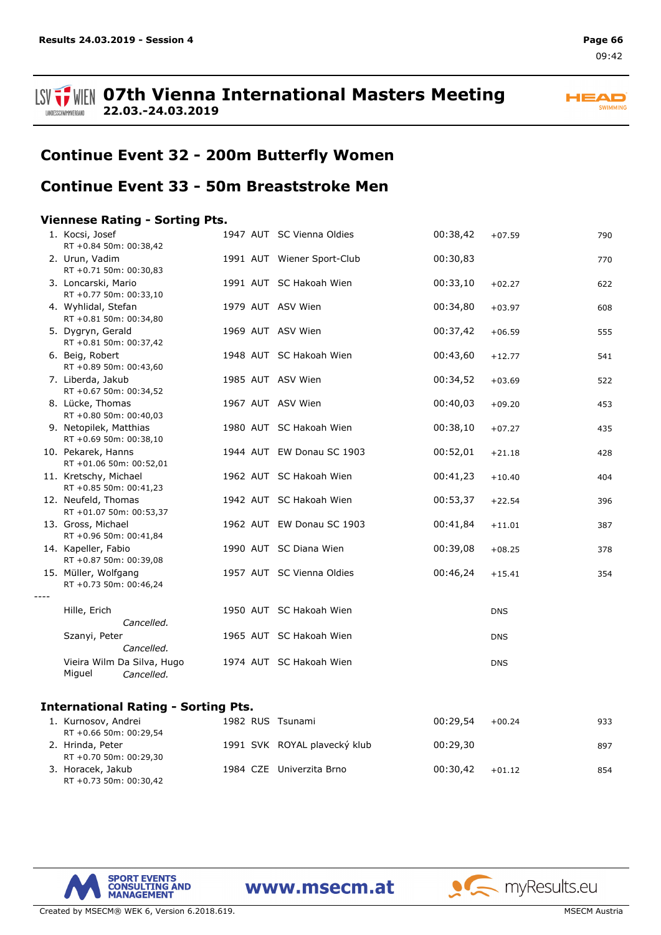





## **Continue Event 32 - 200m Butterfly Women**

### **Continue Event 33 - 50m Breaststroke Men**

### **Viennese Rating - Sorting Pts.**

| 1. Kocsi, Josef<br>RT +0.84 50m: 00:38,42          | 1947 AUT SC Vienna Oldies  | 00:38,42 | $+07.59$   | 790 |
|----------------------------------------------------|----------------------------|----------|------------|-----|
| 2. Urun, Vadim<br>RT +0.71 50m: 00:30,83           | 1991 AUT Wiener Sport-Club | 00:30,83 |            | 770 |
| 3. Loncarski, Mario<br>RT +0.77 50m: 00:33,10      | 1991 AUT SC Hakoah Wien    | 00:33,10 | $+02.27$   | 622 |
| 4. Wyhlidal, Stefan<br>RT +0.81 50m: 00:34,80      | 1979 AUT ASV Wien          | 00:34,80 | $+03.97$   | 608 |
| 5. Dygryn, Gerald<br>RT +0.81 50m: 00:37,42        | 1969 AUT ASV Wien          | 00:37,42 | $+06.59$   | 555 |
| 6. Beig, Robert<br>RT +0.89 50m: 00:43,60          | 1948 AUT SC Hakoah Wien    | 00:43,60 | $+12.77$   | 541 |
| 7. Liberda, Jakub<br>RT +0.67 50m: 00:34,52        | 1985 AUT ASV Wien          | 00:34,52 | $+03.69$   | 522 |
| 8. Lücke, Thomas<br>RT +0.80 50m: 00:40,03         | 1967 AUT ASV Wien          | 00:40,03 | $+09.20$   | 453 |
| 9. Netopilek, Matthias<br>RT +0.69 50m: 00:38,10   | 1980 AUT SC Hakoah Wien    | 00:38,10 | $+07.27$   | 435 |
| 10. Pekarek, Hanns<br>RT +01.06 50m: 00:52,01      | 1944 AUT EW Donau SC 1903  | 00:52,01 | $+21.18$   | 428 |
| 11. Kretschy, Michael<br>RT +0.85 50m: 00:41,23    | 1962 AUT SC Hakoah Wien    | 00:41,23 | $+10.40$   | 404 |
| 12. Neufeld, Thomas<br>RT +01.07 50m: 00:53,37     | 1942 AUT SC Hakoah Wien    | 00:53,37 | $+22.54$   | 396 |
| 13. Gross, Michael<br>RT +0.96 50m: 00:41,84       | 1962 AUT EW Donau SC 1903  | 00:41,84 | $+11.01$   | 387 |
| 14. Kapeller, Fabio<br>RT +0.87 50m: 00:39,08      | 1990 AUT SC Diana Wien     | 00:39,08 | $+08.25$   | 378 |
| 15. Müller, Wolfgang<br>RT +0.73 50m: 00:46,24     | 1957 AUT SC Vienna Oldies  | 00:46,24 | $+15.41$   | 354 |
|                                                    |                            |          |            |     |
| Hille, Erich<br>Cancelled.                         | 1950 AUT SC Hakoah Wien    |          | <b>DNS</b> |     |
| Szanyi, Peter<br>Cancelled.                        | 1965 AUT SC Hakoah Wien    |          | <b>DNS</b> |     |
| Vieira Wilm Da Silva, Hugo<br>Miguel<br>Cancelled. | 1974 AUT SC Hakoah Wien    |          | <b>DNS</b> |     |
| <b>International Rating - Sorting Pts.</b>         |                            |          |            |     |

#### 1. Kurnosov, Andrei 1982 RUS Tsunami 1982 RUS Tsunami 1982 00:29,54 +00.24 +00.24 RT +0.66 50m: 00:29,54 2. Hrinda, Peter **1991 SVK ROYAL plavecký klub** 00:29,30 897 RT +0.70 50m: 00:29,30 3. Horacek, Jakub 1984 CZE Univerzita Brno 00:30,42 +01.12 854 RT +0.73 50m: 00:30,42

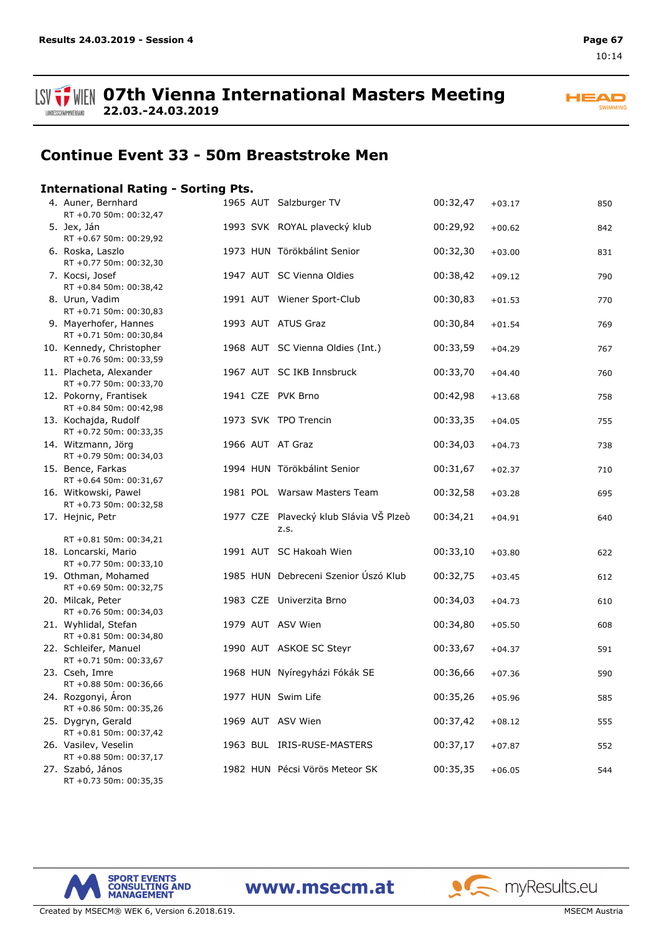



## **Continue Event 33 - 50m Breaststroke Men**

### **International Rating - Sorting Pts.**

| 4. Auner, Bernhard<br>RT +0.70 50m: 00:32,47       |  | 1965 AUT Salzburger TV                         | 00:32,47 | $+03.17$ | 850 |
|----------------------------------------------------|--|------------------------------------------------|----------|----------|-----|
| 5. Jex, Ján<br>RT +0.67 50m: 00:29,92              |  | 1993 SVK ROYAL plavecký klub                   | 00:29,92 | $+00.62$ | 842 |
| 6. Roska, Laszlo<br>RT +0.77 50m: 00:32,30         |  | 1973 HUN Törökbálint Senior                    | 00:32,30 | $+03.00$ | 831 |
| 7. Kocsi, Josef<br>RT +0.84 50m: 00:38,42          |  | 1947 AUT SC Vienna Oldies                      | 00:38,42 | $+09.12$ | 790 |
| 8. Urun, Vadim<br>RT +0.71 50m: 00:30,83           |  | 1991 AUT Wiener Sport-Club                     | 00:30,83 | $+01.53$ | 770 |
| 9. Mayerhofer, Hannes<br>RT +0.71 50m: 00:30,84    |  | 1993 AUT ATUS Graz                             | 00:30,84 | $+01.54$ | 769 |
| 10. Kennedy, Christopher<br>RT +0.76 50m: 00:33,59 |  | 1968 AUT SC Vienna Oldies (Int.)               | 00:33,59 | $+04.29$ | 767 |
| 11. Placheta, Alexander<br>RT +0.77 50m: 00:33,70  |  | 1967 AUT SC IKB Innsbruck                      | 00:33,70 | $+04.40$ | 760 |
| 12. Pokorny, Frantisek<br>RT +0.84 50m: 00:42,98   |  | 1941 CZE PVK Brno                              | 00:42,98 | $+13.68$ | 758 |
| 13. Kochajda, Rudolf<br>RT +0.72 50m: 00:33,35     |  | 1973 SVK TPO Trencin                           | 00:33,35 | $+04.05$ | 755 |
| 14. Witzmann, Jörg<br>RT +0.79 50m: 00:34,03       |  | 1966 AUT AT Graz                               | 00:34,03 | $+04.73$ | 738 |
| 15. Bence, Farkas<br>RT +0.64 50m: 00:31,67        |  | 1994 HUN Törökbálint Senior                    | 00:31,67 | $+02.37$ | 710 |
| 16. Witkowski, Pawel<br>RT +0.73 50m: 00:32,58     |  | 1981 POL Warsaw Masters Team                   | 00:32,58 | $+03.28$ | 695 |
| 17. Hejnic, Petr                                   |  | 1977 CZE Plavecký klub Slávia VŠ Plzeò<br>z.s. | 00:34,21 | $+04.91$ | 640 |
| RT +0.81 50m: 00:34,21                             |  |                                                |          |          |     |
| 18. Loncarski, Mario<br>RT +0.77 50m: 00:33,10     |  | 1991 AUT SC Hakoah Wien                        | 00:33,10 | $+03.80$ | 622 |
| 19. Othman, Mohamed<br>RT +0.69 50m: 00:32,75      |  | 1985 HUN Debreceni Szenior Úszó Klub           | 00:32,75 | $+03.45$ | 612 |
| 20. Milcak, Peter<br>RT +0.76 50m: 00:34,03        |  | 1983 CZE Univerzita Brno                       | 00:34,03 | $+04.73$ | 610 |
| 21. Wyhlidal, Stefan<br>RT +0.81 50m: 00:34,80     |  | 1979 AUT ASV Wien                              | 00:34,80 | $+05.50$ | 608 |
| 22. Schleifer, Manuel<br>RT +0.71 50m: 00:33,67    |  | 1990 AUT ASKOE SC Steyr                        | 00:33,67 | $+04.37$ | 591 |
| 23. Cseh, Imre<br>RT +0.88 50m: 00:36,66           |  | 1968 HUN Nyíregyházi Fókák SE                  | 00:36,66 | $+07.36$ | 590 |
| 24. Rozgonyi, Áron<br>RT +0.86 50m: 00:35,26       |  | 1977 HUN Swim Life                             | 00:35,26 | $+05.96$ | 585 |
| 25. Dygryn, Gerald<br>RT +0.81 50m: 00:37,42       |  | 1969 AUT ASV Wien                              | 00:37,42 | $+08.12$ | 555 |
| 26. Vasilev, Veselin<br>RT +0.88 50m: 00:37,17     |  | 1963 BUL IRIS-RUSE-MASTERS                     | 00:37,17 | $+07.87$ | 552 |
| 27. Szabó, János<br>RT +0.73 50m: 00:35,35         |  | 1982 HUN Pécsi Vörös Meteor SK                 | 00:35,35 | $+06.05$ | 544 |



www.msecm.at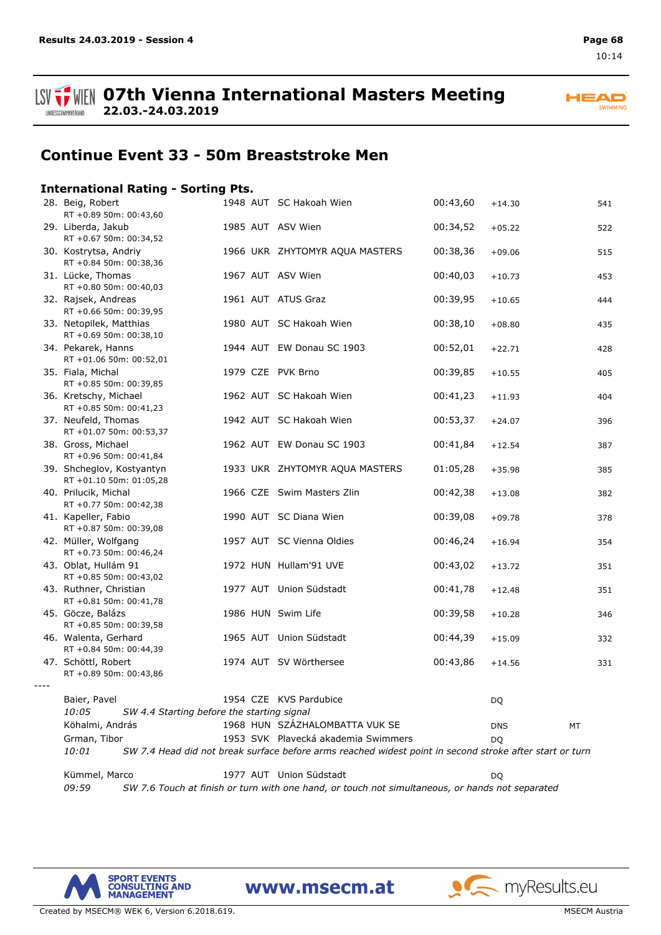

## **Continue Event 33 - 50m Breaststroke Men**

### **International Rating - Sorting Pts.**

**22.03.-24.03.2019**

|      | 28. Beig, Robert<br>RT +0.89 50m: 00:43,60                          |  | 1948 AUT SC Hakoah Wien                                                                                 | 00:43,60 | $+14.30$   | 541 |
|------|---------------------------------------------------------------------|--|---------------------------------------------------------------------------------------------------------|----------|------------|-----|
|      | 29. Liberda, Jakub<br>RT +0.67 50m: 00:34,52                        |  | 1985 AUT ASV Wien                                                                                       | 00:34,52 | $+05.22$   | 522 |
|      | 30. Kostrytsa, Andriy<br>RT +0.84 50m: 00:38,36                     |  | 1966 UKR ZHYTOMYR AQUA MASTERS                                                                          | 00:38,36 | $+09.06$   | 515 |
|      | 31. Lücke, Thomas<br>RT +0.80 50m: 00:40,03                         |  | 1967 AUT ASV Wien                                                                                       | 00:40,03 | $+10.73$   | 453 |
|      | 32. Rajsek, Andreas<br>RT +0.66 50m: 00:39,95                       |  | 1961 AUT ATUS Graz                                                                                      | 00:39,95 | $+10.65$   | 444 |
|      | 33. Netopilek, Matthias<br>RT +0.69 50m: 00:38,10                   |  | 1980 AUT SC Hakoah Wien                                                                                 | 00:38,10 | $+08.80$   | 435 |
|      | 34. Pekarek, Hanns<br>RT +01.06 50m: 00:52,01                       |  | 1944 AUT EW Donau SC 1903                                                                               | 00:52,01 | $+22.71$   | 428 |
|      | 35. Fiala, Michal<br>RT +0.85 50m: 00:39,85                         |  | 1979 CZE PVK Brno                                                                                       | 00:39,85 | $+10.55$   | 405 |
|      | 36. Kretschy, Michael<br>RT +0.85 50m: 00:41,23                     |  | 1962 AUT SC Hakoah Wien                                                                                 | 00:41,23 | $+11.93$   | 404 |
|      | 37. Neufeld, Thomas<br>RT +01.07 50m: 00:53,37                      |  | 1942 AUT SC Hakoah Wien                                                                                 | 00:53,37 | $+24.07$   | 396 |
|      | 38. Gross, Michael<br>RT +0.96 50m: 00:41,84                        |  | 1962 AUT EW Donau SC 1903                                                                               | 00:41,84 | $+12.54$   | 387 |
|      | 39. Shcheglov, Kostyantyn<br>RT +01.10 50m: 01:05,28                |  | 1933 UKR ZHYTOMYR AQUA MASTERS                                                                          | 01:05,28 | $+35.98$   | 385 |
|      | 40. Prilucik, Michal<br>RT +0.77 50m: 00:42,38                      |  | 1966 CZE Swim Masters Zlin                                                                              | 00:42,38 | $+13.08$   | 382 |
|      | 41. Kapeller, Fabio<br>RT +0.87 50m: 00:39,08                       |  | 1990 AUT SC Diana Wien                                                                                  | 00:39,08 | $+09.78$   | 378 |
|      | 42. Müller, Wolfgang<br>RT +0.73 50m: 00:46,24                      |  | 1957 AUT SC Vienna Oldies                                                                               | 00:46,24 | $+16.94$   | 354 |
|      | 43. Oblat, Hullám 91<br>RT +0.85 50m: 00:43,02                      |  | 1972 HUN Hullam'91 UVE                                                                                  | 00:43,02 | $+13.72$   | 351 |
|      | 43. Ruthner, Christian<br>RT +0.81 50m: 00:41,78                    |  | 1977 AUT Union Südstadt                                                                                 | 00:41,78 | $+12.48$   | 351 |
|      | 45. Göcze, Balázs<br>RT +0.85 50m: 00:39,58                         |  | 1986 HUN Swim Life                                                                                      | 00:39,58 | $+10.28$   | 346 |
|      | 46. Walenta, Gerhard<br>RT +0.84 50m: 00:44,39                      |  | 1965 AUT Union Südstadt                                                                                 | 00:44,39 | $+15.09$   | 332 |
|      | 47. Schöttl, Robert<br>RT +0.89 50m: 00:43,86                       |  | 1974 AUT SV Wörthersee                                                                                  | 00:43,86 | $+14.56$   | 331 |
| ---- |                                                                     |  |                                                                                                         |          |            |     |
|      | Baier, Pavel<br>10:05<br>SW 4.4 Starting before the starting signal |  | 1954 CZE KVS Pardubice                                                                                  |          | DQ         |     |
|      | Köhalmi, András                                                     |  | 1968 HUN SZÁZHALOMBATTA VUK SE                                                                          |          | <b>DNS</b> | МT  |
|      | Grman, Tibor                                                        |  | 1953 SVK Plavecká akademia Swimmers                                                                     |          | DQ.        |     |
|      | 10:01                                                               |  | SW 7.4 Head did not break surface before arms reached widest point in second stroke after start or turn |          |            |     |
|      | Kümmel, Marco                                                       |  | 1977 AUT Union Südstadt                                                                                 |          | <b>DQ</b>  |     |
|      | 09:59                                                               |  | SW 7.6 Touch at finish or turn with one hand, or touch not simultaneous, or hands not separated         |          |            |     |

www.msecm.at



Created by MSECM® WEK 6, Version 6.2018.619. MSECM Austria and Security Austria and Security Austria and Security Austria and Security Austria and Security Austria and Security Austria and Security Austria and Security Aus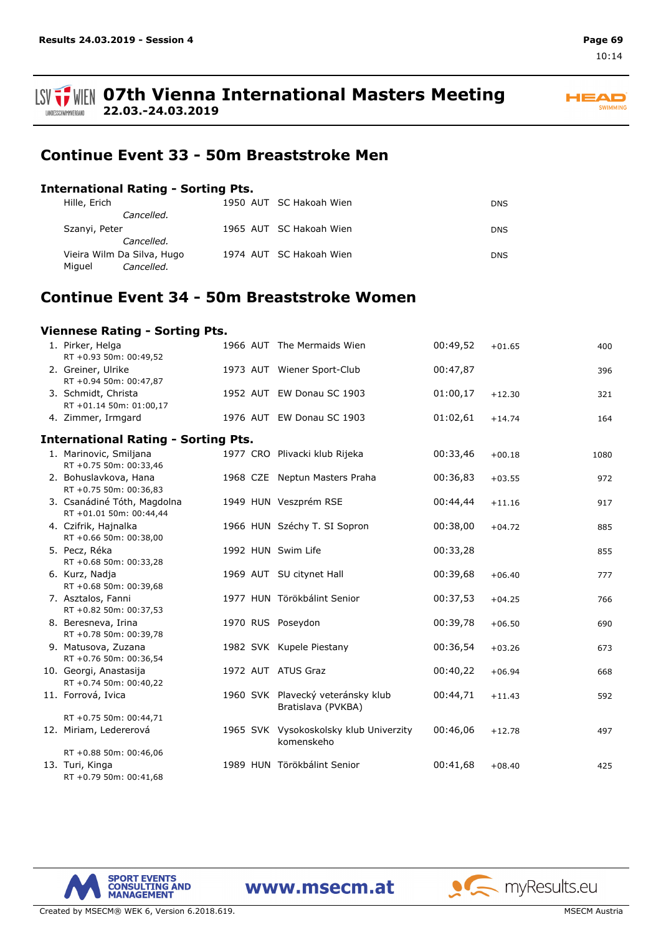



#### **ISV**  $\frac{1}{2}$  WIEN 07th Vienna International Masters Meeting **22.03.-24.03.2019** LANDESSCHWIMMVERBAND

## **Continue Event 33 - 50m Breaststroke Men**

### **International Rating - Sorting Pts.**

| Hille, Erich               | 1950 AUT SC Hakoah Wien | <b>DNS</b> |
|----------------------------|-------------------------|------------|
| Cancelled.                 |                         |            |
| Szanyi, Peter              | 1965 AUT SC Hakoah Wien | DNS.       |
| Cancelled.                 |                         |            |
| Vieira Wilm Da Silva, Hugo | 1974 AUT SC Hakoah Wien | DNS.       |
| Miguel<br>Cancelled.       |                         |            |

## **Continue Event 34 - 50m Breaststroke Women**

| Viennese Rating - Sorting Pts.                         |  |  |                                                         |          |          |      |  |  |  |  |  |
|--------------------------------------------------------|--|--|---------------------------------------------------------|----------|----------|------|--|--|--|--|--|
| 1. Pirker, Helga<br>RT +0.93 50m: 00:49,52             |  |  | 1966 AUT The Mermaids Wien                              | 00:49,52 | $+01.65$ | 400  |  |  |  |  |  |
| 2. Greiner, Ulrike<br>RT +0.94 50m: 00:47,87           |  |  | 1973 AUT Wiener Sport-Club                              | 00:47,87 |          | 396  |  |  |  |  |  |
| 3. Schmidt, Christa<br>RT +01.14 50m: 01:00,17         |  |  | 1952 AUT EW Donau SC 1903                               | 01:00,17 | $+12.30$ | 321  |  |  |  |  |  |
| 4. Zimmer, Irmgard                                     |  |  | 1976 AUT EW Donau SC 1903                               | 01:02,61 | $+14.74$ | 164  |  |  |  |  |  |
| <b>International Rating - Sorting Pts.</b>             |  |  |                                                         |          |          |      |  |  |  |  |  |
| 1. Marinovic, Smiljana<br>RT +0.75 50m: 00:33,46       |  |  | 1977 CRO Plivacki klub Rijeka                           | 00:33,46 | $+00.18$ | 1080 |  |  |  |  |  |
| 2. Bohuslavkova, Hana<br>RT +0.75 50m: 00:36,83        |  |  | 1968 CZE Neptun Masters Praha                           | 00:36,83 | $+03.55$ | 972  |  |  |  |  |  |
| 3. Csanádiné Tóth, Magdolna<br>RT +01.01 50m: 00:44,44 |  |  | 1949 HUN Veszprém RSE                                   | 00:44,44 | $+11.16$ | 917  |  |  |  |  |  |
| 4. Czifrik, Hajnalka<br>RT +0.66 50m: 00:38,00         |  |  | 1966 HUN Széchy T. SI Sopron                            | 00:38,00 | $+04.72$ | 885  |  |  |  |  |  |
| 5. Pecz, Réka<br>RT +0.68 50m: 00:33,28                |  |  | 1992 HUN Swim Life                                      | 00:33,28 |          | 855  |  |  |  |  |  |
| 6. Kurz, Nadja<br>RT +0.68 50m: 00:39,68               |  |  | 1969 AUT SU citynet Hall                                | 00:39,68 | $+06.40$ | 777  |  |  |  |  |  |
| 7. Asztalos, Fanni<br>RT +0.82 50m: 00:37,53           |  |  | 1977 HUN Törökbálint Senior                             | 00:37,53 | $+04.25$ | 766  |  |  |  |  |  |
| 8. Beresneva, Irina<br>RT +0.78 50m: 00:39,78          |  |  | 1970 RUS Poseydon                                       | 00:39,78 | $+06.50$ | 690  |  |  |  |  |  |
| 9. Matusova, Zuzana<br>RT +0.76 50m: 00:36,54          |  |  | 1982 SVK Kupele Piestany                                | 00:36,54 | $+03.26$ | 673  |  |  |  |  |  |
| 10. Georgi, Anastasija<br>RT +0.74 50m: 00:40,22       |  |  | 1972 AUT ATUS Graz                                      | 00:40,22 | $+06.94$ | 668  |  |  |  |  |  |
| 11. Forrová, Ivica                                     |  |  | 1960 SVK Plavecký veteránsky klub<br>Bratislava (PVKBA) | 00:44,71 | $+11.43$ | 592  |  |  |  |  |  |
| RT +0.75 50m: 00:44,71                                 |  |  |                                                         |          |          |      |  |  |  |  |  |
| 12. Miriam, Ledererová                                 |  |  | 1965 SVK Vysokoskolsky klub Univerzity<br>komenskeho    | 00:46,06 | $+12.78$ | 497  |  |  |  |  |  |
| RT +0.88 50m: 00:46,06                                 |  |  |                                                         |          |          |      |  |  |  |  |  |
| 13. Turi, Kinga<br>RT +0.79 50m: 00:41,68              |  |  | 1989 HUN Törökbálint Senior                             | 00:41,68 | $+08.40$ | 425  |  |  |  |  |  |



www.msecm.at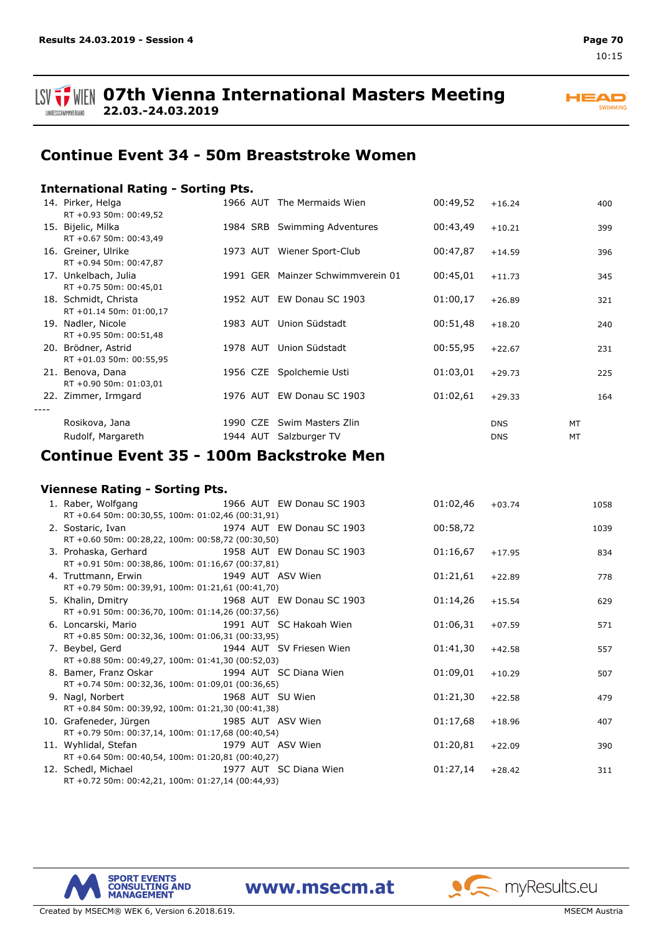

## **Continue Event 34 - 50m Breaststroke Women**

### **International Rating - Sorting Pts.**

| 14. Pirker, Helga<br>RT +0.93 50m: 00:49,52     |          | 1966 AUT The Mermaids Wien                  | 00:49,52 | $+16.24$                 | 400      |
|-------------------------------------------------|----------|---------------------------------------------|----------|--------------------------|----------|
| 15. Bijelic, Milka<br>RT +0.67 50m: 00:43,49    |          | 1984 SRB Swimming Adventures                | 00:43,49 | $+10.21$                 | 399      |
| 16. Greiner, Ulrike<br>RT +0.94 50m: 00:47,87   | 1973 AUT | Wiener Sport-Club                           | 00:47,87 | $+14.59$                 | 396      |
| 17. Unkelbach, Julia<br>RT +0.75 50m: 00:45,01  |          | 1991 GER Mainzer Schwimmverein 01           | 00:45,01 | $+11.73$                 | 345      |
| 18. Schmidt, Christa<br>RT +01.14 50m: 01:00,17 | 1952 AUT | EW Donau SC 1903                            | 01:00,17 | $+26.89$                 | 321      |
| 19. Nadler, Nicole<br>RT +0.95 50m: 00:51,48    | 1983 AUT | Union Südstadt                              | 00:51,48 | $+18.20$                 | 240      |
| 20. Brödner, Astrid<br>RT +01.03 50m: 00:55,95  | 1978 AUT | Union Südstadt                              | 00:55,95 | $+22.67$                 | 231      |
| 21. Benova, Dana<br>RT +0.90 50m: 01:03,01      |          | 1956 CZE Spolchemie Usti                    | 01:03,01 | $+29.73$                 | 225      |
| 22. Zimmer, Irmgard                             |          | 1976 AUT EW Donau SC 1903                   | 01:02,61 | $+29.33$                 | 164      |
| Rosikova, Jana<br>Rudolf, Margareth             | 1944 AUT | 1990 CZE Swim Masters Zlin<br>Salzburger TV |          | <b>DNS</b><br><b>DNS</b> | MT<br>MT |

## **Continue Event 35 - 100m Backstroke Men**

### **Viennese Rating - Sorting Pts.**

| 1. Raber, Wolfgang 1966 AUT EW Donau SC 1903      |                           | 01:02,46 | $+03.74$ | 1058 |
|---------------------------------------------------|---------------------------|----------|----------|------|
| RT +0.64 50m: 00:30,55, 100m: 01:02,46 (00:31,91) |                           |          |          |      |
| 2. Sostaric, Ivan                                 | 1974 AUT EW Donau SC 1903 | 00:58,72 |          | 1039 |
| RT +0.60 50m: 00:28,22, 100m: 00:58,72 (00:30,50) |                           |          |          |      |
| 3. Prohaska, Gerhard 1958 AUT EW Donau SC 1903    |                           | 01:16,67 | $+17.95$ | 834  |
| RT +0.91 50m: 00:38,86, 100m: 01:16,67 (00:37,81) |                           |          |          |      |
| 4. Truttmann, Erwin 1949 AUT ASV Wien             |                           | 01:21,61 | $+22.89$ | 778  |
| RT +0.79 50m: 00:39,91, 100m: 01:21,61 (00:41,70) |                           |          |          |      |
| 5. Khalin, Dmitry 1968 AUT EW Donau SC 1903       |                           | 01:14,26 | $+15.54$ | 629  |
| RT +0.91 50m: 00:36,70, 100m: 01:14,26 (00:37,56) |                           |          |          |      |
| 6. Loncarski, Mario 1991 AUT SC Hakoah Wien       |                           | 01:06,31 | $+07.59$ | 571  |
| RT +0.85 50m: 00:32,36, 100m: 01:06,31 (00:33,95) |                           |          |          |      |
| 1944 AUT SV Friesen Wien<br>7. Beybel, Gerd       |                           | 01:41,30 | $+42.58$ | 557  |
| RT +0.88 50m: 00:49,27, 100m: 01:41,30 (00:52,03) |                           |          |          |      |
| 8. Bamer, Franz Oskar 1994 AUT SC Diana Wien      |                           | 01:09,01 | $+10.29$ | 507  |
| RT +0.74 50m: 00:32,36, 100m: 01:09,01 (00:36,65) |                           |          |          |      |
| 9. Nagl, Norbert<br>1968 AUT SU Wien              |                           | 01:21,30 | $+22.58$ | 479  |
| RT +0.84 50m: 00:39,92, 100m: 01:21,30 (00:41,38) |                           |          |          |      |
| 10. Grafeneder, Jürgen 1985 AUT ASV Wien          |                           | 01:17,68 | $+18.96$ | 407  |
| RT +0.79 50m: 00:37,14, 100m: 01:17,68 (00:40,54) |                           |          |          |      |
| 11. Wyhlidal, Stefan 1979 AUT ASV Wien            |                           | 01:20,81 | $+22.09$ | 390  |
| RT +0.64 50m: 00:40,54, 100m: 01:20,81 (00:40,27) |                           |          |          |      |
| 12. Schedl, Michael 1977 AUT SC Diana Wien        |                           | 01:27,14 | $+28.42$ | 311  |
| RT +0.72 50m: 00:42,21, 100m: 01:27,14 (00:44,93) |                           |          |          |      |

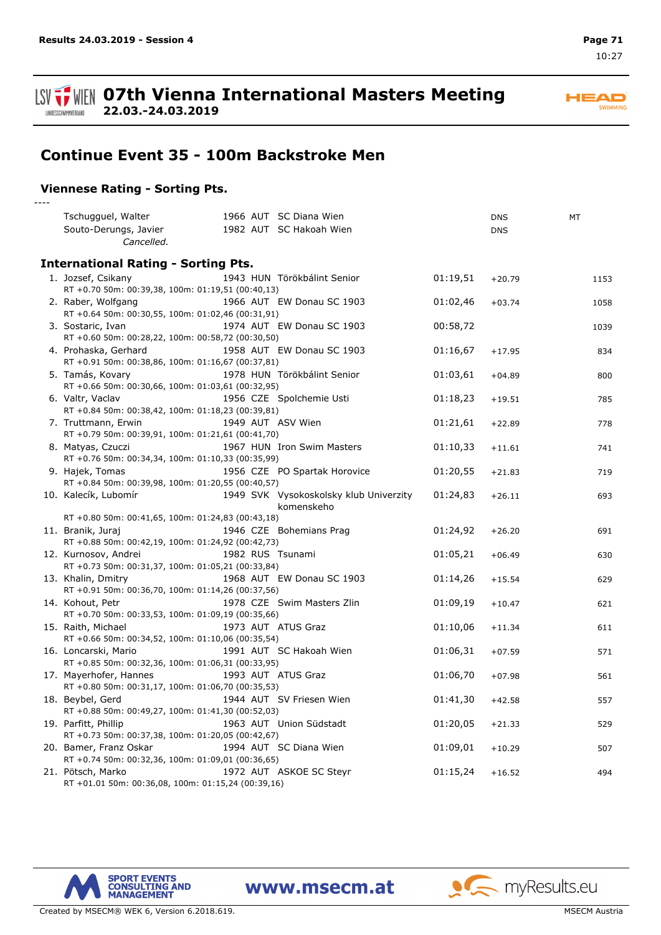

## **Continue Event 35 - 100m Backstroke Men**

### **Viennese Rating - Sorting Pts.**

*----*

| Tschugguel, Walter                                                          |  | 1966 AUT SC Diana Wien                 |          | <b>DNS</b> | MT   |
|-----------------------------------------------------------------------------|--|----------------------------------------|----------|------------|------|
| Souto-Derungs, Javier                                                       |  | 1982 AUT SC Hakoah Wien                |          | <b>DNS</b> |      |
| Cancelled.                                                                  |  |                                        |          |            |      |
|                                                                             |  |                                        |          |            |      |
| <b>International Rating - Sorting Pts.</b>                                  |  |                                        |          |            |      |
| 1. Jozsef, Csikany                                                          |  | 1943 HUN Törökbálint Senior            | 01:19,51 | $+20.79$   | 1153 |
| RT +0.70 50m: 00:39,38, 100m: 01:19,51 (00:40,13)                           |  |                                        |          |            |      |
| 2. Raber, Wolfgang                                                          |  | 1966 AUT EW Donau SC 1903              | 01:02,46 | $+03.74$   | 1058 |
| RT +0.64 50m: 00:30,55, 100m: 01:02,46 (00:31,91)                           |  |                                        |          |            |      |
| 3. Sostaric, Ivan                                                           |  | 1974 AUT EW Donau SC 1903              | 00:58,72 |            | 1039 |
| RT +0.60 50m: 00:28,22, 100m: 00:58,72 (00:30,50)                           |  |                                        |          |            |      |
| 4. Prohaska, Gerhard                                                        |  | 1958 AUT EW Donau SC 1903              | 01:16,67 | $+17.95$   | 834  |
| RT +0.91 50m: 00:38,86, 100m: 01:16,67 (00:37,81)                           |  |                                        |          |            |      |
| 5. Tamás, Kovary                                                            |  | 1978 HUN Törökbálint Senior            | 01:03,61 | $+04.89$   | 800  |
| RT +0.66 50m: 00:30,66, 100m: 01:03,61 (00:32,95)                           |  |                                        |          |            |      |
| 6. Valtr, Vaclav                                                            |  | 1956 CZE Spolchemie Usti               | 01:18,23 | $+19.51$   | 785  |
| RT +0.84 50m: 00:38,42, 100m: 01:18,23 (00:39,81)                           |  |                                        |          |            |      |
| 7. Truttmann, Erwin                                                         |  | 1949 AUT ASV Wien                      | 01:21,61 | $+22.89$   | 778  |
| RT +0.79 50m: 00:39,91, 100m: 01:21,61 (00:41,70)                           |  |                                        |          |            |      |
| 8. Matyas, Czuczi                                                           |  | 1967 HUN Iron Swim Masters             | 01:10,33 | $+11.61$   | 741  |
| RT +0.76 50m: 00:34,34, 100m: 01:10,33 (00:35,99)                           |  |                                        |          |            |      |
| 9. Hajek, Tomas                                                             |  | 1956 CZE PO Spartak Horovice           | 01:20,55 | $+21.83$   | 719  |
| RT +0.84 50m: 00:39,98, 100m: 01:20,55 (00:40,57)                           |  |                                        |          |            |      |
| 10. Kalecík, Lubomír                                                        |  | 1949 SVK Vysokoskolsky klub Univerzity | 01:24,83 | $+26.11$   | 693  |
|                                                                             |  | komenskeho                             |          |            |      |
| RT +0.80 50m: 00:41,65, 100m: 01:24,83 (00:43,18)                           |  |                                        |          |            |      |
| 11. Branik, Juraj                                                           |  | 1946 CZE Bohemians Prag                | 01:24,92 | $+26.20$   | 691  |
| RT +0.88 50m: 00:42,19, 100m: 01:24,92 (00:42,73)                           |  |                                        |          |            |      |
| 12. Kurnosov, Andrei                                                        |  | 1982 RUS Tsunami                       | 01:05,21 | $+06.49$   | 630  |
| RT +0.73 50m: 00:31,37, 100m: 01:05,21 (00:33,84)                           |  |                                        |          |            |      |
| 13. Khalin, Dmitry                                                          |  | 1968 AUT EW Donau SC 1903              | 01:14,26 | $+15.54$   | 629  |
| RT +0.91 50m: 00:36,70, 100m: 01:14,26 (00:37,56)                           |  |                                        |          |            |      |
| 14. Kohout, Petr                                                            |  | 1978 CZE Swim Masters Zlin             | 01:09,19 | $+10.47$   | 621  |
| RT +0.70 50m: 00:33,53, 100m: 01:09,19 (00:35,66)                           |  |                                        |          |            |      |
| 15. Raith, Michael                                                          |  | 1973 AUT ATUS Graz                     | 01:10,06 | $+11.34$   | 611  |
| RT +0.66 50m: 00:34,52, 100m: 01:10,06 (00:35,54)                           |  |                                        |          |            |      |
| 16. Loncarski, Mario                                                        |  | 1991 AUT SC Hakoah Wien                | 01:06,31 | $+07.59$   | 571  |
| RT +0.85 50m: 00:32,36, 100m: 01:06,31 (00:33,95)                           |  |                                        |          |            |      |
| 17. Mayerhofer, Hannes<br>RT +0.80 50m: 00:31,17, 100m: 01:06,70 (00:35,53) |  | 1993 AUT ATUS Graz                     | 01:06,70 | $+07.98$   | 561  |
|                                                                             |  |                                        |          |            |      |
| 18. Beybel, Gerd                                                            |  | 1944 AUT SV Friesen Wien               | 01:41,30 | $+42.58$   | 557  |
| RT +0.88 50m: 00:49,27, 100m: 01:41,30 (00:52,03)                           |  |                                        |          |            |      |
| 19. Parfitt, Phillip                                                        |  | 1963 AUT Union Südstadt                | 01:20,05 | $+21.33$   | 529  |
| RT +0.73 50m: 00:37,38, 100m: 01:20,05 (00:42,67)                           |  |                                        |          |            |      |
| 20. Bamer, Franz Oskar<br>RT +0.74 50m: 00:32,36, 100m: 01:09,01 (00:36,65) |  | 1994 AUT SC Diana Wien                 | 01:09,01 | $+10.29$   | 507  |
| 21. Pötsch, Marko                                                           |  | 1972 AUT ASKOE SC Steyr                | 01:15,24 |            | 494  |
| RT +01.01 50m: 00:36,08, 100m: 01:15,24 (00:39,16)                          |  |                                        |          | $+16.52$   |      |
|                                                                             |  |                                        |          |            |      |

www.msecm.at



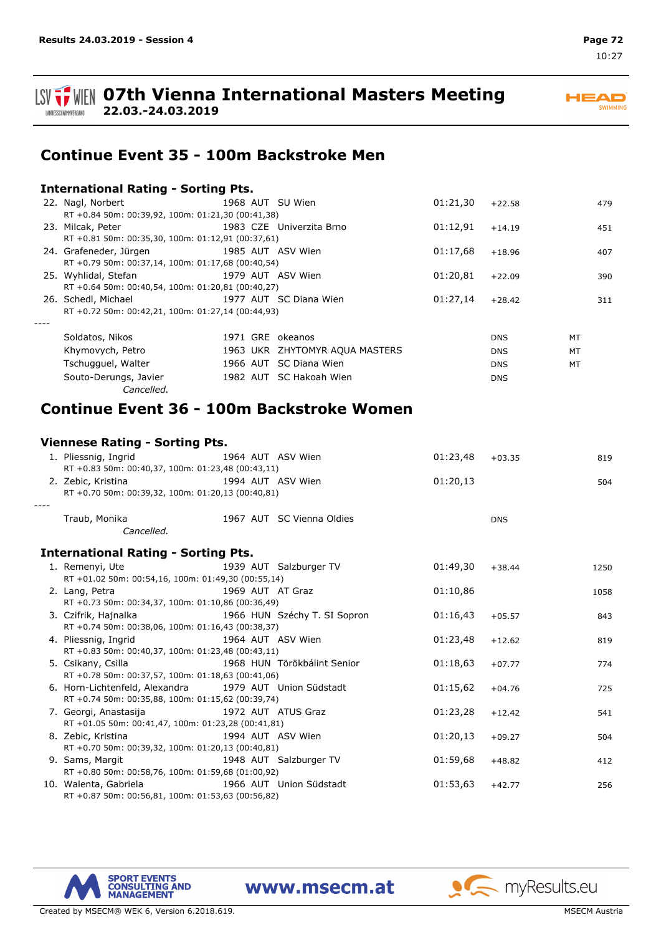LANDESSCHWIMMVERBAND

**LSV TI WEN 07th Vienna International Masters Meeting 22.03.-24.03.2019**

## **Continue Event 35 - 100m Backstroke Men**

### **International Rating - Sorting Pts.**

|      | 22. Nagl, Norbert                                                                                                                                                                                                              |  |  | 1968 AUT SU Wien               | 01:21,30 | $+22.58$   |    | 479 |
|------|--------------------------------------------------------------------------------------------------------------------------------------------------------------------------------------------------------------------------------|--|--|--------------------------------|----------|------------|----|-----|
|      | RT +0.84 50m: 00:39,92, 100m: 01:21,30 (00:41,38)                                                                                                                                                                              |  |  |                                |          |            |    |     |
|      | 23. Milcak, Peter                                                                                                                                                                                                              |  |  | 1983 CZE Univerzita Brno       | 01:12,91 | $+14.19$   |    | 451 |
|      | RT +0.81 50m: 00:35,30, 100m: 01:12,91 (00:37,61)                                                                                                                                                                              |  |  |                                |          |            |    |     |
|      | 24. Grafeneder, Jürgen                                                                                                                                                                                                         |  |  | 1985 AUT ASV Wien              | 01:17,68 | $+18.96$   |    | 407 |
|      | RT +0.79 50m: 00:37,14, 100m: 01:17,68 (00:40,54)                                                                                                                                                                              |  |  |                                |          |            |    |     |
|      | 25. Wyhlidal, Stefan                                                                                                                                                                                                           |  |  | 1979 AUT ASV Wien              | 01:20,81 | $+22.09$   |    | 390 |
|      | RT +0.64 50m: 00:40,54, 100m: 01:20,81 (00:40,27)                                                                                                                                                                              |  |  |                                |          |            |    |     |
|      | 26. Schedl, Michael 26. Schedl, Michael 26. Schedl, Michael 20. Schedl, Michael 20. Schedule 20. Schedule 20. Schedule 20. Schedule 20. Schedule 20. Schedule 20. Schedule 20. Schedule 20. Schedule 20. Schedule 20. Schedule |  |  |                                | 01:27.14 | $+28.42$   |    | 311 |
|      | RT +0.72 50m: 00:42,21, 100m: 01:27,14 (00:44,93)                                                                                                                                                                              |  |  |                                |          |            |    |     |
| ---- |                                                                                                                                                                                                                                |  |  |                                |          |            |    |     |
|      | Soldatos, Nikos                                                                                                                                                                                                                |  |  | 1971 GRE okeanos               |          | <b>DNS</b> | MT |     |
|      | Khymovych, Petro                                                                                                                                                                                                               |  |  | 1963 UKR ZHYTOMYR AQUA MASTERS |          | <b>DNS</b> | MT |     |
|      | Tschugguel, Walter                                                                                                                                                                                                             |  |  | 1966 AUT SC Diana Wien         |          | <b>DNS</b> | MT |     |
|      | Souto-Derungs, Javier                                                                                                                                                                                                          |  |  | 1982 AUT SC Hakoah Wien        |          | <b>DNS</b> |    |     |
|      | Cancelled.                                                                                                                                                                                                                     |  |  |                                |          |            |    |     |

## **Continue Event 36 - 100m Backstroke Women**

### **Viennese Rating - Sorting Pts.**

|                                                   | 1. Pliessnig, Ingrid<br>RT +0.83 50m: 00:40,37, 100m: 01:23,48 (00:43,11)                 |                  | 1964 AUT ASV Wien            | 01:23,48 | $+03.35$   | 819  |  |
|---------------------------------------------------|-------------------------------------------------------------------------------------------|------------------|------------------------------|----------|------------|------|--|
|                                                   | 2. Zebic, Kristina 1994 AUT ASV Wien<br>RT +0.70 50m: 00:39,32, 100m: 01:20,13 (00:40,81) |                  |                              | 01:20,13 |            | 504  |  |
|                                                   |                                                                                           |                  |                              |          |            |      |  |
|                                                   | Traub, Monika                                                                             |                  | 1967 AUT SC Vienna Oldies    |          | <b>DNS</b> |      |  |
|                                                   | Cancelled.                                                                                |                  |                              |          |            |      |  |
|                                                   | <b>International Rating - Sorting Pts.</b>                                                |                  |                              |          |            |      |  |
|                                                   | 1. Remenyi, Ute                                                                           |                  | 1939 AUT Salzburger TV       | 01:49,30 | $+38.44$   | 1250 |  |
|                                                   | RT +01.02 50m: 00:54,16, 100m: 01:49,30 (00:55,14)                                        |                  |                              |          |            |      |  |
|                                                   | 2. Lang, Petra                                                                            | 1969 AUT AT Graz |                              | 01:10,86 |            | 1058 |  |
| RT +0.73 50m: 00:34,37, 100m: 01:10,86 (00:36,49) |                                                                                           |                  |                              |          |            |      |  |
|                                                   | 3. Czifrik, Hajnalka                                                                      |                  | 1966 HUN Széchy T. SI Sopron | 01:16,43 | $+05.57$   | 843  |  |
|                                                   | RT +0.74 50m: 00:38,06, 100m: 01:16,43 (00:38,37)                                         |                  |                              |          |            |      |  |
|                                                   | 4. Pliessnig, Ingrid<br>1964 AUT ASV Wien                                                 |                  |                              | 01:23,48 | $+12.62$   | 819  |  |
|                                                   | RT +0.83 50m: 00:40,37, 100m: 01:23,48 (00:43,11)                                         |                  |                              |          |            |      |  |
|                                                   | 5. Csikany, Csilla 1968 HUN Törökbálint Senior                                            |                  |                              | 01:18,63 | $+07.77$   | 774  |  |
|                                                   | RT +0.78 50m: 00:37,57, 100m: 01:18,63 (00:41,06)                                         |                  |                              |          |            |      |  |
|                                                   | 6. Horn-Lichtenfeld, Alexandra 1979 AUT Union Südstadt                                    |                  |                              | 01:15,62 | $+04.76$   | 725  |  |
|                                                   | RT +0.74 50m: 00:35,88, 100m: 01:15,62 (00:39,74)                                         |                  |                              |          |            |      |  |
|                                                   | 7. Georgi, Anastasija                           1972 AUT ATUS Graz                        |                  |                              | 01:23,28 | $+12.42$   | 541  |  |
|                                                   | RT +01.05 50m: 00:41,47, 100m: 01:23,28 (00:41,81)                                        |                  |                              |          |            |      |  |
|                                                   | 8. Zebic, Kristina                                                                        |                  | 1994 AUT ASV Wien            | 01:20,13 | $+09.27$   | 504  |  |
|                                                   | RT +0.70 50m: 00:39,32, 100m: 01:20,13 (00:40,81)                                         |                  |                              |          |            |      |  |
|                                                   | 9. Sams, Margit 1948 AUT Salzburger TV                                                    |                  |                              | 01:59,68 | $+48.82$   | 412  |  |
|                                                   | RT +0.80 50m: 00:58,76, 100m: 01:59,68 (01:00,92)                                         |                  |                              |          |            |      |  |
|                                                   | 10. Walenta, Gabriela                                                                     |                  | 1966 AUT Union Südstadt      | 01:53,63 | $+42.77$   | 256  |  |
|                                                   | RT +0.87 50m: 00:56,81, 100m: 01:53,63 (00:56,82)                                         |                  |                              |          |            |      |  |



www.msecm.at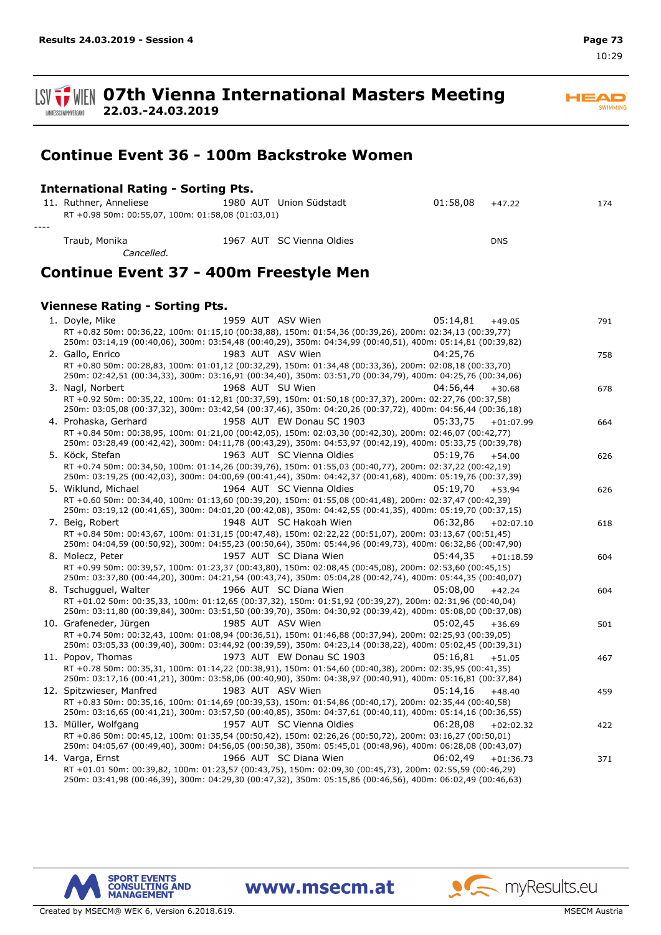**ISV TWEN 07th Vienna International Masters Meeting 22.03.-24.03.2019** LANDESSCHWIMMVERBAND

**Continue Event 36 - 100m Backstroke Women**

| <b>International Rating - Sorting Pts.</b>                                  |                           |                                                                                                                                                                                                                        |             |     |
|-----------------------------------------------------------------------------|---------------------------|------------------------------------------------------------------------------------------------------------------------------------------------------------------------------------------------------------------------|-------------|-----|
| 11. Ruthner, Anneliese<br>RT +0.98 50m: 00:55,07, 100m: 01:58,08 (01:03,01) | 1980 AUT Union Südstadt   | 01:58,08                                                                                                                                                                                                               | $+47.22$    | 174 |
| Traub, Monika<br>Cancelled.                                                 | 1967 AUT SC Vienna Oldies |                                                                                                                                                                                                                        | <b>DNS</b>  |     |
| Continue Event 37 - 400m Freestyle Men                                      |                           |                                                                                                                                                                                                                        |             |     |
| <b>Viennese Rating - Sorting Pts.</b>                                       |                           |                                                                                                                                                                                                                        |             |     |
| 1. Doyle, Mike                                                              | 1959 AUT ASV Wien         | 05:14,81                                                                                                                                                                                                               | $+49.05$    | 791 |
|                                                                             |                           | RT +0.82 50m: 00:36,22, 100m: 01:15,10 (00:38,88), 150m: 01:54,36 (00:39,26), 200m: 02:34,13 (00:39,77)<br>250m: 03:14,19 (00:40,06), 300m: 03:54,48 (00:40,29), 350m: 04:34,99 (00:40,51), 400m: 05:14,81 (00:39,82)  |             |     |
| 2. Gallo, Enrico                                                            | 1983 AUT ASV Wien         | 04:25,76                                                                                                                                                                                                               |             | 758 |
|                                                                             |                           | RT +0.80 50m: 00:28,83, 100m: 01:01,12 (00:32,29), 150m: 01:34,48 (00:33,36), 200m: 02:08,18 (00:33,70)<br>250m: 02:42,51 (00:34,33), 300m: 03:16,91 (00:34,40), 350m: 03:51,70 (00:34,79), 400m: 04:25,76 (00:34,06)  |             |     |
| 3. Nagl, Norbert                                                            | 1968 AUT SU Wien          | 04:56,44                                                                                                                                                                                                               | $+30.68$    | 678 |
|                                                                             |                           | RT +0.92 50m: 00:35,22, 100m: 01:12,81 (00:37,59), 150m: 01:50,18 (00:37,37), 200m: 02:27,76 (00:37,58)<br>250m: 03:05,08 (00:37,32), 300m: 03:42,54 (00:37,46), 350m: 04:20,26 (00:37,72), 400m: 04:56,44 (00:36,18)  |             |     |
| 4. Prohaska, Gerhard                                                        | 1958 AUT EW Donau SC 1903 | 05:33.75                                                                                                                                                                                                               | $+01:07.99$ | 664 |
|                                                                             |                           | RT +0.84 50m: 00:38,95, 100m: 01:21,00 (00:42,05), 150m: 02:03,30 (00:42,30), 200m: 02:46,07 (00:42,77)<br>250m: 03:28,49 (00:42,42), 300m: 04:11,78 (00:43,29), 350m: 04:53,97 (00:42,19), 400m: 05:33,75 (00:39,78)  |             |     |
| 5. Köck, Stefan                                                             | 1963 AUT SC Vienna Oldies | 05:19.76                                                                                                                                                                                                               | $+54.00$    | 626 |
|                                                                             |                           | RT +0.74 50m: 00:34,50, 100m: 01:14,26 (00:39,76), 150m: 01:55,03 (00:40,77), 200m: 02:37,22 (00:42,19)<br>250m: 03:19,25 (00:42,03), 300m: 04:00,69 (00:41,44), 350m: 04:42,37 (00:41,68), 400m: 05:19,76 (00:37,39)  |             |     |
| 5. Wiklund, Michael                                                         | 1964 AUT SC Vienna Oldies | 05:19,70                                                                                                                                                                                                               | $+53.94$    | 626 |
|                                                                             |                           | RT +0.60 50m: 00:34,40, 100m: 01:13,60 (00:39,20), 150m: 01:55,08 (00:41,48), 200m: 02:37,47 (00:42,39)                                                                                                                |             |     |
|                                                                             |                           | 250m: 03:19,12 (00:41,65), 300m: 04:01,20 (00:42,08), 350m: 04:42,55 (00:41,35), 400m: 05:19,70 (00:37,15)                                                                                                             |             |     |
| 7. Beig, Robert                                                             | 1948 AUT SC Hakoah Wien   | 06:32,86                                                                                                                                                                                                               | $+02:07.10$ | 618 |
|                                                                             |                           | RT +0.84 50m: 00:43,67, 100m: 01:31,15 (00:47,48), 150m: 02:22,22 (00:51,07), 200m: 03:13,67 (00:51,45)<br>250m: 04:04,59 (00:50,92), 300m: 04:55,23 (00:50,64), 350m: 05:44,96 (00:49,73), 400m: 06:32,86 (00:47,90)  |             |     |
| 8. Molecz, Peter                                                            | 1957 AUT SC Diana Wien    | 05:44,35                                                                                                                                                                                                               | $+01:18.59$ | 604 |
|                                                                             |                           | RT +0.99 50m: 00:39,57, 100m: 01:23,37 (00:43,80), 150m: 02:08,45 (00:45,08), 200m: 02:53,60 (00:45,15)<br>250m: 03:37,80 (00:44,20), 300m: 04:21,54 (00:43,74), 350m: 05:04,28 (00:42,74), 400m: 05:44,35 (00:40,07)  |             |     |
| 8. Tschugguel, Walter                                                       | 1966 AUT SC Diana Wien    | 05:08,00                                                                                                                                                                                                               | $+42.24$    | 604 |
|                                                                             |                           | RT +01.02 50m: 00:35,33, 100m: 01:12,65 (00:37,32), 150m: 01:51,92 (00:39,27), 200m: 02:31,96 (00:40,04)<br>250m: 03:11,80 (00:39,84), 300m: 03:51,50 (00:39,70), 350m: 04:30,92 (00:39,42), 400m: 05:08,00 (00:37,08) |             |     |
| 10. Grafeneder, Jürgen                                                      | 1985 AUT ASV Wien         | 05:02,45                                                                                                                                                                                                               | $+36.69$    | 501 |
|                                                                             |                           | RT +0.74 50m: 00:32,43, 100m: 01:08,94 (00:36,51), 150m: 01:46,88 (00:37,94), 200m: 02:25,93 (00:39,05)                                                                                                                |             |     |
|                                                                             |                           | 250m: 03:05,33 (00:39,40), 300m: 03:44,92 (00:39,59), 350m: 04:23,14 (00:38,22), 400m: 05:02,45 (00:39,31)                                                                                                             |             |     |
| 11. Popov, Thomas                                                           | 1973 AUT EW Donau SC 1903 | 05:16,81                                                                                                                                                                                                               | $+51.05$    | 467 |
|                                                                             |                           | RT +0.78 50m: 00:35,31, 100m: 01:14,22 (00:38,91), 150m: 01:54,60 (00:40,38), 200m: 02:35,95 (00:41,35)<br>250m: 03:17,16 (00:41,21), 300m: 03:58,06 (00:40,90), 350m: 04:38,97 (00:40,91), 400m: 05:16,81 (00:37,84)  |             |     |
| 12. Spitzwieser, Manfred                                                    | 1983 AUT ASV Wien         | 05:14,16                                                                                                                                                                                                               | $+48.40$    | 459 |
|                                                                             |                           | RT +0.83 50m: 00:35,16, 100m: 01:14,69 (00:39,53), 150m: 01:54,86 (00:40,17), 200m: 02:35,44 (00:40,58)                                                                                                                |             |     |
|                                                                             |                           | 250m: 03:16,65 (00:41,21), 300m: 03:57,50 (00:40,85), 350m: 04:37,61 (00:40,11), 400m: 05:14,16 (00:36,55)                                                                                                             |             |     |
| 13. Müller, Wolfgang                                                        | 1957 AUT SC Vienna Oldies | 06:28,08                                                                                                                                                                                                               | +02:02.32   | 422 |
|                                                                             |                           | RT +0.86 50m: 00:45,12, 100m: 01:35,54 (00:50,42), 150m: 02:26,26 (00:50,72), 200m: 03:16,27 (00:50,01)                                                                                                                |             |     |
|                                                                             |                           | 250m: 04:05,67 (00:49,40), 300m: 04:56,05 (00:50,38), 350m: 05:45,01 (00:48,96), 400m: 06:28,08 (00:43,07)                                                                                                             |             |     |
| 14. Varga, Ernst                                                            | 1966 AUT SC Diana Wien    | 06:02,49                                                                                                                                                                                                               | $+01:36.73$ | 371 |
|                                                                             |                           | RT +01.01 50m: 00:39,82, 100m: 01:23,57 (00:43,75), 150m: 02:09,30 (00:45,73), 200m: 02:55,59 (00:46,29)                                                                                                               |             |     |

250m: 03:41,98 (00:46,39), 300m: 04:29,30 (00:47,32), 350m: 05:15,86 (00:46,56), 400m: 06:02,49 (00:46,63)

www.msecm.at



Created by MSECM® WEK 6, Version 6.2018.619. MSECM Austria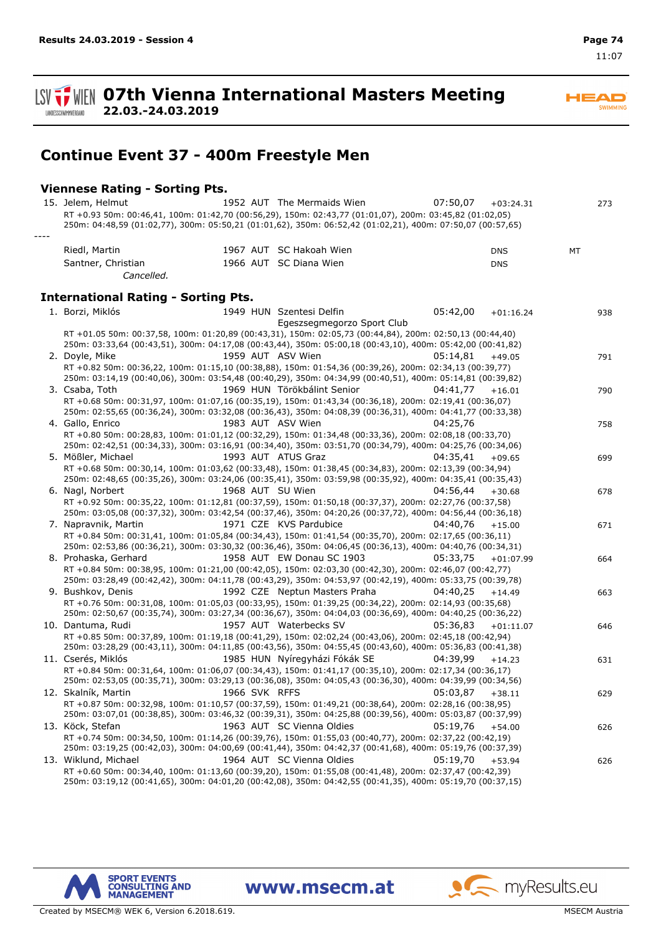**ISV TWEN 07th Vienna International Masters Meeting** LANDESSCHWIMMVERBAND

**22.03.-24.03.2019**

# **Continue Event 37 - 400m Freestyle Men**

#### **Viennese Rating - Sorting Pts.**

*----*

| 15. Jelem, Helmut                                                                                                                  |               | 1952 AUT The Mermaids Wien    | 07:50,07 | $+03:24.31$ |    | 273 |
|------------------------------------------------------------------------------------------------------------------------------------|---------------|-------------------------------|----------|-------------|----|-----|
| RT +0.93 50m: 00:46,41, 100m: 01:42,70 (00:56,29), 150m: 02:43,77 (01:01,07), 200m: 03:45,82 (01:02,05)                            |               |                               |          |             |    |     |
| 250m: 04:48,59 (01:02,77), 300m: 05:50,21 (01:01,62), 350m: 06:52,42 (01:02,21), 400m: 07:50,07 (00:57,65)                         |               |                               |          |             |    |     |
|                                                                                                                                    |               |                               |          |             |    |     |
| Riedl, Martin                                                                                                                      |               | 1967 AUT SC Hakoah Wien       |          | <b>DNS</b>  | MT |     |
| Santner, Christian                                                                                                                 |               | 1966 AUT SC Diana Wien        |          | <b>DNS</b>  |    |     |
| Cancelled.                                                                                                                         |               |                               |          |             |    |     |
|                                                                                                                                    |               |                               |          |             |    |     |
| <b>International Rating - Sorting Pts.</b>                                                                                         |               |                               |          |             |    |     |
| 1. Borzi, Miklós                                                                                                                   |               | 1949 HUN Szentesi Delfin      | 05:42,00 | $+01:16.24$ |    | 938 |
|                                                                                                                                    |               | Egeszsegmegorzo Sport Club    |          |             |    |     |
| RT +01.05 50m: 00:37,58, 100m: 01:20,89 (00:43,31), 150m: 02:05,73 (00:44,84), 200m: 02:50,13 (00:44,40)                           |               |                               |          |             |    |     |
| 250m: 03:33,64 (00:43,51), 300m: 04:17,08 (00:43,44), 350m: 05:00,18 (00:43,10), 400m: 05:42,00 (00:41,82)                         |               |                               |          |             |    |     |
| 2. Doyle, Mike                                                                                                                     |               | 1959 AUT ASV Wien             | 05:14,81 | $+49.05$    |    | 791 |
| RT +0.82 50m: 00:36,22, 100m: 01:15,10 (00:38,88), 150m: 01:54,36 (00:39,26), 200m: 02:34,13 (00:39,77)                            |               |                               |          |             |    |     |
| 250m: 03:14,19 (00:40,06), 300m: 03:54,48 (00:40,29), 350m: 04:34,99 (00:40,51), 400m: 05:14,81 (00:39,82)                         |               |                               |          |             |    |     |
| 3. Csaba, Toth                                                                                                                     |               | 1969 HUN Törökbálint Senior   | 04:41,77 | $+16.01$    |    | 790 |
| RT +0.68 50m: 00:31,97, 100m: 01:07,16 (00:35,19), 150m: 01:43,34 (00:36,18), 200m: 02:19,41 (00:36,07)                            |               |                               |          |             |    |     |
| 250m: 02:55,65 (00:36,24), 300m: 03:32,08 (00:36,43), 350m: 04:08,39 (00:36,31), 400m: 04:41,77 (00:33,38)<br>4. Gallo, Enrico     |               | 1983 AUT ASV Wien             | 04:25.76 |             |    |     |
| RT +0.80 50m: 00:28,83, 100m: 01:01,12 (00:32,29), 150m: 01:34,48 (00:33,36), 200m: 02:08,18 (00:33,70)                            |               |                               |          |             |    | 758 |
| 250m: 02:42,51 (00:34,33), 300m: 03:16,91 (00:34,40), 350m: 03:51,70 (00:34,79), 400m: 04:25,76 (00:34,06)                         |               |                               |          |             |    |     |
| 5. Mößler, Michael                                                                                                                 |               | 1993 AUT ATUS Graz            | 04:35,41 | $+09.65$    |    | 699 |
| RT +0.68 50m: 00:30,14, 100m: 01:03,62 (00:33,48), 150m: 01:38,45 (00:34,83), 200m: 02:13,39 (00:34,94)                            |               |                               |          |             |    |     |
| 250m: 02:48,65 (00:35,26), 300m: 03:24,06 (00:35,41), 350m: 03:59,98 (00:35,92), 400m: 04:35,41 (00:35,43)                         |               |                               |          |             |    |     |
| 6. Nagl, Norbert                                                                                                                   |               | 1968 AUT SU Wien              | 04:56,44 | $+30.68$    |    | 678 |
| RT +0.92 50m: 00:35,22, 100m: 01:12,81 (00:37,59), 150m: 01:50,18 (00:37,37), 200m: 02:27,76 (00:37,58)                            |               |                               |          |             |    |     |
| 250m: 03:05,08 (00:37,32), 300m: 03:42,54 (00:37,46), 350m: 04:20,26 (00:37,72), 400m: 04:56,44 (00:36,18)                         |               |                               |          |             |    |     |
| 7. Napravnik, Martin                                                                                                               |               | 1971 CZE KVS Pardubice        | 04:40,76 | $+15.00$    |    | 671 |
| RT +0.84 50m: 00:31,41, 100m: 01:05,84 (00:34,43), 150m: 01:41,54 (00:35,70), 200m: 02:17,65 (00:36,11)                            |               |                               |          |             |    |     |
| 250m: 02:53,86 (00:36,21), 300m: 03:30,32 (00:36,46), 350m: 04:06,45 (00:36,13), 400m: 04:40,76 (00:34,31)<br>8. Prohaska, Gerhard |               | 1958 AUT EW Donau SC 1903     | 05:33,75 |             |    |     |
| RT +0.84 50m: 00:38,95, 100m: 01:21,00 (00:42,05), 150m: 02:03,30 (00:42,30), 200m: 02:46,07 (00:42,77)                            |               |                               |          | $+01:07.99$ |    | 664 |
| 250m: 03:28,49 (00:42,42), 300m: 04:11,78 (00:43,29), 350m: 04:53,97 (00:42,19), 400m: 05:33,75 (00:39,78)                         |               |                               |          |             |    |     |
| 9. Bushkov, Denis                                                                                                                  |               | 1992 CZE Neptun Masters Praha | 04:40,25 | $+14.49$    |    | 663 |
| RT +0.76 50m: 00:31,08, 100m: 01:05,03 (00:33,95), 150m: 01:39,25 (00:34,22), 200m: 02:14,93 (00:35,68)                            |               |                               |          |             |    |     |
| 250m: 02:50,67 (00:35,74), 300m: 03:27,34 (00:36,67), 350m: 04:04,03 (00:36,69), 400m: 04:40,25 (00:36,22)                         |               |                               |          |             |    |     |
| 10. Dantuma, Rudi                                                                                                                  |               | 1957 AUT Waterbecks SV        | 05:36,83 | $+01:11.07$ |    | 646 |
| RT +0.85 50m: 00:37,89, 100m: 01:19,18 (00:41,29), 150m: 02:02,24 (00:43,06), 200m: 02:45,18 (00:42,94)                            |               |                               |          |             |    |     |
| 250m: 03:28,29 (00:43,11), 300m: 04:11,85 (00:43,56), 350m: 04:55,45 (00:43,60), 400m: 05:36,83 (00:41,38)                         |               |                               |          |             |    |     |
| 11. Cserés, Miklós                                                                                                                 |               | 1985 HUN Nyíregyházi Fókák SE | 04:39.99 | $+14.23$    |    | 631 |
| RT +0.84 50m: 00:31,64, 100m: 01:06,07 (00:34,43), 150m: 01:41,17 (00:35,10), 200m: 02:17,34 (00:36,17)                            |               |                               |          |             |    |     |
| 250m: 02:53,05 (00:35,71), 300m: 03:29,13 (00:36,08), 350m: 04:05,43 (00:36,30), 400m: 04:39,99 (00:34,56)<br>12. Skalník, Martin  | 1966 SVK RFFS |                               | 05:03,87 | $+38.11$    |    |     |
| RT +0.87 50m: 00:32,98, 100m: 01:10,57 (00:37,59), 150m: 01:49,21 (00:38,64), 200m: 02:28,16 (00:38,95)                            |               |                               |          |             |    | 629 |
| 250m: 03:07,01 (00:38,85), 300m: 03:46,32 (00:39,31), 350m: 04:25,88 (00:39,56), 400m: 05:03,87 (00:37,99)                         |               |                               |          |             |    |     |
| 13. Köck, Stefan                                                                                                                   |               | 1963 AUT SC Vienna Oldies     | 05:19,76 | $+54.00$    |    | 626 |
| RT +0.74 50m: 00:34,50, 100m: 01:14,26 (00:39,76), 150m: 01:55,03 (00:40,77), 200m: 02:37,22 (00:42,19)                            |               |                               |          |             |    |     |
| 250m: 03:19,25 (00:42,03), 300m: 04:00,69 (00:41,44), 350m: 04:42,37 (00:41,68), 400m: 05:19,76 (00:37,39)                         |               |                               |          |             |    |     |
| 13. Wiklund, Michael                                                                                                               |               | 1964 AUT SC Vienna Oldies     | 05:19,70 | $+53.94$    |    | 626 |
| RT +0.60 50m: 00:34,40, 100m: 01:13,60 (00:39,20), 150m: 01:55,08 (00:41,48), 200m: 02:37,47 (00:42,39)                            |               |                               |          |             |    |     |
| 250m: 03:19,12 (00:41,65), 300m: 04:01,20 (00:42,08), 350m: 04:42,55 (00:41,35), 400m: 05:19,70 (00:37,15)                         |               |                               |          |             |    |     |

www.msecm.at



Created by MSECM® WEK 6, Version 6.2018.619. MSECM Austria and Security MSECM Austria and MSECM Austria and MSECM Austria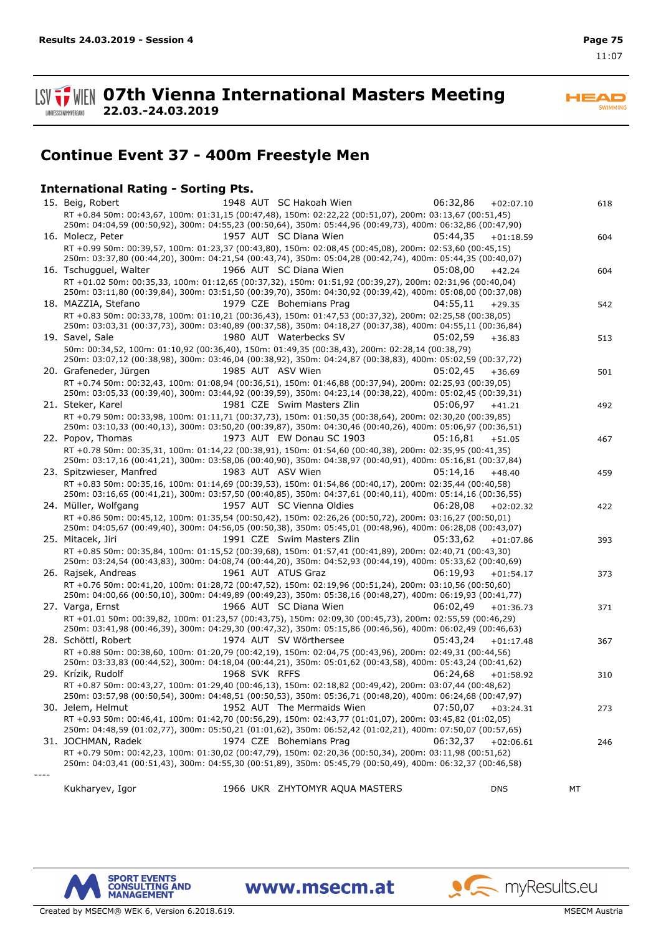11:07



**HEAD** SWIMMING

# **Continue Event 37 - 400m Freestyle Men**

### **International Rating - Sorting Pts.**

| 15. Beig, Robert         |               | 1948 AUT SC Hakoah Wien                                                                                                                                                                                                | 06:32,86 | $+02:07.10$ | 618 |
|--------------------------|---------------|------------------------------------------------------------------------------------------------------------------------------------------------------------------------------------------------------------------------|----------|-------------|-----|
|                          |               | RT +0.84 50m: 00:43,67, 100m: 01:31,15 (00:47,48), 150m: 02:22,22 (00:51,07), 200m: 03:13,67 (00:51,45)<br>250m: 04:04,59 (00:50,92), 300m: 04:55,23 (00:50,64), 350m: 05:44,96 (00:49,73), 400m: 06:32,86 (00:47,90)  |          |             |     |
| 16. Molecz, Peter        |               | 1957 AUT SC Diana Wien                                                                                                                                                                                                 | 05:44,35 | $+01:18.59$ | 604 |
|                          |               | RT +0.99 50m: 00:39,57, 100m: 01:23,37 (00:43,80), 150m: 02:08,45 (00:45,08), 200m: 02:53,60 (00:45,15)<br>250m: 03:37,80 (00:44,20), 300m: 04:21,54 (00:43,74), 350m: 05:04,28 (00:42,74), 400m: 05:44,35 (00:40,07)  |          |             |     |
| 16. Tschugguel, Walter   |               | 1966 AUT SC Diana Wien                                                                                                                                                                                                 | 05:08.00 | $+42.24$    | 604 |
|                          |               | RT +01.02 50m: 00:35,33, 100m: 01:12,65 (00:37,32), 150m: 01:51,92 (00:39,27), 200m: 02:31,96 (00:40,04)<br>250m: 03:11,80 (00:39,84), 300m: 03:51,50 (00:39,70), 350m: 04:30,92 (00:39,42), 400m: 05:08,00 (00:37,08) |          |             |     |
| 18. MAZZIA, Stefano      |               | 1979 CZE Bohemians Prag                                                                                                                                                                                                | 04:55,11 | $+29.35$    | 542 |
|                          |               | RT +0.83 50m: 00:33,78, 100m: 01:10,21 (00:36,43), 150m: 01:47,53 (00:37,32), 200m: 02:25,58 (00:38,05)<br>250m: 03:03,31 (00:37,73), 300m: 03:40,89 (00:37,58), 350m: 04:18,27 (00:37,38), 400m: 04:55,11 (00:36,84)  |          |             |     |
| 19. Savel, Sale          |               | 1980 AUT Waterbecks SV                                                                                                                                                                                                 | 05:02,59 | $+36.83$    | 513 |
|                          |               | 50m: 00:34,52, 100m: 01:10,92 (00:36,40), 150m: 01:49,35 (00:38,43), 200m: 02:28,14 (00:38,79)<br>250m: 03:07,12 (00:38,98), 300m: 03:46,04 (00:38,92), 350m: 04:24,87 (00:38,83), 400m: 05:02,59 (00:37,72)           |          |             |     |
| 20. Grafeneder, Jürgen   |               | 1985 AUT ASV Wien                                                                                                                                                                                                      | 05:02,45 | $+36.69$    | 501 |
|                          |               | RT +0.74 50m: 00:32,43, 100m: 01:08,94 (00:36,51), 150m: 01:46,88 (00:37,94), 200m: 02:25,93 (00:39,05)<br>250m: 03:05,33 (00:39,40), 300m: 03:44,92 (00:39,59), 350m: 04:23,14 (00:38,22), 400m: 05:02,45 (00:39,31)  |          |             |     |
| 21. Steker, Karel        |               | 1981 CZE Swim Masters Zlin                                                                                                                                                                                             | 05:06,97 | $+41.21$    | 492 |
|                          |               | RT +0.79 50m: 00:33,98, 100m: 01:11,71 (00:37,73), 150m: 01:50,35 (00:38,64), 200m: 02:30,20 (00:39,85)<br>250m: 03:10,33 (00:40,13), 300m: 03:50,20 (00:39,87), 350m: 04:30,46 (00:40,26), 400m: 05:06,97 (00:36,51)  |          |             |     |
| 22. Popov, Thomas        |               | 1973 AUT EW Donau SC 1903                                                                                                                                                                                              | 05:16,81 | $+51.05$    | 467 |
|                          |               | RT +0.78 50m: 00:35,31, 100m: 01:14,22 (00:38,91), 150m: 01:54,60 (00:40,38), 200m: 02:35,95 (00:41,35)<br>250m: 03:17,16 (00:41,21), 300m: 03:58,06 (00:40,90), 350m: 04:38,97 (00:40,91), 400m: 05:16,81 (00:37,84)  |          |             |     |
| 23. Spitzwieser, Manfred |               | 1983 AUT ASV Wien                                                                                                                                                                                                      | 05:14.16 | $+48.40$    | 459 |
|                          |               | RT +0.83 50m: 00:35,16, 100m: 01:14,69 (00:39,53), 150m: 01:54,86 (00:40,17), 200m: 02:35,44 (00:40,58)<br>250m: 03:16,65 (00:41,21), 300m: 03:57,50 (00:40,85), 350m: 04:37,61 (00:40,11), 400m: 05:14,16 (00:36,55)  |          |             |     |
| 24. Müller, Wolfgang     |               | 1957 AUT SC Vienna Oldies                                                                                                                                                                                              | 06:28,08 | $+02:02.32$ | 422 |
|                          |               | RT +0.86 50m: 00:45,12, 100m: 01:35,54 (00:50,42), 150m: 02:26,26 (00:50,72), 200m: 03:16,27 (00:50,01)                                                                                                                |          |             |     |
|                          |               | 250m: 04:05,67 (00:49,40), 300m: 04:56,05 (00:50,38), 350m: 05:45,01 (00:48,96), 400m: 06:28,08 (00:43,07)<br>1991 CZE Swim Masters Zlin                                                                               |          |             |     |
| 25. Mitacek, Jiri        |               | RT +0.85 50m: 00:35,84, 100m: 01:15,52 (00:39,68), 150m: 01:57,41 (00:41,89), 200m: 02:40,71 (00:43,30)                                                                                                                | 05:33,62 | $+01:07.86$ | 393 |
|                          |               | 250m: 03:24,54 (00:43,83), 300m: 04:08,74 (00:44,20), 350m: 04:52,93 (00:44,19), 400m: 05:33,62 (00:40,69)                                                                                                             |          |             |     |
| 26. Rajsek, Andreas      |               | 1961 AUT ATUS Graz                                                                                                                                                                                                     | 06:19,93 | $+01:54.17$ | 373 |
|                          |               | RT +0.76 50m: 00:41,20, 100m: 01:28,72 (00:47,52), 150m: 02:19,96 (00:51,24), 200m: 03:10,56 (00:50,60)                                                                                                                |          |             |     |
| 27. Varga, Ernst         |               | 250m: 04:00,66 (00:50,10), 300m: 04:49,89 (00:49,23), 350m: 05:38,16 (00:48,27), 400m: 06:19,93 (00:41,77)<br>1966 AUT SC Diana Wien                                                                                   | 06:02,49 | $+01:36.73$ | 371 |
|                          |               | RT +01.01 50m: 00:39,82, 100m: 01:23,57 (00:43,75), 150m: 02:09,30 (00:45,73), 200m: 02:55,59 (00:46,29)                                                                                                               |          |             |     |
|                          |               | 250m: 03:41,98 (00:46,39), 300m: 04:29,30 (00:47,32), 350m: 05:15,86 (00:46,56), 400m: 06:02,49 (00:46,63)                                                                                                             |          |             |     |
| 28. Schöttl, Robert      |               | 1974 AUT SV Wörthersee                                                                                                                                                                                                 | 05:43,24 | $+01:17.48$ | 367 |
|                          |               | RT +0.88 50m: 00:38,60, 100m: 01:20,79 (00:42,19), 150m: 02:04,75 (00:43,96), 200m: 02:49,31 (00:44,56)<br>250m: 03:33,83 (00:44,52), 300m: 04:18,04 (00:44,21), 350m: 05:01,62 (00:43,58), 400m: 05:43,24 (00:41,62)  |          |             |     |
| 29. Krízik, Rudolf       | 1968 SVK RFFS |                                                                                                                                                                                                                        | 06:24,68 | $+01:58.92$ | 310 |
|                          |               | RT +0.87 50m: 00:43,27, 100m: 01:29,40 (00:46,13), 150m: 02:18,82 (00:49,42), 200m: 03:07,44 (00:48,62)<br>250m: 03:57,98 (00:50,54), 300m: 04:48,51 (00:50,53), 350m: 05:36,71 (00:48,20), 400m: 06:24,68 (00:47,97)  |          |             |     |
| 30. Jelem, Helmut        |               | 1952 AUT The Mermaids Wien                                                                                                                                                                                             | 07:50,07 | $+03:24.31$ | 273 |
|                          |               | RT +0.93 50m: 00:46,41, 100m: 01:42,70 (00:56,29), 150m: 02:43,77 (01:01,07), 200m: 03:45,82 (01:02,05)                                                                                                                |          |             |     |
|                          |               | 250m: 04:48,59 (01:02,77), 300m: 05:50,21 (01:01,62), 350m: 06:52,42 (01:02,21), 400m: 07:50,07 (00:57,65)                                                                                                             |          |             |     |
| 31. JOCHMAN, Radek       |               | 1974 CZE Bohemians Prag                                                                                                                                                                                                | 06:32,37 | $+02:06.61$ | 246 |
|                          |               | RT +0.79 50m: 00:42,23, 100m: 01:30,02 (00:47,79), 150m: 02:20,36 (00:50,34), 200m: 03:11,98 (00:51,62)<br>250m: 04:03,41 (00:51,43), 300m: 04:55,30 (00:51,89), 350m: 05:45,79 (00:50,49), 400m: 06:32,37 (00:46,58)  |          |             |     |
|                          |               |                                                                                                                                                                                                                        |          |             |     |
| Kukharyev, Igor          |               | 1966 UKR ZHYTOMYR AQUA MASTERS                                                                                                                                                                                         |          | <b>DNS</b>  | МT  |

www.msecm.at



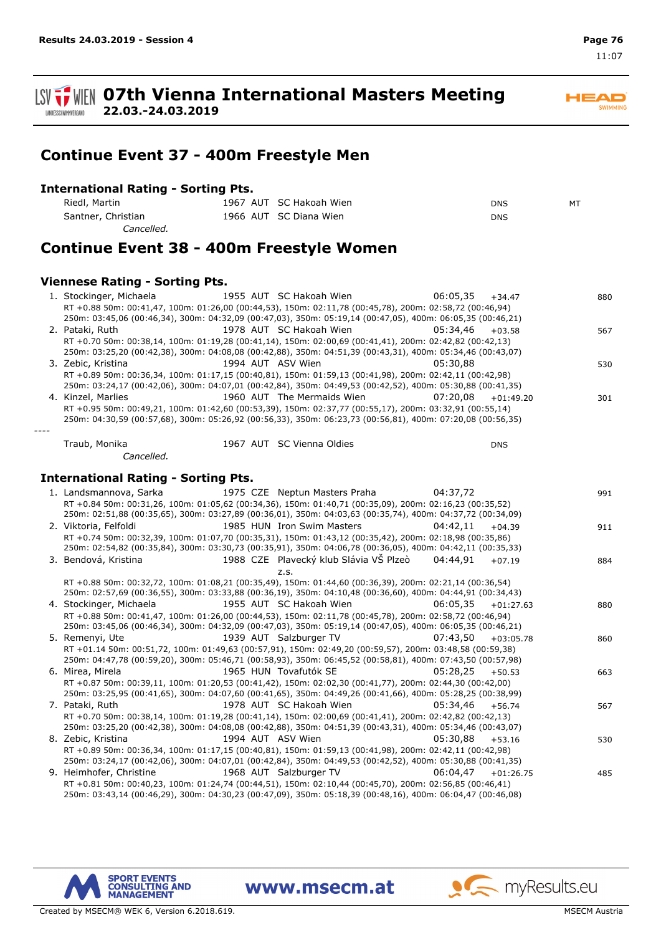11:07

**ISV TWEIN 07th Vienna International Masters Meeting 22.03.-24.03.2019** LANDESSCHWIMMVERBAND

**Continue Event 37 - 400m Freestyle Men**

#### **International Rating - Sorting Pts.**

| Riedl, Martin      | 1967 AUT SC Hakoah Wien | <b>DNS</b> | MT |
|--------------------|-------------------------|------------|----|
| Santner, Christian | 1966 AUT SC Diana Wien  | <b>DNS</b> |    |
| Cancelled.         |                         |            |    |

## **Continue Event 38 - 400m Freestyle Women**

#### **Viennese Rating - Sorting Pts.**

| 1. Stockinger, Michaela                                                                                                                                                                                               | 1955 AUT SC Hakoah Wien    | 06:05,35 | $+34.47$    | 880 |
|-----------------------------------------------------------------------------------------------------------------------------------------------------------------------------------------------------------------------|----------------------------|----------|-------------|-----|
| RT +0.88 50m: 00:41,47, 100m: 01:26,00 (00:44,53), 150m: 02:11,78 (00:45,78), 200m: 02:58,72 (00:46,94)                                                                                                               |                            |          |             |     |
| 250m: 03:45,06 (00:46,34), 300m: 04:32,09 (00:47,03), 350m: 05:19,14 (00:47,05), 400m: 06:05,35 (00:46,21)                                                                                                            |                            |          |             |     |
| 2. Pataki, Ruth                                                                                                                                                                                                       | 1978 AUT SC Hakoah Wien    | 05:34.46 | $+03.58$    | 567 |
| RT +0.70 50m: 00:38,14, 100m: 01:19,28 (00:41,14), 150m: 02:00,69 (00:41,41), 200m: 02:42,82 (00:42,13)<br>250m: 03:25,20 (00:42,38), 300m: 04:08,08 (00:42,88), 350m: 04:51,39 (00:43,31), 400m: 05:34,46 (00:43,07) |                            |          |             |     |
| 3. Zebic, Kristina                                                                                                                                                                                                    | 1994 AUT ASV Wien          | 05:30.88 |             | 530 |
| RT +0.89 50m: 00:36,34, 100m: 01:17,15 (00:40,81), 150m: 01:59,13 (00:41,98), 200m: 02:42,11 (00:42,98)<br>250m: 03:24,17 (00:42,06), 300m: 04:07,01 (00:42,84), 350m: 04:49,53 (00:42,52), 400m: 05:30,88 (00:41,35) |                            |          |             |     |
| 4. Kinzel, Marlies                                                                                                                                                                                                    | 1960 AUT The Mermaids Wien | 07:20.08 | $+01:49.20$ | 301 |
| RT +0.95 50m: 00:49,21, 100m: 01:42,60 (00:53,39), 150m: 02:37,77 (00:55,17), 200m: 03:32,91 (00:55,14)                                                                                                               |                            |          |             |     |
| 250m: 04:30,59 (00:57,68), 300m: 05:26,92 (00:56,33), 350m: 06:23,73 (00:56,81), 400m: 07:20,08 (00:56,35)                                                                                                            |                            |          |             |     |
|                                                                                                                                                                                                                       |                            |          |             |     |

Traub, Monika 1967 SC Vienna Oldies AUT DNS *Cancelled.*

#### **International Rating - Sorting Pts.**

| 1. Landsmannova, Sarka                                                                                     |  | 1975 CZE Neptun Masters Praha          | 04:37.72 |             | 991 |
|------------------------------------------------------------------------------------------------------------|--|----------------------------------------|----------|-------------|-----|
| RT +0.84 50m: 00:31,26, 100m: 01:05,62 (00:34,36), 150m: 01:40,71 (00:35,09), 200m: 02:16,23 (00:35,52)    |  |                                        |          |             |     |
| 250m: 02:51,88 (00:35,65), 300m: 03:27,89 (00:36,01), 350m: 04:03,63 (00:35,74), 400m: 04:37,72 (00:34,09) |  |                                        |          |             |     |
| 2. Viktoria, Felfoldi                                                                                      |  | 1985 HUN Iron Swim Masters             | 04:42.11 | $+04.39$    | 911 |
| RT +0.74 50m; 00:32.39, 100m; 01:07.70 (00:35.31), 150m; 01:43.12 (00:35.42), 200m; 02:18.98 (00:35.86)    |  |                                        |          |             |     |
| 250m: 02:54,82 (00:35,84), 300m: 03:30,73 (00:35,91), 350m: 04:06,78 (00:36,05), 400m: 04:42,11 (00:35,33) |  |                                        |          |             |     |
| 3. Bendová, Kristina                                                                                       |  | 1988 CZE Plavecký klub Slávia VŠ Plzeò | 04:44.91 | $+07.19$    | 884 |
|                                                                                                            |  | Z.S.                                   |          |             |     |
| RT +0.88 50m: 00:32,72, 100m: 01:08,21 (00:35,49), 150m: 01:44,60 (00:36,39), 200m: 02:21,14 (00:36,54)    |  |                                        |          |             |     |
| 250m: 02:57,69 (00:36,55), 300m: 03:33,88 (00:36,19), 350m: 04:10,48 (00:36,60), 400m: 04:44,91 (00:34,43) |  |                                        |          |             |     |
| 4. Stockinger, Michaela                                                                                    |  | 1955 AUT SC Hakoah Wien                | 06:05.35 | $+01:27.63$ | 880 |
| RT +0.88 50m: 00:41,47, 100m: 01:26,00 (00:44,53), 150m: 02:11,78 (00:45,78), 200m: 02:58,72 (00:46,94)    |  |                                        |          |             |     |
| 250m: 03:45,06 (00:46,34), 300m: 04:32,09 (00:47,03), 350m: 05:19,14 (00:47,05), 400m: 06:05,35 (00:46,21) |  |                                        |          |             |     |
| 5. Remenvi, Ute                                                                                            |  | 1939 AUT Salzburger TV                 | 07:43.50 | $+03:05.78$ | 860 |
| RT +01.14 50m: 00:51,72, 100m: 01:49,63 (00:57,91), 150m: 02:49,20 (00:59,57), 200m: 03:48,58 (00:59,38)   |  |                                        |          |             |     |
| 250m: 04:47,78 (00:59,20), 300m: 05:46,71 (00:58,93), 350m: 06:45,52 (00:58,81), 400m: 07:43,50 (00:57,98) |  |                                        |          |             |     |
| 6. Mirea, Mirela                                                                                           |  | 1965 HUN Tovafutók SE                  | 05:28.25 | $+50.53$    | 663 |
| RT +0.87 50m: 00:39,11, 100m: 01:20,53 (00:41,42), 150m: 02:02,30 (00:41,77), 200m: 02:44,30 (00:42,00)    |  |                                        |          |             |     |
| 250m: 03:25,95 (00:41,65), 300m: 04:07,60 (00:41,65), 350m: 04:49,26 (00:41,66), 400m: 05:28,25 (00:38,99) |  |                                        |          |             |     |
| 7. Pataki, Ruth                                                                                            |  | 1978 AUT SC Hakoah Wien                | 05:34.46 | $+56.74$    | 567 |
| RT +0.70 50m: 00:38,14, 100m: 01:19,28 (00:41,14), 150m: 02:00,69 (00:41,41), 200m: 02:42,82 (00:42,13)    |  |                                        |          |             |     |
| 250m: 03:25,20 (00:42,38), 300m: 04:08,08 (00:42,88), 350m: 04:51,39 (00:43,31), 400m: 05:34,46 (00:43,07) |  |                                        |          |             |     |
| 8. Zebic, Kristina                                                                                         |  | 1994 AUT ASV Wien                      | 05:30.88 | $+53.16$    | 530 |
| RT +0.89 50m: 00:36,34, 100m: 01:17,15 (00:40,81), 150m: 01:59,13 (00:41,98), 200m: 02:42,11 (00:42,98)    |  |                                        |          |             |     |
| 250m: 03:24,17 (00:42,06), 300m: 04:07,01 (00:42,84), 350m: 04:49,53 (00:42,52), 400m: 05:30,88 (00:41,35) |  |                                        |          |             |     |
| 9. Heimhofer, Christine                                                                                    |  | 1968 AUT Salzburger TV                 | 06:04.47 | $+01:26.75$ | 485 |
| RT +0.81 50m: 00:40,23, 100m: 01:24,74 (00:44,51), 150m: 02:10,44 (00:45,70), 200m: 02:56,85 (00:46,41)    |  |                                        |          |             |     |
| 250m: 03:43,14 (00:46,29), 300m: 04:30,23 (00:47,09), 350m: 05:18,39 (00:48,16), 400m: 06:04,47 (00:46,08) |  |                                        |          |             |     |

www.msecm.at



Created by MSECM® WEK 6, Version 6.2018.619. MSECM Austria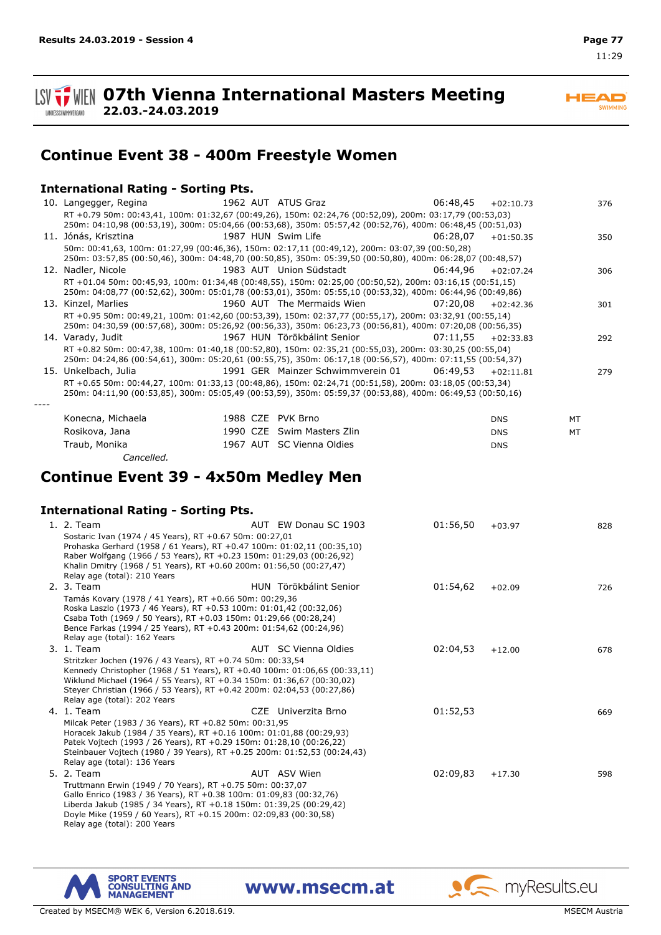11:29

**ISV TWEIN 07th Vienna International Masters Meeting 22.03.-24.03.2019** LANDESSCHWIMMVERBAND

**HEAD SWIMMING** 

## **Continue Event 38 - 400m Freestyle Women**

#### **International Rating - Sorting Pts.**

| 10. Langegger, Regina                                                                                                                                                                                                  | 1962 AUT ATUS Graz 66:48,45                |          | $+02:10.73$ | 376 |
|------------------------------------------------------------------------------------------------------------------------------------------------------------------------------------------------------------------------|--------------------------------------------|----------|-------------|-----|
| RT +0.79 50m: 00:43,41, 100m: 01:32,67 (00:49,26), 150m: 02:24,76 (00:52,09), 200m: 03:17,79 (00:53,03)<br>250m: 04:10,98 (00:53,19), 300m: 05:04,66 (00:53,68), 350m: 05:57,42 (00:52,76), 400m: 06:48,45 (00:51,03)  |                                            |          |             |     |
| 11. Jónás, Krisztina <b>Marcialatók a Szlovák</b>                                                                                                                                                                      | 1987 HUN Swim Life                         | 06:28,07 | $+01:50.35$ | 350 |
| 50m: 00:41,63, 100m: 01:27,99 (00:46,36), 150m: 02:17,11 (00:49,12), 200m: 03:07,39 (00:50,28)<br>250m: 03:57,85 (00:50,46), 300m: 04:48,70 (00:50,85), 350m: 05:39,50 (00:50,80), 400m: 06:28,07 (00:48,57)           |                                            |          |             |     |
| 12. Nadler, Nicole                                                                                                                                                                                                     | 1983 AUT Union Südstadt                    | 06:44.96 | $+02:07.24$ | 306 |
| RT +01.04 50m: 00:45,93, 100m: 01:34,48 (00:48,55), 150m: 02:25,00 (00:50,52), 200m: 03:16,15 (00:51,15)<br>250m: 04:08,77 (00:52,62), 300m: 05:01,78 (00:53,01), 350m: 05:55,10 (00:53,32), 400m: 06:44,96 (00:49,86) |                                            |          |             |     |
| 13. Kinzel, Marlies 1960 AUT The Mermaids Wien 07:20,08 +02:42.36                                                                                                                                                      |                                            |          |             | 301 |
| RT +0.95 50m: 00:49,21, 100m: 01:42,60 (00:53,39), 150m: 02:37,77 (00:55,17), 200m: 03:32,91 (00:55,14)<br>250m: 04:30,59 (00:57,68), 300m: 05:26,92 (00:56,33), 350m: 06:23,73 (00:56,81), 400m: 07:20,08 (00:56,35)  |                                            |          |             |     |
| 14. Varady, Judit                                                                                                                                                                                                      | 1967 HUN Törökbálint Senior                | 07:11,55 | $+02:33.83$ | 292 |
| RT +0.82 50m: 00:47,38, 100m: 01:40,18 (00:52,80), 150m: 02:35,21 (00:55,03), 200m: 03:30,25 (00:55,04)<br>250m: 04:24,86 (00:54,61), 300m: 05:20,61 (00:55,75), 350m: 06:17,18 (00:56,57), 400m: 07:11,55 (00:54,37)  |                                            |          |             |     |
| 15. Unkelbach, Julia                                                                                                                                                                                                   | 1991 GER Mainzer Schwimmverein 01 06:49,53 |          | $+02:11.81$ | 279 |
| RT +0.65 50m: 00:44,27, 100m: 01:33,13 (00:48,86), 150m: 02:24,71 (00:51,58), 200m: 03:18,05 (00:53,34)<br>250m: 04:11,90 (00:53,85), 300m: 05:05,49 (00:53,59), 350m: 05:59,37 (00:53,88), 400m: 06:49,53 (00:50,16)  |                                            |          |             |     |
|                                                                                                                                                                                                                        |                                            |          |             |     |
|                                                                                                                                                                                                                        |                                            |          |             |     |

| Konecna, Michaela | 1988 CZE PVK Brno |                            | <b>DNS</b> | MT |
|-------------------|-------------------|----------------------------|------------|----|
| Rosikova, Jana    |                   | 1990 CZE Swim Masters Zlin | <b>DNS</b> | MT |
| Traub, Monika     |                   | 1967 AUT SC Vienna Oldies  | <b>DNS</b> |    |
| Cancelled.        |                   |                            |            |    |

### **Continue Event 39 - 4x50m Medley Men**

Doyle Mike (1959 / 60 Years), RT +0.15 200m: 02:09,83 (00:30,58)

#### **International Rating - Sorting Pts.**

| 1. 2. Team                                                                                                                                                                                                                                                                                                                 | AUT EW Donau SC 1903   | 01:56,50 | $+03.97$ | 828 |
|----------------------------------------------------------------------------------------------------------------------------------------------------------------------------------------------------------------------------------------------------------------------------------------------------------------------------|------------------------|----------|----------|-----|
| Sostaric Ivan (1974 / 45 Years), RT +0.67 50m: 00:27,01<br>Prohaska Gerhard (1958 / 61 Years), RT +0.47 100m: 01:02,11 (00:35,10)<br>Raber Wolfgang (1966 / 53 Years), RT +0.23 150m: 01:29,03 (00:26,92)<br>Khalin Dmitry (1968 / 51 Years), RT +0.60 200m: 01:56,50 (00:27,47)<br>Relay age (total): 210 Years           |                        |          |          |     |
| 2. 3. Team                                                                                                                                                                                                                                                                                                                 | HUN Törökbálint Senior | 01:54,62 | $+02.09$ | 726 |
| Tamás Kovary (1978 / 41 Years), RT +0.66 50m: 00:29,36<br>Roska Laszlo (1973 / 46 Years), RT +0.53 100m: 01:01,42 (00:32,06)<br>Csaba Toth (1969 / 50 Years), RT +0.03 150m: 01:29,66 (00:28,24)<br>Bence Farkas (1994 / 25 Years), RT +0.43 200m: 01:54,62 (00:24,96)<br>Relay age (total): 162 Years                     |                        |          |          |     |
| 3. 1. Team                                                                                                                                                                                                                                                                                                                 | AUT SC Vienna Oldies   | 02:04,53 | $+12.00$ | 678 |
| Stritzker Jochen (1976 / 43 Years), RT +0.74 50m: 00:33,54<br>Kennedy Christopher (1968 / 51 Years), RT +0.40 100m: 01:06,65 (00:33,11)<br>Wiklund Michael (1964 / 55 Years), RT +0.34 150m: 01:36,67 (00:30,02)<br>Steyer Christian (1966 / 53 Years), RT +0.42 200m: 02:04,53 (00:27,86)<br>Relay age (total): 202 Years |                        |          |          |     |
| 4. 1. Team                                                                                                                                                                                                                                                                                                                 | CZE Univerzita Brno    | 01:52,53 |          | 669 |
| Milcak Peter (1983 / 36 Years), RT +0.82 50m: 00:31,95<br>Horacek Jakub (1984 / 35 Years), RT +0.16 100m: 01:01,88 (00:29,93)<br>Patek Vojtech (1993 / 26 Years), RT +0.29 150m: 01:28,10 (00:26,22)<br>Steinbauer Vojtech (1980 / 39 Years), RT +0.25 200m: 01:52,53 (00:24,43)<br>Relay age (total): 136 Years           |                        |          |          |     |
| 5. 2. Team                                                                                                                                                                                                                                                                                                                 | AUT ASV Wien           | 02:09,83 | $+17.30$ | 598 |
| Truttmann Erwin (1949 / 70 Years), RT +0.75 50m: 00:37,07<br>Gallo Enrico (1983 / 36 Years), RT +0.38 100m: 01:09,83 (00:32,76)<br>Liberda Jakub (1985 / 34 Years), RT +0.18 150m: 01:39,25 (00:29,42)                                                                                                                     |                        |          |          |     |



Relay age (total): 200 Years

SPORT EVENTS<br>CONSULTING AND<br>MANAGEMENT

www.msecm.at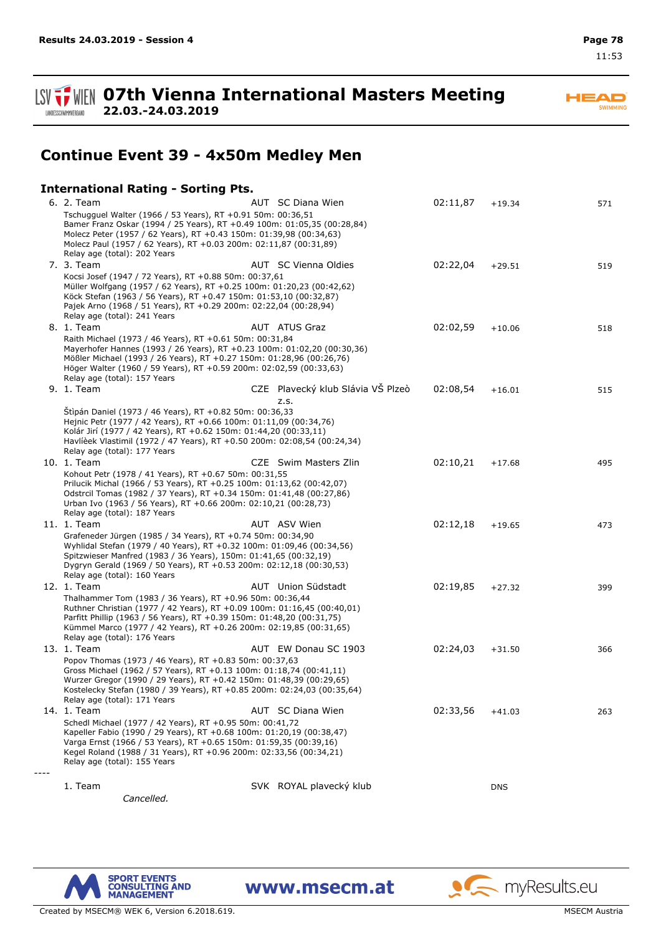11:53

**07th Vienna International Masters Meeting 22.03.-24.03.2019**

**Continue Event 39 - 4x50m Medley Men**

### **International Rating - Sorting Pts.**

| 6. 2. Team                                                                                                                                                                                                                                                                                                            | AUT SC Diana Wien                         | 02:11,87 | $+19.34$   | 571 |
|-----------------------------------------------------------------------------------------------------------------------------------------------------------------------------------------------------------------------------------------------------------------------------------------------------------------------|-------------------------------------------|----------|------------|-----|
| Tschugguel Walter (1966 / 53 Years), RT +0.91 50m: 00:36,51<br>Bamer Franz Oskar (1994 / 25 Years), RT +0.49 100m: 01:05,35 (00:28,84)<br>Molecz Peter (1957 / 62 Years), RT +0.43 150m: 01:39,98 (00:34,63)<br>Molecz Paul (1957 / 62 Years), RT +0.03 200m: 02:11,87 (00:31,89)                                     |                                           |          |            |     |
| Relay age (total): 202 Years                                                                                                                                                                                                                                                                                          |                                           |          |            |     |
| 7. 3. Team<br>Kocsi Josef (1947 / 72 Years), RT +0.88 50m: 00:37,61<br>Müller Wolfgang (1957 / 62 Years), RT +0.25 100m: 01:20,23 (00:42,62)<br>Köck Stefan (1963 / 56 Years), RT +0.47 150m: 01:53,10 (00:32,87)<br>Pajek Arno (1968 / 51 Years), RT +0.29 200m: 02:22,04 (00:28,94)<br>Relay age (total): 241 Years | AUT SC Vienna Oldies                      | 02:22,04 | $+29.51$   | 519 |
| 8. 1. Team                                                                                                                                                                                                                                                                                                            | <b>AUT</b> ATUS Graz                      | 02:02,59 | $+10.06$   | 518 |
| Raith Michael (1973 / 46 Years), RT +0.61 50m: 00:31,84<br>Mayerhofer Hannes (1993 / 26 Years), RT +0.23 100m: 01:02,20 (00:30,36)<br>Mößler Michael (1993 / 26 Years), RT +0.27 150m: 01:28,96 (00:26,76)<br>Höger Walter (1960 / 59 Years), RT +0.59 200m: 02:02,59 (00:33,63)<br>Relay age (total): 157 Years      |                                           |          |            |     |
| 9. 1. Team                                                                                                                                                                                                                                                                                                            | CZE Plavecký klub Slávia VŠ Plzeò<br>Z.S. | 02:08,54 | $+16.01$   | 515 |
| Štipán Daniel (1973 / 46 Years), RT +0.82 50m: 00:36,33<br>Hejnic Petr (1977 / 42 Years), RT +0.66 100m: 01:11,09 (00:34,76)<br>Kolár Jirí (1977 / 42 Years), RT +0.62 150m: 01:44,20 (00:33,11)<br>Havlièek Vlastimil (1972 / 47 Years), RT +0.50 200m: 02:08,54 (00:24,34)<br>Relay age (total): 177 Years          |                                           |          |            |     |
| 10. 1. Team                                                                                                                                                                                                                                                                                                           | CZE Swim Masters Zlin                     | 02:10,21 | $+17.68$   | 495 |
| Kohout Petr (1978 / 41 Years), RT +0.67 50m: 00:31,55<br>Prilucik Michal (1966 / 53 Years), RT +0.25 100m: 01:13,62 (00:42,07)<br>Odstrcil Tomas (1982 / 37 Years), RT +0.34 150m: 01:41,48 (00:27,86)<br>Urban Ivo (1963 / 56 Years), RT +0.66 200m: 02:10,21 (00:28,73)<br>Relay age (total): 187 Years             |                                           |          |            |     |
| 11. 1. Team                                                                                                                                                                                                                                                                                                           | AUT ASV Wien                              | 02:12,18 | $+19.65$   | 473 |
| Grafeneder Jürgen (1985 / 34 Years), RT +0.74 50m: 00:34,90<br>Wyhlidal Stefan (1979 / 40 Years), RT +0.32 100m: 01:09,46 (00:34,56)<br>Spitzwieser Manfred (1983 / 36 Years), 150m: 01:41,65 (00:32,19)<br>Dygryn Gerald (1969 / 50 Years), RT +0.53 200m: 02:12,18 (00:30,53)<br>Relay age (total): 160 Years       |                                           |          |            |     |
| 12. 1. Team                                                                                                                                                                                                                                                                                                           | AUT Union Südstadt                        | 02:19,85 | $+27.32$   | 399 |
| Thalhammer Tom (1983 / 36 Years), RT +0.96 50m: 00:36,44<br>Ruthner Christian (1977 / 42 Years), RT +0.09 100m: 01:16,45 (00:40,01)<br>Parfitt Phillip (1963 / 56 Years), RT +0.39 150m: 01:48,20 (00:31,75)<br>Kümmel Marco (1977 / 42 Years), RT +0.26 200m: 02:19,85 (00:31,65)<br>Relay age (total): 176 Years    |                                           |          |            |     |
| 13. 1. Team                                                                                                                                                                                                                                                                                                           | AUT EW Donau SC 1903                      | 02:24,03 | $+31.50$   | 366 |
| Popov Thomas (1973 / 46 Years), RT +0.83 50m: 00:37,63<br>Gross Michael (1962 / 57 Years), RT +0.13 100m: 01:18,74 (00:41,11)<br>Wurzer Gregor (1990 / 29 Years), RT +0.42 150m: 01:48,39 (00:29,65)<br>Kostelecky Stefan (1980 / 39 Years), RT +0.85 200m: 02:24,03 (00:35,64)<br>Relay age (total): 171 Years       |                                           |          |            |     |
| 14. 1. Team                                                                                                                                                                                                                                                                                                           | AUT SC Diana Wien                         | 02:33,56 | $+41.03$   | 263 |
| Schedl Michael (1977 / 42 Years), RT +0.95 50m: 00:41,72<br>Kapeller Fabio (1990 / 29 Years), RT +0.68 100m: 01:20,19 (00:38,47)<br>Varga Ernst (1966 / 53 Years), RT +0.65 150m: 01:59,35 (00:39,16)<br>Kegel Roland (1988 / 31 Years), RT +0.96 200m: 02:33,56 (00:34,21)<br>Relay age (total): 155 Years           |                                           |          |            |     |
| 1. Team                                                                                                                                                                                                                                                                                                               | SVK ROYAL plavecký klub                   |          |            |     |
| Cancelled.                                                                                                                                                                                                                                                                                                            |                                           |          | <b>DNS</b> |     |
|                                                                                                                                                                                                                                                                                                                       |                                           |          |            |     |



www.msecm.at